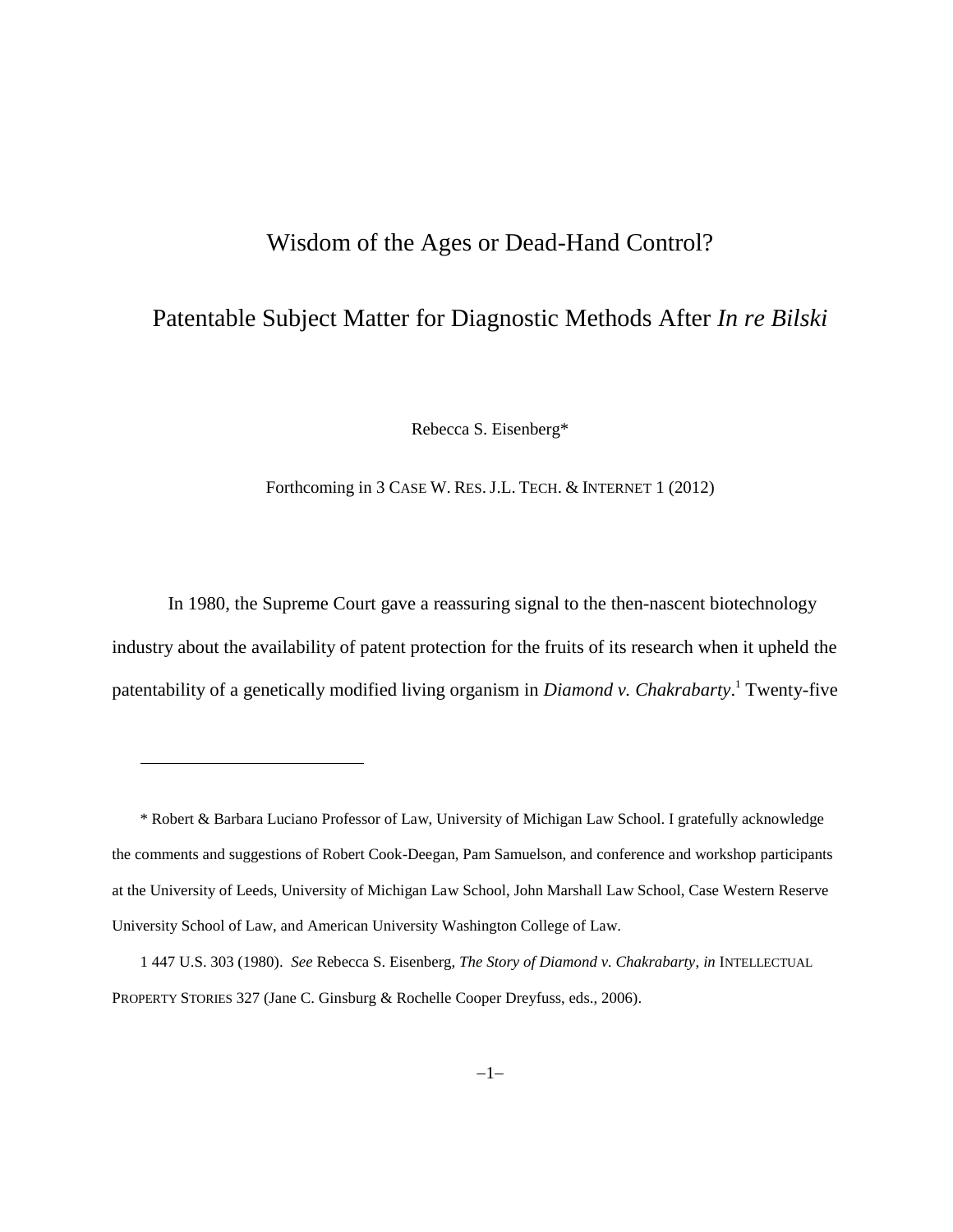# Wisdom of the Ages or Dead-Hand Control?

# Patentable Subject Matter for Diagnostic Methods After *In re Bilski*

Rebecca S. Eisenberg\*

Forthcoming in 3 CASE W. RES. J.L. TECH. & INTERNET 1 (2012)

In 1980, the Supreme Court gave a reassuring signal to the then-nascent biotechnology industry about the availability of patent protection for the fruits of its research when it upheld the patentability of a genetically modified living organism in *Diamond v. Chakrabarty*. <sup>1</sup> Twenty-five

<sup>\*</sup> Robert & Barbara Luciano Professor of Law, University of Michigan Law School. I gratefully acknowledge the comments and suggestions of Robert Cook-Deegan, Pam Samuelson, and conference and workshop participants at the University of Leeds, University of Michigan Law School, John Marshall Law School, Case Western Reserve University School of Law, and American University Washington College of Law.

<sup>1</sup> 447 U.S. 303 (1980). *See* Rebecca S. Eisenberg, *The Story of Diamond v. Chakrabarty*, *in* INTELLECTUAL PROPERTY STORIES 327 (Jane C. Ginsburg & Rochelle Cooper Dreyfuss, eds., 2006).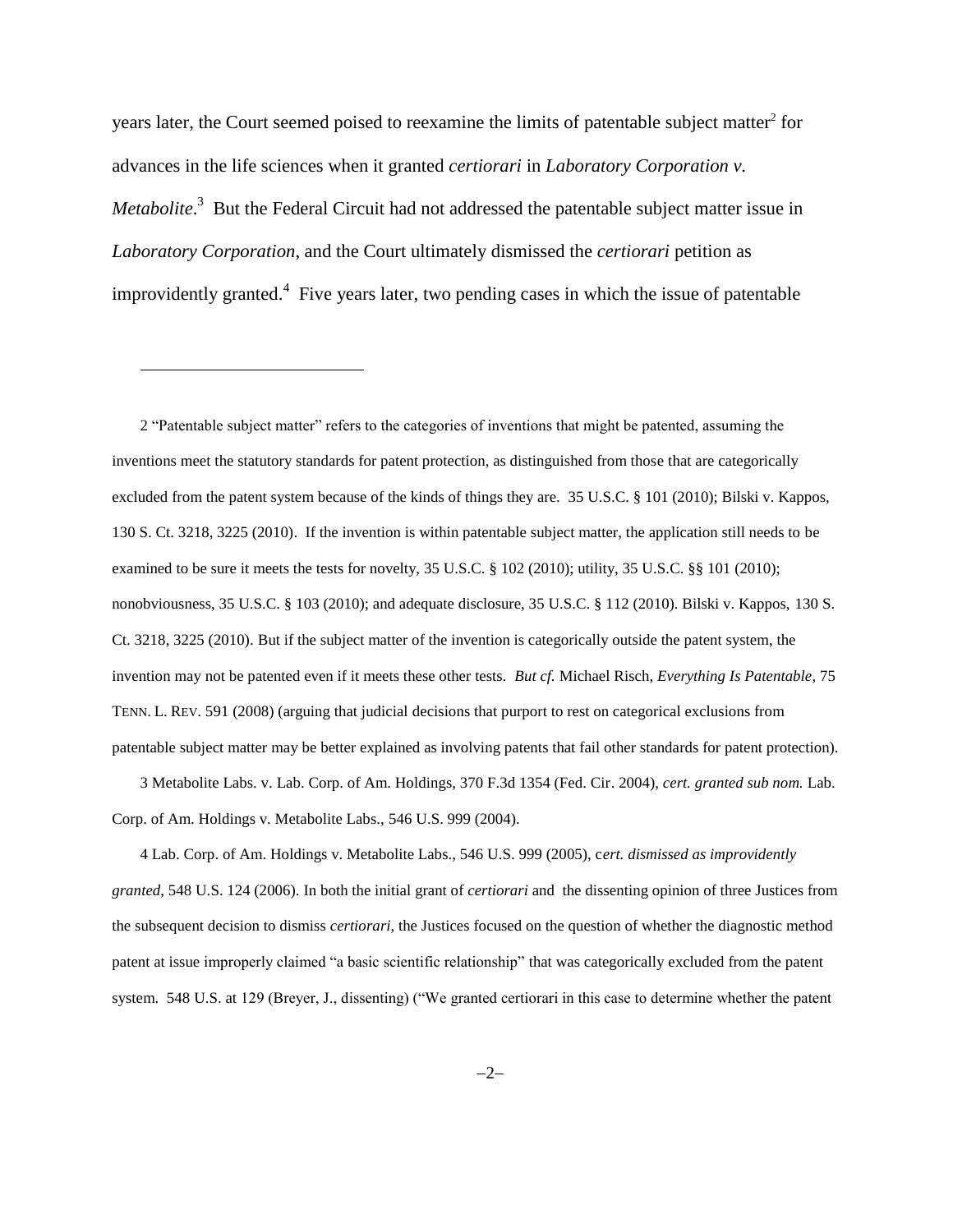<span id="page-1-0"></span>years later, the Court seemed poised to reexamine the limits of patentable subject matter $2$  for advances in the life sciences when it granted *certiorari* in *Laboratory Corporation v. Metabolite*.<sup>3</sup> But the Federal Circuit had not addressed the patentable subject matter issue in *Laboratory Corporation*, and the Court ultimately dismissed the *certiorari* petition as improvidently granted.<sup>4</sup> Five years later, two pending cases in which the issue of patentable

l

2 "Patentable subject matter" refers to the categories of inventions that might be patented, assuming the inventions meet the statutory standards for patent protection, as distinguished from those that are categorically excluded from the patent system because of the kinds of things they are. 35 U.S.C. § 101 (2010); Bilski v. Kappos, 130 S. Ct. 3218, 3225 (2010). If the invention is within patentable subject matter, the application still needs to be examined to be sure it meets the tests for novelty, 35 U.S.C. § 102 (2010); utility, 35 U.S.C. §§ 101 (2010); nonobviousness, 35 U.S.C. § 103 (2010); and adequate disclosure, 35 U.S.C. § 112 (2010). Bilski v. Kappos, 130 S. Ct. 3218, 3225 (2010). But if the subject matter of the invention is categorically outside the patent system, the invention may not be patented even if it meets these other tests. *But cf.* Michael Risch, *Everything Is Patentable*, 75 TENN. L. REV. 591 (2008) (arguing that judicial decisions that purport to rest on categorical exclusions from patentable subject matter may be better explained as involving patents that fail other standards for patent protection).

3 Metabolite Labs. v. Lab. Corp. of Am. Holdings, 370 F.3d 1354 (Fed. Cir. 2004), *cert. granted sub nom.* Lab. Corp. of Am. Holdings v. Metabolite Labs., 546 U.S. 999 (2004).

4 Lab. Corp. of Am. Holdings v. Metabolite Labs., 546 U.S. 999 (2005), c*ert. dismissed as improvidently granted*, 548 U.S. 124 (2006). In both the initial grant of *certiorari* and the dissenting opinion of three Justices from the subsequent decision to dismiss *certiorari*, the Justices focused on the question of whether the diagnostic method patent at issue improperly claimed "a basic scientific relationship" that was categorically excluded from the patent system. 548 U.S. at 129 (Breyer, J., dissenting) ("We granted certiorari in this case to determine whether the patent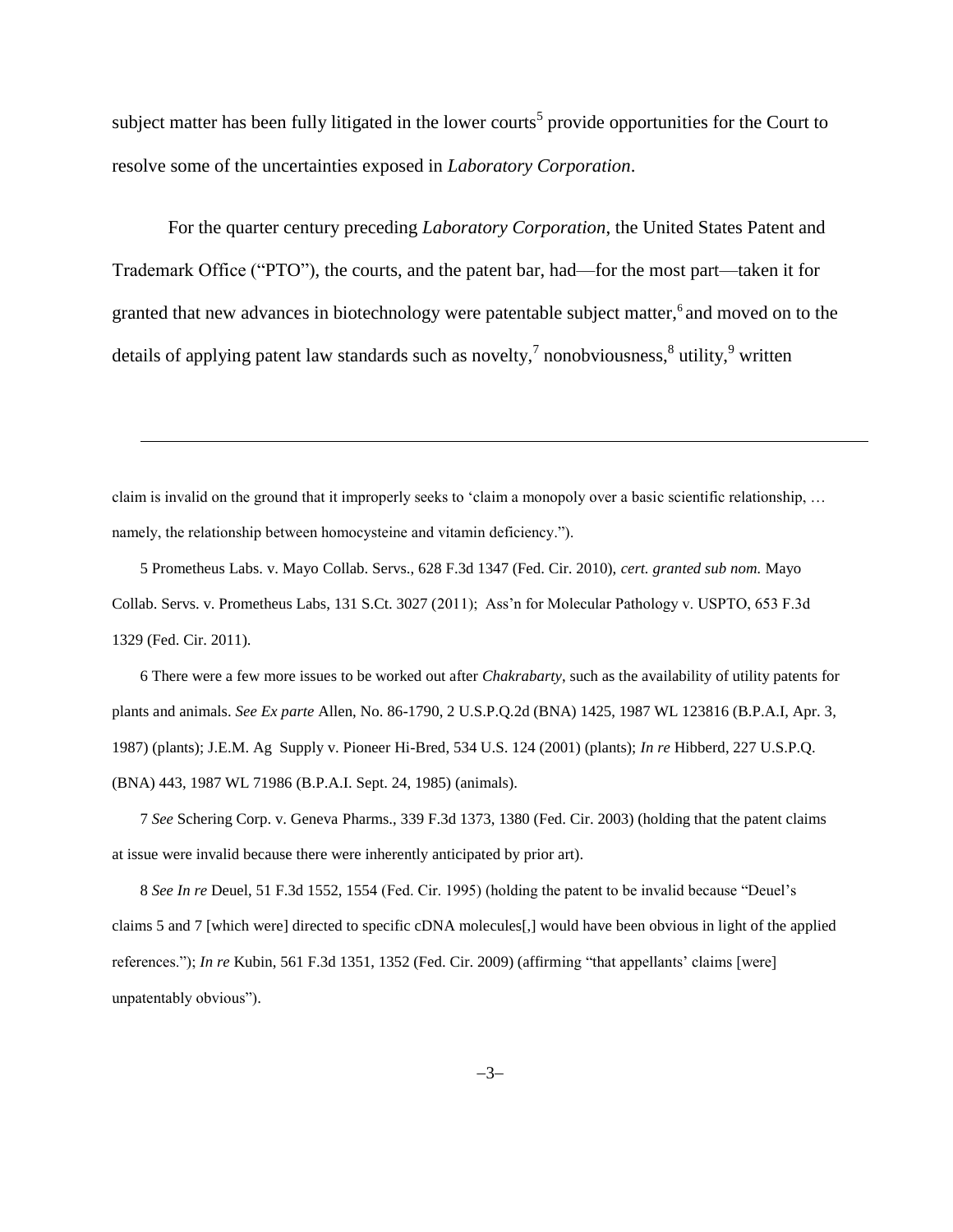subject matter has been fully litigated in the lower courts<sup>5</sup> provide opportunities for the Court to resolve some of the uncertainties exposed in *Laboratory Corporation*.

For the quarter century preceding *Laboratory Corporation*, the United States Patent and Trademark Office ("PTO"), the courts, and the patent bar, had—for the most part—taken it for granted that new advances in biotechnology were patentable subject matter,<sup>6</sup> and moved on to the details of applying patent law standards such as novelty,<sup>7</sup> nonobviousness,<sup>8</sup> utility,<sup>9</sup> written

claim is invalid on the ground that it improperly seeks to 'claim a monopoly over a basic scientific relationship, … namely, the relationship between homocysteine and vitamin deficiency.").

l

5 Prometheus Labs. v. Mayo Collab. Servs., 628 F.3d 1347 (Fed. Cir. 2010), *cert. granted sub nom.* Mayo Collab. Servs. v. Prometheus Labs, 131 S.Ct. 3027 (2011); Ass'n for Molecular Pathology v. USPTO, 653 F.3d 1329 (Fed. Cir. 2011).

6 There were a few more issues to be worked out after *Chakrabarty*, such as the availability of utility patents for plants and animals. *See Ex parte* Allen, No. 86-1790, 2 U.S.P.Q.2d (BNA) 1425, 1987 WL 123816 (B.P.A.I, Apr. 3, 1987) (plants); J.E.M. Ag Supply v. Pioneer Hi-Bred, 534 U.S. 124 (2001) (plants); *In re* Hibberd, 227 U.S.P.Q. (BNA) 443, 1987 WL 71986 (B.P.A.I. Sept. 24, 1985) (animals).

7 *See* Schering Corp. v. Geneva Pharms., 339 F.3d 1373, 1380 (Fed. Cir. 2003) (holding that the patent claims at issue were invalid because there were inherently anticipated by prior art).

8 *See In re* Deuel, 51 F.3d 1552, 1554 (Fed. Cir. 1995) (holding the patent to be invalid because "Deuel's claims 5 and 7 [which were] directed to specific cDNA molecules[,] would have been obvious in light of the applied references."); *In re* Kubin, 561 F.3d 1351, 1352 (Fed. Cir. 2009) (affirming "that appellants' claims [were] unpatentably obvious").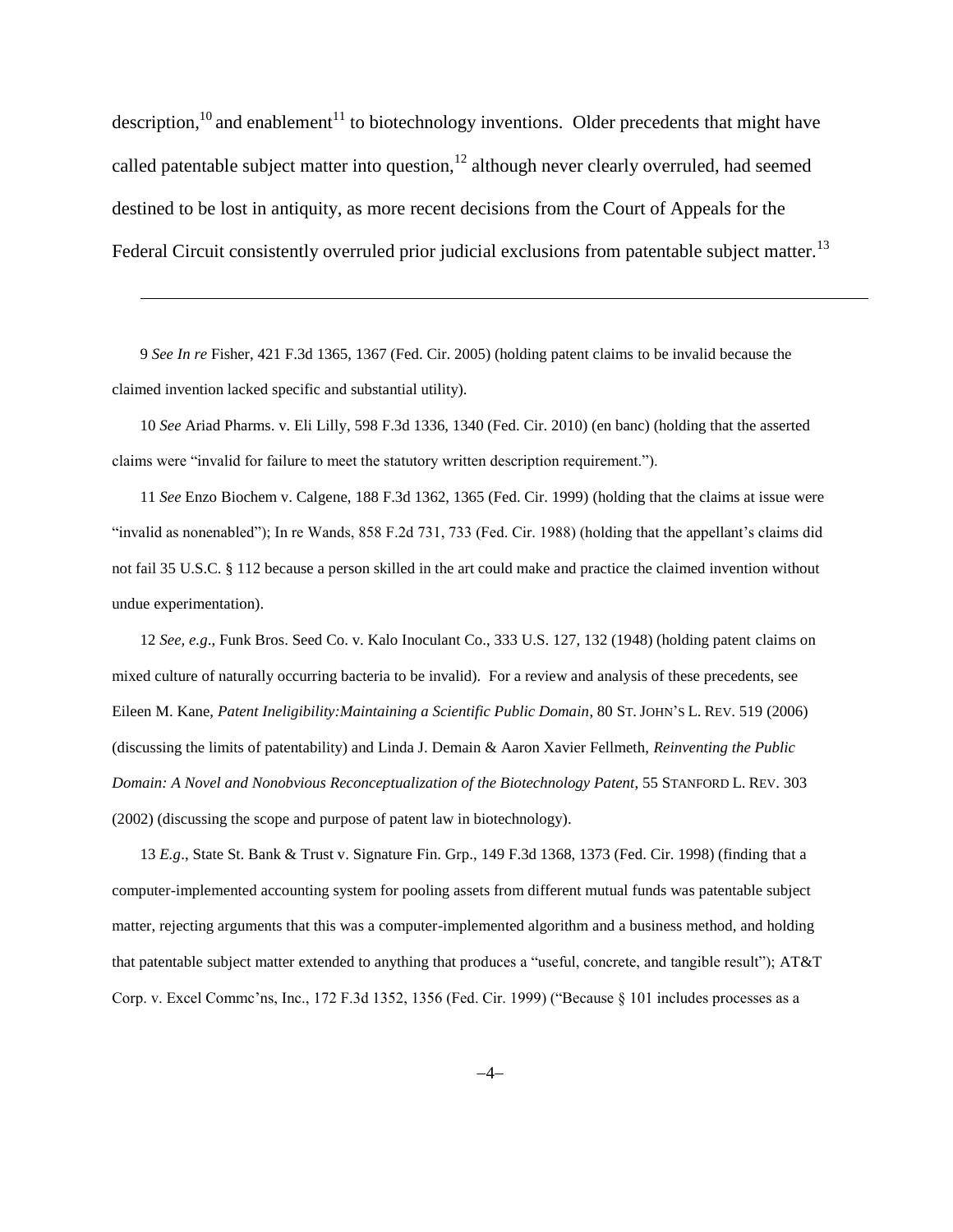description, $10$  and enablement<sup>11</sup> to biotechnology inventions. Older precedents that might have called patentable subject matter into question, $12$  although never clearly overruled, had seemed destined to be lost in antiquity, as more recent decisions from the Court of Appeals for the Federal Circuit consistently overruled prior judicial exclusions from patentable subject matter.<sup>13</sup>

9 *See In re* Fisher, 421 F.3d 1365, 1367 (Fed. Cir. 2005) (holding patent claims to be invalid because the claimed invention lacked specific and substantial utility).

 $\overline{a}$ 

10 *See* Ariad Pharms. v. Eli Lilly, 598 F.3d 1336, 1340 (Fed. Cir. 2010) (en banc) (holding that the asserted claims were "invalid for failure to meet the statutory written description requirement.").

11 *See* Enzo Biochem v. Calgene, 188 F.3d 1362, 1365 (Fed. Cir. 1999) (holding that the claims at issue were "invalid as nonenabled"); In re Wands, 858 F.2d 731, 733 (Fed. Cir. 1988) (holding that the appellant's claims did not fail 35 U.S.C. § 112 because a person skilled in the art could make and practice the claimed invention without undue experimentation).

12 *See, e.g*., Funk Bros. Seed Co. v. Kalo Inoculant Co., 333 U.S. 127, 132 (1948) (holding patent claims on mixed culture of naturally occurring bacteria to be invalid). For a review and analysis of these precedents, see Eileen M. Kane, *Patent Ineligibility:Maintaining a Scientific Public Domain*, 80 ST. JOHN'S L. REV. 519 (2006) (discussing the limits of patentability) and Linda J. Demain & Aaron Xavier Fellmeth, *Reinventing the Public Domain: A Novel and Nonobvious Reconceptualization of the Biotechnology Patent*, 55 STANFORD L. REV. 303 (2002) (discussing the scope and purpose of patent law in biotechnology).

13 *E.g*., State St. Bank & Trust v. Signature Fin. Grp., 149 F.3d 1368, 1373 (Fed. Cir. 1998) (finding that a computer-implemented accounting system for pooling assets from different mutual funds was patentable subject matter, rejecting arguments that this was a computer-implemented algorithm and a business method, and holding that patentable subject matter extended to anything that produces a "useful, concrete, and tangible result"); AT&T Corp. v. Excel Commc'ns, Inc., 172 F.3d 1352, 1356 (Fed. Cir. 1999) ("Because § 101 includes processes as a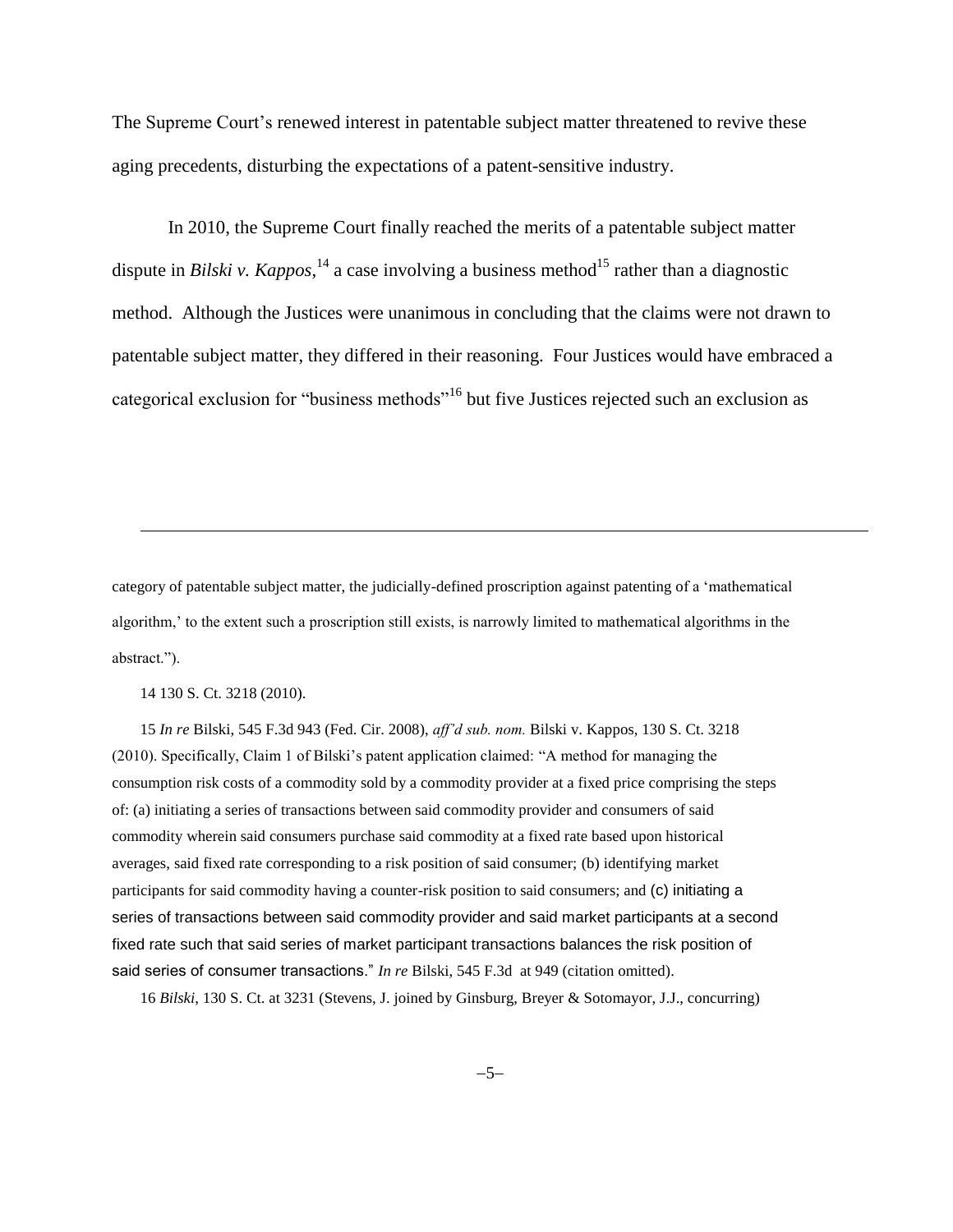The Supreme Court's renewed interest in patentable subject matter threatened to revive these aging precedents, disturbing the expectations of a patent-sensitive industry.

<span id="page-4-1"></span><span id="page-4-0"></span>In 2010, the Supreme Court finally reached the merits of a patentable subject matter dispute in *Bilski v. Kappos*,<sup>14</sup> a case involving a business method<sup>15</sup> rather than a diagnostic method. Although the Justices were unanimous in concluding that the claims were not drawn to patentable subject matter, they differed in their reasoning. Four Justices would have embraced a categorical exclusion for "business methods"<sup>16</sup> but five Justices rejected such an exclusion as

category of patentable subject matter, the judicially-defined proscription against patenting of a 'mathematical algorithm,' to the extent such a proscription still exists, is narrowly limited to mathematical algorithms in the abstract.").

14 130 S. Ct. 3218 (2010).

l

15 *In re* Bilski, 545 F.3d 943 (Fed. Cir. 2008), *aff'd sub. nom.* Bilski v. Kappos, 130 S. Ct. 3218 (2010). Specifically, Claim 1 of Bilski's patent application claimed: "A method for managing the consumption risk costs of a commodity sold by a commodity provider at a fixed price comprising the steps of: (a) initiating a series of transactions between said commodity provider and consumers of said commodity wherein said consumers purchase said commodity at a fixed rate based upon historical averages, said fixed rate corresponding to a risk position of said consumer; (b) identifying market participants for said commodity having a counter-risk position to said consumers; and (c) initiating a series of transactions between said commodity provider and said market participants at a second fixed rate such that said series of market participant transactions balances the risk position of said series of consumer transactions." *In re* Bilski, 545 F.3d at 949 (citation omitted).

16 *Bilski*, 130 S. Ct. at 3231 (Stevens, J. joined by Ginsburg, Breyer & Sotomayor, J.J., concurring)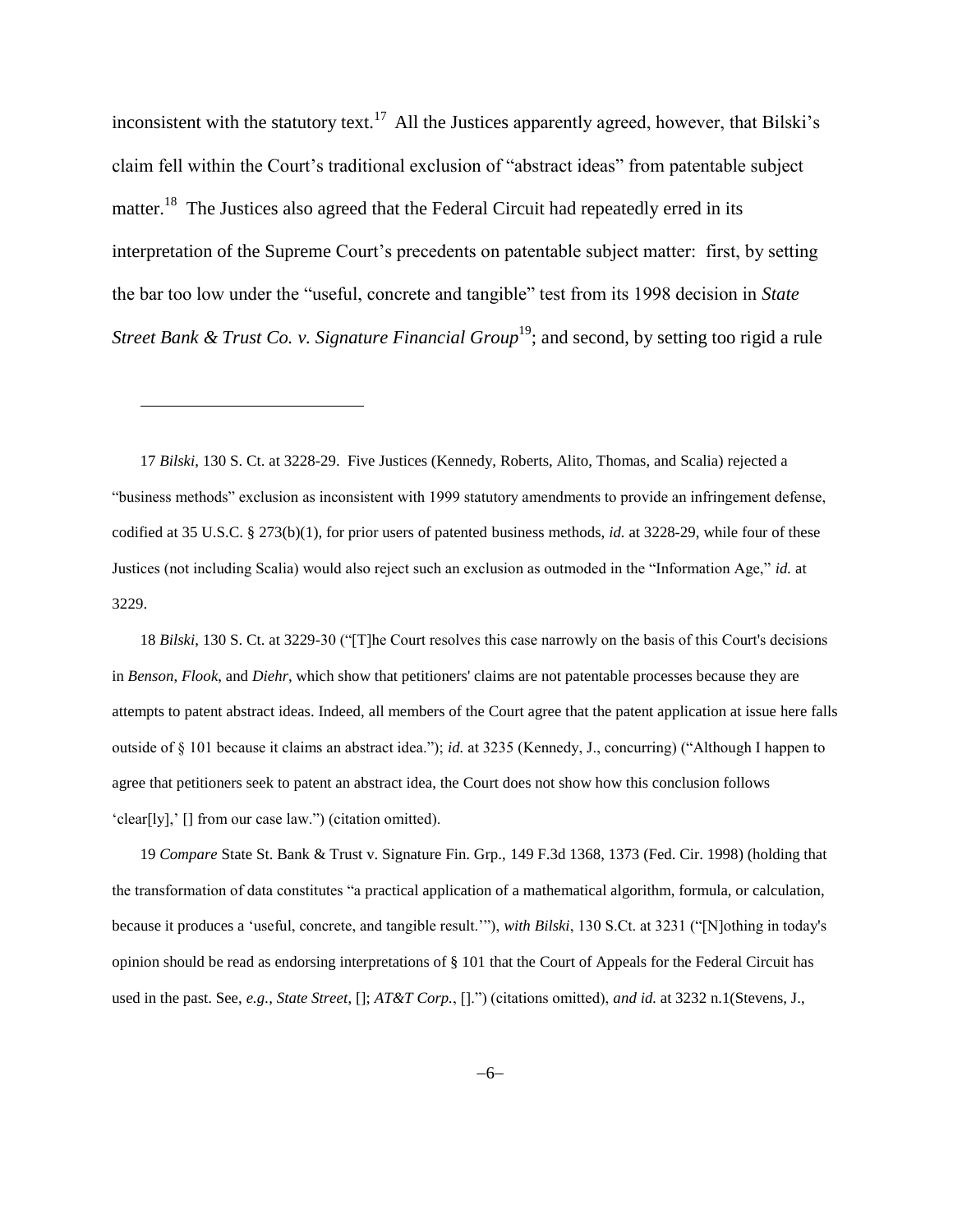<span id="page-5-0"></span>inconsistent with the statutory text.<sup>17</sup> All the Justices apparently agreed, however, that Bilski's claim fell within the Court's traditional exclusion of "abstract ideas" from patentable subject matter.<sup>18</sup> The Justices also agreed that the Federal Circuit had repeatedly erred in its interpretation of the Supreme Court's precedents on patentable subject matter: first, by setting the bar too low under the "useful, concrete and tangible" test from its 1998 decision in *State Street Bank & Trust Co. v. Signature Financial Group*<sup>19</sup>; and second, by setting too rigid a rule

17 *Bilski*, 130 S. Ct. at 3228-29. Five Justices (Kennedy, Roberts, Alito, Thomas, and Scalia) rejected a "business methods" exclusion as inconsistent with 1999 statutory amendments to provide an infringement defense, codified at 35 U.S.C. § 273(b)(1), for prior users of patented business methods, *id.* at 3228-29, while four of these Justices (not including Scalia) would also reject such an exclusion as outmoded in the "Information Age," *id.* at 3229.

<span id="page-5-1"></span> $\overline{\phantom{a}}$ 

18 *Bilski*, 130 S. Ct. at 3229-30 ("[T]he Court resolves this case narrowly on the basis of this Court's decisions in *Benson*, *Flook*, and *Diehr*, which show that petitioners' claims are not patentable processes because they are attempts to patent abstract ideas. Indeed, all members of the Court agree that the patent application at issue here falls outside of § 101 because it claims an abstract idea."); *id.* at 3235 (Kennedy, J., concurring) ("Although I happen to agree that petitioners seek to patent an abstract idea, the Court does not show how this conclusion follows 'clear[ly],' [] from our case law.") (citation omitted).

19 *Compare* State St. Bank & Trust v. Signature Fin. Grp., 149 F.3d 1368, 1373 (Fed. Cir. 1998) (holding that the transformation of data constitutes "a practical application of a mathematical algorithm, formula, or calculation, because it produces a 'useful, concrete, and tangible result.'"), *with Bilski*, 130 S.Ct. at 3231 ("[N]othing in today's opinion should be read as endorsing interpretations of § 101 that the Court of Appeals for the Federal Circuit has used in the past. See, *e.g., State Street*, []; *AT&T Corp.*, [].") (citations omitted), *and id.* at 3232 n.1(Stevens, J.,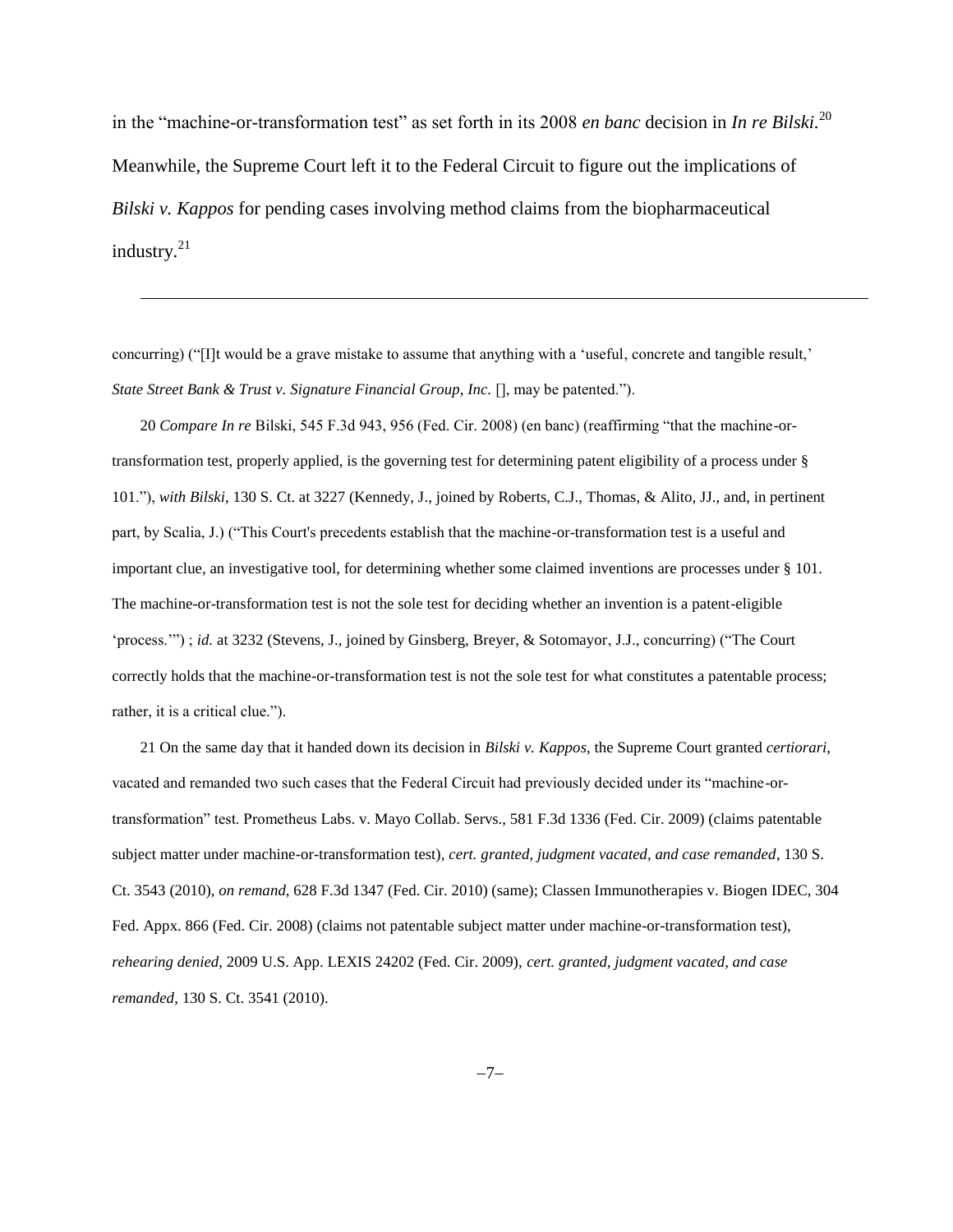in the "machine-or-transformation test" as set forth in its 2008 *en banc* decision in *In re Bilski.*<sup>20</sup> Meanwhile, the Supreme Court left it to the Federal Circuit to figure out the implications of *Bilski v. Kappos* for pending cases involving method claims from the biopharmaceutical industry. $21$ 

concurring) ("[I]t would be a grave mistake to assume that anything with a 'useful, concrete and tangible result,' *State Street Bank & Trust v. Signature Financial Group, Inc.* [], may be patented.").

<span id="page-6-0"></span> $\overline{\phantom{a}}$ 

20 *Compare In re* Bilski, 545 F.3d 943, 956 (Fed. Cir. 2008) (en banc) (reaffirming "that the machine-ortransformation test, properly applied, is the governing test for determining patent eligibility of a process under § 101."), *with Bilski*, 130 S. Ct. at 3227 (Kennedy, J., joined by Roberts, C.J., Thomas, & Alito, JJ., and, in pertinent part, by Scalia, J.) ("This Court's precedents establish that the machine-or-transformation test is a useful and important clue, an investigative tool, for determining whether some claimed inventions are processes under § 101. The machine-or-transformation test is not the sole test for deciding whether an invention is a patent-eligible 'process.'") ; *id.* at 3232 (Stevens, J., joined by Ginsberg, Breyer, & Sotomayor, J.J., concurring) ("The Court correctly holds that the machine-or-transformation test is not the sole test for what constitutes a patentable process; rather, it is a critical clue.").

21 On the same day that it handed down its decision in *Bilski v. Kappos*, the Supreme Court granted *certiorari*, vacated and remanded two such cases that the Federal Circuit had previously decided under its "machine-ortransformation" test. Prometheus Labs. v. Mayo Collab. Servs., 581 F.3d 1336 (Fed. Cir. 2009) (claims patentable subject matter under machine-or-transformation test), *cert. granted, judgment vacated, and case remanded*, 130 S. Ct. 3543 (2010), *on remand*, 628 F.3d 1347 (Fed. Cir. 2010) (same); Classen Immunotherapies v. Biogen IDEC, 304 Fed. Appx. 866 (Fed. Cir. 2008) (claims not patentable subject matter under machine-or-transformation test), *rehearing denied*, 2009 U.S. App. LEXIS 24202 (Fed. Cir. 2009), *cert. granted, judgment vacated, and case remanded*, 130 S. Ct. 3541 (2010).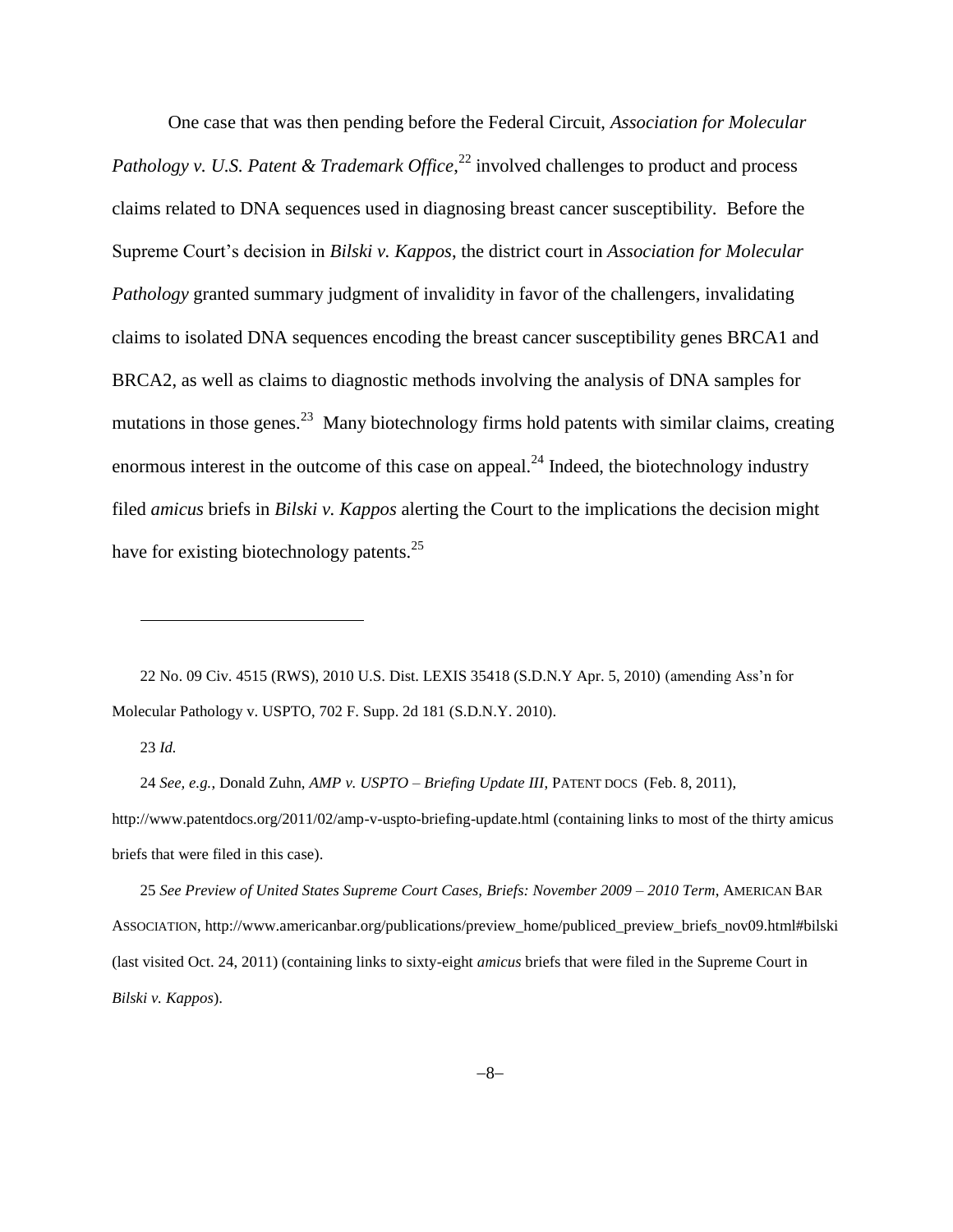One case that was then pending before the Federal Circuit, *Association for Molecular*  Pathology v. U.S. Patent & Trademark Office,<sup>22</sup> involved challenges to product and process claims related to DNA sequences used in diagnosing breast cancer susceptibility. Before the Supreme Court's decision in *Bilski v. Kappos*, the district court in *Association for Molecular Pathology* granted summary judgment of invalidity in favor of the challengers, invalidating claims to isolated DNA sequences encoding the breast cancer susceptibility genes BRCA1 and BRCA2, as well as claims to diagnostic methods involving the analysis of DNA samples for mutations in those genes.<sup>23</sup> Many biotechnology firms hold patents with similar claims, creating enormous interest in the outcome of this case on appeal.<sup>24</sup> Indeed, the biotechnology industry filed *amicus* briefs in *Bilski v. Kappos* alerting the Court to the implications the decision might have for existing biotechnology patents.<sup>25</sup>

22 No. 09 Civ. 4515 (RWS), 2010 U.S. Dist. LEXIS 35418 (S.D.N.Y Apr. 5, 2010) (amending Ass'n for Molecular Pathology v. USPTO, 702 F. Supp. 2d 181 (S.D.N.Y. 2010).

23 *Id.*

 $\overline{\phantom{a}}$ 

24 *See, e.g.*, Donald Zuhn, *AMP v. USPTO – Briefing Update III*, PATENT DOCS (Feb. 8, 2011), http://www.patentdocs.org/2011/02/amp-v-uspto-briefing-update.html (containing links to most of the thirty amicus briefs that were filed in this case).

25 *See Preview of United States Supreme Court Cases, Briefs: November 2009 – 2010 Term*, AMERICAN BAR ASSOCIATION, http://www.americanbar.org/publications/preview\_home/publiced\_preview\_briefs\_nov09.html#bilski (last visited Oct. 24, 2011) (containing links to sixty-eight *amicus* briefs that were filed in the Supreme Court in *Bilski v. Kappos*).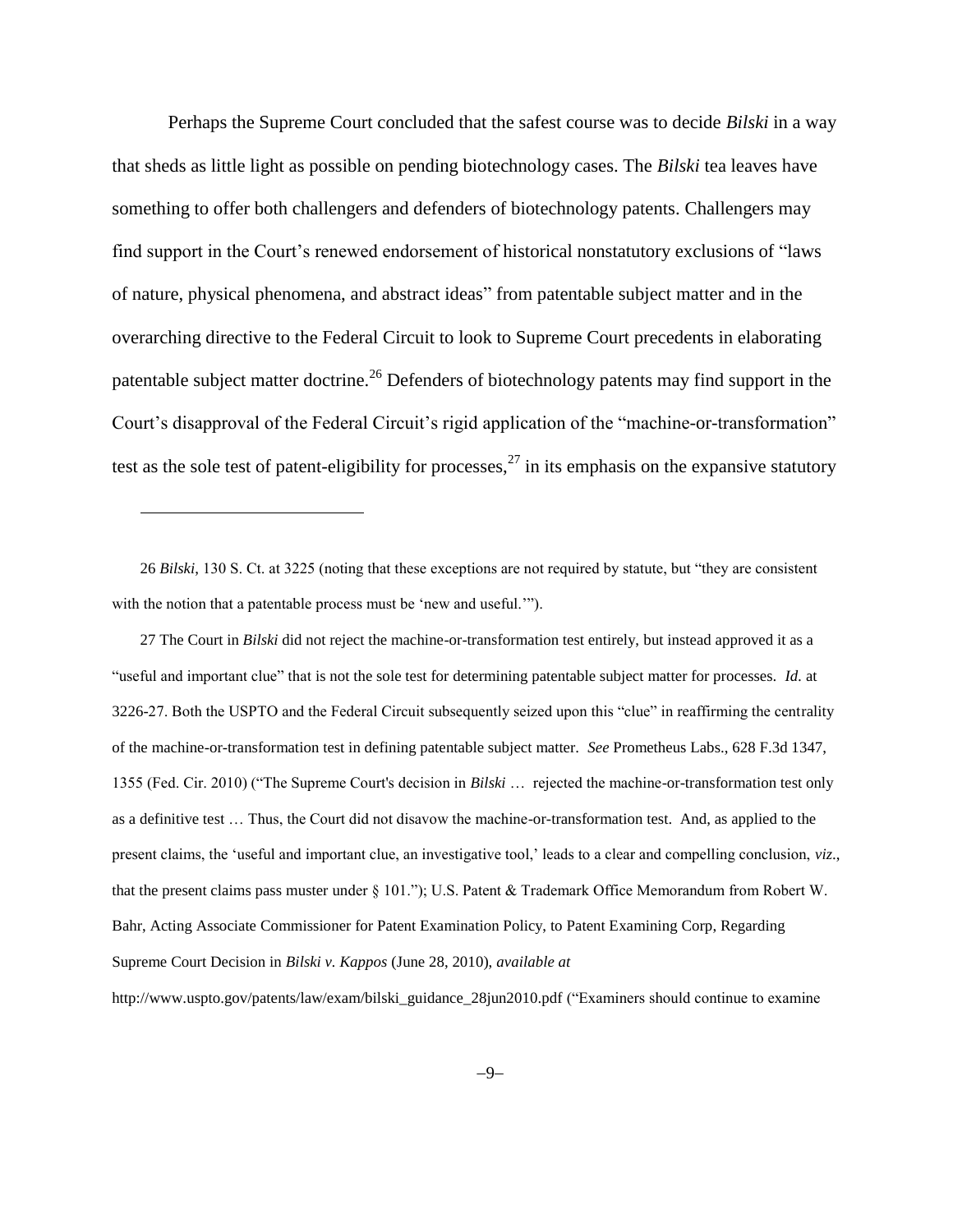Perhaps the Supreme Court concluded that the safest course was to decide *Bilski* in a way that sheds as little light as possible on pending biotechnology cases. The *Bilski* tea leaves have something to offer both challengers and defenders of biotechnology patents. Challengers may find support in the Court's renewed endorsement of historical nonstatutory exclusions of "laws of nature, physical phenomena, and abstract ideas" from patentable subject matter and in the overarching directive to the Federal Circuit to look to Supreme Court precedents in elaborating patentable subject matter doctrine.<sup>26</sup> Defenders of biotechnology patents may find support in the Court's disapproval of the Federal Circuit's rigid application of the "machine-or-transformation" test as the sole test of patent-eligibility for processes,  $27$  in its emphasis on the expansive statutory

26 *Bilski*, 130 S. Ct. at 3225 (noting that these exceptions are not required by statute, but "they are consistent with the notion that a patentable process must be 'new and useful.'").

 $\overline{\phantom{a}}$ 

27 The Court in *Bilski* did not reject the machine-or-transformation test entirely, but instead approved it as a "useful and important clue" that is not the sole test for determining patentable subject matter for processes. *Id.* at 3226-27. Both the USPTO and the Federal Circuit subsequently seized upon this "clue" in reaffirming the centrality of the machine-or-transformation test in defining patentable subject matter. *See* Prometheus Labs., 628 F.3d 1347, 1355 (Fed. Cir. 2010) ("The Supreme Court's decision in *Bilski* … rejected the machine-or-transformation test only as a definitive test … Thus, the Court did not disavow the machine-or-transformation test. And, as applied to the present claims, the 'useful and important clue, an investigative tool,' leads to a clear and compelling conclusion, *viz*., that the present claims pass muster under § 101."); U.S. Patent & Trademark Office Memorandum from Robert W. Bahr, Acting Associate Commissioner for Patent Examination Policy, to Patent Examining Corp, Regarding Supreme Court Decision in *Bilski v. Kappos* (June 28, 2010), *available at* 

http://www.uspto.gov/patents/law/exam/bilski\_guidance\_28jun2010.pdf ("Examiners should continue to examine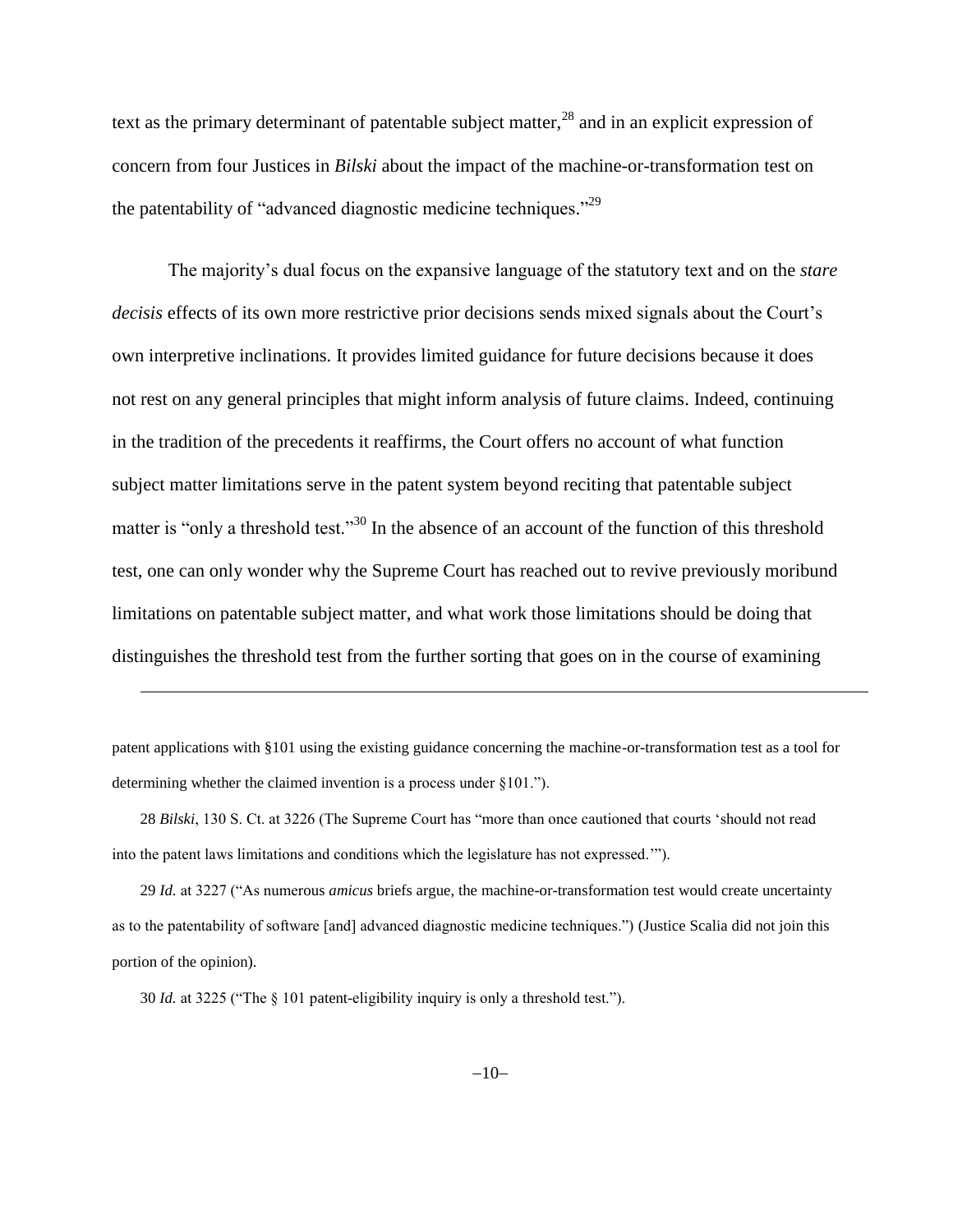text as the primary determinant of patentable subject matter,  $^{28}$  and in an explicit expression of concern from four Justices in *Bilski* about the impact of the machine-or-transformation test on the patentability of "advanced diagnostic medicine techniques."<sup>29</sup>

<span id="page-9-0"></span>The majority's dual focus on the expansive language of the statutory text and on the *stare decisis* effects of its own more restrictive prior decisions sends mixed signals about the Court's own interpretive inclinations. It provides limited guidance for future decisions because it does not rest on any general principles that might inform analysis of future claims. Indeed, continuing in the tradition of the precedents it reaffirms, the Court offers no account of what function subject matter limitations serve in the patent system beyond reciting that patentable subject matter is "only a threshold test."<sup>30</sup> In the absence of an account of the function of this threshold test, one can only wonder why the Supreme Court has reached out to revive previously moribund limitations on patentable subject matter, and what work those limitations should be doing that distinguishes the threshold test from the further sorting that goes on in the course of examining

patent applications with §101 using the existing guidance concerning the machine-or-transformation test as a tool for determining whether the claimed invention is a process under §101.").

28 *Bilski*, 130 S. Ct. at 3226 (The Supreme Court has "more than once cautioned that courts 'should not read into the patent laws limitations and conditions which the legislature has not expressed.'").

29 *Id.* at 3227 ("As numerous *amicus* briefs argue, the machine-or-transformation test would create uncertainty as to the patentability of software [and] advanced diagnostic medicine techniques.") (Justice Scalia did not join this portion of the opinion).

30 *Id.* at 3225 ("The § 101 patent-eligibility inquiry is only a threshold test.").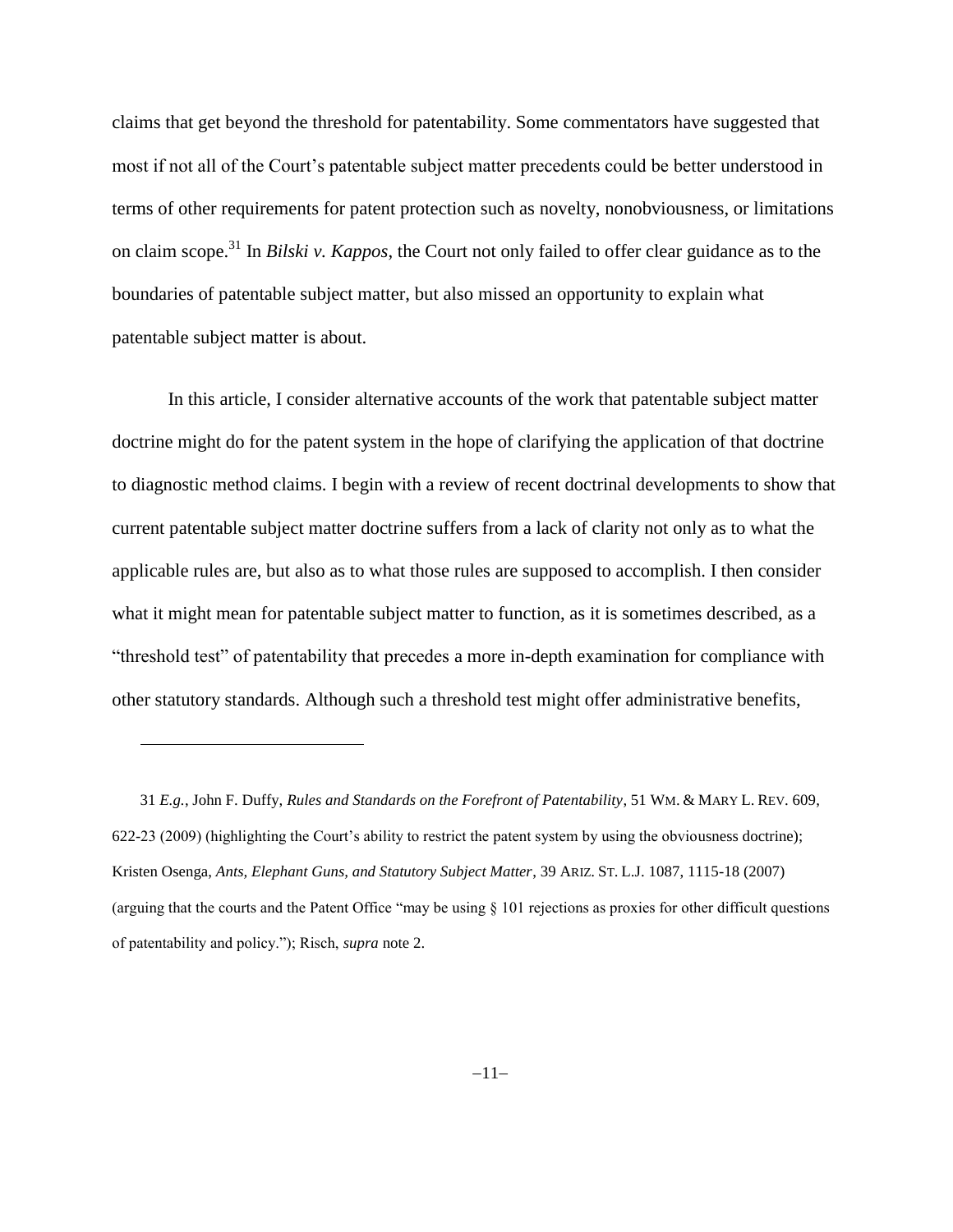<span id="page-10-0"></span>claims that get beyond the threshold for patentability. Some commentators have suggested that most if not all of the Court's patentable subject matter precedents could be better understood in terms of other requirements for patent protection such as novelty, nonobviousness, or limitations on claim scope.<sup>31</sup> In *Bilski v. Kappos*, the Court not only failed to offer clear guidance as to the boundaries of patentable subject matter, but also missed an opportunity to explain what patentable subject matter is about.

In this article, I consider alternative accounts of the work that patentable subject matter doctrine might do for the patent system in the hope of clarifying the application of that doctrine to diagnostic method claims. I begin with a review of recent doctrinal developments to show that current patentable subject matter doctrine suffers from a lack of clarity not only as to what the applicable rules are, but also as to what those rules are supposed to accomplish. I then consider what it might mean for patentable subject matter to function, as it is sometimes described, as a "threshold test" of patentability that precedes a more in-depth examination for compliance with other statutory standards. Although such a threshold test might offer administrative benefits,

<sup>31</sup> *E.g.*, John F. Duffy, *Rules and Standards on the Forefront of Patentability*, 51 WM. & MARY L. REV. 609, 622-23 (2009) (highlighting the Court's ability to restrict the patent system by using the obviousness doctrine); Kristen Osenga, *Ants, Elephant Guns, and Statutory Subject Matter*, 39 ARIZ. ST. L.J. 1087, 1115-18 (2007) (arguing that the courts and the Patent Office "may be using § 101 rejections as proxies for other difficult questions of patentability and policy."); Risch, *supra* not[e 2.](#page-1-0)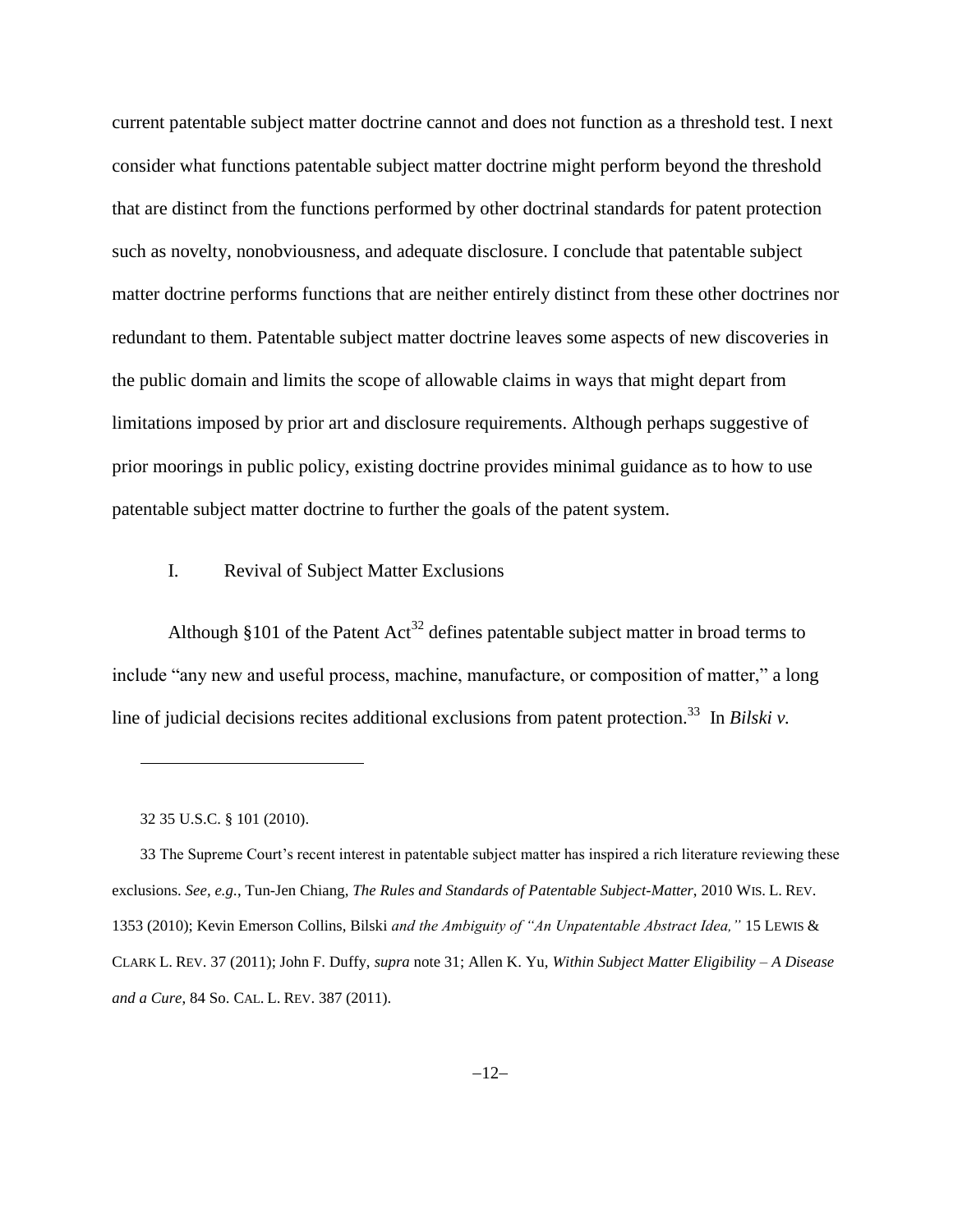current patentable subject matter doctrine cannot and does not function as a threshold test. I next consider what functions patentable subject matter doctrine might perform beyond the threshold that are distinct from the functions performed by other doctrinal standards for patent protection such as novelty, nonobviousness, and adequate disclosure. I conclude that patentable subject matter doctrine performs functions that are neither entirely distinct from these other doctrines nor redundant to them. Patentable subject matter doctrine leaves some aspects of new discoveries in the public domain and limits the scope of allowable claims in ways that might depart from limitations imposed by prior art and disclosure requirements. Although perhaps suggestive of prior moorings in public policy, existing doctrine provides minimal guidance as to how to use patentable subject matter doctrine to further the goals of the patent system.

## I. Revival of Subject Matter Exclusions

Although §101 of the Patent  $Act^{32}$  defines patentable subject matter in broad terms to include "any new and useful process, machine, manufacture, or composition of matter," a long line of judicial decisions recites additional exclusions from patent protection.<sup>33</sup> In *Bilski v*.

l

33 The Supreme Court's recent interest in patentable subject matter has inspired a rich literature reviewing these exclusions. *See, e.g.*, Tun-Jen Chiang, *The Rules and Standards of Patentable Subject-Matter*, 2010 WIS. L. REV. 1353 (2010); Kevin Emerson Collins, Bilski *and the Ambiguity of "An Unpatentable Abstract Idea,"* 15 LEWIS & CLARK L. REV. 37 (2011); John F. Duffy, *supra* note 31; Allen K. Yu, *Within Subject Matter Eligibility – A Disease and a Cure*, 84 So. CAL. L. REV. 387 (2011).

<sup>32</sup> 35 U.S.C. § 101 (2010).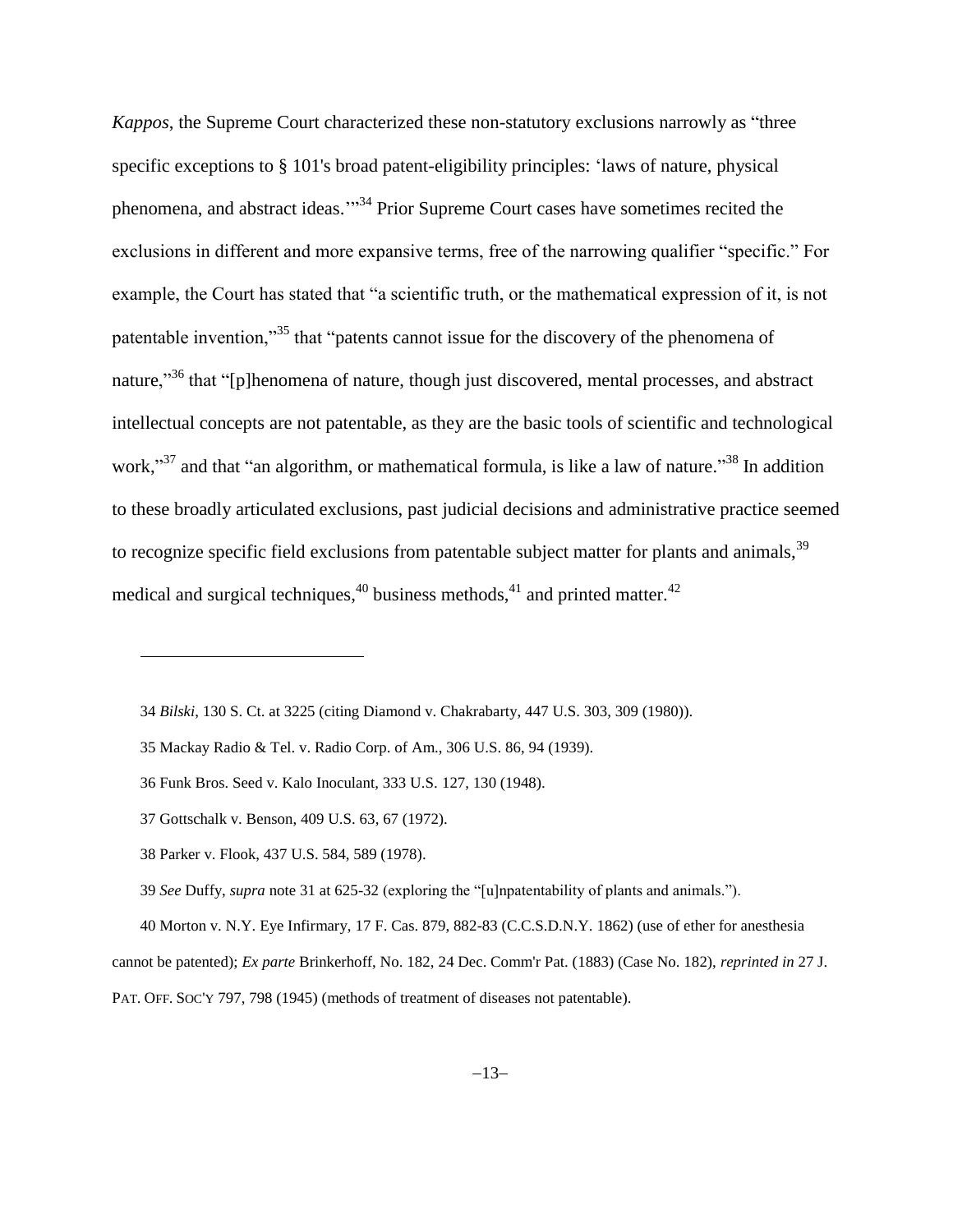<span id="page-12-0"></span>*Kappos*, the Supreme Court characterized these non-statutory exclusions narrowly as "three specific exceptions to § 101's broad patent-eligibility principles: 'laws of nature, physical phenomena, and abstract ideas.'"<sup>34</sup> Prior Supreme Court cases have sometimes recited the exclusions in different and more expansive terms, free of the narrowing qualifier "specific." For example, the Court has stated that "a scientific truth, or the mathematical expression of it, is not patentable invention,"<sup>35</sup> that "patents cannot issue for the discovery of the phenomena of nature,<sup>36</sup> that "[p]henomena of nature, though just discovered, mental processes, and abstract intellectual concepts are not patentable, as they are the basic tools of scientific and technological work,"<sup>37</sup> and that "an algorithm, or mathematical formula, is like a law of nature."<sup>38</sup> In addition to these broadly articulated exclusions, past judicial decisions and administrative practice seemed to recognize specific field exclusions from patentable subject matter for plants and animals,<sup>39</sup> medical and surgical techniques,<sup>40</sup> business methods,<sup>41</sup> and printed matter.<sup>42</sup>

<span id="page-12-1"></span>l

40 Morton v. N.Y. Eye Infirmary, 17 F. Cas. 879, 882-83 (C.C.S.D.N.Y. 1862) (use of ether for anesthesia

<sup>34</sup> *Bilski*, 130 S. Ct. at 3225 (citing Diamond v. Chakrabarty, 447 U.S. 303, 309 (1980)).

<sup>35</sup> Mackay Radio & Tel. v. Radio Corp. of Am., 306 U.S. 86, 94 (1939).

<sup>36</sup> Funk Bros. Seed v. Kalo Inoculant, 333 U.S. 127, 130 (1948).

<sup>37</sup> Gottschalk v. Benson, 409 U.S. 63, 67 (1972).

<sup>38</sup> Parker v. Flook, 437 U.S. 584, 589 (1978).

<sup>39</sup> *See* Duffy, *supra* note [31](#page-10-0) at 625-32 (exploring the "[u]npatentability of plants and animals.").

cannot be patented); *Ex parte* Brinkerhoff, No. 182, 24 Dec. Comm'r Pat. (1883) (Case No. 182), *reprinted in* 27 J.

PAT. OFF. SOC'Y 797, 798 (1945) (methods of treatment of diseases not patentable).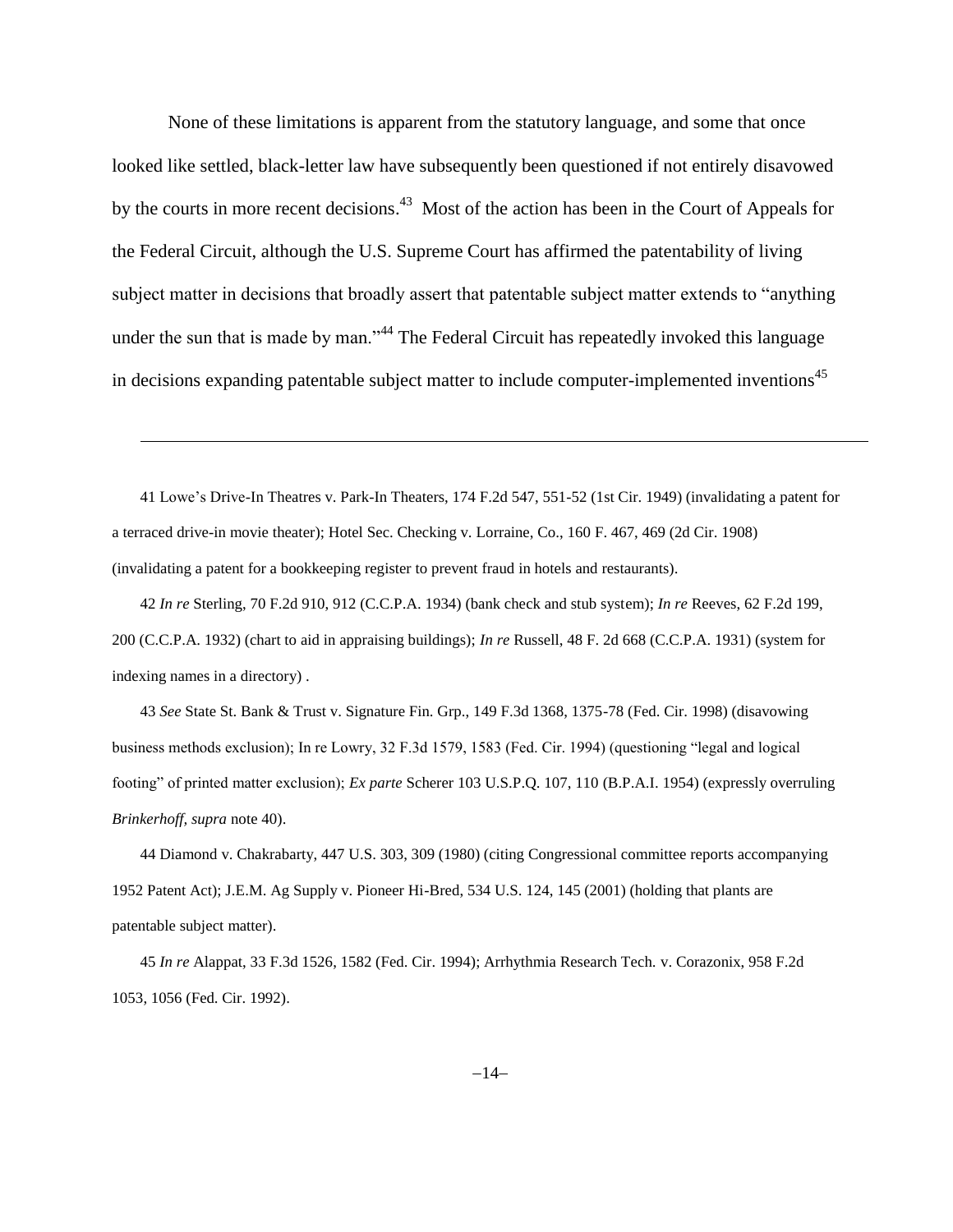None of these limitations is apparent from the statutory language, and some that once looked like settled, black-letter law have subsequently been questioned if not entirely disavowed by the courts in more recent decisions.<sup>43</sup> Most of the action has been in the Court of Appeals for the Federal Circuit, although the U.S. Supreme Court has affirmed the patentability of living subject matter in decisions that broadly assert that patentable subject matter extends to "anything under the sun that is made by man."<sup>44</sup> The Federal Circuit has repeatedly invoked this language in decisions expanding patentable subject matter to include computer-implemented inventions<sup>45</sup>

41 Lowe's Drive-In Theatres v. Park-In Theaters, 174 F.2d 547, 551-52 (1st Cir. 1949) (invalidating a patent for a terraced drive-in movie theater); Hotel Sec. Checking v. Lorraine, Co., 160 F. 467, 469 (2d Cir. 1908) (invalidating a patent for a bookkeeping register to prevent fraud in hotels and restaurants).

l

42 *In re* Sterling, 70 F.2d 910, 912 (C.C.P.A. 1934) (bank check and stub system); *In re* Reeves, 62 F.2d 199, 200 (C.C.P.A. 1932) (chart to aid in appraising buildings); *In re* Russell, 48 F. 2d 668 (C.C.P.A. 1931) (system for indexing names in a directory) .

43 *See* State St. Bank & Trust v. Signature Fin. Grp., 149 F.3d 1368, 1375-78 (Fed. Cir. 1998) (disavowing business methods exclusion); In re Lowry, 32 F.3d 1579, 1583 (Fed. Cir. 1994) (questioning "legal and logical footing" of printed matter exclusion); *Ex parte* Scherer 103 U.S.P.Q. 107, 110 (B.P.A.I. 1954) (expressly overruling *Brinkerhoff, supra* note 40).

44 Diamond v. Chakrabarty, 447 U.S. 303, 309 (1980) (citing Congressional committee reports accompanying 1952 Patent Act); J.E.M. Ag Supply v. Pioneer Hi-Bred, 534 U.S. 124, 145 (2001) (holding that plants are patentable subject matter).

45 *In re* Alappat, 33 F.3d 1526, 1582 (Fed. Cir. 1994); Arrhythmia Research Tech. v. Corazonix, 958 F.2d 1053, 1056 (Fed. Cir. 1992).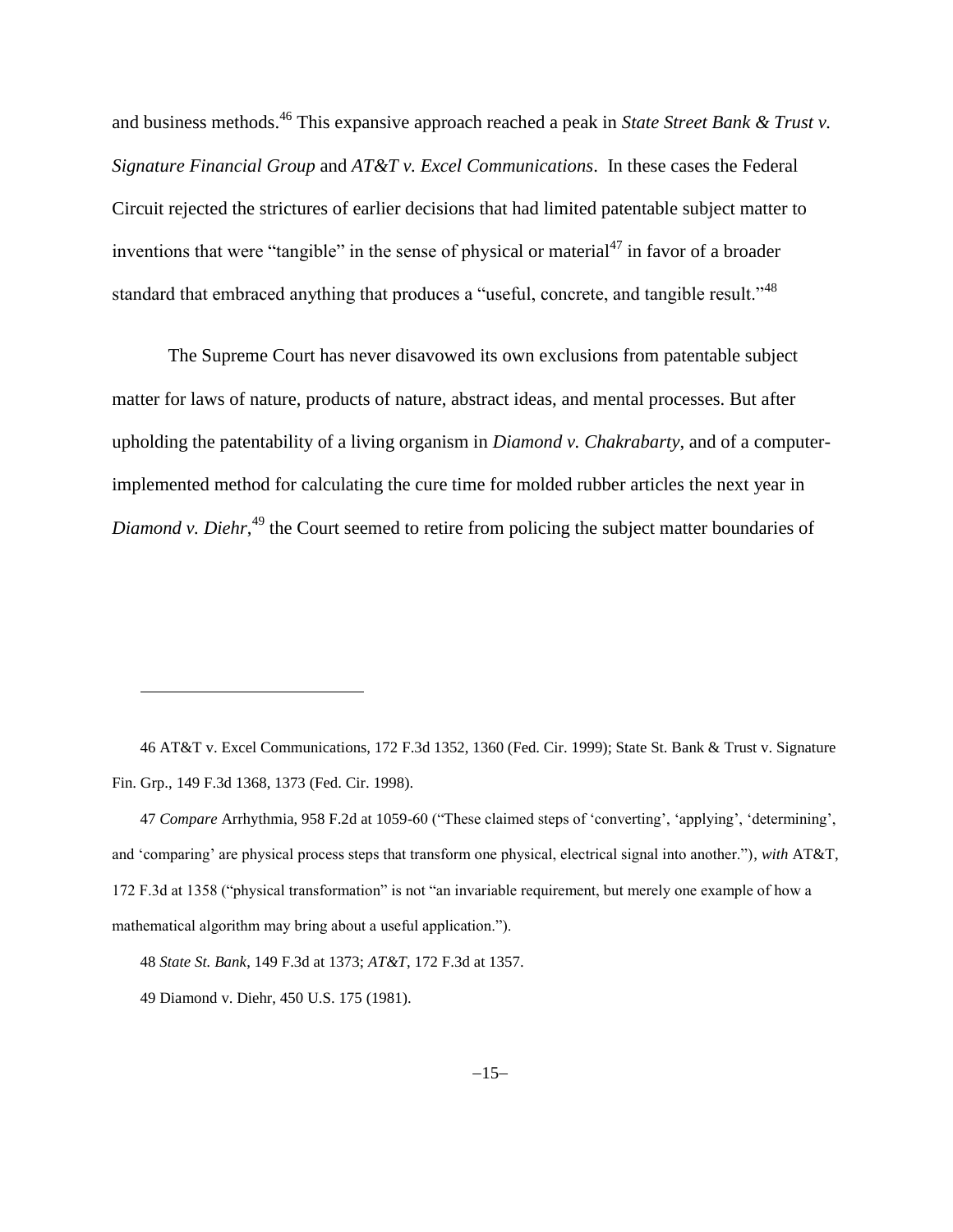and business methods.<sup>46</sup> This expansive approach reached a peak in *State Street Bank & Trust v. Signature Financial Group* and *AT&T v. Excel Communications*. In these cases the Federal Circuit rejected the strictures of earlier decisions that had limited patentable subject matter to inventions that were "tangible" in the sense of physical or material<sup>47</sup> in favor of a broader standard that embraced anything that produces a "useful, concrete, and tangible result."<sup>48</sup>

The Supreme Court has never disavowed its own exclusions from patentable subject matter for laws of nature, products of nature, abstract ideas, and mental processes. But after upholding the patentability of a living organism in *Diamond v. Chakrabarty*, and of a computerimplemented method for calculating the cure time for molded rubber articles the next year in Diamond v. Diehr,<sup>49</sup> the Court seemed to retire from policing the subject matter boundaries of

46 AT&T v. Excel Communications, 172 F.3d 1352, 1360 (Fed. Cir. 1999); State St. Bank & Trust v. Signature Fin. Grp., 149 F.3d 1368, 1373 (Fed. Cir. 1998).

47 *Compare* Arrhythmia, 958 F.2d at 1059-60 ("These claimed steps of 'converting', 'applying', 'determining', and 'comparing' are physical process steps that transform one physical, electrical signal into another."), *with* AT&T, 172 F.3d at 1358 ("physical transformation" is not "an invariable requirement, but merely one example of how a mathematical algorithm may bring about a useful application.").

<sup>48</sup> *State St. Bank*, 149 F.3d at 1373; *AT&T*, 172 F.3d at 1357.

<sup>49</sup> Diamond v. Diehr, 450 U.S. 175 (1981).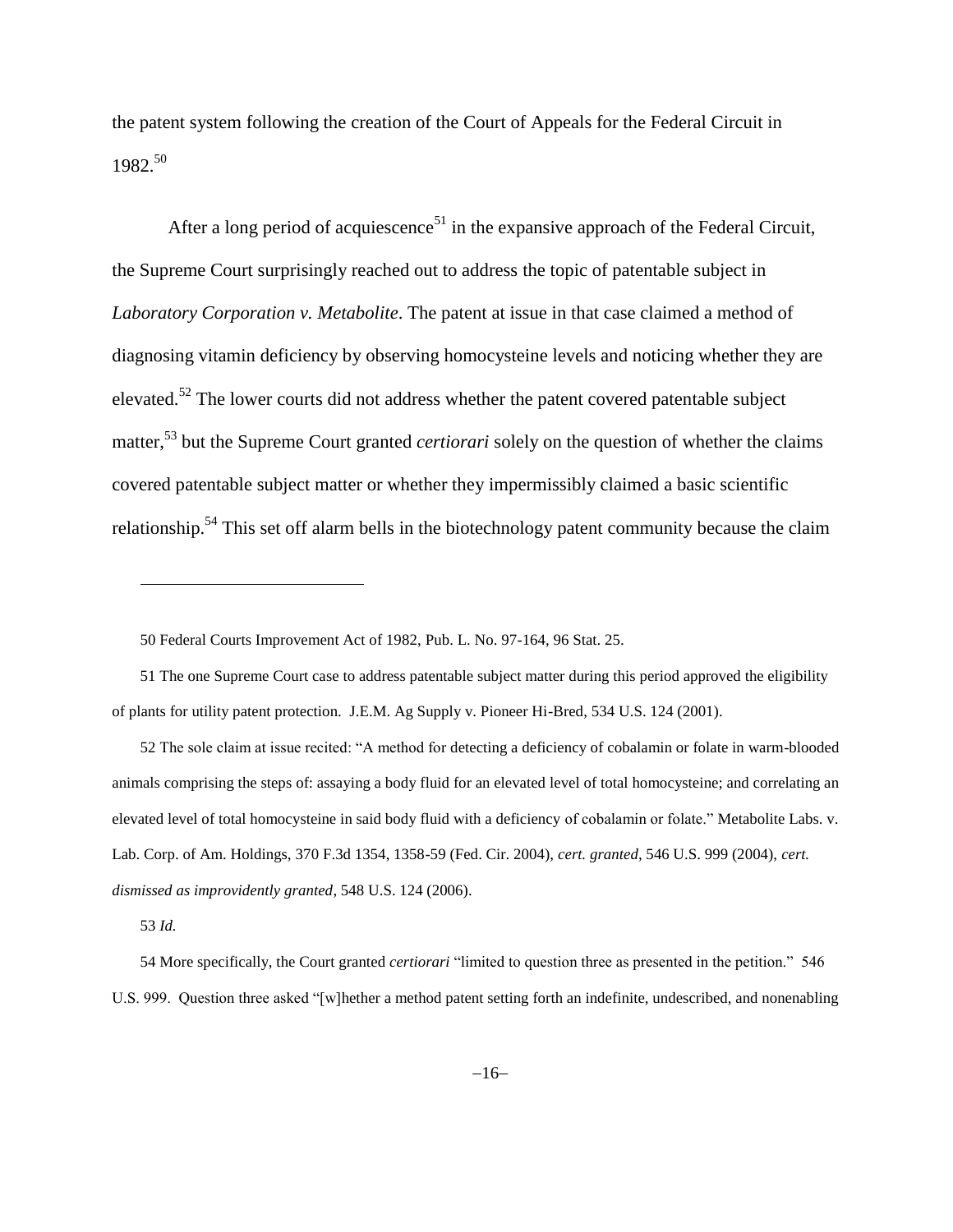the patent system following the creation of the Court of Appeals for the Federal Circuit in 1982. 50

<span id="page-15-0"></span>After a long period of acquiescence<sup>51</sup> in the expansive approach of the Federal Circuit, the Supreme Court surprisingly reached out to address the topic of patentable subject in *Laboratory Corporation v. Metabolite*. The patent at issue in that case claimed a method of diagnosing vitamin deficiency by observing homocysteine levels and noticing whether they are elevated.<sup>52</sup> The lower courts did not address whether the patent covered patentable subject matter,<sup>53</sup> but the Supreme Court granted *certiorari* solely on the question of whether the claims covered patentable subject matter or whether they impermissibly claimed a basic scientific relationship.<sup>54</sup> This set off alarm bells in the biotechnology patent community because the claim

52 The sole claim at issue recited: "A method for detecting a deficiency of cobalamin or folate in warm-blooded animals comprising the steps of: assaying a body fluid for an elevated level of total homocysteine; and correlating an elevated level of total homocysteine in said body fluid with a deficiency of cobalamin or folate." Metabolite Labs. v. Lab. Corp. of Am. Holdings, 370 F.3d 1354, 1358-59 (Fed. Cir. 2004), *cert. granted,* 546 U.S. 999 (2004), *cert. dismissed as improvidently granted*, 548 U.S. 124 (2006).

53 *Id.*

l

54 More specifically, the Court granted *certiorari* "limited to question three as presented in the petition." 546 U.S. 999. Question three asked "[w]hether a method patent setting forth an indefinite, undescribed, and nonenabling

<sup>50</sup> Federal Courts Improvement Act of 1982, Pub. L. No. 97-164, 96 Stat. 25.

<sup>51</sup> The one Supreme Court case to address patentable subject matter during this period approved the eligibility of plants for utility patent protection. J.E.M. Ag Supply v. Pioneer Hi-Bred, 534 U.S. 124 (2001).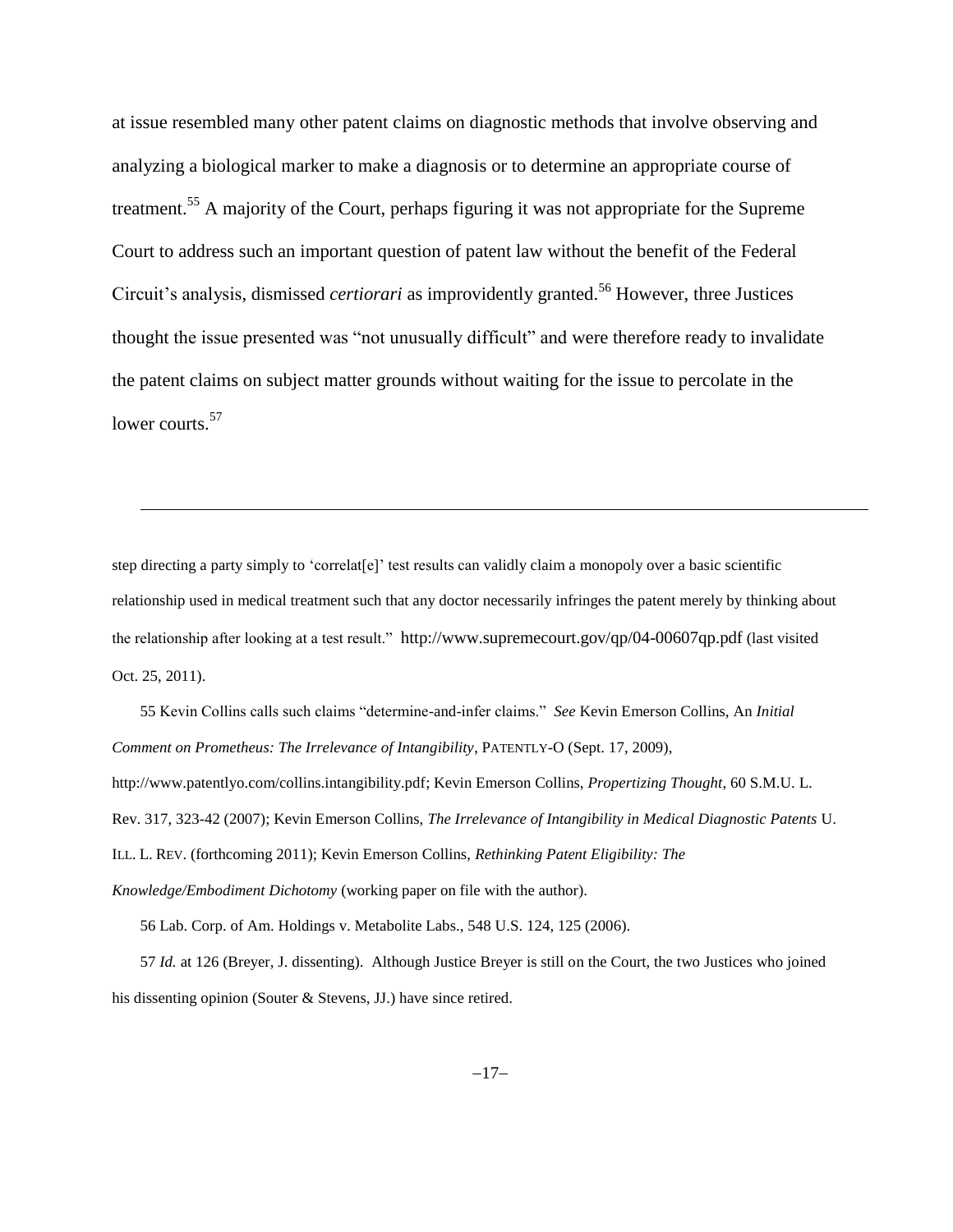at issue resembled many other patent claims on diagnostic methods that involve observing and analyzing a biological marker to make a diagnosis or to determine an appropriate course of treatment.<sup>55</sup> A majority of the Court, perhaps figuring it was not appropriate for the Supreme Court to address such an important question of patent law without the benefit of the Federal Circuit's analysis, dismissed *certiorari* as improvidently granted. <sup>56</sup> However, three Justices thought the issue presented was "not unusually difficult" and were therefore ready to invalidate the patent claims on subject matter grounds without waiting for the issue to percolate in the lower courts.<sup>57</sup>

step directing a party simply to 'correlat[e]' test results can validly claim a monopoly over a basic scientific relationship used in medical treatment such that any doctor necessarily infringes the patent merely by thinking about the relationship after looking at a test result." http://www.supremecourt.gov/qp/04-00607qp.pdf (last visited Oct. 25, 2011).

55 Kevin Collins calls such claims "determine-and-infer claims." *See* Kevin Emerson Collins, An *Initial Comment on Prometheus: The Irrelevance of Intangibility*, PATENTLY-O (Sept. 17, 2009), http://www.patentlyo.com/collins.intangibility.pdf; Kevin Emerson Collins, *Propertizing Thought*, 60 S.M.U. L. Rev. 317, 323-42 (2007); Kevin Emerson Collins, *The Irrelevance of Intangibility in Medical Diagnostic Patents* U. ILL. L. REV. (forthcoming 2011); Kevin Emerson Collins, *Rethinking Patent Eligibility: The Knowledge/Embodiment Dichotomy* (working paper on file with the author).

56 Lab. Corp. of Am. Holdings v. Metabolite Labs., 548 U.S. 124, 125 (2006).

 $\overline{\phantom{a}}$ 

57 *Id.* at 126 (Breyer, J. dissenting). Although Justice Breyer is still on the Court, the two Justices who joined his dissenting opinion (Souter & Stevens, JJ.) have since retired.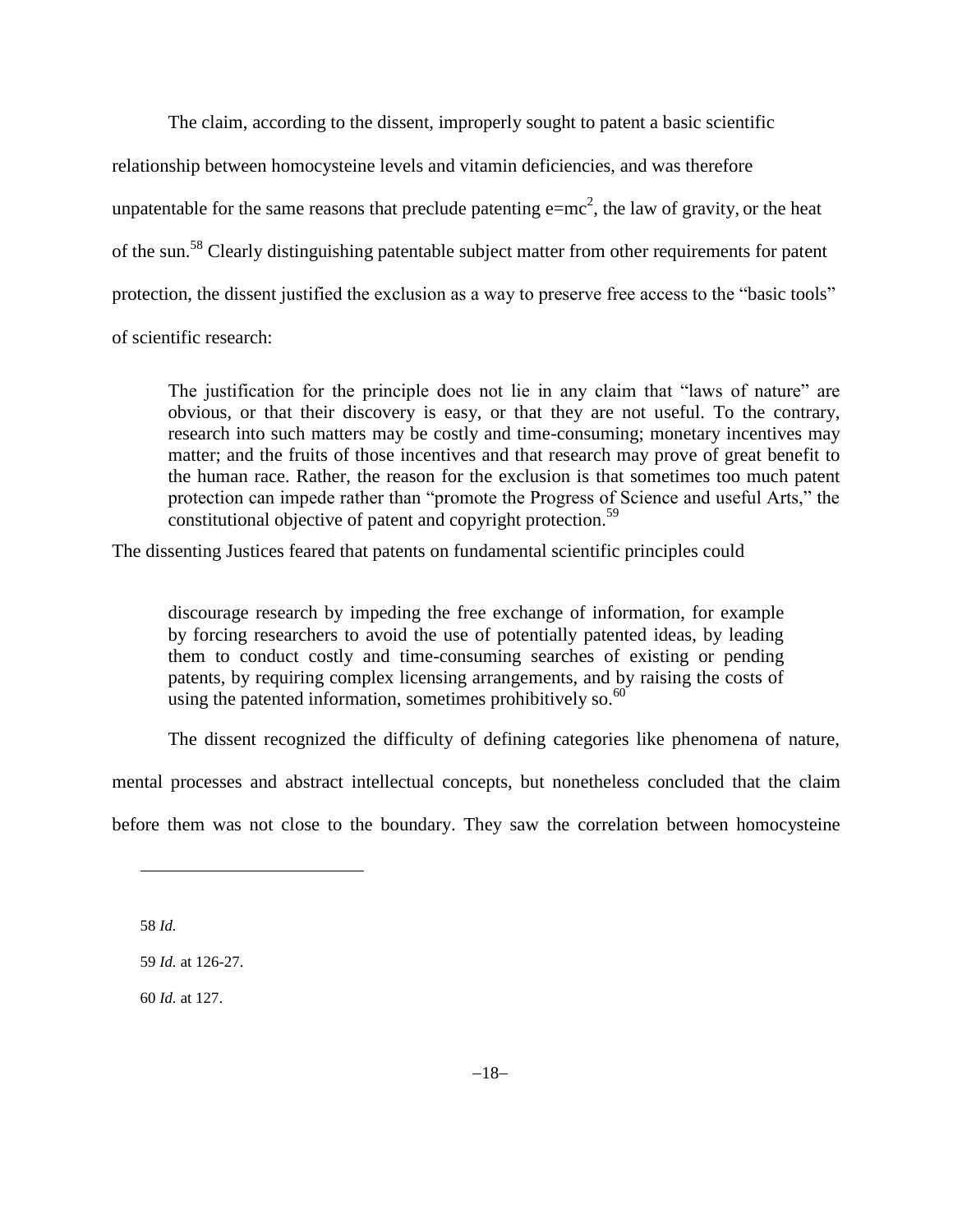The claim, according to the dissent, improperly sought to patent a basic scientific relationship between homocysteine levels and vitamin deficiencies, and was therefore unpatentable for the same reasons that preclude patenting  $e=mc^2$ , the law of gravity, or the heat of the sun.<sup>58</sup> Clearly distinguishing patentable subject matter from other requirements for patent protection, the dissent justified the exclusion as a way to preserve free access to the "basic tools" of scientific research:

The justification for the principle does not lie in any claim that "laws of nature" are obvious, or that their discovery is easy, or that they are not useful. To the contrary, research into such matters may be costly and time-consuming; monetary incentives may matter; and the fruits of those incentives and that research may prove of great benefit to the human race. Rather, the reason for the exclusion is that sometimes too much patent protection can impede rather than "promote the Progress of Science and useful Arts," the constitutional objective of patent and copyright protection.<sup>59</sup>

The dissenting Justices feared that patents on fundamental scientific principles could

discourage research by impeding the free exchange of information, for example by forcing researchers to avoid the use of potentially patented ideas, by leading them to conduct costly and time-consuming searches of existing or pending patents, by requiring complex licensing arrangements, and by raising the costs of using the patented information, sometimes prohibitively so. $60$ 

The dissent recognized the difficulty of defining categories like phenomena of nature,

mental processes and abstract intellectual concepts, but nonetheless concluded that the claim

before them was not close to the boundary. They saw the correlation between homocysteine

58 *Id.*

l

59 *Id.* at 126-27.

60 *Id.* at 127.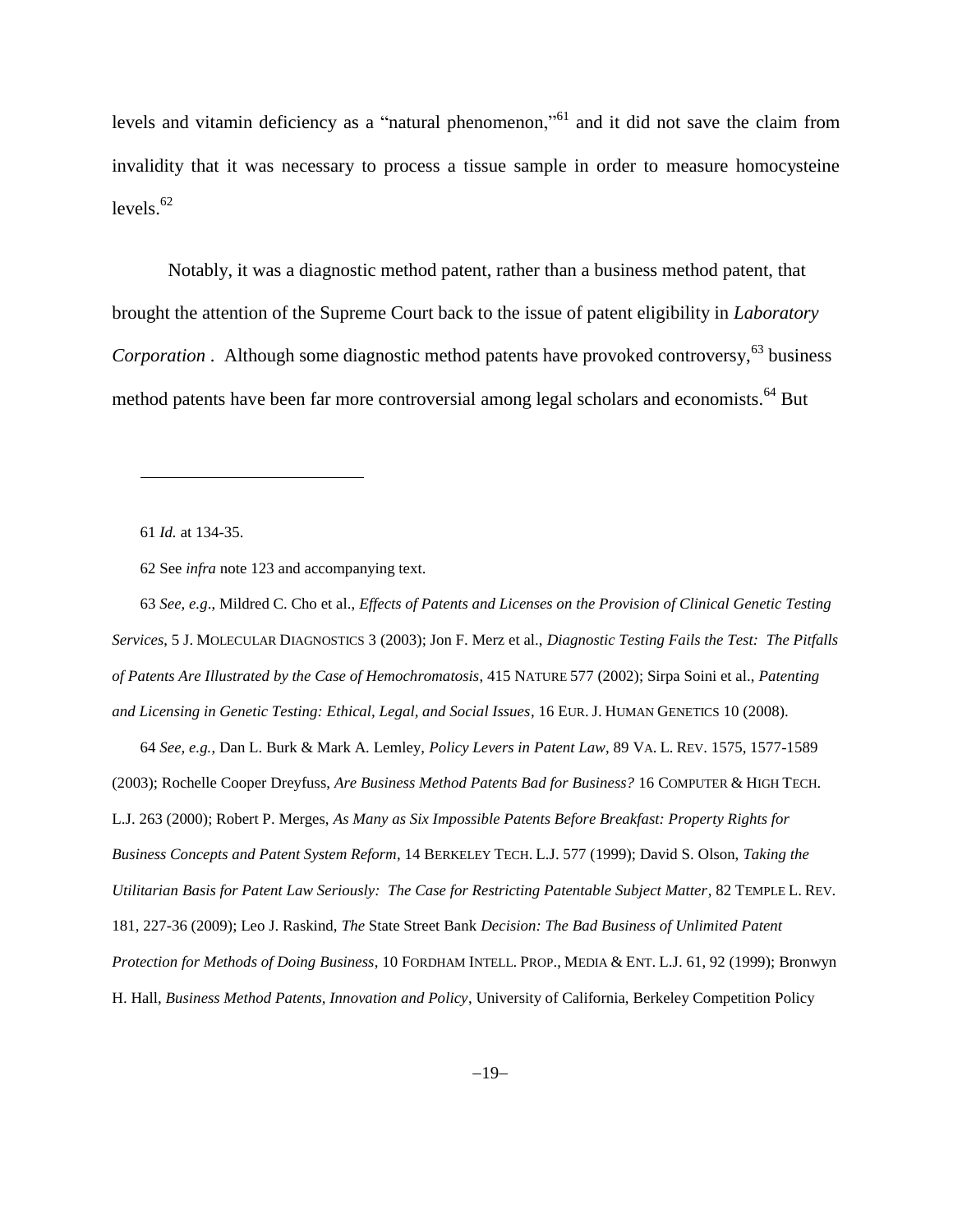levels and vitamin deficiency as a "natural phenomenon,"<sup>61</sup> and it did not save the claim from invalidity that it was necessary to process a tissue sample in order to measure homocysteine levels. $62$ 

<span id="page-18-0"></span>Notably, it was a diagnostic method patent, rather than a business method patent, that brought the attention of the Supreme Court back to the issue of patent eligibility in *Laboratory Corporation* . Although some diagnostic method patents have provoked controversy,<sup>63</sup> business method patents have been far more controversial among legal scholars and economists.<sup>64</sup> But

61 *Id.* at 134-35.

l

62 See *infra* note 123 and accompanying text.

63 *See, e.g*., Mildred C. Cho et al., *Effects of Patents and Licenses on the Provision of Clinical Genetic Testing Services*, 5 J. MOLECULAR DIAGNOSTICS 3 (2003); Jon F. Merz et al., *Diagnostic Testing Fails the Test: The Pitfalls of Patents Are Illustrated by the Case of Hemochromatosis*, 415 NATURE 577 (2002); Sirpa Soini et al., *Patenting and Licensing in Genetic Testing: Ethical, Legal, and Social Issues*, 16 EUR. J. HUMAN GENETICS 10 (2008).

64 *See, e.g.*, Dan L. Burk & Mark A. Lemley, *Policy Levers in Patent Law*, 89 VA. L. REV. 1575, 1577-1589 (2003); Rochelle Cooper Dreyfuss, *Are Business Method Patents Bad for Business?* 16 COMPUTER & HIGH TECH. L.J. 263 (2000); Robert P. Merges, *As Many as Six Impossible Patents Before Breakfast: Property Rights for Business Concepts and Patent System Reform*, 14 BERKELEY TECH. L.J. 577 (1999); David S. Olson, *Taking the Utilitarian Basis for Patent Law Seriously: The Case for Restricting Patentable Subject Matter*, 82 TEMPLE L. REV. 181, 227-36 (2009); Leo J. Raskind, *The* State Street Bank *Decision: The Bad Business of Unlimited Patent Protection for Methods of Doing Business*, 10 FORDHAM INTELL. PROP., MEDIA & ENT. L.J. 61, 92 (1999); Bronwyn H. Hall, *Business Method Patents, Innovation and Policy*, University of California, Berkeley Competition Policy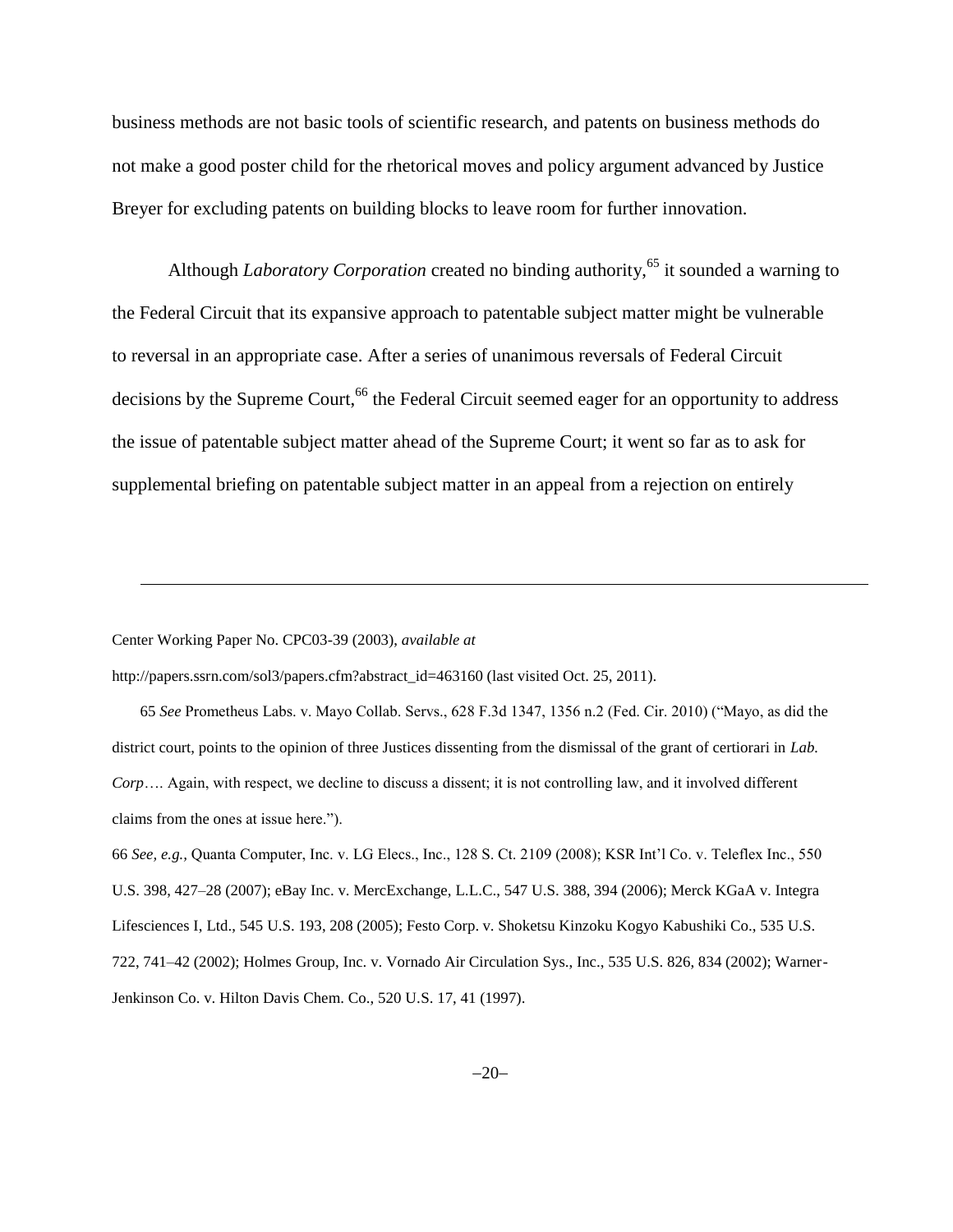business methods are not basic tools of scientific research, and patents on business methods do not make a good poster child for the rhetorical moves and policy argument advanced by Justice Breyer for excluding patents on building blocks to leave room for further innovation.

Although *Laboratory Corporation* created no binding authority,<sup>65</sup> it sounded a warning to the Federal Circuit that its expansive approach to patentable subject matter might be vulnerable to reversal in an appropriate case. After a series of unanimous reversals of Federal Circuit decisions by the Supreme Court,<sup>66</sup> the Federal Circuit seemed eager for an opportunity to address the issue of patentable subject matter ahead of the Supreme Court; it went so far as to ask for supplemental briefing on patentable subject matter in an appeal from a rejection on entirely

#### Center Working Paper No. CPC03-39 (2003), *available at*

l

http://papers.ssrn.com/sol3/papers.cfm?abstract\_id=463160 (last visited Oct. 25, 2011).

65 *See* Prometheus Labs. v. Mayo Collab. Servs., 628 F.3d 1347, 1356 n.2 (Fed. Cir. 2010) ("Mayo, as did the district court, points to the opinion of three Justices dissenting from the dismissal of the grant of certiorari in *Lab. Corp*…. Again, with respect, we decline to discuss a dissent; it is not controlling law, and it involved different claims from the ones at issue here.").

66 *See, e.g.,* Quanta Computer, Inc. v. LG Elecs., Inc., 128 S. Ct. 2109 (2008); KSR Int'l Co. v. Teleflex Inc., 550 U.S. 398, 427–28 (2007); eBay Inc. v. MercExchange, L.L.C., 547 U.S. 388, 394 (2006); Merck KGaA v. Integra Lifesciences I, Ltd., 545 U.S. 193, 208 (2005); Festo Corp. v. Shoketsu Kinzoku Kogyo Kabushiki Co., 535 U.S. 722, 741–42 (2002); Holmes Group, Inc. v. Vornado Air Circulation Sys., Inc., 535 U.S. 826, 834 (2002); Warner-Jenkinson Co. v. Hilton Davis Chem. Co., 520 U.S. 17, 41 (1997).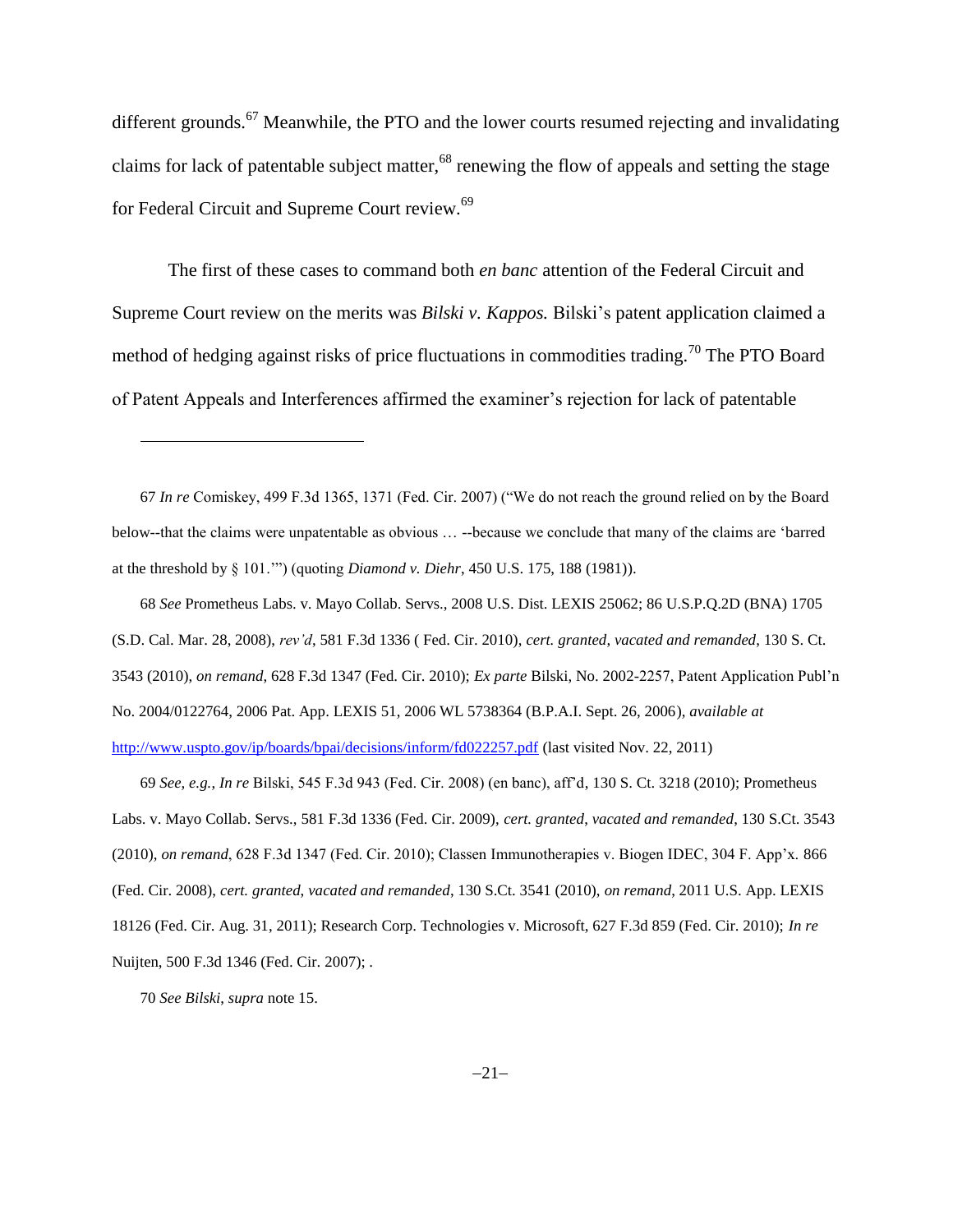different grounds.<sup>67</sup> Meanwhile, the PTO and the lower courts resumed rejecting and invalidating claims for lack of patentable subject matter,<sup>68</sup> renewing the flow of appeals and setting the stage for Federal Circuit and Supreme Court review.<sup>69</sup>

The first of these cases to command both *en banc* attention of the Federal Circuit and Supreme Court review on the merits was *Bilski v. Kappos.* Bilski's patent application claimed a method of hedging against risks of price fluctuations in commodities trading.<sup>70</sup> The PTO Board of Patent Appeals and Interferences affirmed the examiner's rejection for lack of patentable

67 *In re* Comiskey, 499 F.3d 1365, 1371 (Fed. Cir. 2007) ("We do not reach the ground relied on by the Board below--that the claims were unpatentable as obvious … --because we conclude that many of the claims are 'barred at the threshold by § 101.'") (quoting *Diamond v. Diehr*, 450 U.S. 175, 188 (1981)).

68 *See* Prometheus Labs. v. Mayo Collab. Servs., 2008 U.S. Dist. LEXIS 25062; 86 U.S.P.Q.2D (BNA) 1705 (S.D. Cal. Mar. 28, 2008), *rev'd*, 581 F.3d 1336 ( Fed. Cir. 2010), *cert. granted*, *vacated and remanded*, 130 S. Ct. 3543 (2010), *on remand*, 628 F.3d 1347 (Fed. Cir. 2010); *Ex parte* Bilski, No. 2002-2257, Patent Application Publ'n No. 2004/0122764, 2006 Pat. App. LEXIS 51, 2006 WL 5738364 (B.P.A.I. Sept. 26, 2006), *available at* <http://www.uspto.gov/ip/boards/bpai/decisions/inform/fd022257.pdf> (last visited Nov. 22, 2011)

69 *See, e.g.*, *In re* Bilski, 545 F.3d 943 (Fed. Cir. 2008) (en banc), aff'd, 130 S. Ct. 3218 (2010); Prometheus Labs. v. Mayo Collab. Servs., 581 F.3d 1336 (Fed. Cir. 2009), *cert. granted*, *vacated and remanded*, 130 S.Ct. 3543 (2010), *on remand*, 628 F.3d 1347 (Fed. Cir. 2010); Classen Immunotherapies v. Biogen IDEC, 304 F. App'x. 866 (Fed. Cir. 2008), *cert. granted*, *vacated and remanded*, 130 S.Ct. 3541 (2010), *on remand*, 2011 U.S. App. LEXIS 18126 (Fed. Cir. Aug. 31, 2011); Research Corp. Technologies v. Microsoft, 627 F.3d 859 (Fed. Cir. 2010); *In re* Nuijten, 500 F.3d 1346 (Fed. Cir. 2007); .

70 *See Bilski*, *supra* not[e 15.](#page-4-0)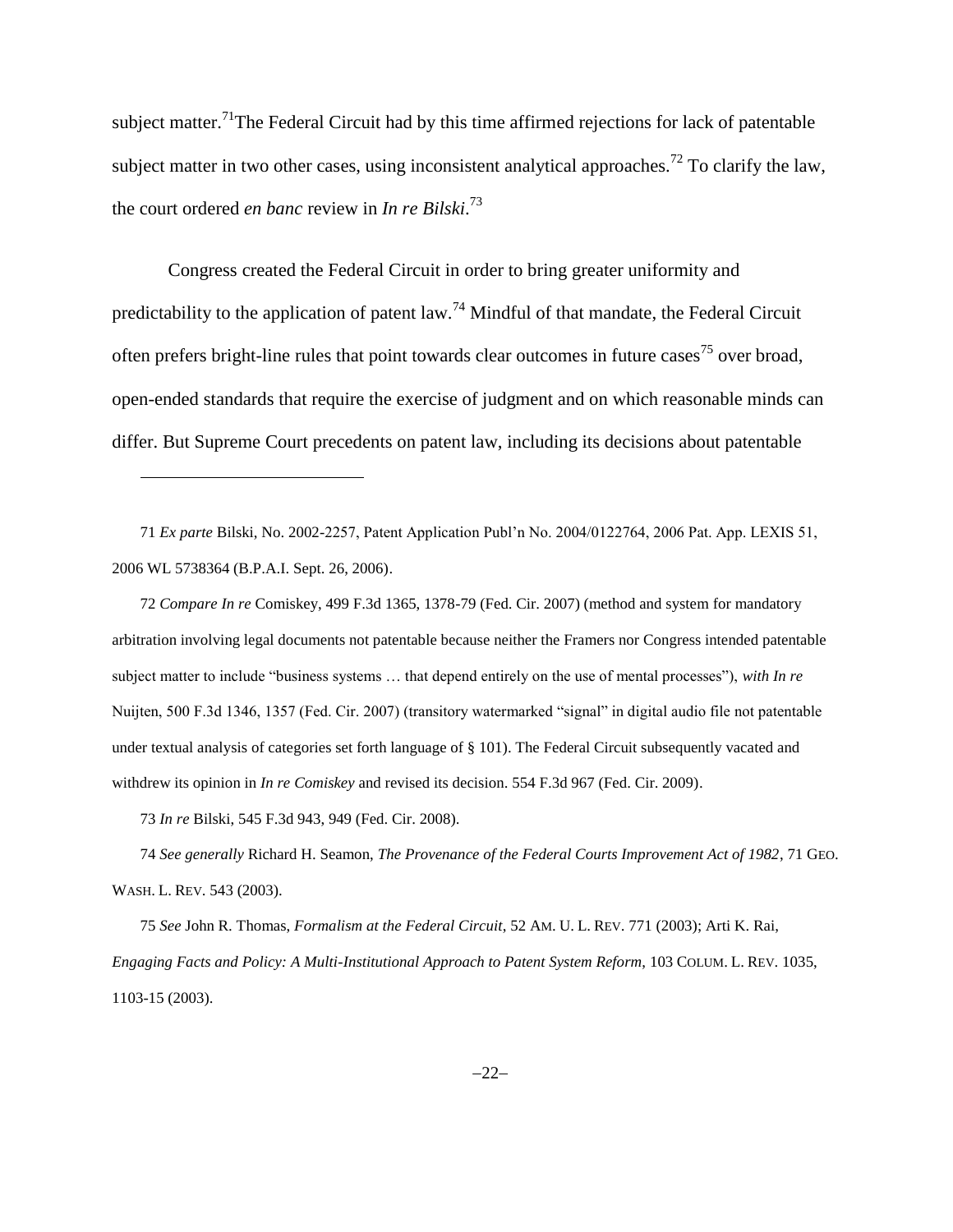subject matter.<sup>71</sup>The Federal Circuit had by this time affirmed rejections for lack of patentable subject matter in two other cases, using inconsistent analytical approaches.<sup>72</sup> To clarify the law, the court ordered *en banc* review in *In re Bilski*. 73

Congress created the Federal Circuit in order to bring greater uniformity and predictability to the application of patent law.<sup>74</sup> Mindful of that mandate, the Federal Circuit often prefers bright-line rules that point towards clear outcomes in future cases<sup>75</sup> over broad, open-ended standards that require the exercise of judgment and on which reasonable minds can differ. But Supreme Court precedents on patent law, including its decisions about patentable

71 *Ex parte* Bilski, No. 2002-2257, Patent Application Publ'n No. 2004/0122764, 2006 Pat. App. LEXIS 51, 2006 WL 5738364 (B.P.A.I. Sept. 26, 2006).

72 *Compare In re* Comiskey, 499 F.3d 1365, 1378-79 (Fed. Cir. 2007) (method and system for mandatory arbitration involving legal documents not patentable because neither the Framers nor Congress intended patentable subject matter to include "business systems … that depend entirely on the use of mental processes"), *with In re* Nuijten, 500 F.3d 1346, 1357 (Fed. Cir. 2007) (transitory watermarked "signal" in digital audio file not patentable under textual analysis of categories set forth language of § 101). The Federal Circuit subsequently vacated and withdrew its opinion in *In re Comiskey* and revised its decision. 554 F.3d 967 (Fed. Cir. 2009).

73 *In re* Bilski, 545 F.3d 943, 949 (Fed. Cir. 2008).

l

74 *See generally* Richard H. Seamon, *The Provenance of the Federal Courts Improvement Act of 1982*, 71 GEO. WASH. L. REV. 543 (2003).

75 *See* John R. Thomas, *Formalism at the Federal Circuit*, 52 AM. U. L. REV. 771 (2003); Arti K. Rai, *Engaging Facts and Policy: A Multi-Institutional Approach to Patent System Reform*, 103 COLUM. L. REV. 1035, 1103-15 (2003).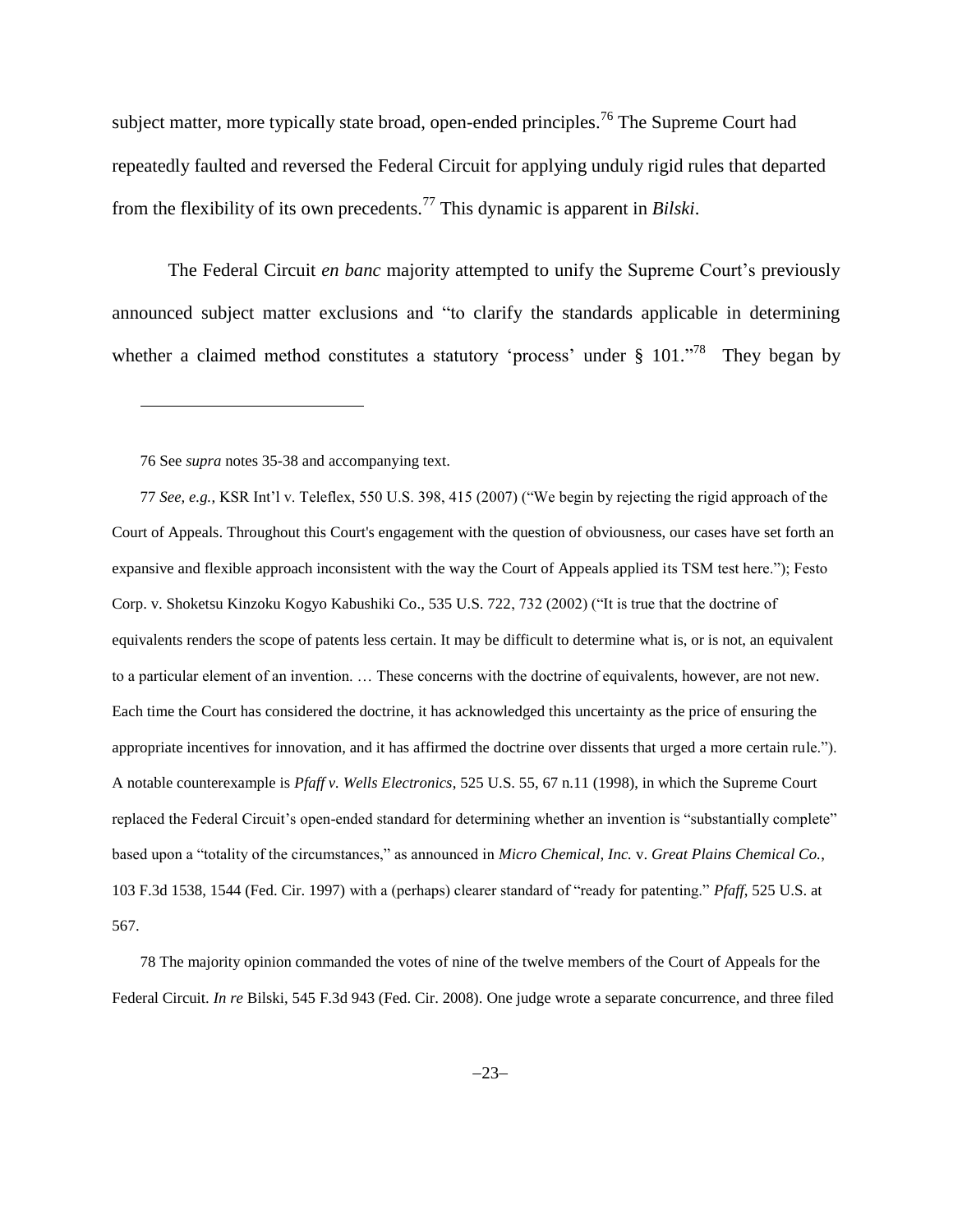subject matter, more typically state broad, open-ended principles.<sup>76</sup> The Supreme Court had repeatedly faulted and reversed the Federal Circuit for applying unduly rigid rules that departed from the flexibility of its own precedents.<sup>77</sup> This dynamic is apparent in *Bilski*.

The Federal Circuit *en banc* majority attempted to unify the Supreme Court's previously announced subject matter exclusions and "to clarify the standards applicable in determining whether a claimed method constitutes a statutory 'process' under  $\S 101$ .<sup>78</sup> They began by

76 See *supra* notes [35](#page-12-0)[-38](#page-12-1) and accompanying text.

 $\overline{\phantom{a}}$ 

77 *See, e.g.*, KSR Int'l v. Teleflex, 550 U.S. 398, 415 (2007) ("We begin by rejecting the rigid approach of the Court of Appeals. Throughout this Court's engagement with the question of obviousness, our cases have set forth an expansive and flexible approach inconsistent with the way the Court of Appeals applied its TSM test here."); Festo Corp. v. Shoketsu Kinzoku Kogyo Kabushiki Co., 535 U.S. 722, 732 (2002) ("It is true that the doctrine of equivalents renders the scope of patents less certain. It may be difficult to determine what is, or is not, an equivalent to a particular element of an invention. … These concerns with the doctrine of equivalents, however, are not new. Each time the Court has considered the doctrine, it has acknowledged this uncertainty as the price of ensuring the appropriate incentives for innovation, and it has affirmed the doctrine over dissents that urged a more certain rule."). A notable counterexample is *Pfaff v. Wells Electronics*, 525 U.S. 55, 67 n.11 (1998), in which the Supreme Court replaced the Federal Circuit's open-ended standard for determining whether an invention is "substantially complete" based upon a "totality of the circumstances," as announced in *Micro Chemical, Inc.* v. *Great Plains Chemical Co.*, 103 F.3d 1538, 1544 (Fed. Cir. 1997) with a (perhaps) clearer standard of "ready for patenting." *Pfaff*, 525 U.S. at 567.

78 The majority opinion commanded the votes of nine of the twelve members of the Court of Appeals for the Federal Circuit. *In re* Bilski, 545 F.3d 943 (Fed. Cir. 2008). One judge wrote a separate concurrence, and three filed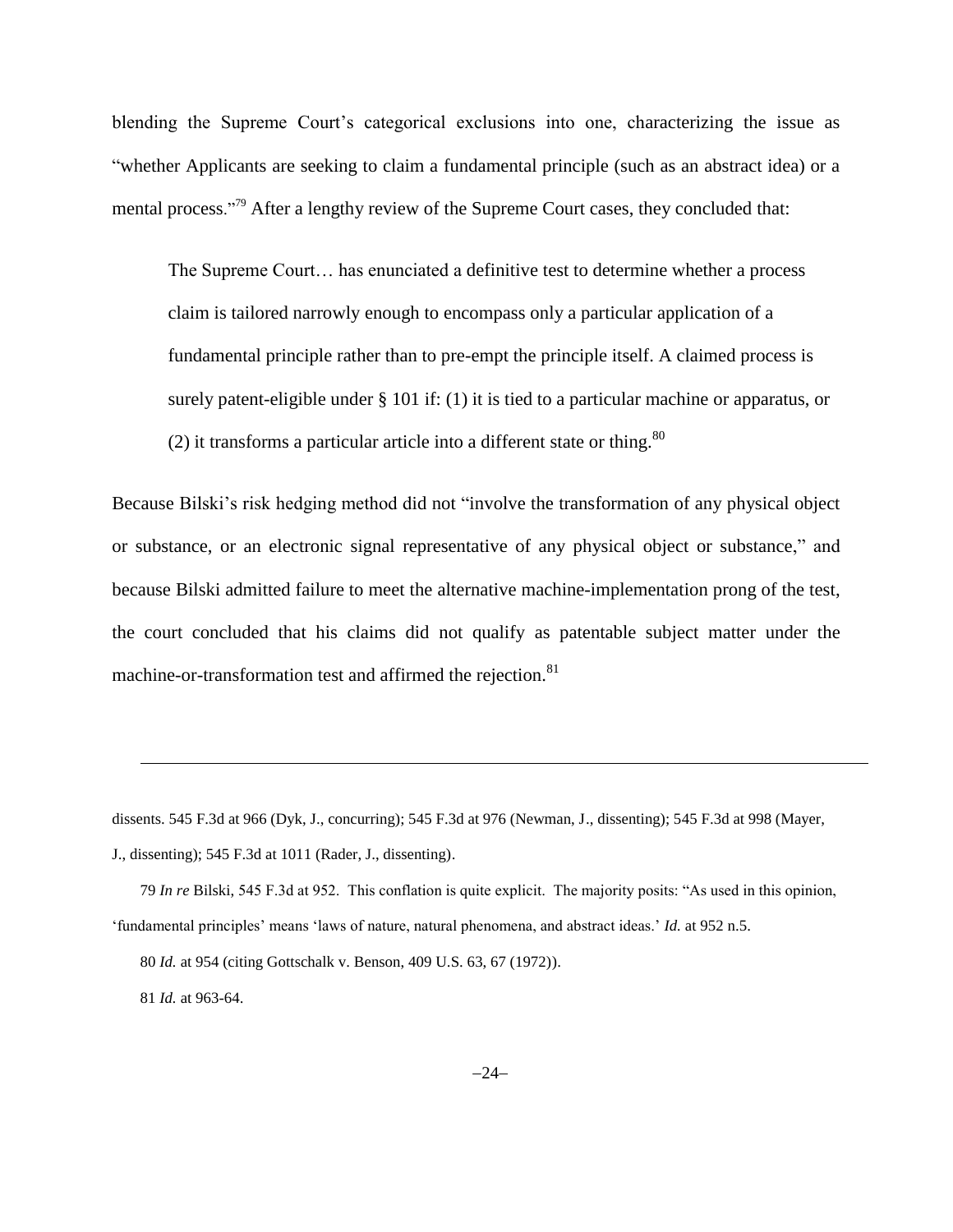blending the Supreme Court's categorical exclusions into one, characterizing the issue as "whether Applicants are seeking to claim a fundamental principle (such as an abstract idea) or a mental process."<sup>79</sup> After a lengthy review of the Supreme Court cases, they concluded that:

The Supreme Court… has enunciated a definitive test to determine whether a process claim is tailored narrowly enough to encompass only a particular application of a fundamental principle rather than to pre-empt the principle itself. A claimed process is surely patent-eligible under § 101 if: (1) it is tied to a particular machine or apparatus, or (2) it transforms a particular article into a different state or thing.<sup>80</sup>

Because Bilski's risk hedging method did not "involve the transformation of any physical object or substance, or an electronic signal representative of any physical object or substance," and because Bilski admitted failure to meet the alternative machine-implementation prong of the test, the court concluded that his claims did not qualify as patentable subject matter under the machine-or-transformation test and affirmed the rejection.<sup>81</sup>

dissents. 545 F.3d at 966 (Dyk, J., concurring); 545 F.3d at 976 (Newman, J., dissenting); 545 F.3d at 998 (Mayer, J., dissenting); 545 F.3d at 1011 (Rader, J., dissenting).

79 *In re* Bilski, 545 F.3d at 952. This conflation is quite explicit. The majority posits: "As used in this opinion, 'fundamental principles' means 'laws of nature, natural phenomena, and abstract ideas.' *Id.* at 952 n.5.

80 *Id.* at 954 (citing Gottschalk v. Benson, 409 U.S. 63, 67 (1972)).

81 *Id.* at 963-64.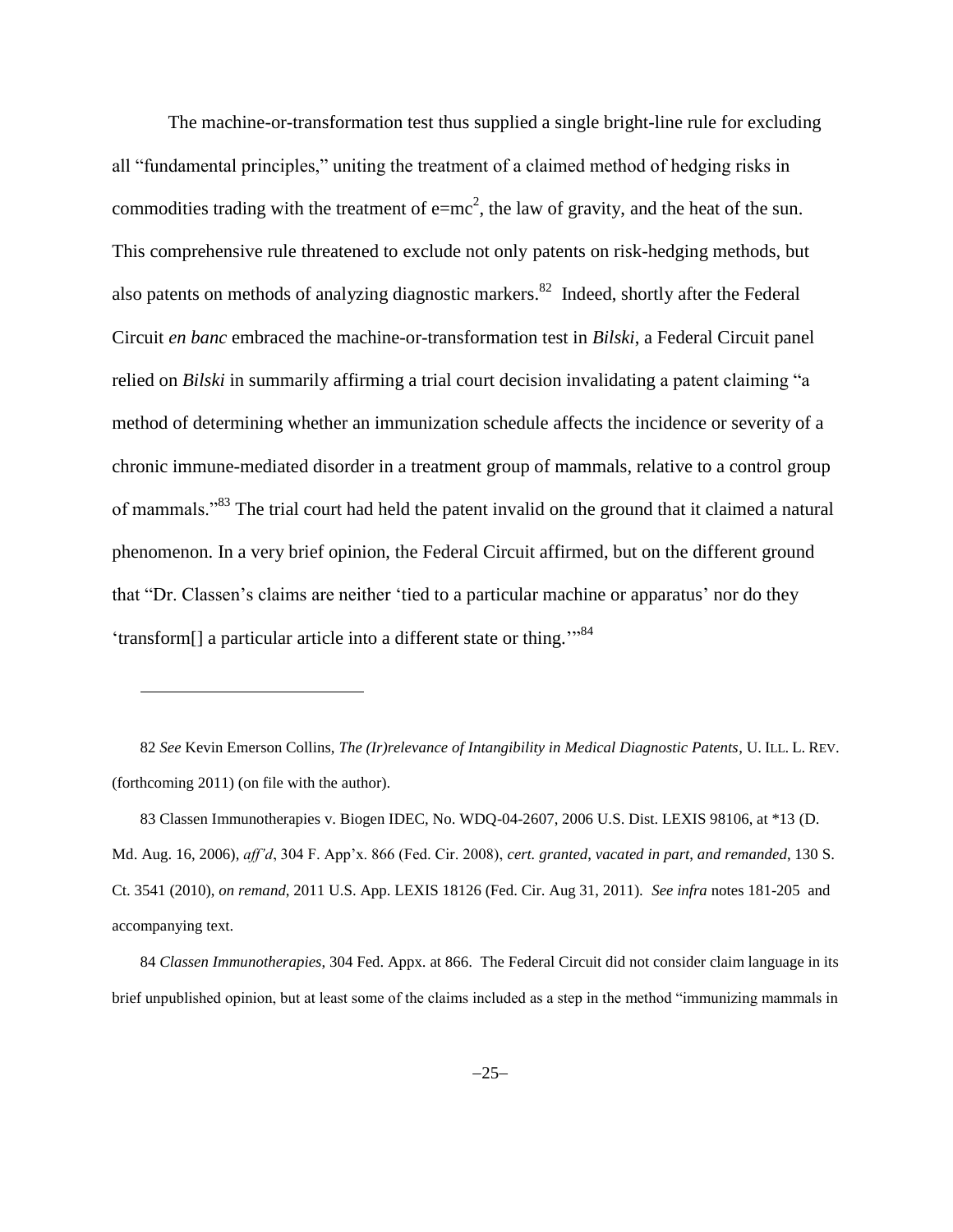<span id="page-24-0"></span>The machine-or-transformation test thus supplied a single bright-line rule for excluding all "fundamental principles," uniting the treatment of a claimed method of hedging risks in commodities trading with the treatment of  $e=mc^2$ , the law of gravity, and the heat of the sun. This comprehensive rule threatened to exclude not only patents on risk-hedging methods, but also patents on methods of analyzing diagnostic markers.<sup>82</sup> Indeed, shortly after the Federal Circuit *en banc* embraced the machine-or-transformation test in *Bilski*, a Federal Circuit panel relied on *Bilski* in summarily affirming a trial court decision invalidating a patent claiming "a method of determining whether an immunization schedule affects the incidence or severity of a chronic immune-mediated disorder in a treatment group of mammals, relative to a control group of mammals."<sup>83</sup> The trial court had held the patent invalid on the ground that it claimed a natural phenomenon. In a very brief opinion, the Federal Circuit affirmed, but on the different ground that "Dr. Classen's claims are neither 'tied to a particular machine or apparatus' nor do they 'transform[] a particular article into a different state or thing."<sup>84</sup>

82 *See* Kevin Emerson Collins, *The (Ir)relevance of Intangibility in Medical Diagnostic Patents*, U. ILL. L. REV. (forthcoming 2011) (on file with the author).

l

83 Classen Immunotherapies v. Biogen IDEC, No. WDQ-04-2607, 2006 U.S. Dist. LEXIS 98106, at \*13 (D. Md. Aug. 16, 2006), *aff'd*, 304 F. App'x. 866 (Fed. Cir. 2008), *cert. granted*, *vacated in part*, *and remanded*, 130 S. Ct. 3541 (2010), *on remand*, 2011 U.S. App. LEXIS 18126 (Fed. Cir. Aug 31, 2011). *See infra* notes 181-205 and accompanying text.

84 *Classen Immunotherapies*, 304 Fed. Appx. at 866. The Federal Circuit did not consider claim language in its brief unpublished opinion, but at least some of the claims included as a step in the method "immunizing mammals in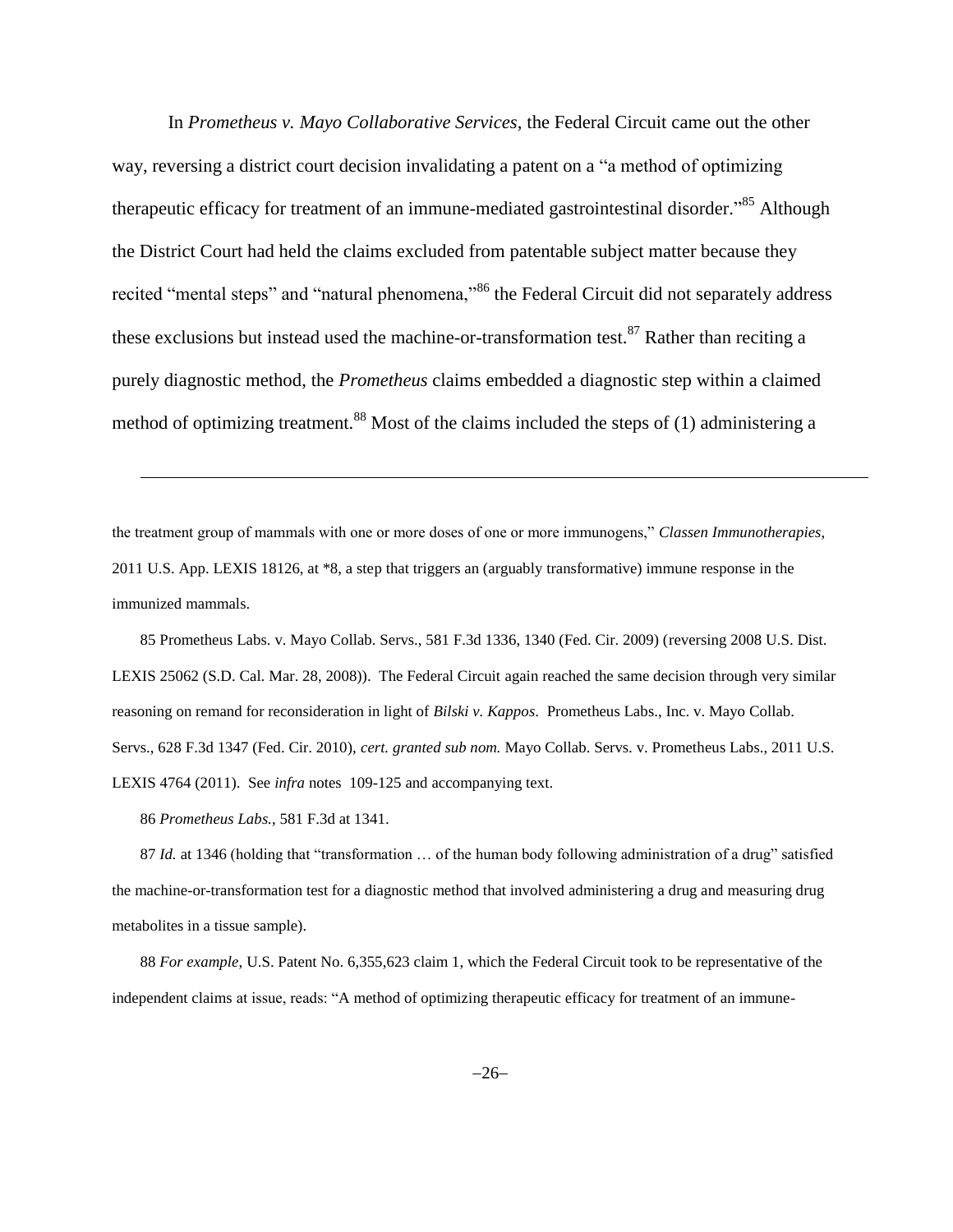In *Prometheus v. Mayo Collaborative Services*, the Federal Circuit came out the other way, reversing a district court decision invalidating a patent on a "a method of optimizing therapeutic efficacy for treatment of an immune-mediated gastrointestinal disorder."<sup>85</sup> Although the District Court had held the claims excluded from patentable subject matter because they recited "mental steps" and "natural phenomena,"<sup>86</sup> the Federal Circuit did not separately address these exclusions but instead used the machine-or-transformation test.  $87$  Rather than reciting a purely diagnostic method, the *Prometheus* claims embedded a diagnostic step within a claimed method of optimizing treatment.<sup>88</sup> Most of the claims included the steps of (1) administering a

the treatment group of mammals with one or more doses of one or more immunogens," *Classen Immunotherapies*, 2011 U.S. App. LEXIS 18126, at \*8, a step that triggers an (arguably transformative) immune response in the immunized mammals.

85 Prometheus Labs. v. Mayo Collab. Servs., 581 F.3d 1336, 1340 (Fed. Cir. 2009) (reversing 2008 U.S. Dist. LEXIS 25062 (S.D. Cal. Mar. 28, 2008)). The Federal Circuit again reached the same decision through very similar reasoning on remand for reconsideration in light of *Bilski v. Kappos*. Prometheus Labs., Inc. v. Mayo Collab. Servs., 628 F.3d 1347 (Fed. Cir. 2010), *cert. granted sub nom.* Mayo Collab. Servs. v. Prometheus Labs., 2011 U.S. LEXIS 4764 (2011). See *infra* notes 109-125 and accompanying text.

86 *Prometheus Labs.*, 581 F.3d at 1341.

l

87 *Id.* at 1346 (holding that "transformation … of the human body following administration of a drug" satisfied the machine-or-transformation test for a diagnostic method that involved administering a drug and measuring drug metabolites in a tissue sample).

88 *For example*, U.S. Patent No. 6,355,623 claim 1, which the Federal Circuit took to be representative of the independent claims at issue, reads: "A method of optimizing therapeutic efficacy for treatment of an immune-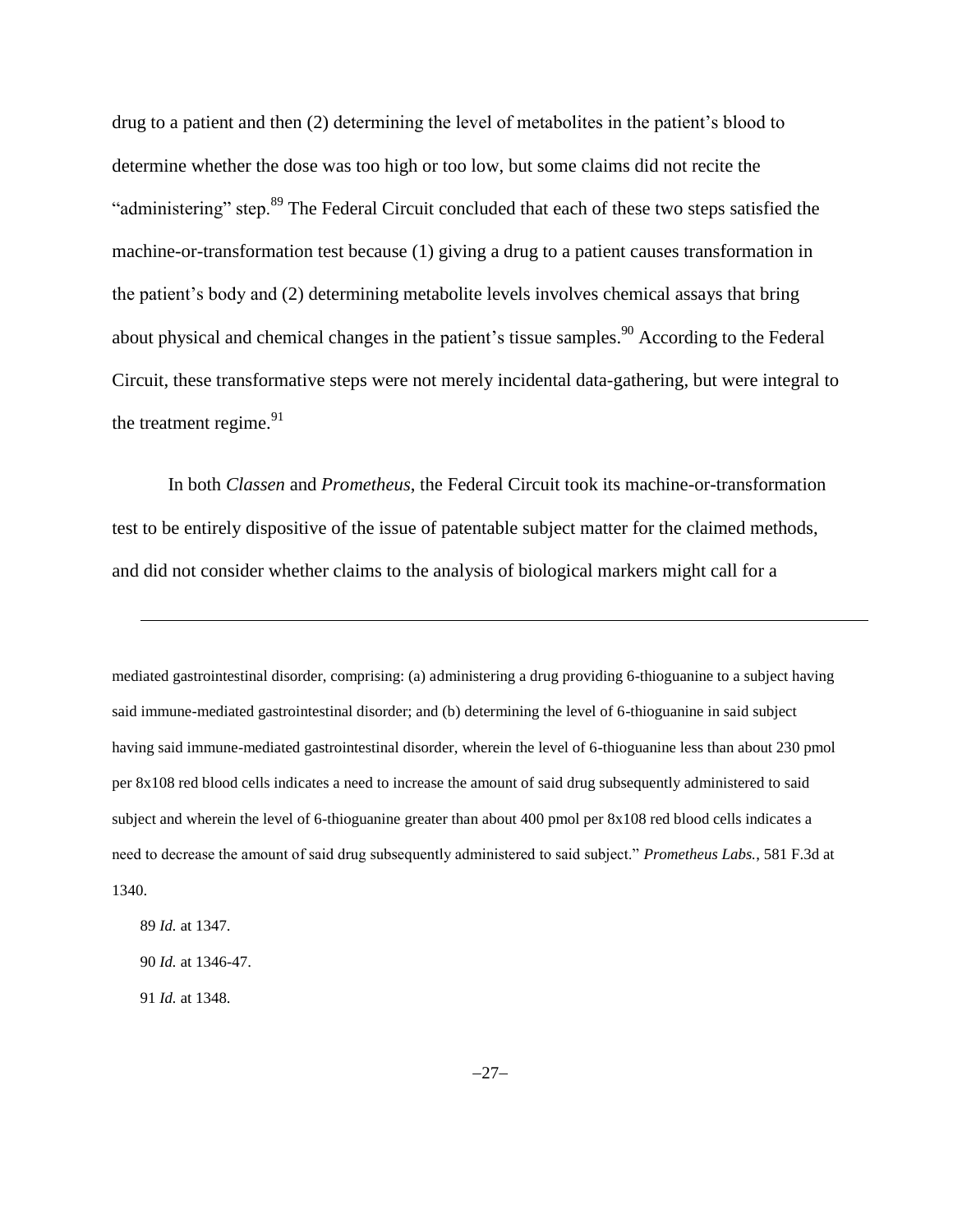drug to a patient and then (2) determining the level of metabolites in the patient's blood to determine whether the dose was too high or too low, but some claims did not recite the "administering" step.<sup>89</sup> The Federal Circuit concluded that each of these two steps satisfied the machine-or-transformation test because (1) giving a drug to a patient causes transformation in the patient's body and (2) determining metabolite levels involves chemical assays that bring about physical and chemical changes in the patient's tissue samples.<sup>90</sup> According to the Federal Circuit, these transformative steps were not merely incidental data-gathering, but were integral to the treatment regime.<sup>91</sup>

In both *Classen* and *Prometheus*, the Federal Circuit took its machine-or-transformation test to be entirely dispositive of the issue of patentable subject matter for the claimed methods, and did not consider whether claims to the analysis of biological markers might call for a

mediated gastrointestinal disorder, comprising: (a) administering a drug providing 6-thioguanine to a subject having said immune-mediated gastrointestinal disorder; and (b) determining the level of 6-thioguanine in said subject having said immune-mediated gastrointestinal disorder, wherein the level of 6-thioguanine less than about 230 pmol per 8x108 red blood cells indicates a need to increase the amount of said drug subsequently administered to said subject and wherein the level of 6-thioguanine greater than about 400 pmol per 8x108 red blood cells indicates a need to decrease the amount of said drug subsequently administered to said subject." *Prometheus Labs.*, 581 F.3d at 1340.

89 *Id.* at 1347. 90 *Id.* at 1346-47. 91 *Id.* at 1348.

 $\overline{\phantom{a}}$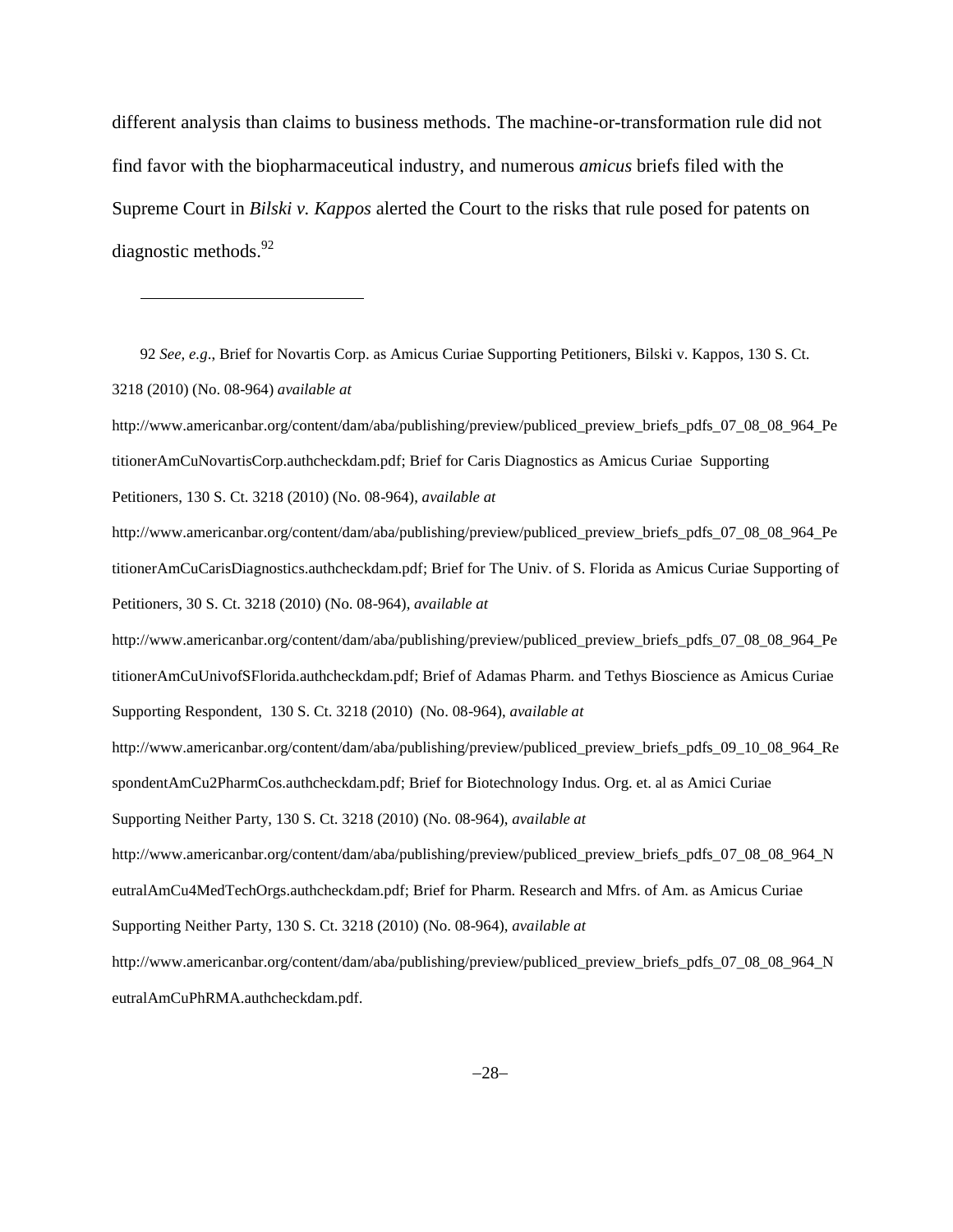different analysis than claims to business methods. The machine-or-transformation rule did not find favor with the biopharmaceutical industry, and numerous *amicus* briefs filed with the Supreme Court in *Bilski v. Kappos* alerted the Court to the risks that rule posed for patents on diagnostic methods.<sup>92</sup>

92 *See, e.g*., Brief for Novartis Corp. as Amicus Curiae Supporting Petitioners, Bilski v. Kappos, 130 S. Ct. 3218 (2010) (No. 08-964) *available at*

 $\overline{\phantom{a}}$ 

http://www.americanbar.org/content/dam/aba/publishing/preview/publiced\_preview\_briefs\_pdfs\_07\_08\_08\_964\_Pe titionerAmCuNovartisCorp.authcheckdam.pdf; Brief for Caris Diagnostics as Amicus Curiae Supporting Petitioners, 130 S. Ct. 3218 (2010) (No. 08-964), *available at*

http://www.americanbar.org/content/dam/aba/publishing/preview/publiced\_preview\_briefs\_pdfs\_07\_08\_08\_964\_Pe titionerAmCuCarisDiagnostics.authcheckdam.pdf; Brief for The Univ. of S. Florida as Amicus Curiae Supporting of Petitioners, 30 S. Ct. 3218 (2010) (No. 08-964), *available at*

http://www.americanbar.org/content/dam/aba/publishing/preview/publiced\_preview\_briefs\_pdfs\_07\_08\_08\_964\_Pe titionerAmCuUnivofSFlorida.authcheckdam.pdf; Brief of Adamas Pharm. and Tethys Bioscience as Amicus Curiae Supporting Respondent, 130 S. Ct. 3218 (2010) (No. 08-964), *available at*

http://www.americanbar.org/content/dam/aba/publishing/preview/publiced\_preview\_briefs\_pdfs\_09\_10\_08\_964\_Re spondentAmCu2PharmCos.authcheckdam.pdf; Brief for Biotechnology Indus. Org. et. al as Amici Curiae Supporting Neither Party, 130 S. Ct. 3218 (2010) (No. 08-964), *available at*

http://www.americanbar.org/content/dam/aba/publishing/preview/publiced\_preview\_briefs\_pdfs\_07\_08\_08\_964\_N eutralAmCu4MedTechOrgs.authcheckdam.pdf; Brief for Pharm. Research and Mfrs. of Am. as Amicus Curiae Supporting Neither Party, 130 S. Ct. 3218 (2010) (No. 08-964), *available at*

http://www.americanbar.org/content/dam/aba/publishing/preview/publiced\_preview\_briefs\_pdfs\_07\_08\_08\_964\_N eutralAmCuPhRMA.authcheckdam.pdf.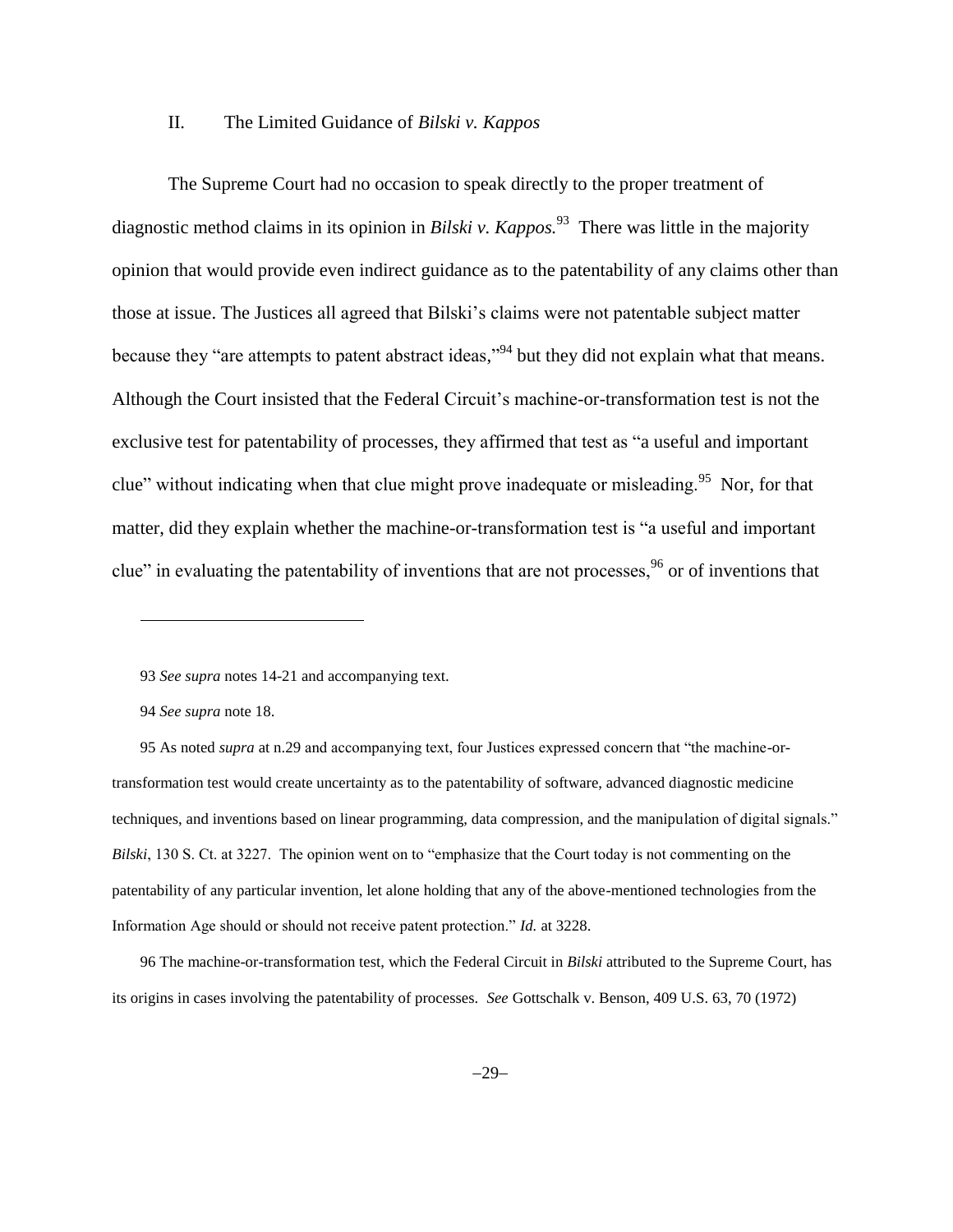### II. The Limited Guidance of *Bilski v. Kappos*

The Supreme Court had no occasion to speak directly to the proper treatment of diagnostic method claims in its opinion in *Bilski v. Kappos.*<sup>93</sup> There was little in the majority opinion that would provide even indirect guidance as to the patentability of any claims other than those at issue. The Justices all agreed that Bilski's claims were not patentable subject matter because they "are attempts to patent abstract ideas,"<sup>94</sup> but they did not explain what that means. Although the Court insisted that the Federal Circuit's machine-or-transformation test is not the exclusive test for patentability of processes, they affirmed that test as "a useful and important clue" without indicating when that clue might prove inadequate or misleading.<sup>95</sup> Nor, for that matter, did they explain whether the machine-or-transformation test is "a useful and important clue" in evaluating the patentability of inventions that are not processes,  $96$  or of inventions that

 $\overline{\phantom{a}}$ 

95 As noted *supra* at n[.29](#page-9-0) and accompanying text, four Justices expressed concern that "the machine-ortransformation test would create uncertainty as to the patentability of software, advanced diagnostic medicine techniques, and inventions based on linear programming, data compression, and the manipulation of digital signals." *Bilski*, 130 S. Ct. at 3227. The opinion went on to "emphasize that the Court today is not commenting on the patentability of any particular invention, let alone holding that any of the above-mentioned technologies from the Information Age should or should not receive patent protection." *Id.* at 3228.

96 The machine-or-transformation test, which the Federal Circuit in *Bilski* attributed to the Supreme Court, has its origins in cases involving the patentability of processes. *See* Gottschalk v. Benson, 409 U.S. 63, 70 (1972)

<sup>93</sup> *See supra* notes [14](#page-4-1)[-21](#page-6-0) and accompanying text.

<sup>94</sup> *See supra* note [18.](#page-5-0)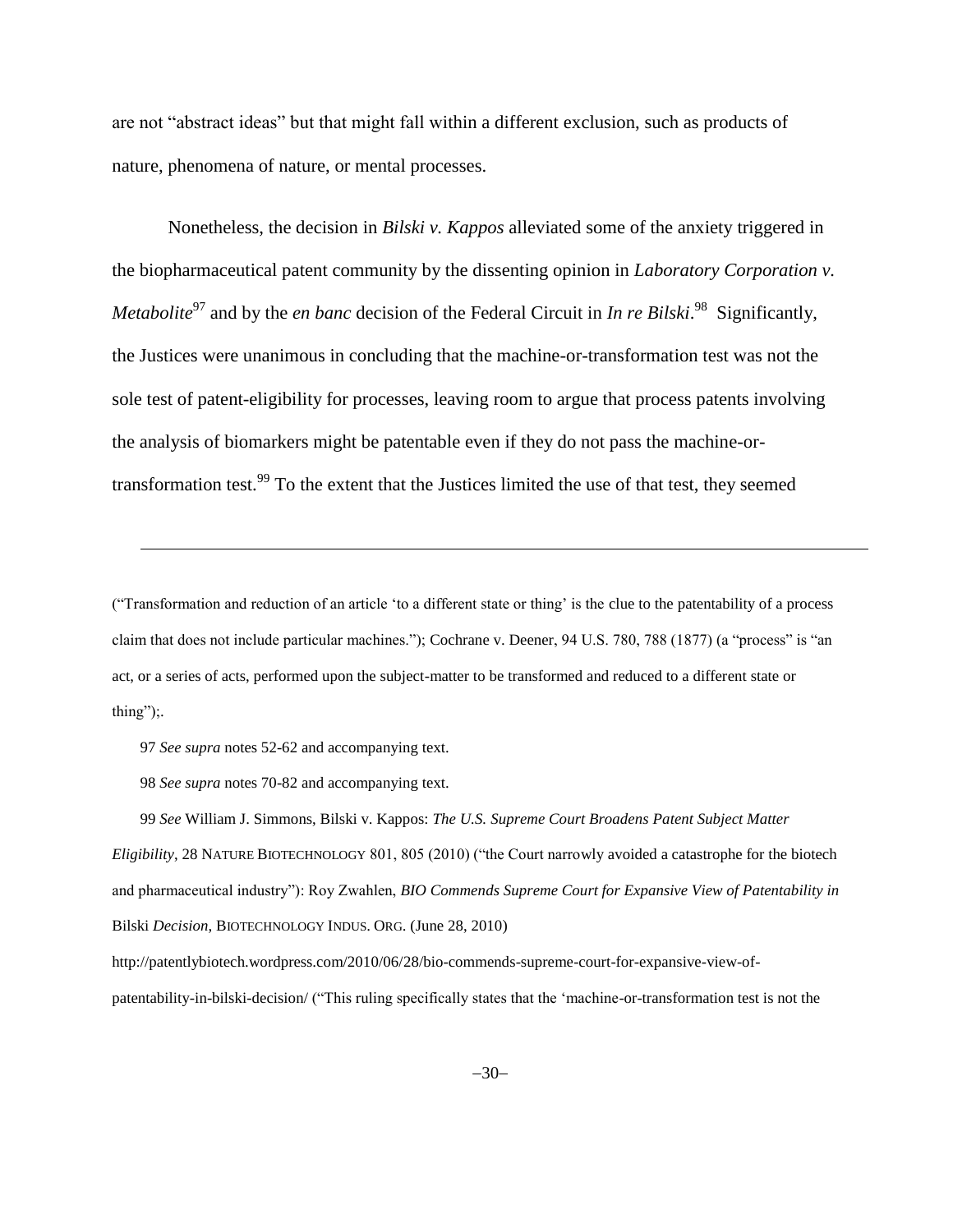are not "abstract ideas" but that might fall within a different exclusion, such as products of nature, phenomena of nature, or mental processes.

Nonetheless, the decision in *Bilski v. Kappos* alleviated some of the anxiety triggered in the biopharmaceutical patent community by the dissenting opinion in *Laboratory Corporation v. Metabolite*<sup>97</sup> and by the *en banc* decision of the Federal Circuit in *In re Bilski*.<sup>98</sup> Significantly, the Justices were unanimous in concluding that the machine-or-transformation test was not the sole test of patent-eligibility for processes, leaving room to argue that process patents involving the analysis of biomarkers might be patentable even if they do not pass the machine-ortransformation test.<sup>99</sup> To the extent that the Justices limited the use of that test, they seemed

("Transformation and reduction of an article 'to a different state or thing' is the clue to the patentability of a process claim that does not include particular machines."); Cochrane v. Deener, 94 U.S. 780, 788 (1877) (a "process" is "an act, or a series of acts, performed upon the subject-matter to be transformed and reduced to a different state or thing");.

97 *See supra* notes [52](#page-15-0)[-62](#page-18-0) and accompanying text.

l

98 *See supra* notes 70[-82](#page-24-0) and accompanying text.

99 *See* William J. Simmons, Bilski v. Kappos: *The U.S. Supreme Court Broadens Patent Subject Matter Eligibility*, 28 NATURE BIOTECHNOLOGY 801, 805 (2010) ("the Court narrowly avoided a catastrophe for the biotech and pharmaceutical industry"): Roy Zwahlen, *BIO Commends Supreme Court for Expansive View of Patentability in*  Bilski *Decision*, BIOTECHNOLOGY INDUS. ORG. (June 28, 2010)

http://patentlybiotech.wordpress.com/2010/06/28/bio-commends-supreme-court-for-expansive-view-ofpatentability-in-bilski-decision/ ("This ruling specifically states that the 'machine-or-transformation test is not the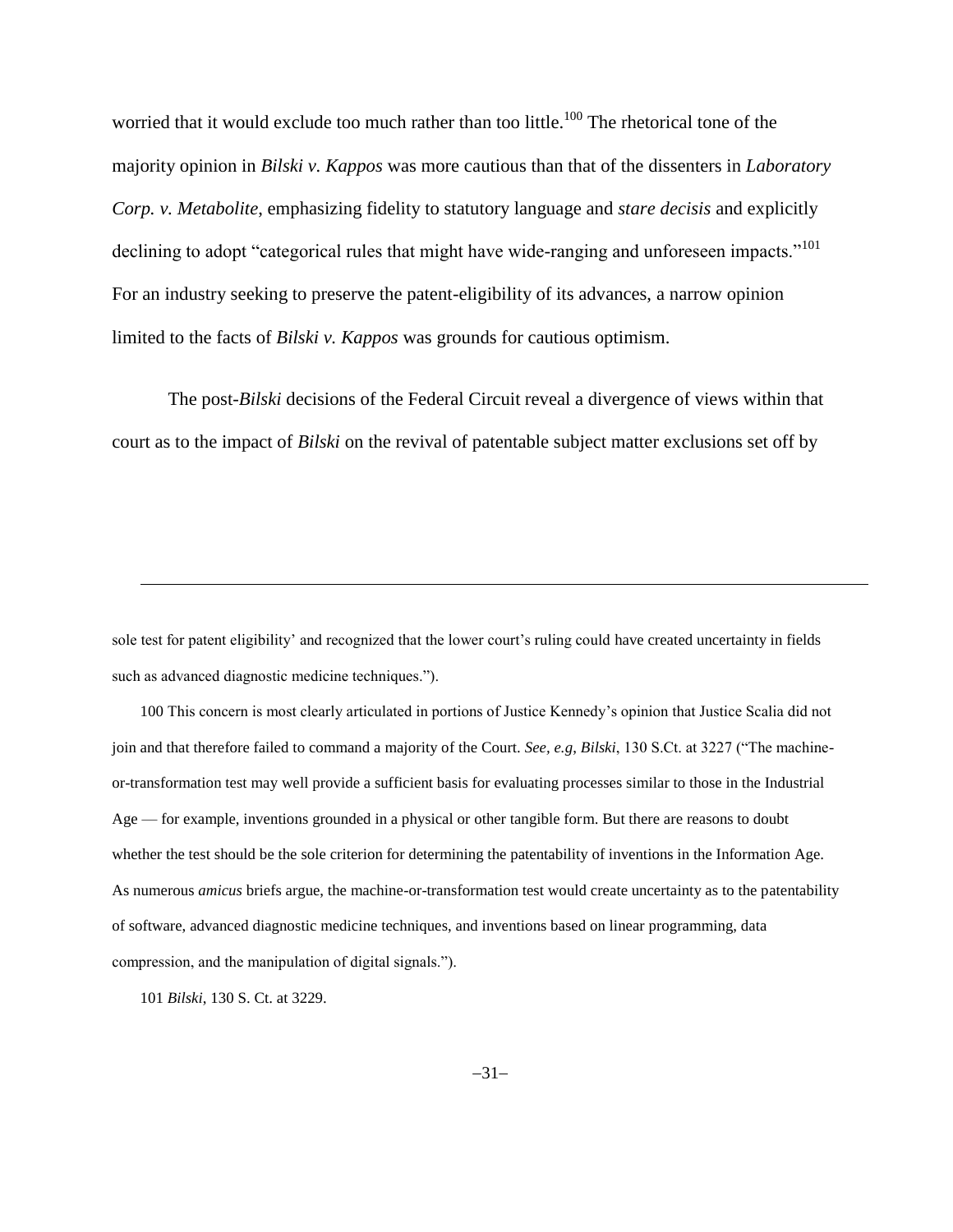worried that it would exclude too much rather than too little.<sup>100</sup> The rhetorical tone of the majority opinion in *Bilski v. Kappos* was more cautious than that of the dissenters in *Laboratory Corp. v. Metabolite*, emphasizing fidelity to statutory language and *stare decisis* and explicitly declining to adopt "categorical rules that might have wide-ranging and unforeseen impacts."<sup>101</sup> For an industry seeking to preserve the patent-eligibility of its advances, a narrow opinion limited to the facts of *Bilski v. Kappos* was grounds for cautious optimism.

The post-*Bilski* decisions of the Federal Circuit reveal a divergence of views within that court as to the impact of *Bilski* on the revival of patentable subject matter exclusions set off by

sole test for patent eligibility' and recognized that the lower court's ruling could have created uncertainty in fields such as advanced diagnostic medicine techniques.").

100 This concern is most clearly articulated in portions of Justice Kennedy's opinion that Justice Scalia did not join and that therefore failed to command a majority of the Court. *See, e.g*, *Bilski*, 130 S.Ct. at 3227 ("The machineor-transformation test may well provide a sufficient basis for evaluating processes similar to those in the Industrial Age — for example, inventions grounded in a physical or other tangible form. But there are reasons to doubt whether the test should be the sole criterion for determining the patentability of inventions in the Information Age. As numerous *amicus* briefs argue, the machine-or-transformation test would create uncertainty as to the patentability of software, advanced diagnostic medicine techniques, and inventions based on linear programming, data compression, and the manipulation of digital signals.").

101 *Bilski*, 130 S. Ct. at 3229.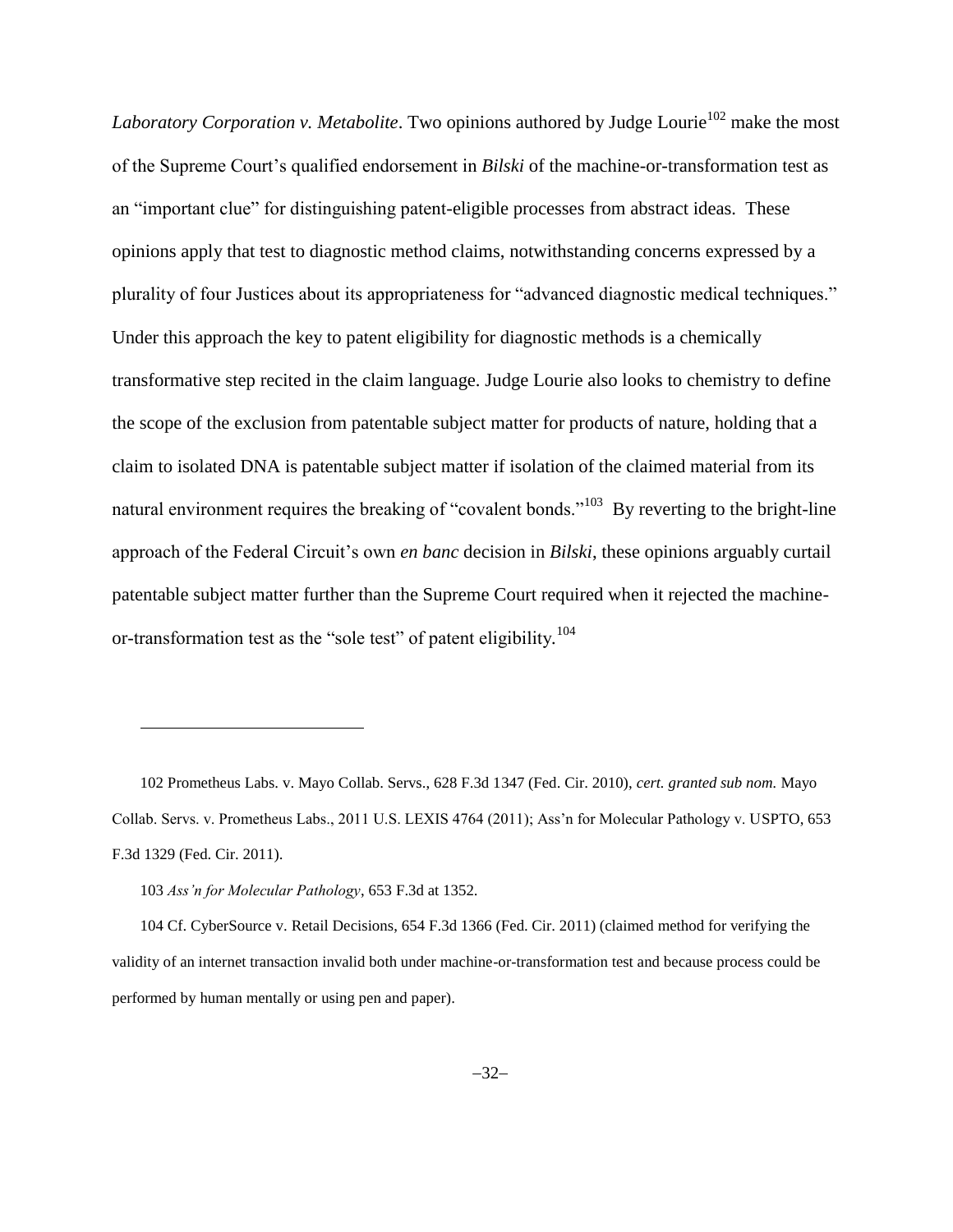*Laboratory Corporation v. Metabolite*. Two opinions authored by Judge Lourie<sup>102</sup> make the most of the Supreme Court's qualified endorsement in *Bilski* of the machine-or-transformation test as an "important clue" for distinguishing patent-eligible processes from abstract ideas. These opinions apply that test to diagnostic method claims, notwithstanding concerns expressed by a plurality of four Justices about its appropriateness for "advanced diagnostic medical techniques." Under this approach the key to patent eligibility for diagnostic methods is a chemically transformative step recited in the claim language. Judge Lourie also looks to chemistry to define the scope of the exclusion from patentable subject matter for products of nature, holding that a claim to isolated DNA is patentable subject matter if isolation of the claimed material from its natural environment requires the breaking of "covalent bonds."<sup>103</sup> By reverting to the bright-line approach of the Federal Circuit's own *en banc* decision in *Bilski*, these opinions arguably curtail patentable subject matter further than the Supreme Court required when it rejected the machineor-transformation test as the "sole test" of patent eligibility*.* 104

102 Prometheus Labs. v. Mayo Collab. Servs., 628 F.3d 1347 (Fed. Cir. 2010), *cert. granted sub nom.* Mayo Collab. Servs. v. Prometheus Labs., 2011 U.S. LEXIS 4764 (2011); Ass'n for Molecular Pathology v. USPTO, 653 F.3d 1329 (Fed. Cir. 2011).

 $\overline{\phantom{a}}$ 

<sup>103</sup> *Ass'n for Molecular Pathology*, 653 F.3d at 1352.

<sup>104</sup> Cf. CyberSource v. Retail Decisions, 654 F.3d 1366 (Fed. Cir. 2011) (claimed method for verifying the validity of an internet transaction invalid both under machine-or-transformation test and because process could be performed by human mentally or using pen and paper).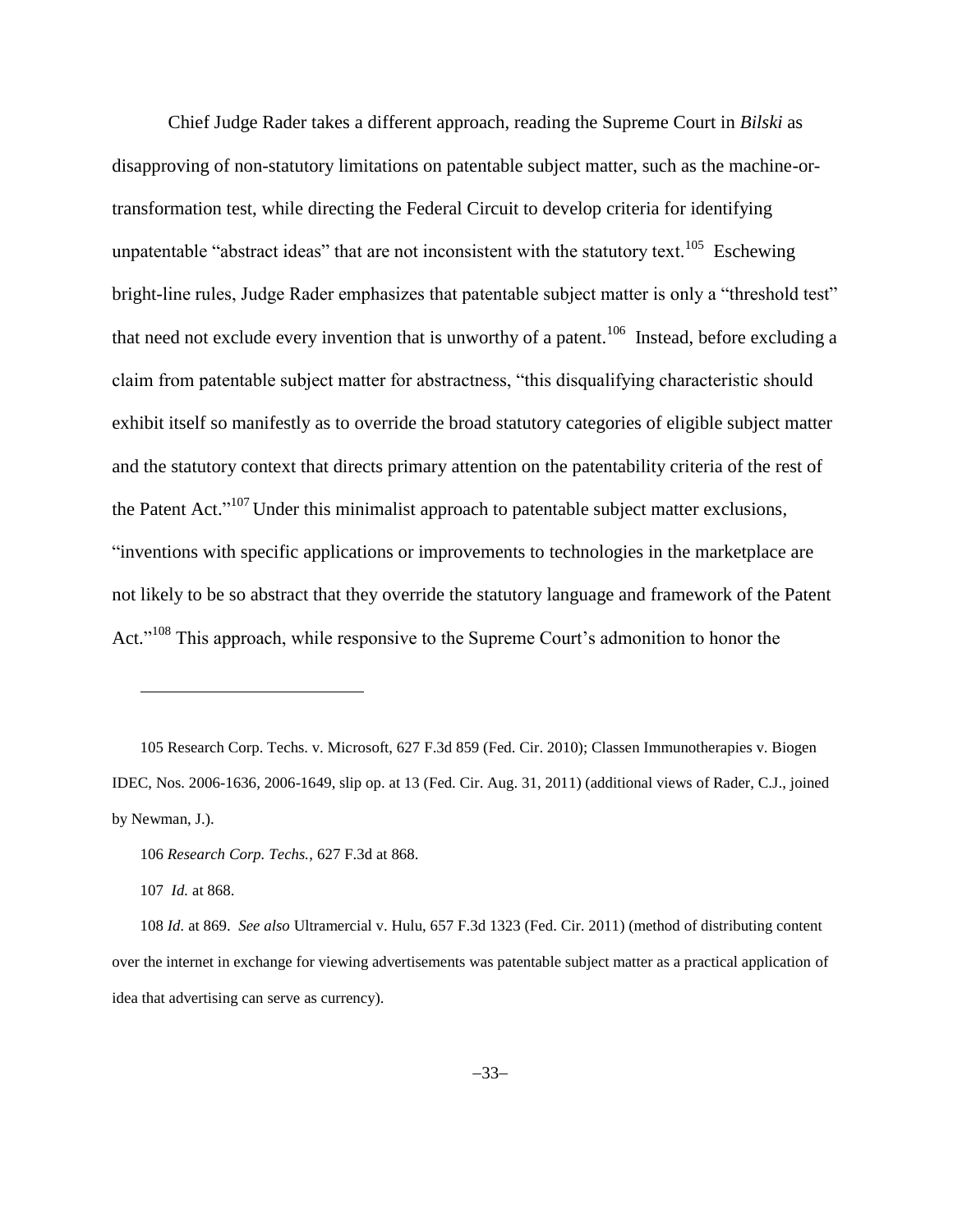Chief Judge Rader takes a different approach, reading the Supreme Court in *Bilski* as disapproving of non-statutory limitations on patentable subject matter, such as the machine-ortransformation test, while directing the Federal Circuit to develop criteria for identifying unpatentable "abstract ideas" that are not inconsistent with the statutory text.<sup>105</sup> Eschewing bright-line rules, Judge Rader emphasizes that patentable subject matter is only a "threshold test" that need not exclude every invention that is unworthy of a patent.<sup>106</sup> Instead, before excluding a claim from patentable subject matter for abstractness, "this disqualifying characteristic should exhibit itself so manifestly as to override the broad statutory categories of eligible subject matter and the statutory context that directs primary attention on the patentability criteria of the rest of the Patent Act."<sup>107</sup> Under this minimalist approach to patentable subject matter exclusions, "inventions with specific applications or improvements to technologies in the marketplace are not likely to be so abstract that they override the statutory language and framework of the Patent Act."<sup>108</sup> This approach, while responsive to the Supreme Court's admonition to honor the

105 Research Corp. Techs. v. Microsoft, 627 F.3d 859 (Fed. Cir. 2010); Classen Immunotherapies v. Biogen IDEC, Nos. 2006-1636, 2006-1649, slip op. at 13 (Fed. Cir. Aug. 31, 2011) (additional views of Rader, C.J., joined by Newman, J.).

<sup>106</sup> *Research Corp. Techs.*, 627 F.3d at 868.

<sup>107</sup> *Id.* at 868.

<sup>108</sup> *Id.* at 869. *See also* Ultramercial v. Hulu, 657 F.3d 1323 (Fed. Cir. 2011) (method of distributing content over the internet in exchange for viewing advertisements was patentable subject matter as a practical application of idea that advertising can serve as currency).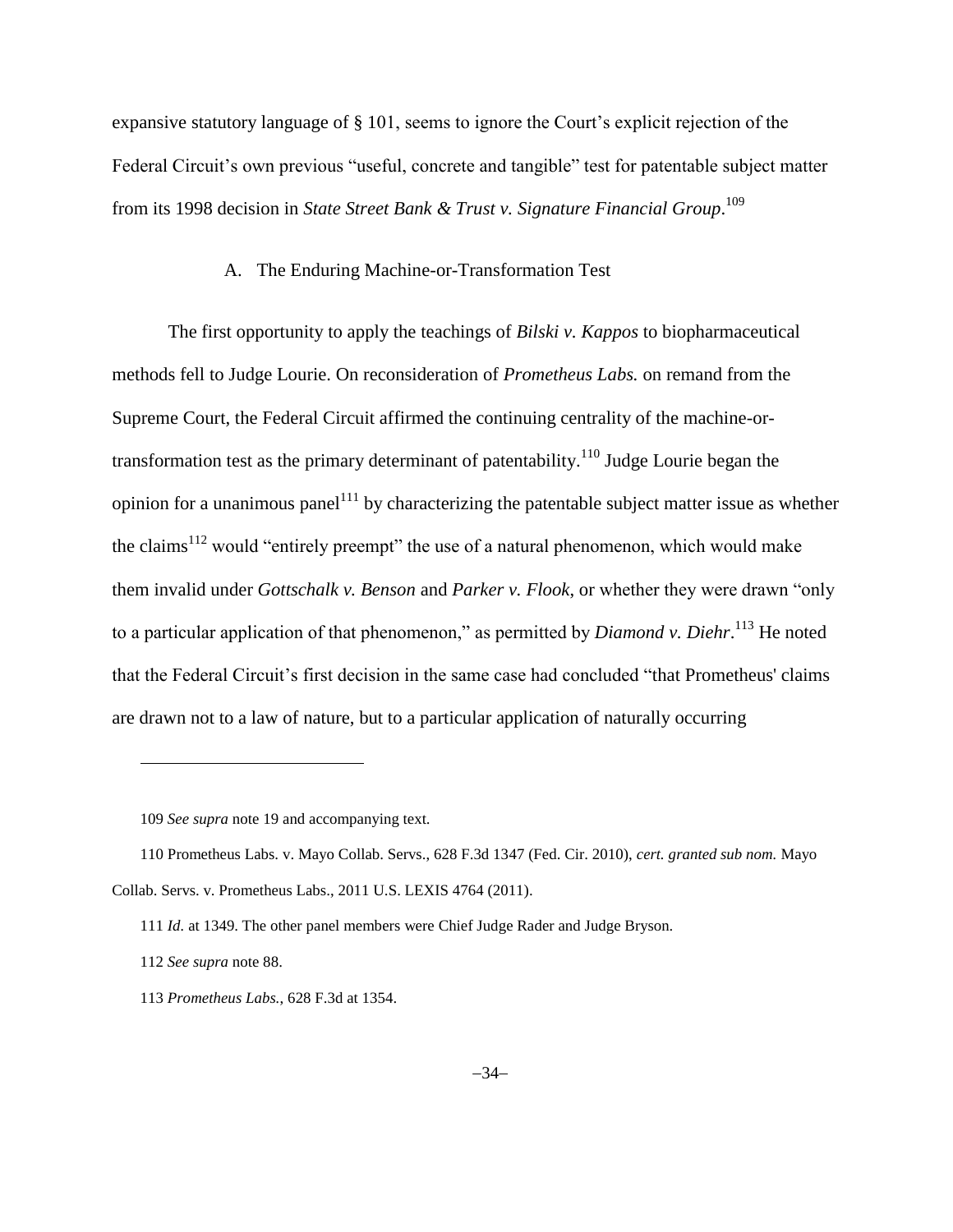expansive statutory language of § 101, seems to ignore the Court's explicit rejection of the Federal Circuit's own previous "useful, concrete and tangible" test for patentable subject matter from its 1998 decision in *State Street Bank & Trust v. Signature Financial Group*. 109

### A. The Enduring Machine-or-Transformation Test

The first opportunity to apply the teachings of *Bilski v. Kappos* to biopharmaceutical methods fell to Judge Lourie. On reconsideration of *Prometheus Labs.* on remand from the Supreme Court, the Federal Circuit affirmed the continuing centrality of the machine-ortransformation test as the primary determinant of patentability.<sup>110</sup> Judge Lourie began the opinion for a unanimous panel<sup>111</sup> by characterizing the patentable subject matter issue as whether the claims<sup>112</sup> would "entirely preempt" the use of a natural phenomenon, which would make them invalid under *Gottschalk v. Benson* and *Parker v. Flook*, or whether they were drawn "only to a particular application of that phenomenon," as permitted by *Diamond v. Diehr*. <sup>113</sup> He noted that the Federal Circuit's first decision in the same case had concluded "that Prometheus' claims are drawn not to a law of nature, but to a particular application of naturally occurring

<sup>109</sup> *See supra* note [19](#page-5-1) and accompanying text.

<sup>110</sup> Prometheus Labs. v. Mayo Collab. Servs., 628 F.3d 1347 (Fed. Cir. 2010), *cert. granted sub nom.* Mayo Collab. Servs. v. Prometheus Labs., 2011 U.S. LEXIS 4764 (2011).

<sup>111</sup> *Id.* at 1349. The other panel members were Chief Judge Rader and Judge Bryson.

<sup>112</sup> *See supra* note 88.

<sup>113</sup> *Prometheus Labs.*, 628 F.3d at 1354.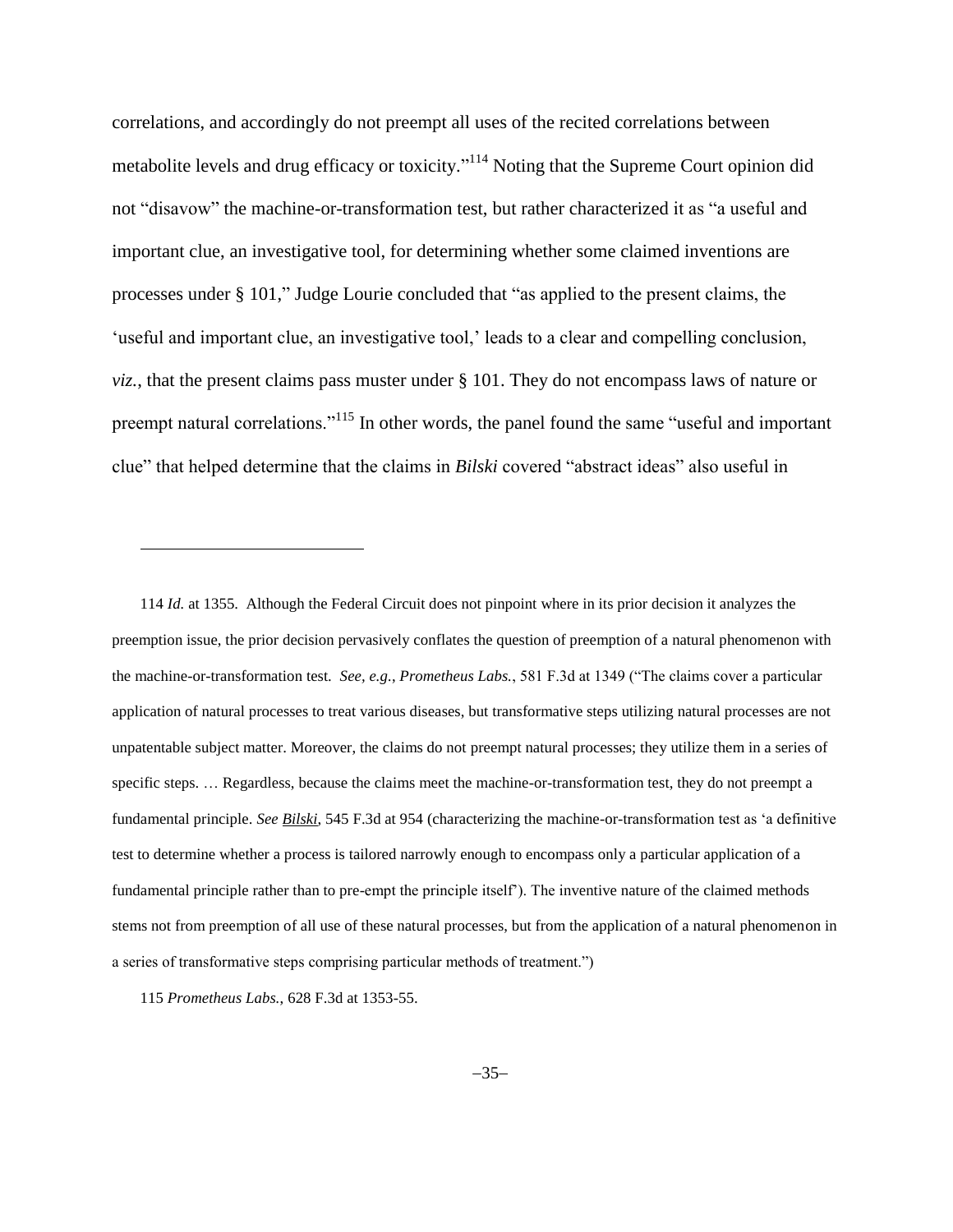correlations, and accordingly do not preempt all uses of the recited correlations between metabolite levels and drug efficacy or toxicity."<sup>114</sup> Noting that the Supreme Court opinion did not "disavow" the machine-or-transformation test, but rather characterized it as "a useful and important clue, an investigative tool, for determining whether some claimed inventions are processes under § 101," Judge Lourie concluded that "as applied to the present claims, the 'useful and important clue, an investigative tool,' leads to a clear and compelling conclusion, *viz.*, that the present claims pass muster under § 101. They do not encompass laws of nature or preempt natural correlations."<sup>115</sup> In other words, the panel found the same "useful and important clue" that helped determine that the claims in *Bilski* covered "abstract ideas" also useful in

<sup>114</sup> *Id.* at 1355. Although the Federal Circuit does not pinpoint where in its prior decision it analyzes the preemption issue, the prior decision pervasively conflates the question of preemption of a natural phenomenon with the machine-or-transformation test. *See, e.g.*, *Prometheus Labs.*, 581 F.3d at 1349 ("The claims cover a particular application of natural processes to treat various diseases, but transformative steps utilizing natural processes are not unpatentable subject matter. Moreover, the claims do not preempt natural processes; they utilize them in a series of specific steps. … Regardless, because the claims meet the machine-or-transformation test, they do not preempt a fundamental principle. *See Bilski*, 545 F.3d at 954 (characterizing the machine-or-transformation test as 'a definitive test to determine whether a process is tailored narrowly enough to encompass only a particular application of a fundamental principle rather than to pre-empt the principle itself<sup>\*</sup>). The inventive nature of the claimed methods stems not from preemption of all use of these natural processes, but from the application of a natural phenomenon in a series of transformative steps comprising particular methods of treatment.")

<sup>115</sup> *Prometheus Labs.*, 628 F.3d at 1353-55.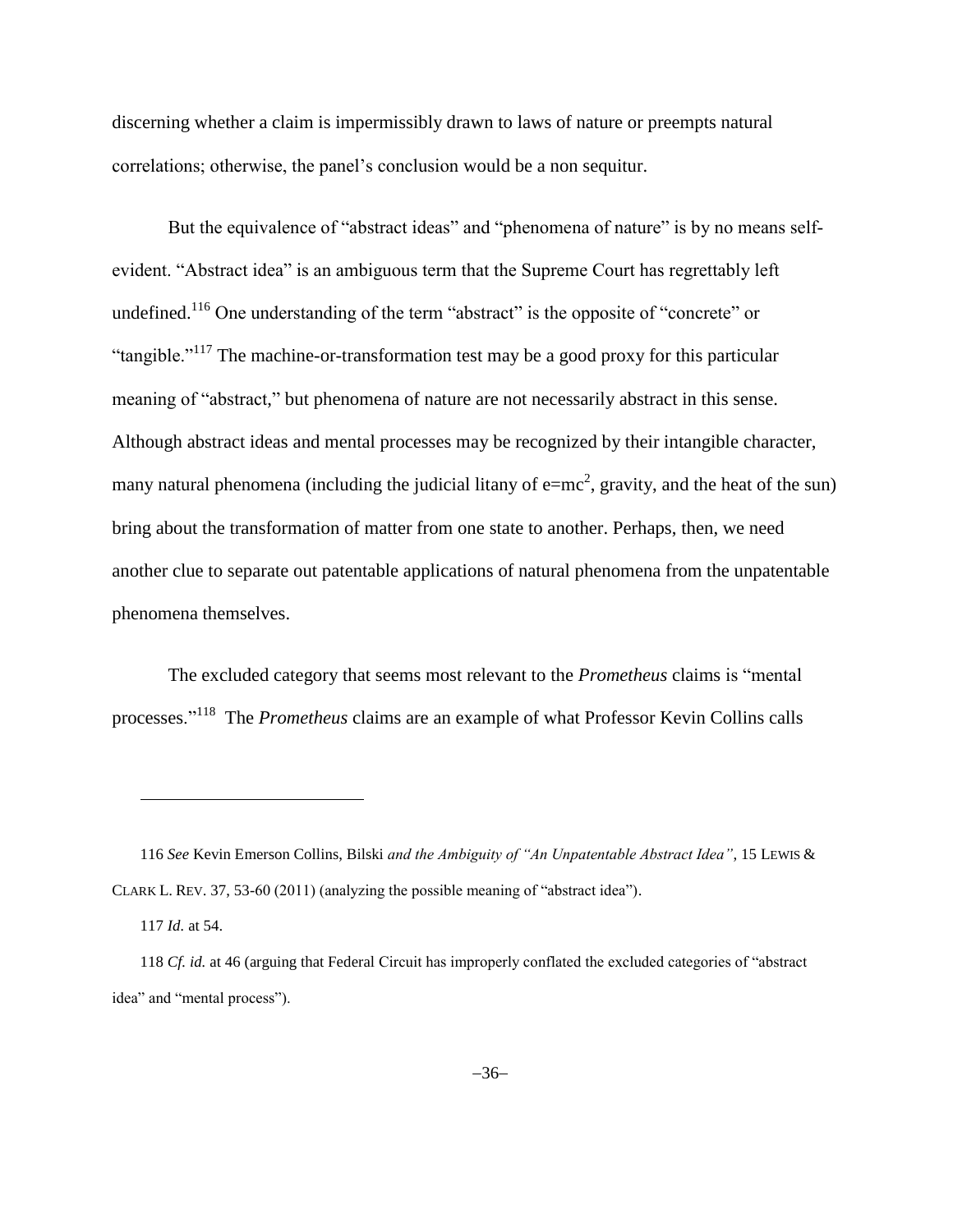discerning whether a claim is impermissibly drawn to laws of nature or preempts natural correlations; otherwise, the panel's conclusion would be a non sequitur.

But the equivalence of "abstract ideas" and "phenomena of nature" is by no means selfevident. "Abstract idea" is an ambiguous term that the Supreme Court has regrettably left undefined.<sup>116</sup> One understanding of the term "abstract" is the opposite of "concrete" or "tangible."<sup>117</sup> The machine-or-transformation test may be a good proxy for this particular meaning of "abstract," but phenomena of nature are not necessarily abstract in this sense. Although abstract ideas and mental processes may be recognized by their intangible character, many natural phenomena (including the judicial litany of  $e=mc^2$ , gravity, and the heat of the sun) bring about the transformation of matter from one state to another. Perhaps, then, we need another clue to separate out patentable applications of natural phenomena from the unpatentable phenomena themselves.

The excluded category that seems most relevant to the *Prometheus* claims is "mental processes."<sup>118</sup> The *Prometheus* claims are an example of what Professor Kevin Collins calls

<sup>116</sup> *See* Kevin Emerson Collins, Bilski *and the Ambiguity of "An Unpatentable Abstract Idea"*, 15 LEWIS & CLARK L. REV. 37, 53-60 (2011) (analyzing the possible meaning of "abstract idea").

<sup>117</sup> *Id.* at 54.

<sup>118</sup> *Cf. id.* at 46 (arguing that Federal Circuit has improperly conflated the excluded categories of "abstract idea" and "mental process").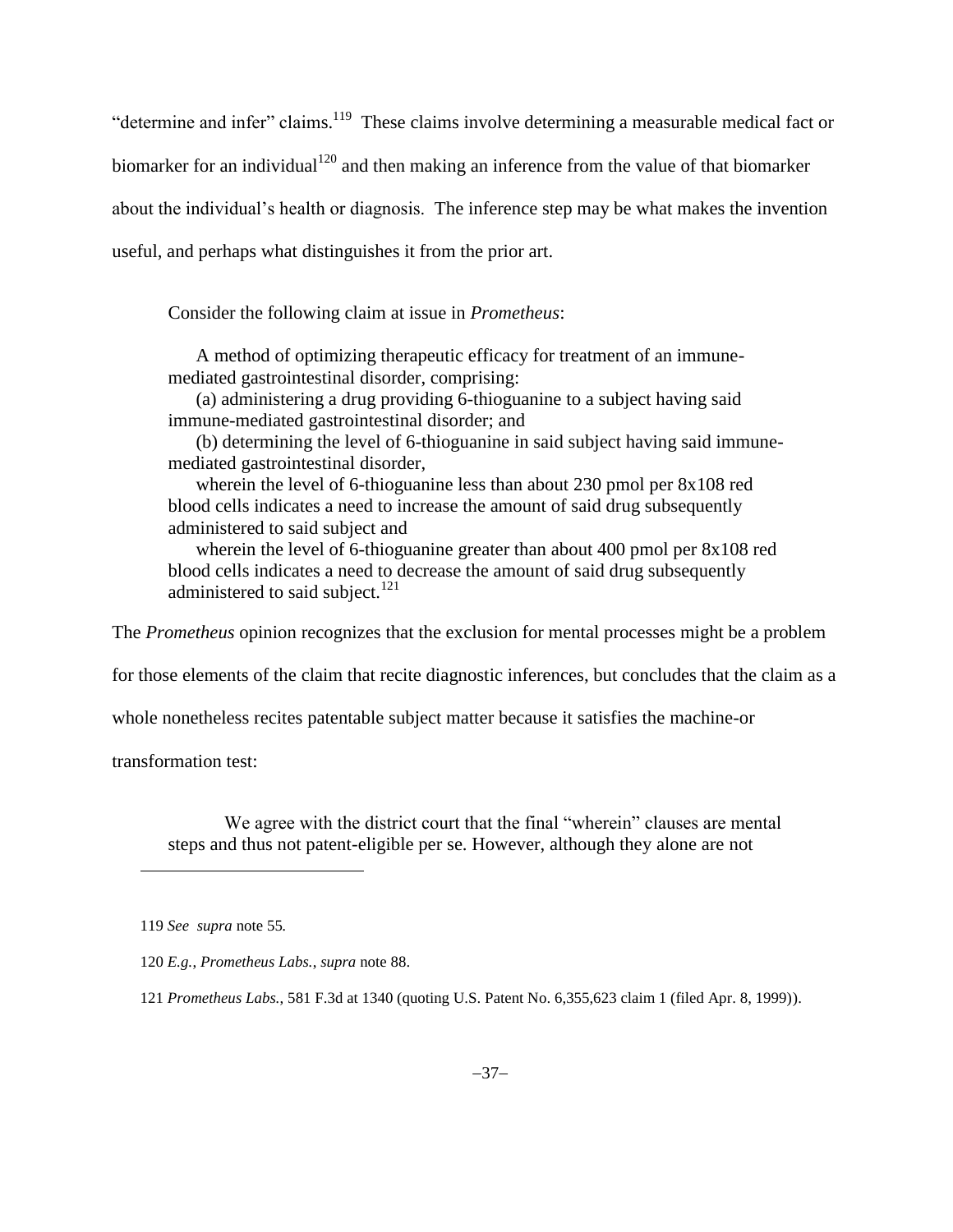"determine and infer" claims.<sup>119</sup> These claims involve determining a measurable medical fact or biomarker for an individual<sup>120</sup> and then making an inference from the value of that biomarker about the individual's health or diagnosis. The inference step may be what makes the invention useful, and perhaps what distinguishes it from the prior art.

Consider the following claim at issue in *Prometheus*:

A method of optimizing therapeutic efficacy for treatment of an immunemediated gastrointestinal disorder, comprising:

(a) administering a drug providing 6-thioguanine to a subject having said immune-mediated gastrointestinal disorder; and

(b) determining the level of 6-thioguanine in said subject having said immunemediated gastrointestinal disorder,

wherein the level of 6-thioguanine less than about 230 pmol per 8x108 red blood cells indicates a need to increase the amount of said drug subsequently administered to said subject and

wherein the level of 6-thioguanine greater than about 400 pmol per 8x108 red blood cells indicates a need to decrease the amount of said drug subsequently administered to said subject. $^{121}$ 

The *Prometheus* opinion recognizes that the exclusion for mental processes might be a problem

for those elements of the claim that recite diagnostic inferences, but concludes that the claim as a

whole nonetheless recites patentable subject matter because it satisfies the machine-or

transformation test:

l

We agree with the district court that the final "wherein" clauses are mental steps and thus not patent-eligible per se. However, although they alone are not

<sup>119</sup> *See supra* not[e 55](#page-16-0)*.*

<sup>120</sup> *E.g.*, *Prometheus Labs.*, *supra* note [88.](#page-25-0)

<sup>121</sup> *Prometheus Labs.*, 581 F.3d at 1340 (quoting U.S. Patent No. 6,355,623 claim 1 (filed Apr. 8, 1999)).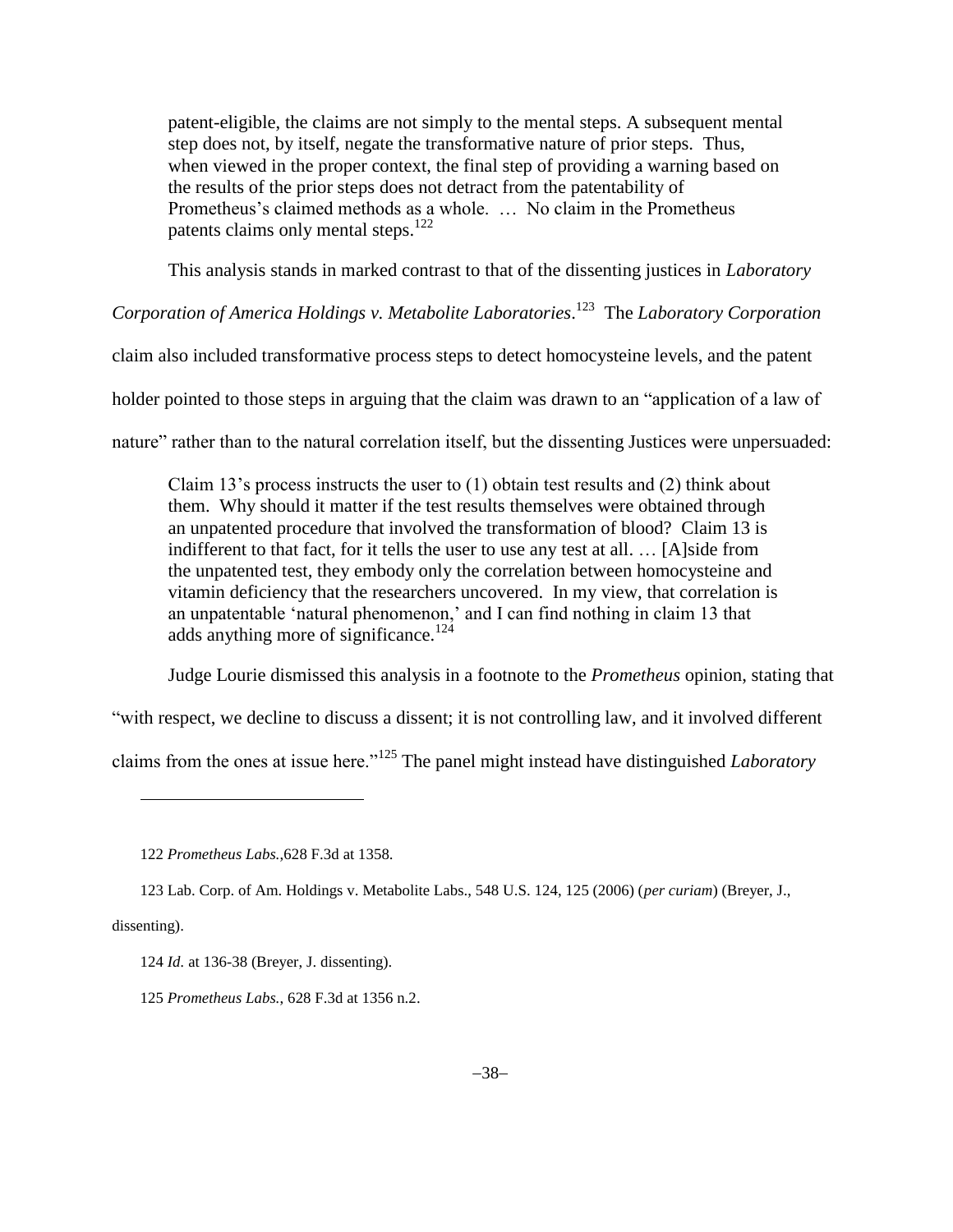patent-eligible, the claims are not simply to the mental steps. A subsequent mental step does not, by itself, negate the transformative nature of prior steps. Thus, when viewed in the proper context, the final step of providing a warning based on the results of the prior steps does not detract from the patentability of Prometheus's claimed methods as a whole. … No claim in the Prometheus patents claims only mental steps.<sup>122</sup>

This analysis stands in marked contrast to that of the dissenting justices in *Laboratory*

*Corporation of America Holdings v. Metabolite Laboratories*. 123 The *Laboratory Corporation*

claim also included transformative process steps to detect homocysteine levels, and the patent

holder pointed to those steps in arguing that the claim was drawn to an "application of a law of

nature" rather than to the natural correlation itself, but the dissenting Justices were unpersuaded:

Claim 13's process instructs the user to (1) obtain test results and (2) think about them. Why should it matter if the test results themselves were obtained through an unpatented procedure that involved the transformation of blood? Claim 13 is indifferent to that fact, for it tells the user to use any test at all. … [A]side from the unpatented test, they embody only the correlation between homocysteine and vitamin deficiency that the researchers uncovered. In my view, that correlation is an unpatentable 'natural phenomenon,' and I can find nothing in claim 13 that adds anything more of significance.<sup>124</sup>

<span id="page-37-0"></span>Judge Lourie dismissed this analysis in a footnote to the *Prometheus* opinion, stating that

"with respect, we decline to discuss a dissent; it is not controlling law, and it involved different

claims from the ones at issue here."<sup>125</sup> The panel might instead have distinguished *Laboratory*

dissenting).

<sup>122</sup> *Prometheus Labs.*,628 F.3d at 1358.

<sup>123</sup> Lab. Corp. of Am. Holdings v. Metabolite Labs., 548 U.S. 124, 125 (2006) (*per curiam*) (Breyer, J.,

<sup>124</sup> *Id.* at 136-38 (Breyer, J. dissenting).

<sup>125</sup> *Prometheus Labs.*, 628 F.3d at 1356 n.2.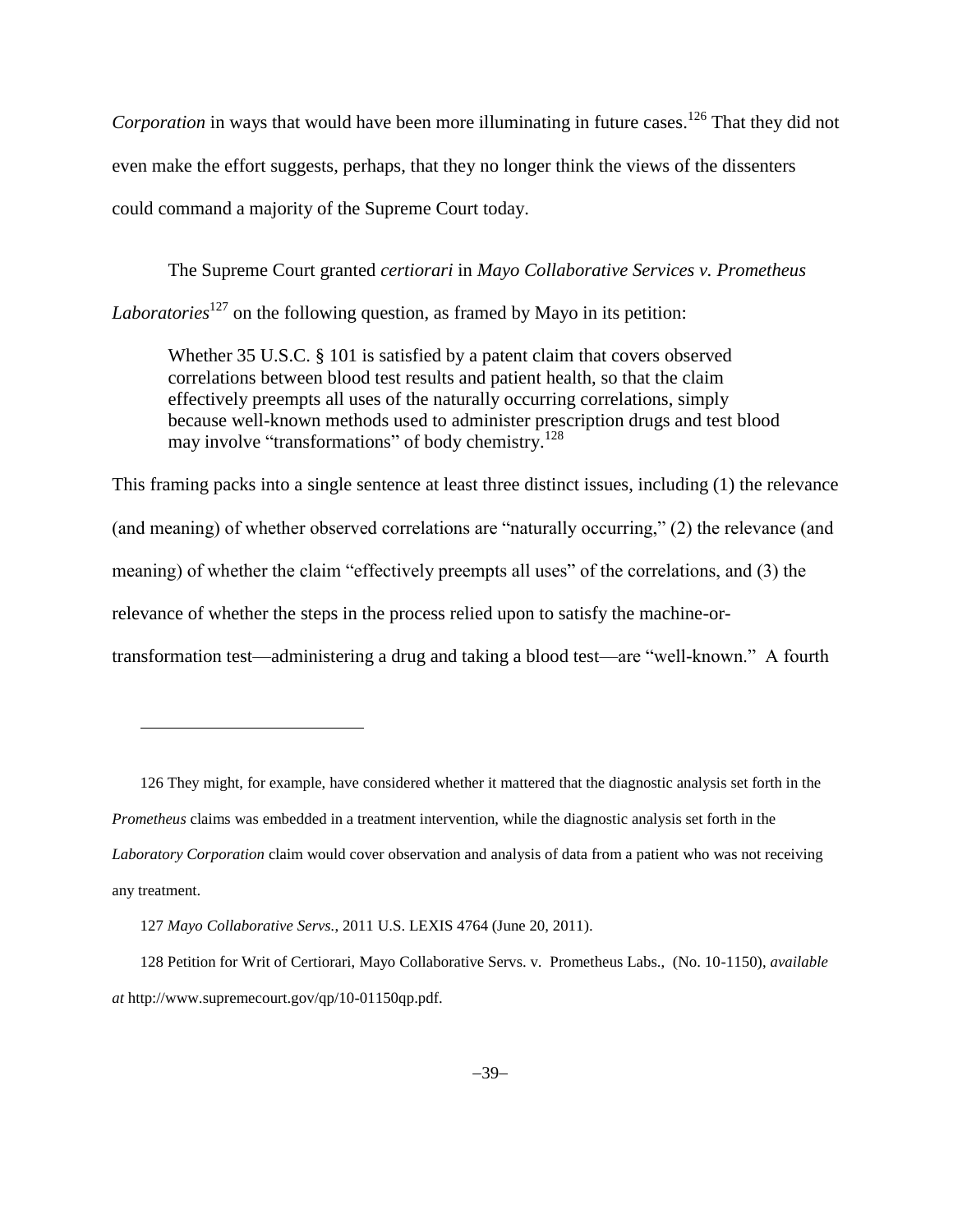Corporation in ways that would have been more illuminating in future cases.<sup>126</sup> That they did not even make the effort suggests, perhaps, that they no longer think the views of the dissenters could command a majority of the Supreme Court today.

The Supreme Court granted *certiorari* in *Mayo Collaborative Services v. Prometheus Laboratories*<sup>127</sup> on the following question, as framed by Mayo in its petition:

Whether 35 U.S.C. § 101 is satisfied by a patent claim that covers observed correlations between blood test results and patient health, so that the claim effectively preempts all uses of the naturally occurring correlations, simply because well-known methods used to administer prescription drugs and test blood may involve "transformations" of body chemistry.<sup>128</sup>

This framing packs into a single sentence at least three distinct issues, including (1) the relevance (and meaning) of whether observed correlations are "naturally occurring," (2) the relevance (and meaning) of whether the claim "effectively preempts all uses" of the correlations, and (3) the relevance of whether the steps in the process relied upon to satisfy the machine-ortransformation test—administering a drug and taking a blood test—are "well-known." A fourth

126 They might, for example, have considered whether it mattered that the diagnostic analysis set forth in the *Prometheus* claims was embedded in a treatment intervention, while the diagnostic analysis set forth in the *Laboratory Corporation* claim would cover observation and analysis of data from a patient who was not receiving any treatment.

127 *Mayo Collaborative Servs.*, 2011 U.S. LEXIS 4764 (June 20, 2011).

 $\overline{\phantom{a}}$ 

128 Petition for Writ of Certiorari, Mayo Collaborative Servs. v. Prometheus Labs., (No. 10-1150), *available at* http://www.supremecourt.gov/qp/10-01150qp.pdf.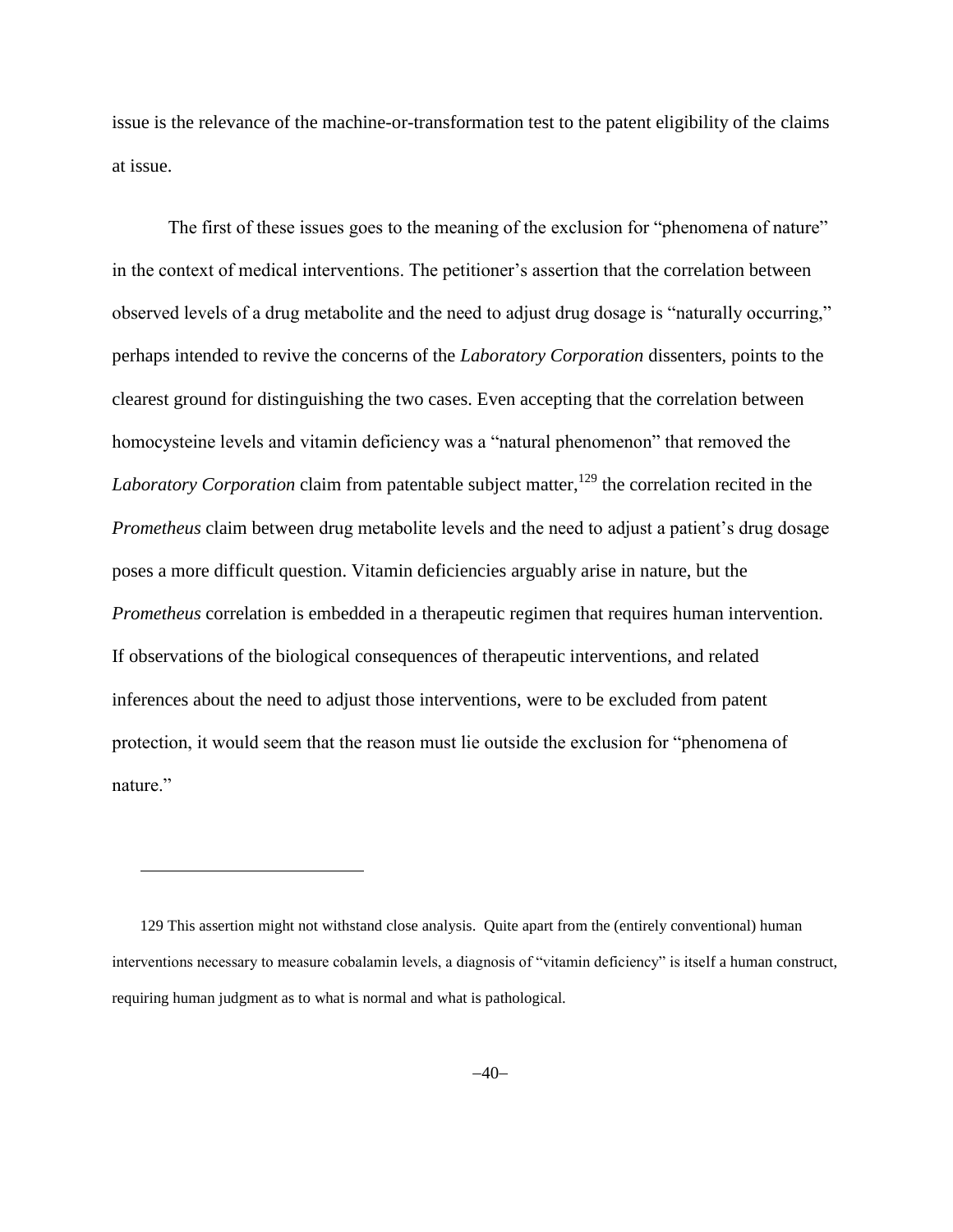issue is the relevance of the machine-or-transformation test to the patent eligibility of the claims at issue.

The first of these issues goes to the meaning of the exclusion for "phenomena of nature" in the context of medical interventions. The petitioner's assertion that the correlation between observed levels of a drug metabolite and the need to adjust drug dosage is "naturally occurring," perhaps intended to revive the concerns of the *Laboratory Corporation* dissenters, points to the clearest ground for distinguishing the two cases. Even accepting that the correlation between homocysteine levels and vitamin deficiency was a "natural phenomenon" that removed the *Laboratory Corporation* claim from patentable subject matter,<sup>129</sup> the correlation recited in the *Prometheus* claim between drug metabolite levels and the need to adjust a patient's drug dosage poses a more difficult question. Vitamin deficiencies arguably arise in nature, but the *Prometheus* correlation is embedded in a therapeutic regimen that requires human intervention. If observations of the biological consequences of therapeutic interventions, and related inferences about the need to adjust those interventions, were to be excluded from patent protection, it would seem that the reason must lie outside the exclusion for "phenomena of nature."

<sup>129</sup> This assertion might not withstand close analysis. Quite apart from the (entirely conventional) human interventions necessary to measure cobalamin levels, a diagnosis of "vitamin deficiency" is itself a human construct, requiring human judgment as to what is normal and what is pathological.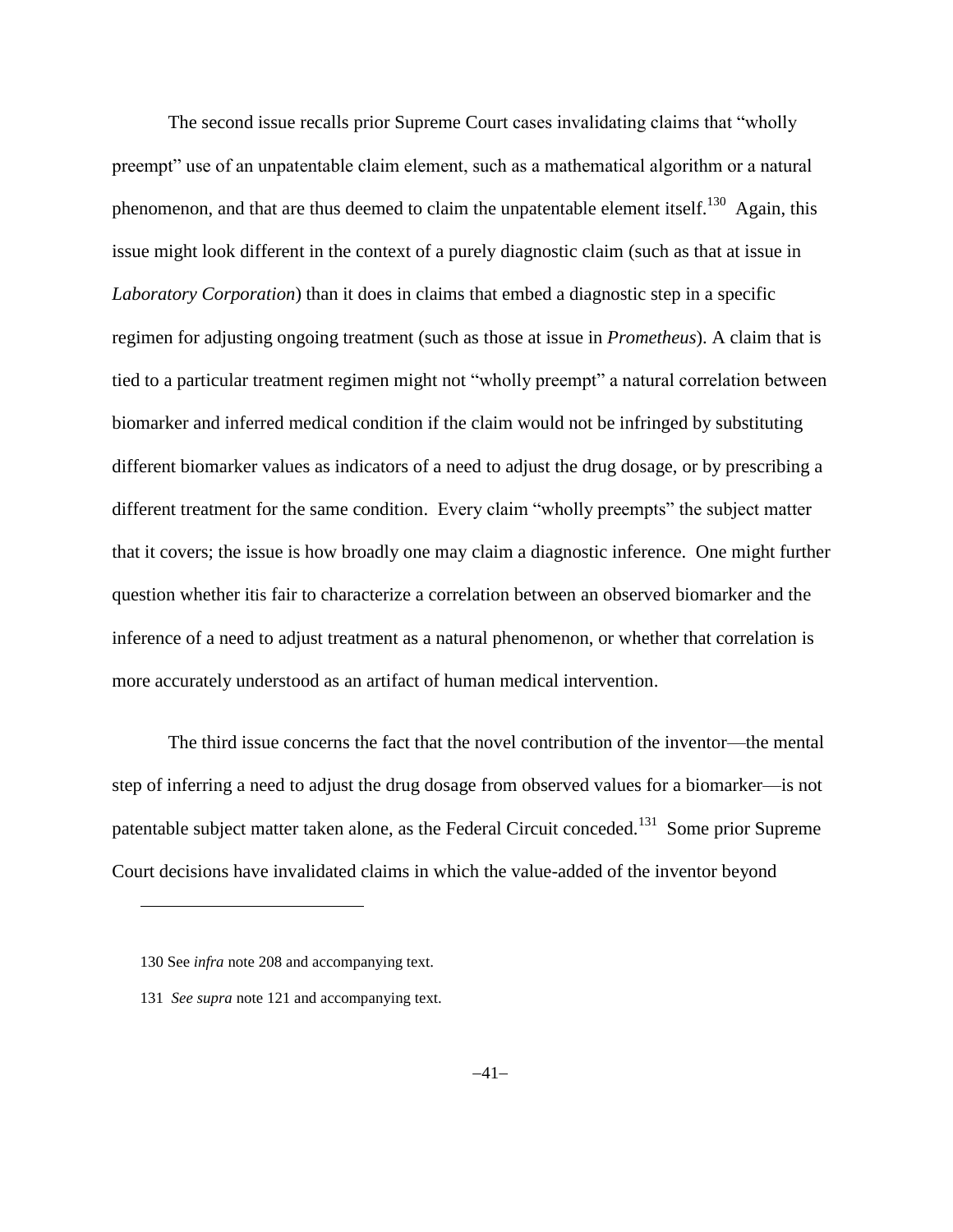The second issue recalls prior Supreme Court cases invalidating claims that "wholly preempt" use of an unpatentable claim element, such as a mathematical algorithm or a natural phenomenon, and that are thus deemed to claim the unpatentable element itself.<sup>130</sup> Again, this issue might look different in the context of a purely diagnostic claim (such as that at issue in *Laboratory Corporation*) than it does in claims that embed a diagnostic step in a specific regimen for adjusting ongoing treatment (such as those at issue in *Prometheus*). A claim that is tied to a particular treatment regimen might not "wholly preempt" a natural correlation between biomarker and inferred medical condition if the claim would not be infringed by substituting different biomarker values as indicators of a need to adjust the drug dosage, or by prescribing a different treatment for the same condition. Every claim "wholly preempts" the subject matter that it covers; the issue is how broadly one may claim a diagnostic inference. One might further question whether itis fair to characterize a correlation between an observed biomarker and the inference of a need to adjust treatment as a natural phenomenon, or whether that correlation is more accurately understood as an artifact of human medical intervention.

The third issue concerns the fact that the novel contribution of the inventor—the mental step of inferring a need to adjust the drug dosage from observed values for a biomarker—is not patentable subject matter taken alone, as the Federal Circuit conceded.<sup>131</sup> Some prior Supreme Court decisions have invalidated claims in which the value-added of the inventor beyond

<sup>130</sup> See *infra* note 208 and accompanying text.

<sup>131</sup> *See supra* note 121 and accompanying text.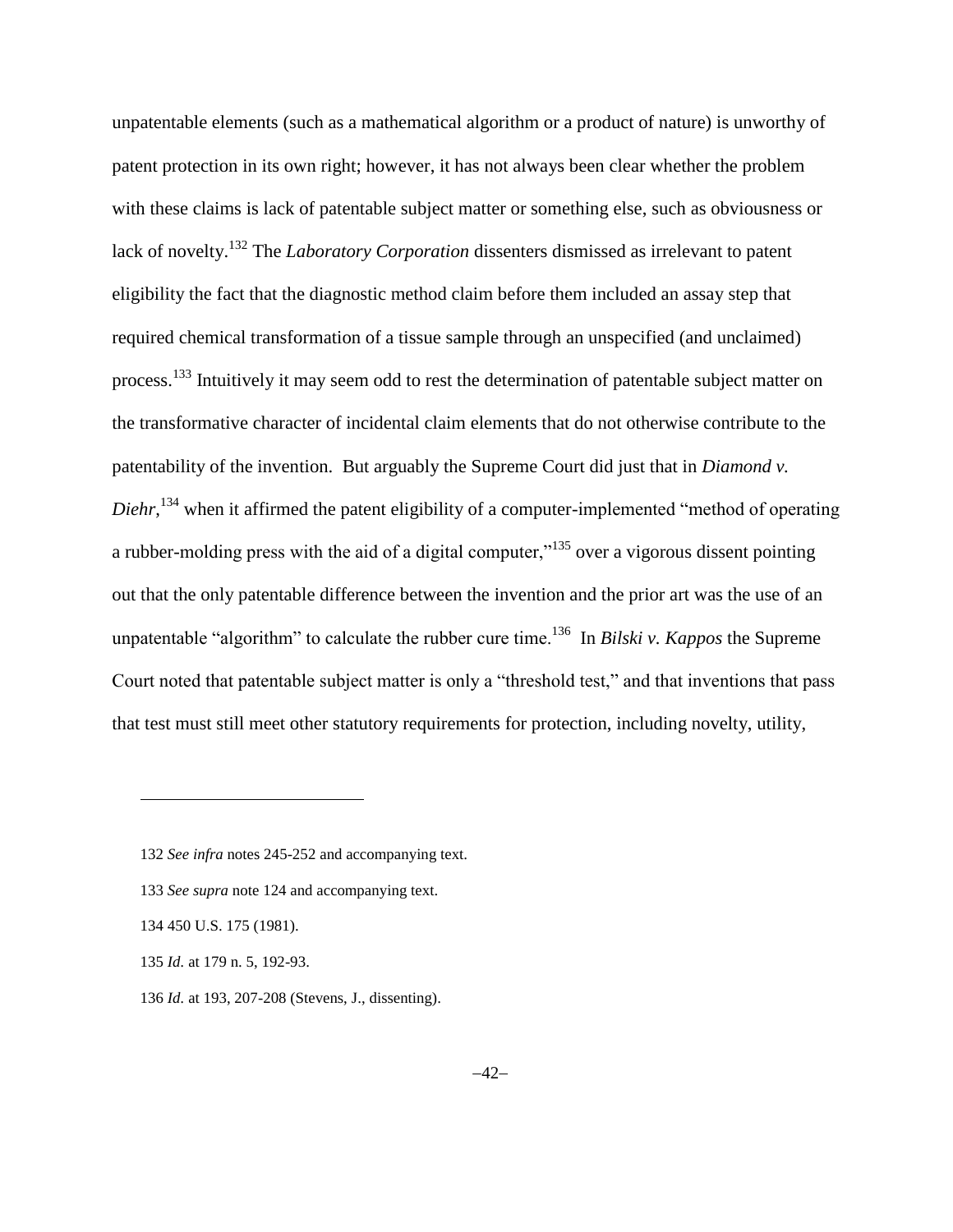unpatentable elements (such as a mathematical algorithm or a product of nature) is unworthy of patent protection in its own right; however, it has not always been clear whether the problem with these claims is lack of patentable subject matter or something else, such as obviousness or lack of novelty.<sup>132</sup> The *Laboratory Corporation* dissenters dismissed as irrelevant to patent eligibility the fact that the diagnostic method claim before them included an assay step that required chemical transformation of a tissue sample through an unspecified (and unclaimed) process.<sup>133</sup> Intuitively it may seem odd to rest the determination of patentable subject matter on the transformative character of incidental claim elements that do not otherwise contribute to the patentability of the invention. But arguably the Supreme Court did just that in *Diamond v.*  Diehr,<sup>134</sup> when it affirmed the patent eligibility of a computer-implemented "method of operating a rubber-molding press with the aid of a digital computer,"<sup>135</sup> over a vigorous dissent pointing out that the only patentable difference between the invention and the prior art was the use of an unpatentable "algorithm" to calculate the rubber cure time.<sup>136</sup> In *Bilski v. Kappos* the Supreme Court noted that patentable subject matter is only a "threshold test," and that inventions that pass that test must still meet other statutory requirements for protection, including novelty, utility,

133 *See supra* note [124](#page-37-0) and accompanying text.

<sup>132</sup> *See infra* note[s 245-](#page-79-0)[252](#page-81-0) and accompanying text.

<sup>134</sup> 450 U.S. 175 (1981).

<sup>135</sup> *Id.* at 179 n. 5, 192-93.

<sup>136</sup> *Id.* at 193, 207-208 (Stevens, J., dissenting).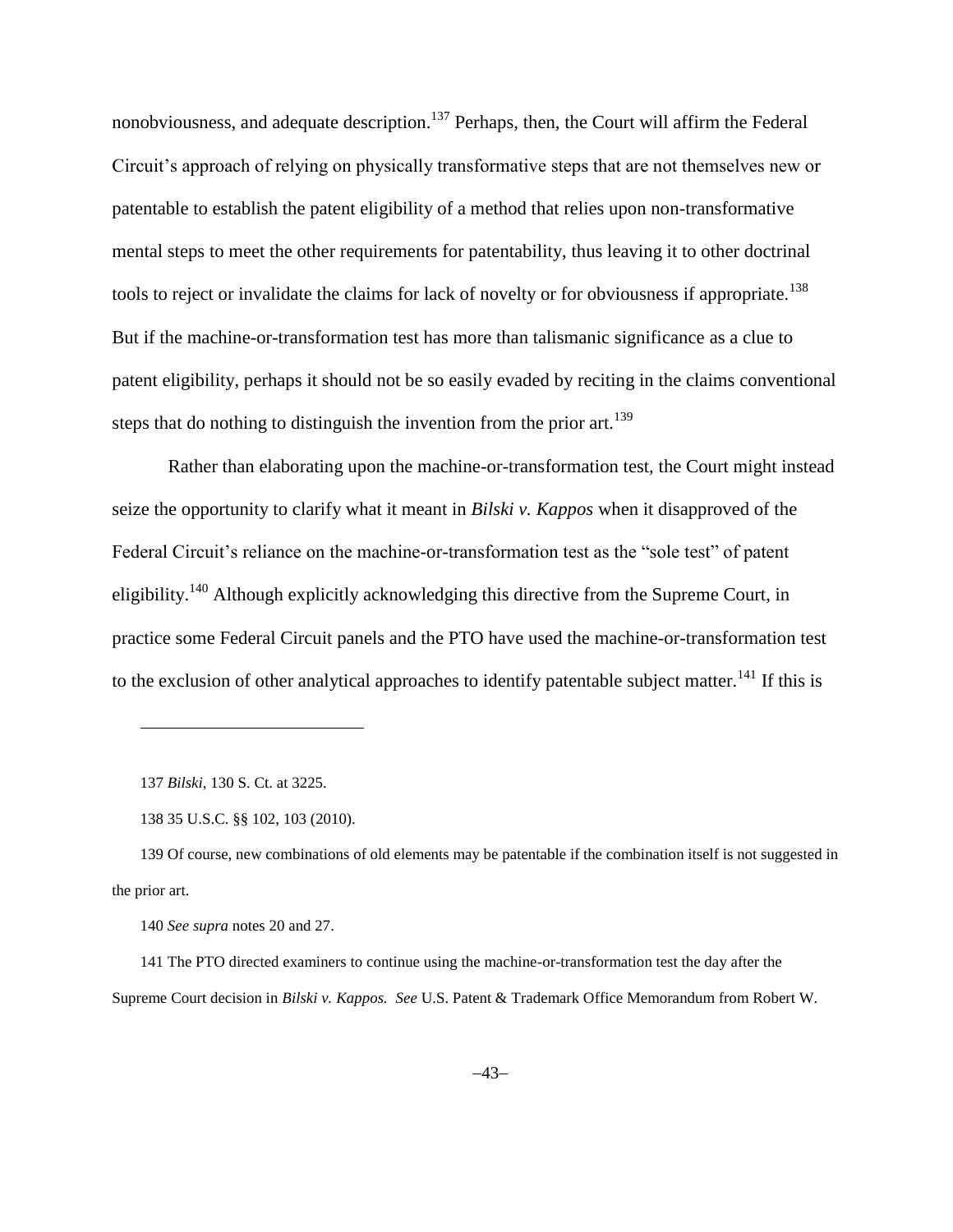nonobviousness, and adequate description.<sup>137</sup> Perhaps, then, the Court will affirm the Federal Circuit's approach of relying on physically transformative steps that are not themselves new or patentable to establish the patent eligibility of a method that relies upon non-transformative mental steps to meet the other requirements for patentability, thus leaving it to other doctrinal tools to reject or invalidate the claims for lack of novelty or for obviousness if appropriate.<sup>138</sup> But if the machine-or-transformation test has more than talismanic significance as a clue to patent eligibility, perhaps it should not be so easily evaded by reciting in the claims conventional steps that do nothing to distinguish the invention from the prior art.<sup>139</sup>

Rather than elaborating upon the machine-or-transformation test, the Court might instead seize the opportunity to clarify what it meant in *Bilski v. Kappos* when it disapproved of the Federal Circuit's reliance on the machine-or-transformation test as the "sole test" of patent eligibility.<sup>140</sup> Although explicitly acknowledging this directive from the Supreme Court, in practice some Federal Circuit panels and the PTO have used the machine-or-transformation test to the exclusion of other analytical approaches to identify patentable subject matter.<sup>141</sup> If this is

137 *Bilski*, 130 S. Ct. at 3225.

 $\overline{\phantom{a}}$ 

<sup>138</sup> 35 U.S.C. §§ 102, 103 (2010).

<sup>139</sup> Of course, new combinations of old elements may be patentable if the combination itself is not suggested in the prior art.

<sup>140</sup> *See supra* notes [20](#page-6-0) and 27.

<sup>141</sup> The PTO directed examiners to continue using the machine-or-transformation test the day after the Supreme Court decision in *Bilski v. Kappos. See* U.S. Patent & Trademark Office Memorandum from Robert W.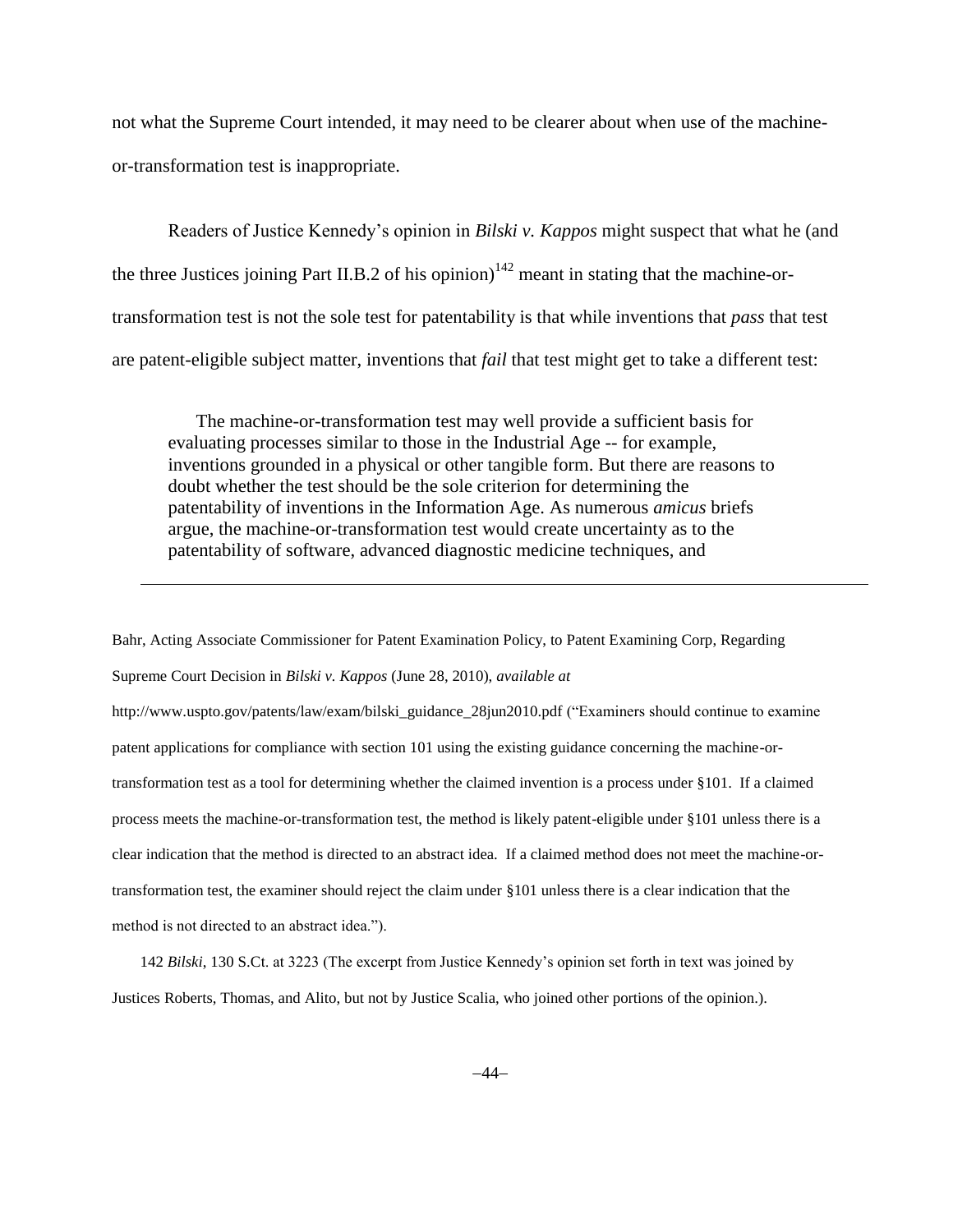not what the Supreme Court intended, it may need to be clearer about when use of the machineor-transformation test is inappropriate.

Readers of Justice Kennedy's opinion in *Bilski v. Kappos* might suspect that what he (and the three Justices joining Part II.B.2 of his opinion)<sup>142</sup> meant in stating that the machine-ortransformation test is not the sole test for patentability is that while inventions that *pass* that test are patent-eligible subject matter, inventions that *fail* that test might get to take a different test:

The machine-or-transformation test may well provide a sufficient basis for evaluating processes similar to those in the Industrial Age -- for example, inventions grounded in a physical or other tangible form. But there are reasons to doubt whether the test should be the sole criterion for determining the patentability of inventions in the Information Age. As numerous *amicus* briefs argue, the machine-or-transformation test would create uncertainty as to the patentability of software, advanced diagnostic medicine techniques, and

l

Bahr, Acting Associate Commissioner for Patent Examination Policy, to Patent Examining Corp, Regarding Supreme Court Decision in *Bilski v. Kappos* (June 28, 2010), *available at*  http://www.uspto.gov/patents/law/exam/bilski\_guidance\_28jun2010.pdf ("Examiners should continue to examine patent applications for compliance with section 101 using the existing guidance concerning the machine-ortransformation test as a tool for determining whether the claimed invention is a process under §101. If a claimed process meets the machine-or-transformation test, the method is likely patent-eligible under §101 unless there is a clear indication that the method is directed to an abstract idea. If a claimed method does not meet the machine-ortransformation test, the examiner should reject the claim under §101 unless there is a clear indication that the method is not directed to an abstract idea.").

142 *Bilski*, 130 S.Ct. at 3223 (The excerpt from Justice Kennedy's opinion set forth in text was joined by Justices Roberts, Thomas, and Alito, but not by Justice Scalia, who joined other portions of the opinion.).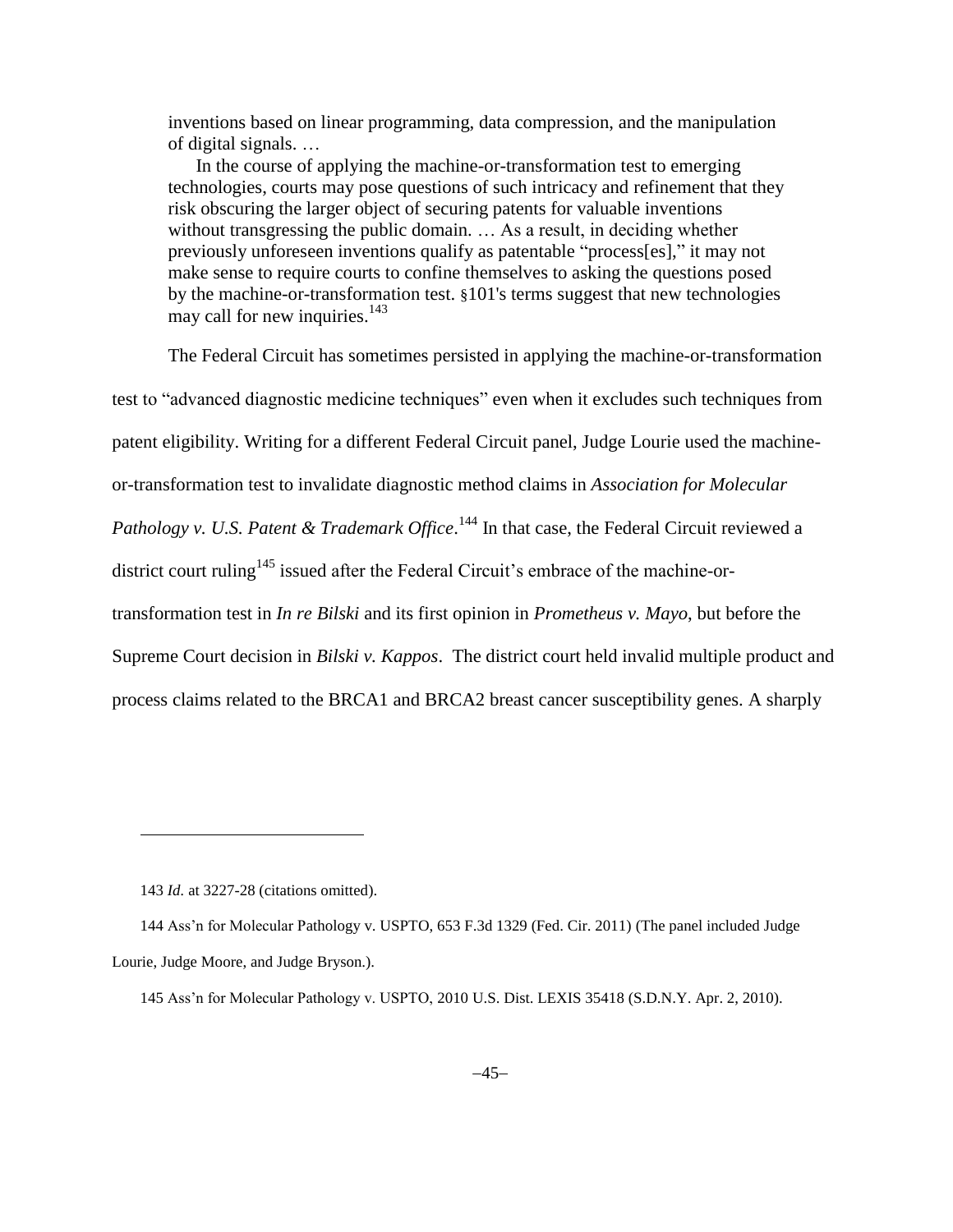inventions based on linear programming, data compression, and the manipulation of digital signals. …

In the course of applying the machine-or-transformation test to emerging technologies, courts may pose questions of such intricacy and refinement that they risk obscuring the larger object of securing patents for valuable inventions without transgressing the public domain. … As a result, in deciding whether previously unforeseen inventions qualify as patentable "process[es]," it may not make sense to require courts to confine themselves to asking the questions posed by the machine-or-transformation test. §101's terms suggest that new technologies may call for new inquiries. $143$ 

The Federal Circuit has sometimes persisted in applying the machine-or-transformation test to "advanced diagnostic medicine techniques" even when it excludes such techniques from patent eligibility. Writing for a different Federal Circuit panel, Judge Lourie used the machineor-transformation test to invalidate diagnostic method claims in *Association for Molecular*  Pathology v. U.S. Patent & Trademark Office.<sup>144</sup> In that case, the Federal Circuit reviewed a district court ruling<sup>145</sup> issued after the Federal Circuit's embrace of the machine-ortransformation test in *In re Bilski* and its first opinion in *Prometheus v. Mayo*, but before the Supreme Court decision in *Bilski v. Kappos*. The district court held invalid multiple product and process claims related to the BRCA1 and BRCA2 breast cancer susceptibility genes. A sharply

 $\overline{a}$ 

<sup>143</sup> *Id.* at 3227-28 (citations omitted).

<sup>144</sup> Ass'n for Molecular Pathology v. USPTO, 653 F.3d 1329 (Fed. Cir. 2011) (The panel included Judge Lourie, Judge Moore, and Judge Bryson.).

<sup>145</sup> Ass'n for Molecular Pathology v. USPTO, 2010 U.S. Dist. LEXIS 35418 (S.D.N.Y. Apr. 2, 2010).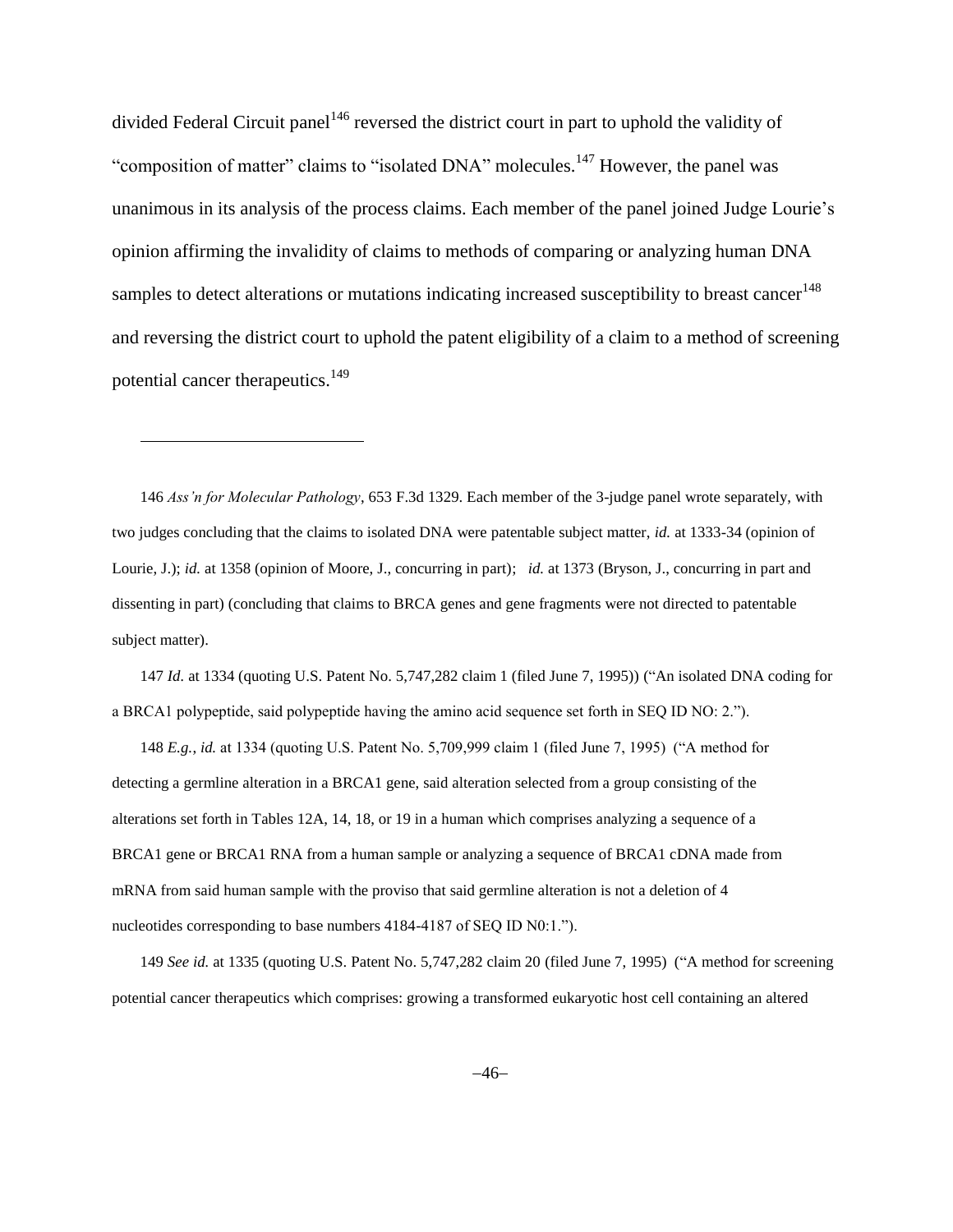divided Federal Circuit panel<sup>146</sup> reversed the district court in part to uphold the validity of "composition of matter" claims to "isolated DNA" molecules.<sup>147</sup> However, the panel was unanimous in its analysis of the process claims. Each member of the panel joined Judge Lourie's opinion affirming the invalidity of claims to methods of comparing or analyzing human DNA samples to detect alterations or mutations indicating increased susceptibility to breast cancer<sup>148</sup> and reversing the district court to uphold the patent eligibility of a claim to a method of screening potential cancer therapeutics.<sup>149</sup>

146 *Ass'n for Molecular Pathology*, 653 F.3d 1329. Each member of the 3-judge panel wrote separately, with two judges concluding that the claims to isolated DNA were patentable subject matter, *id.* at 1333-34 (opinion of Lourie, J.); *id.* at 1358 (opinion of Moore, J., concurring in part); *id.* at 1373 (Bryson, J., concurring in part and dissenting in part) (concluding that claims to BRCA genes and gene fragments were not directed to patentable subject matter).

<span id="page-45-0"></span>l

147 *Id.* at 1334 (quoting U.S. Patent No. 5,747,282 claim 1 (filed June 7, 1995)) ("An isolated DNA coding for a BRCA1 polypeptide, said polypeptide having the amino acid sequence set forth in SEQ ID NO: 2.").

148 *E.g.*, *id.* at 1334 (quoting U.S. Patent No. 5,709,999 claim 1 (filed June 7, 1995) ("A method for detecting a germline alteration in a BRCA1 gene, said alteration selected from a group consisting of the alterations set forth in Tables 12A, 14, 18, or 19 in a human which comprises analyzing a sequence of a BRCA1 gene or BRCA1 RNA from a human sample or analyzing a sequence of BRCA1 cDNA made from mRNA from said human sample with the proviso that said germline alteration is not a deletion of 4 nucleotides corresponding to base numbers 4184-4187 of SEQ ID N0:1.").

149 *See id.* at 1335 (quoting U.S. Patent No. 5,747,282 claim 20 (filed June 7, 1995) ("A method for screening potential cancer therapeutics which comprises: growing a transformed eukaryotic host cell containing an altered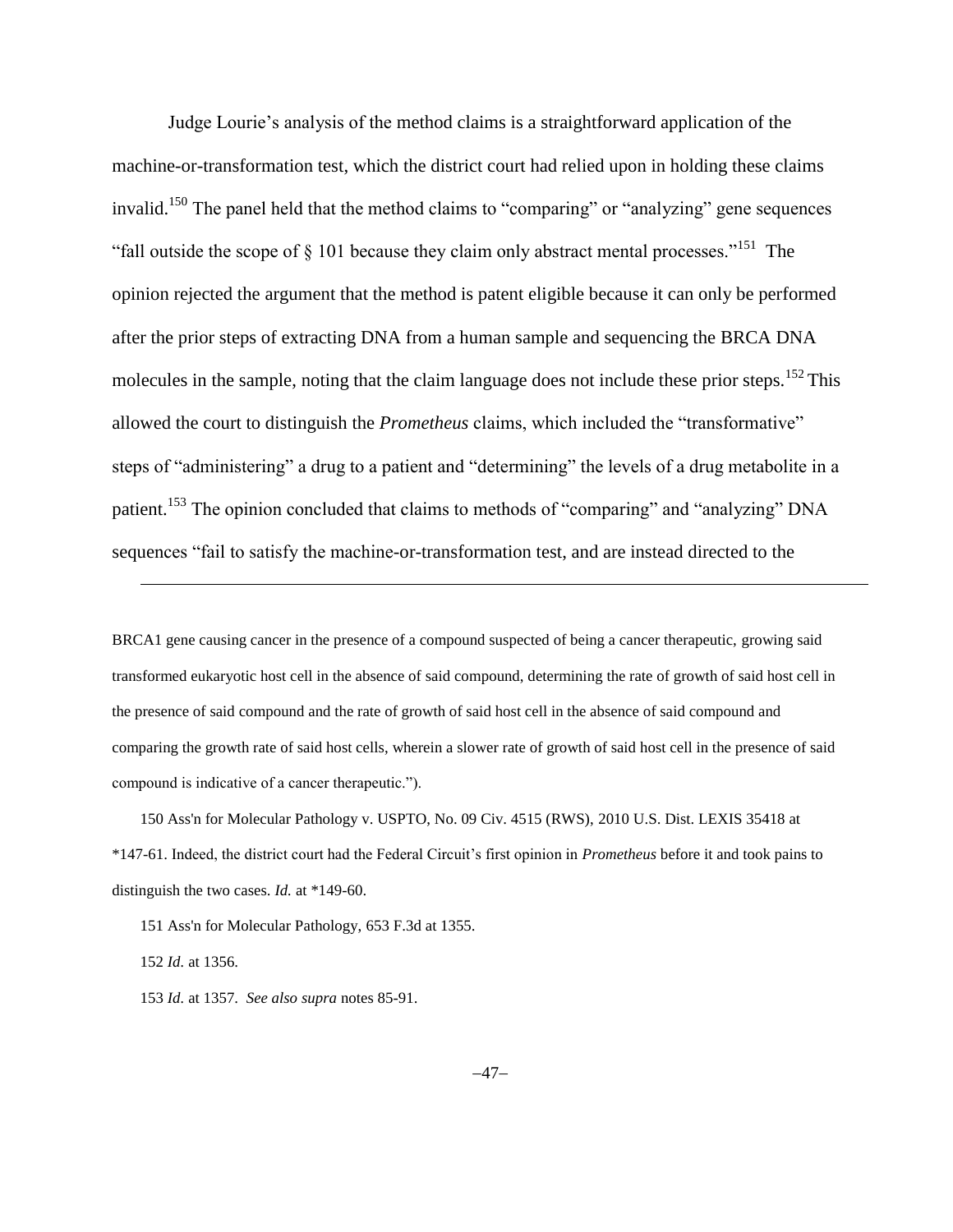Judge Lourie's analysis of the method claims is a straightforward application of the machine-or-transformation test, which the district court had relied upon in holding these claims invalid.<sup>150</sup> The panel held that the method claims to "comparing" or "analyzing" gene sequences "fall outside the scope of  $\S$  101 because they claim only abstract mental processes."<sup>151</sup> The opinion rejected the argument that the method is patent eligible because it can only be performed after the prior steps of extracting DNA from a human sample and sequencing the BRCA DNA molecules in the sample, noting that the claim language does not include these prior steps.<sup>152</sup> This allowed the court to distinguish the *Prometheus* claims, which included the "transformative" steps of "administering" a drug to a patient and "determining" the levels of a drug metabolite in a patient.<sup>153</sup> The opinion concluded that claims to methods of "comparing" and "analyzing" DNA sequences "fail to satisfy the machine-or-transformation test, and are instead directed to the

BRCA1 gene causing cancer in the presence of a compound suspected of being a cancer therapeutic, growing said transformed eukaryotic host cell in the absence of said compound, determining the rate of growth of said host cell in the presence of said compound and the rate of growth of said host cell in the absence of said compound and comparing the growth rate of said host cells, wherein a slower rate of growth of said host cell in the presence of said compound is indicative of a cancer therapeutic.").

150 Ass'n for Molecular Pathology v. USPTO, No. 09 Civ. 4515 (RWS), 2010 U.S. Dist. LEXIS 35418 at \*147-61. Indeed, the district court had the Federal Circuit's first opinion in *Prometheus* before it and took pains to distinguish the two cases. *Id.* at \*149-60.

151 Ass'n for Molecular Pathology, 653 F.3d at 1355.

152 *Id.* at 1356.

l

153 *Id.* at 1357. *See also supra* note[s 85-](#page-25-1)[91.](#page-26-0)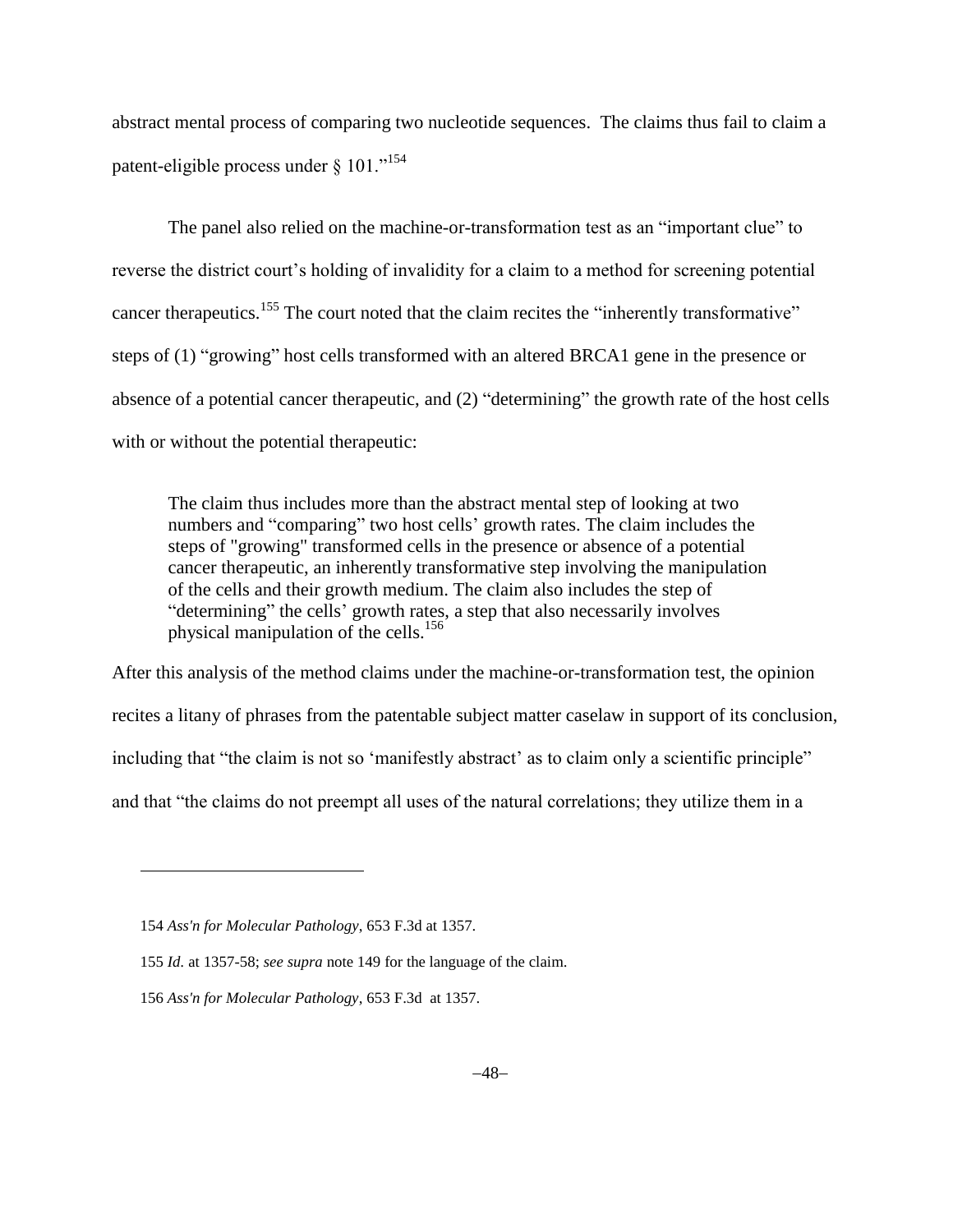abstract mental process of comparing two nucleotide sequences. The claims thus fail to claim a patent-eligible process under § 101."<sup>154</sup>

The panel also relied on the machine-or-transformation test as an "important clue" to reverse the district court's holding of invalidity for a claim to a method for screening potential cancer therapeutics.<sup>155</sup> The court noted that the claim recites the "inherently transformative" steps of (1) "growing" host cells transformed with an altered BRCA1 gene in the presence or absence of a potential cancer therapeutic, and (2) "determining" the growth rate of the host cells with or without the potential therapeutic:

The claim thus includes more than the abstract mental step of looking at two numbers and "comparing" two host cells' growth rates. The claim includes the steps of "growing" transformed cells in the presence or absence of a potential cancer therapeutic, an inherently transformative step involving the manipulation of the cells and their growth medium. The claim also includes the step of "determining" the cells' growth rates, a step that also necessarily involves physical manipulation of the cells.<sup>156</sup>

After this analysis of the method claims under the machine-or-transformation test, the opinion recites a litany of phrases from the patentable subject matter caselaw in support of its conclusion, including that "the claim is not so 'manifestly abstract' as to claim only a scientific principle" and that "the claims do not preempt all uses of the natural correlations; they utilize them in a

<sup>154</sup> *Ass'n for Molecular Pathology*, 653 F.3d at 1357.

<sup>155</sup> *Id.* at 1357-58; *see supra* not[e 149](#page-45-0) for the language of the claim.

<sup>156</sup> *Ass'n for Molecular Pathology*, 653 F.3d at 1357.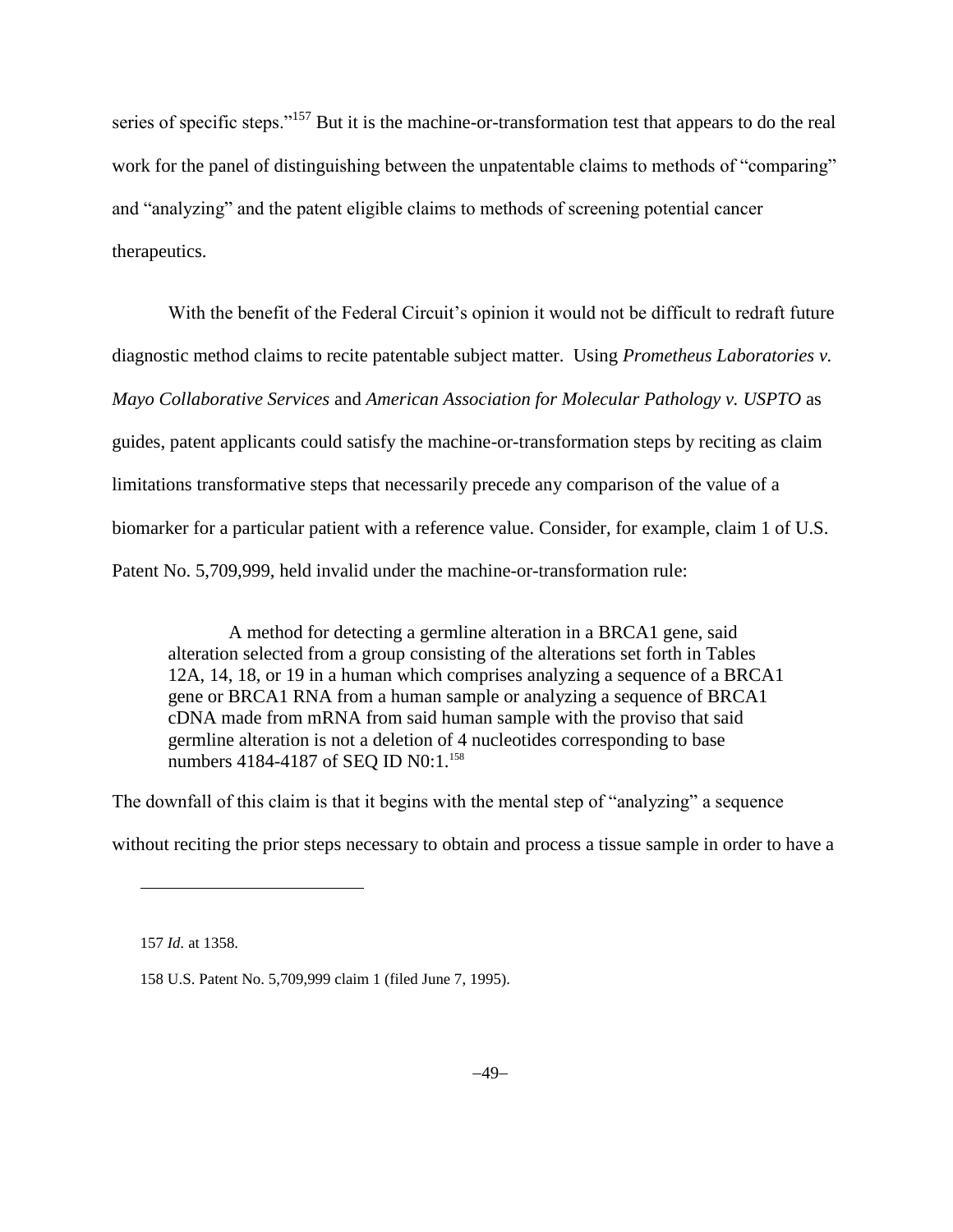series of specific steps."<sup>157</sup> But it is the machine-or-transformation test that appears to do the real work for the panel of distinguishing between the unpatentable claims to methods of "comparing" and "analyzing" and the patent eligible claims to methods of screening potential cancer therapeutics.

With the benefit of the Federal Circuit's opinion it would not be difficult to redraft future diagnostic method claims to recite patentable subject matter. Using *Prometheus Laboratories v. Mayo Collaborative Services* and *American Association for Molecular Pathology v. USPTO* as guides, patent applicants could satisfy the machine-or-transformation steps by reciting as claim limitations transformative steps that necessarily precede any comparison of the value of a biomarker for a particular patient with a reference value. Consider, for example, claim 1 of U.S. Patent No. 5,709,999, held invalid under the machine-or-transformation rule:

A method for detecting a germline alteration in a BRCA1 gene, said alteration selected from a group consisting of the alterations set forth in Tables 12A, 14, 18, or 19 in a human which comprises analyzing a sequence of a BRCA1 gene or BRCA1 RNA from a human sample or analyzing a sequence of BRCA1 cDNA made from mRNA from said human sample with the proviso that said germline alteration is not a deletion of 4 nucleotides corresponding to base numbers 4184-4187 of SEQ ID N0:1.<sup>158</sup>

The downfall of this claim is that it begins with the mental step of "analyzing" a sequence

without reciting the prior steps necessary to obtain and process a tissue sample in order to have a

<sup>157</sup> *Id.* at 1358.

<sup>158</sup> U.S. Patent No. 5,709,999 claim 1 (filed June 7, 1995).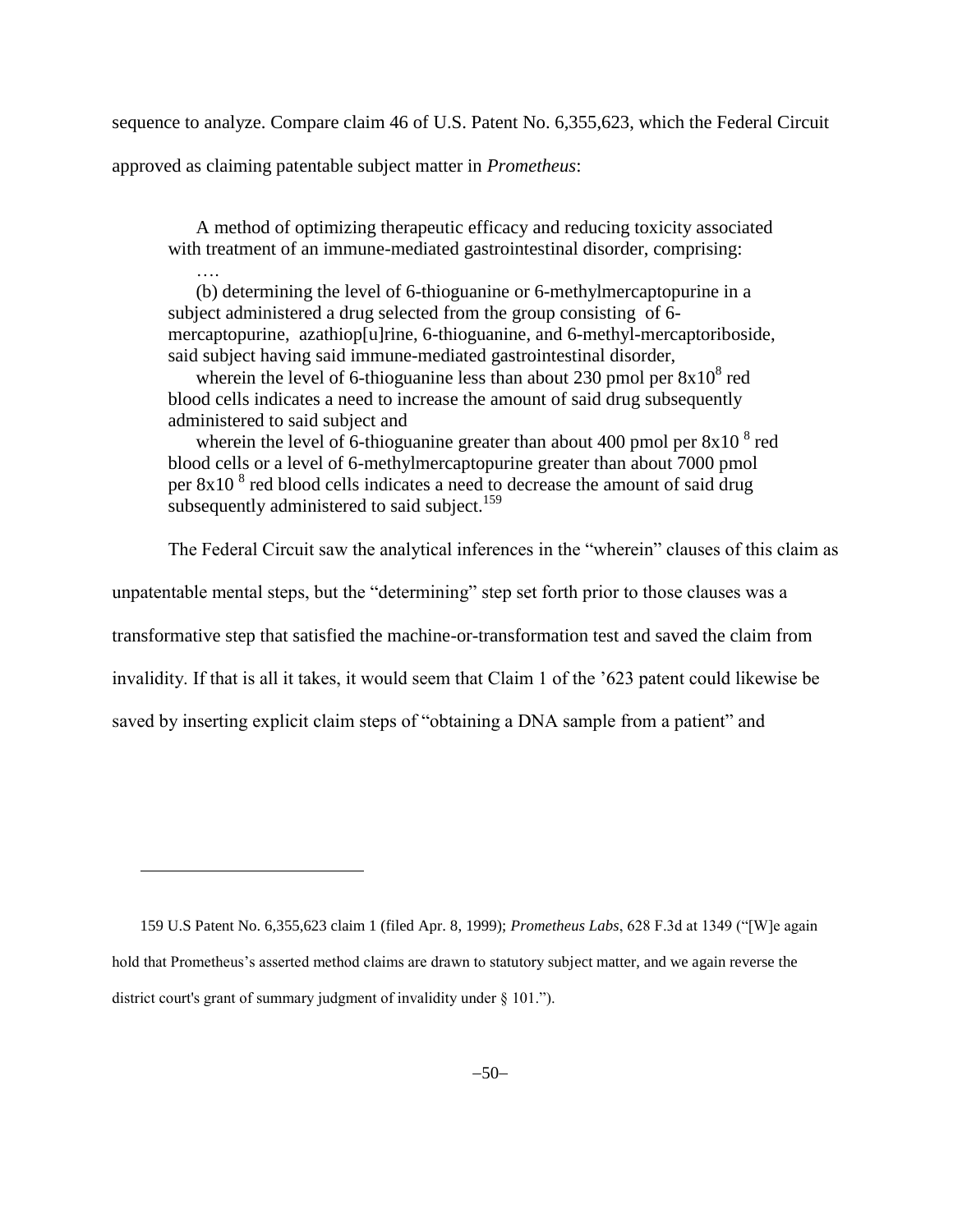sequence to analyze. Compare claim 46 of U.S. Patent No. 6,355,623, which the Federal Circuit

approved as claiming patentable subject matter in *Prometheus*:

A method of optimizing therapeutic efficacy and reducing toxicity associated with treatment of an immune-mediated gastrointestinal disorder, comprising:

(b) determining the level of 6-thioguanine or 6-methylmercaptopurine in a subject administered a drug selected from the group consisting of 6 mercaptopurine, azathiop[u]rine, 6-thioguanine, and 6-methyl-mercaptoriboside, said subject having said immune-mediated gastrointestinal disorder,

wherein the level of 6-thioguanine less than about 230 pmol per  $8x10<sup>8</sup>$  red blood cells indicates a need to increase the amount of said drug subsequently administered to said subject and

wherein the level of 6-thioguanine greater than about 400 pmol per  $8x10^8$  red blood cells or a level of 6-methylmercaptopurine greater than about 7000 pmol per  $8x10<sup>8</sup>$  red blood cells indicates a need to decrease the amount of said drug subsequently administered to said subject.<sup>159</sup>

The Federal Circuit saw the analytical inferences in the "wherein" clauses of this claim as

unpatentable mental steps, but the "determining" step set forth prior to those clauses was a

transformative step that satisfied the machine-or-transformation test and saved the claim from

invalidity. If that is all it takes, it would seem that Claim 1 of the '623 patent could likewise be

saved by inserting explicit claim steps of "obtaining a DNA sample from a patient" and

<sup>159</sup> U.S Patent No. 6,355,623 claim 1 (filed Apr. 8, 1999); *Prometheus Labs*, 628 F.3d at 1349 ("[W]e again hold that Prometheus's asserted method claims are drawn to statutory subject matter, and we again reverse the district court's grant of summary judgment of invalidity under § 101.").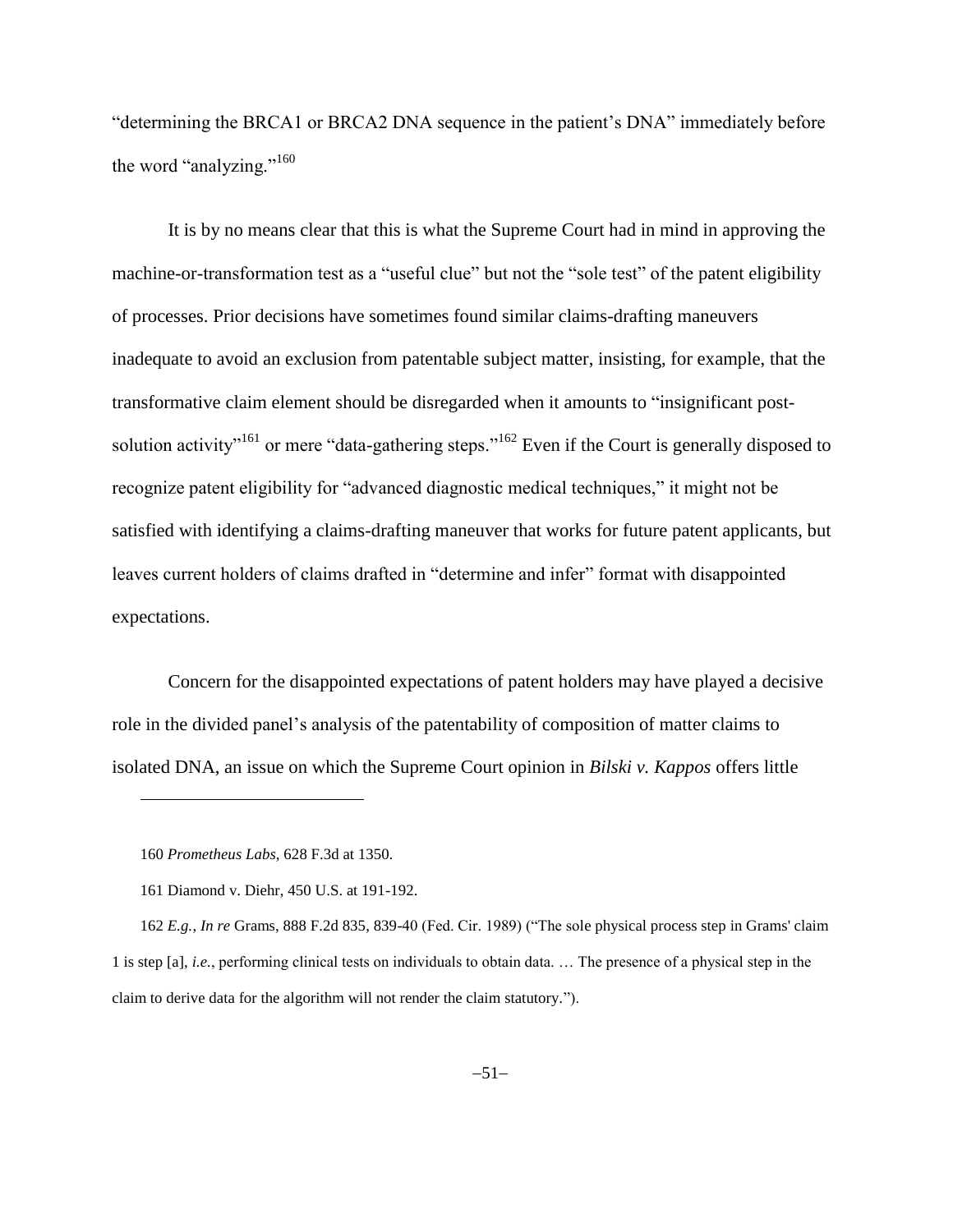"determining the BRCA1 or BRCA2 DNA sequence in the patient's DNA" immediately before the word "analyzing."<sup>160</sup>

It is by no means clear that this is what the Supreme Court had in mind in approving the machine-or-transformation test as a "useful clue" but not the "sole test" of the patent eligibility of processes. Prior decisions have sometimes found similar claims-drafting maneuvers inadequate to avoid an exclusion from patentable subject matter, insisting, for example, that the transformative claim element should be disregarded when it amounts to "insignificant postsolution activity<sup>"161</sup> or mere "data-gathering steps."<sup>162</sup> Even if the Court is generally disposed to recognize patent eligibility for "advanced diagnostic medical techniques," it might not be satisfied with identifying a claims-drafting maneuver that works for future patent applicants, but leaves current holders of claims drafted in "determine and infer" format with disappointed expectations.

Concern for the disappointed expectations of patent holders may have played a decisive role in the divided panel's analysis of the patentability of composition of matter claims to isolated DNA, an issue on which the Supreme Court opinion in *Bilski v. Kappos* offers little

<sup>160</sup> *Prometheus Labs*, 628 F.3d at 1350.

<sup>161</sup> Diamond v. Diehr, 450 U.S. at 191-192.

<sup>162</sup> *E.g.*, *In re* Grams, 888 F.2d 835, 839-40 (Fed. Cir. 1989) ("The sole physical process step in Grams' claim 1 is step [a], *i.e.*, performing clinical tests on individuals to obtain data. … The presence of a physical step in the claim to derive data for the algorithm will not render the claim statutory.").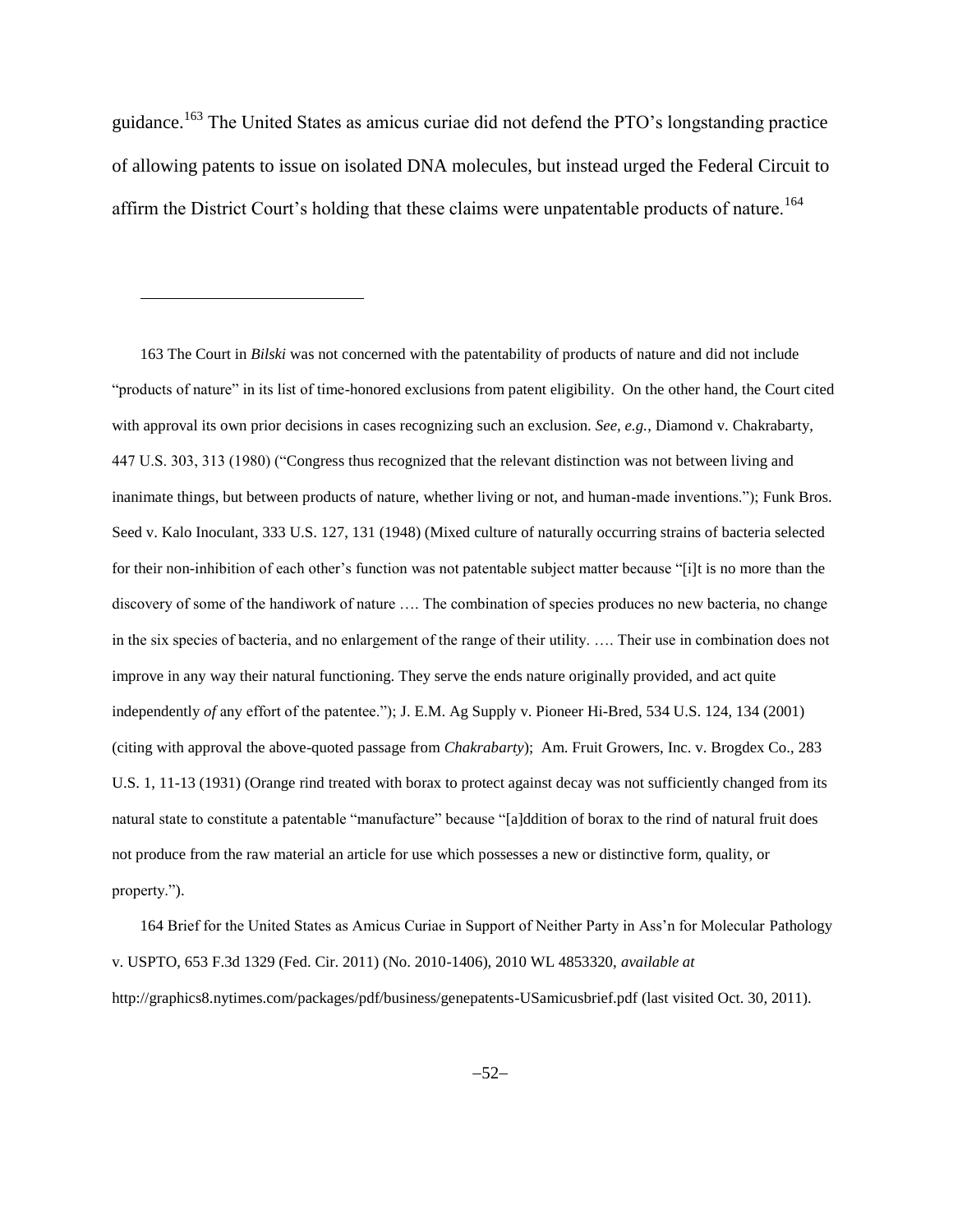guidance.<sup>163</sup> The United States as amicus curiae did not defend the PTO's longstanding practice of allowing patents to issue on isolated DNA molecules, but instead urged the Federal Circuit to affirm the District Court's holding that these claims were unpatentable products of nature.<sup>164</sup>

 $\overline{a}$ 

163 The Court in *Bilski* was not concerned with the patentability of products of nature and did not include "products of nature" in its list of time-honored exclusions from patent eligibility. On the other hand, the Court cited with approval its own prior decisions in cases recognizing such an exclusion. *See, e.g.*, Diamond v. Chakrabarty, 447 U.S. 303, 313 (1980) ("Congress thus recognized that the relevant distinction was not between living and inanimate things, but between products of nature, whether living or not, and human-made inventions."); Funk Bros. Seed v. Kalo Inoculant, 333 U.S. 127, 131 (1948) (Mixed culture of naturally occurring strains of bacteria selected for their non-inhibition of each other's function was not patentable subject matter because "[i]t is no more than the discovery of some of the handiwork of nature …. The combination of species produces no new bacteria, no change in the six species of bacteria, and no enlargement of the range of their utility. …. Their use in combination does not improve in any way their natural functioning. They serve the ends nature originally provided, and act quite independently *of* any effort of the patentee."); J. E.M. Ag Supply v. Pioneer Hi-Bred, 534 U.S. 124, 134 (2001) (citing with approval the above-quoted passage from *Chakrabarty*); Am. Fruit Growers, Inc. v. Brogdex Co., 283 U.S. 1, 11-13 (1931) (Orange rind treated with borax to protect against decay was not sufficiently changed from its natural state to constitute a patentable "manufacture" because "[a]ddition of borax to the rind of natural fruit does not produce from the raw material an article for use which possesses a new or distinctive form, quality, or property.").

164 Brief for the United States as Amicus Curiae in Support of Neither Party in Ass'n for Molecular Pathology v. USPTO, 653 F.3d 1329 (Fed. Cir. 2011) (No. 2010-1406), 2010 WL 4853320, *available at* http://graphics8.nytimes.com/packages/pdf/business/genepatents-USamicusbrief.pdf (last visited Oct. 30, 2011).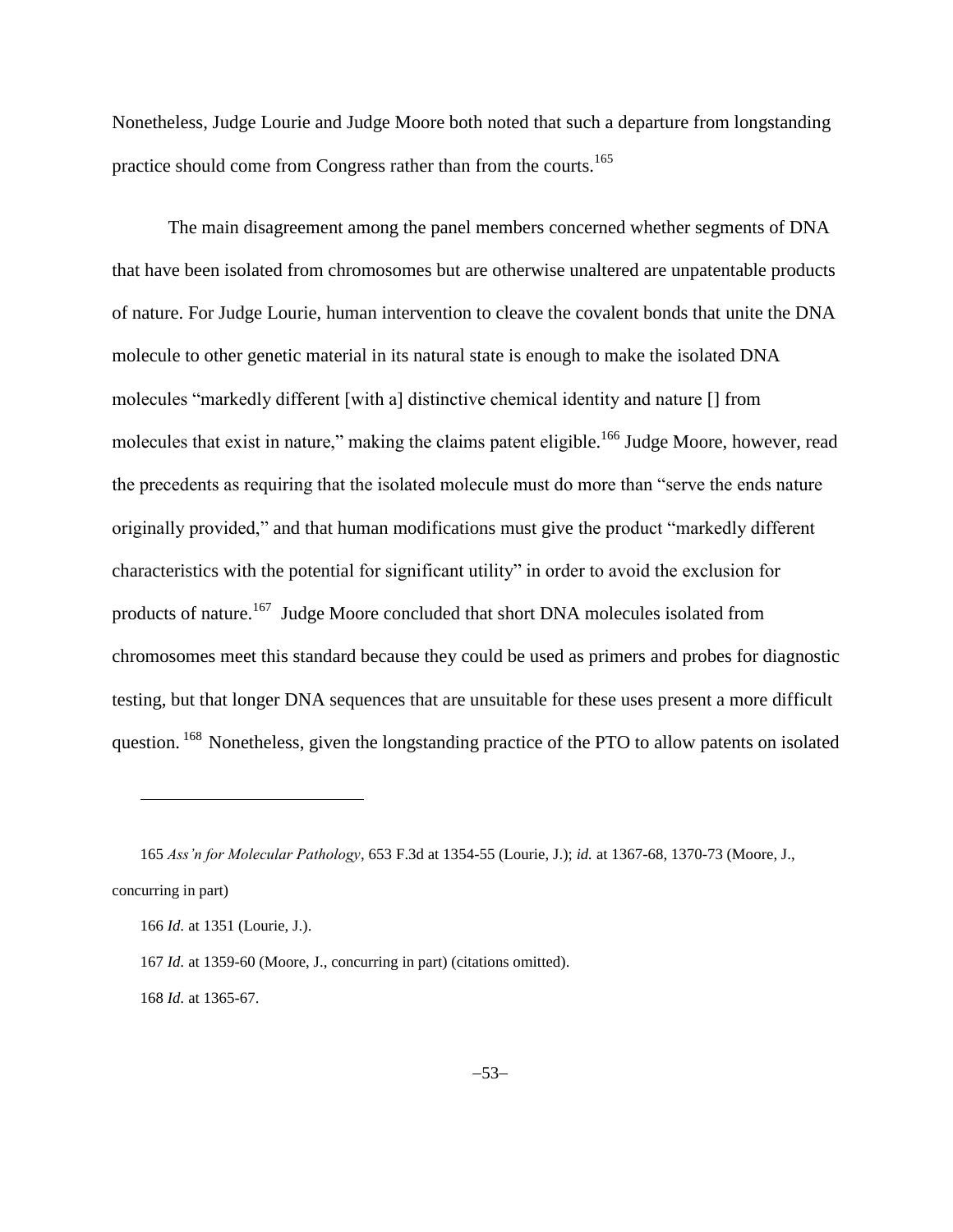Nonetheless, Judge Lourie and Judge Moore both noted that such a departure from longstanding practice should come from Congress rather than from the courts.<sup>165</sup>

The main disagreement among the panel members concerned whether segments of DNA that have been isolated from chromosomes but are otherwise unaltered are unpatentable products of nature. For Judge Lourie, human intervention to cleave the covalent bonds that unite the DNA molecule to other genetic material in its natural state is enough to make the isolated DNA molecules "markedly different [with a] distinctive chemical identity and nature [] from molecules that exist in nature," making the claims patent eligible.<sup>166</sup> Judge Moore, however, read the precedents as requiring that the isolated molecule must do more than "serve the ends nature originally provided," and that human modifications must give the product "markedly different characteristics with the potential for significant utility" in order to avoid the exclusion for products of nature.<sup>167</sup> Judge Moore concluded that short DNA molecules isolated from chromosomes meet this standard because they could be used as primers and probes for diagnostic testing, but that longer DNA sequences that are unsuitable for these uses present a more difficult question. <sup>168</sup> Nonetheless, given the longstanding practice of the PTO to allow patents on isolated

<sup>165</sup> *Ass'n for Molecular Pathology*, 653 F.3d at 1354-55 (Lourie, J.); *id.* at 1367-68, 1370-73 (Moore, J., concurring in part)

<sup>166</sup> *Id.* at 1351 (Lourie, J.).

<sup>167</sup> *Id.* at 1359-60 (Moore, J., concurring in part) (citations omitted).

<sup>168</sup> *Id.* at 1365-67.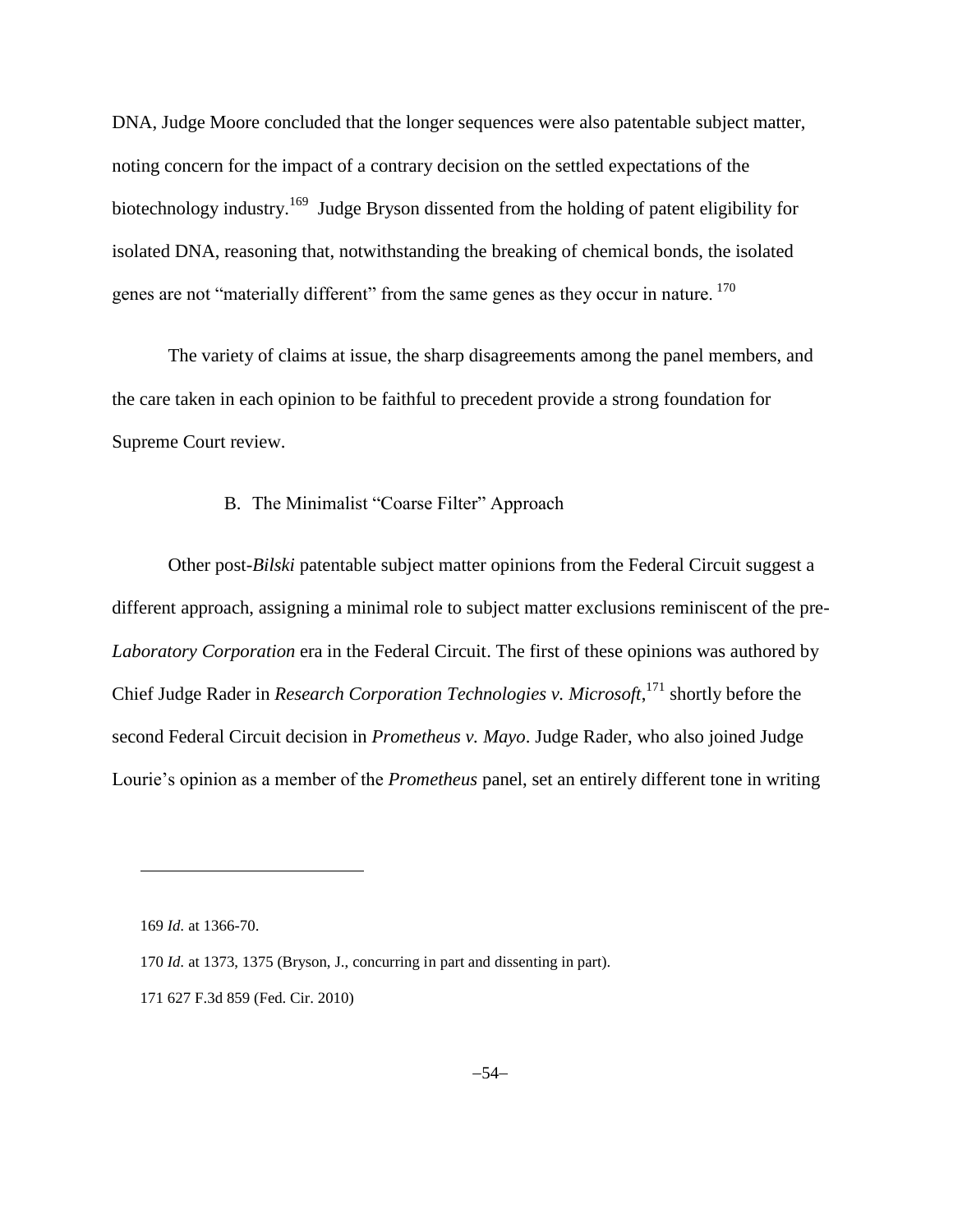DNA, Judge Moore concluded that the longer sequences were also patentable subject matter, noting concern for the impact of a contrary decision on the settled expectations of the biotechnology industry.<sup>169</sup> Judge Bryson dissented from the holding of patent eligibility for isolated DNA, reasoning that, notwithstanding the breaking of chemical bonds, the isolated genes are not "materially different" from the same genes as they occur in nature. <sup>170</sup>

The variety of claims at issue, the sharp disagreements among the panel members, and the care taken in each opinion to be faithful to precedent provide a strong foundation for Supreme Court review.

## B. The Minimalist "Coarse Filter" Approach

Other post-*Bilski* patentable subject matter opinions from the Federal Circuit suggest a different approach, assigning a minimal role to subject matter exclusions reminiscent of the pre-*Laboratory Corporation* era in the Federal Circuit. The first of these opinions was authored by Chief Judge Rader in *Research Corporation Technologies v. Microsoft*, <sup>171</sup> shortly before the second Federal Circuit decision in *Prometheus v. Mayo*. Judge Rader, who also joined Judge Lourie's opinion as a member of the *Prometheus* panel, set an entirely different tone in writing

<sup>169</sup> *Id.* at 1366-70.

<sup>170</sup> *Id.* at 1373, 1375 (Bryson, J., concurring in part and dissenting in part).

<sup>171</sup> 627 F.3d 859 (Fed. Cir. 2010)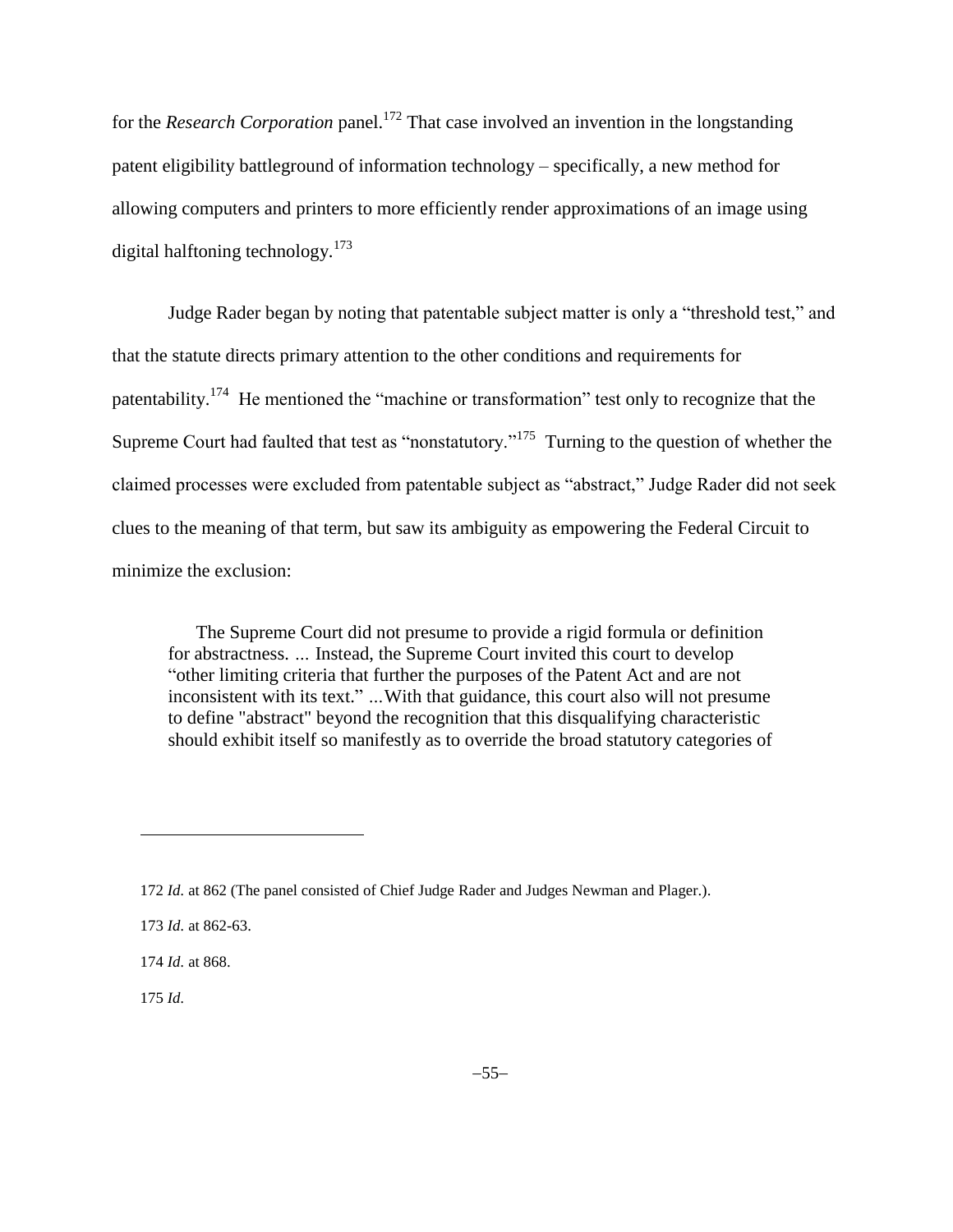for the *Research Corporation* panel.<sup>172</sup> That case involved an invention in the longstanding patent eligibility battleground of information technology – specifically, a new method for allowing computers and printers to more efficiently render approximations of an image using digital halftoning technology.<sup>173</sup>

Judge Rader began by noting that patentable subject matter is only a "threshold test," and that the statute directs primary attention to the other conditions and requirements for patentability.<sup>174</sup> He mentioned the "machine or transformation" test only to recognize that the Supreme Court had faulted that test as "nonstatutory."<sup>175</sup> Turning to the question of whether the claimed processes were excluded from patentable subject as "abstract," Judge Rader did not seek clues to the meaning of that term, but saw its ambiguity as empowering the Federal Circuit to minimize the exclusion:

The Supreme Court did not presume to provide a rigid formula or definition for abstractness. *…* Instead, the Supreme Court invited this court to develop "other limiting criteria that further the purposes of the Patent Act and are not inconsistent with its text." *…*With that guidance, this court also will not presume to define "abstract" beyond the recognition that this disqualifying characteristic should exhibit itself so manifestly as to override the broad statutory categories of

175 *Id.*

 $\overline{a}$ 

<sup>172</sup> *Id.* at 862 (The panel consisted of Chief Judge Rader and Judges Newman and Plager.).

<sup>173</sup> *Id.* at 862-63.

<sup>174</sup> *Id.* at 868.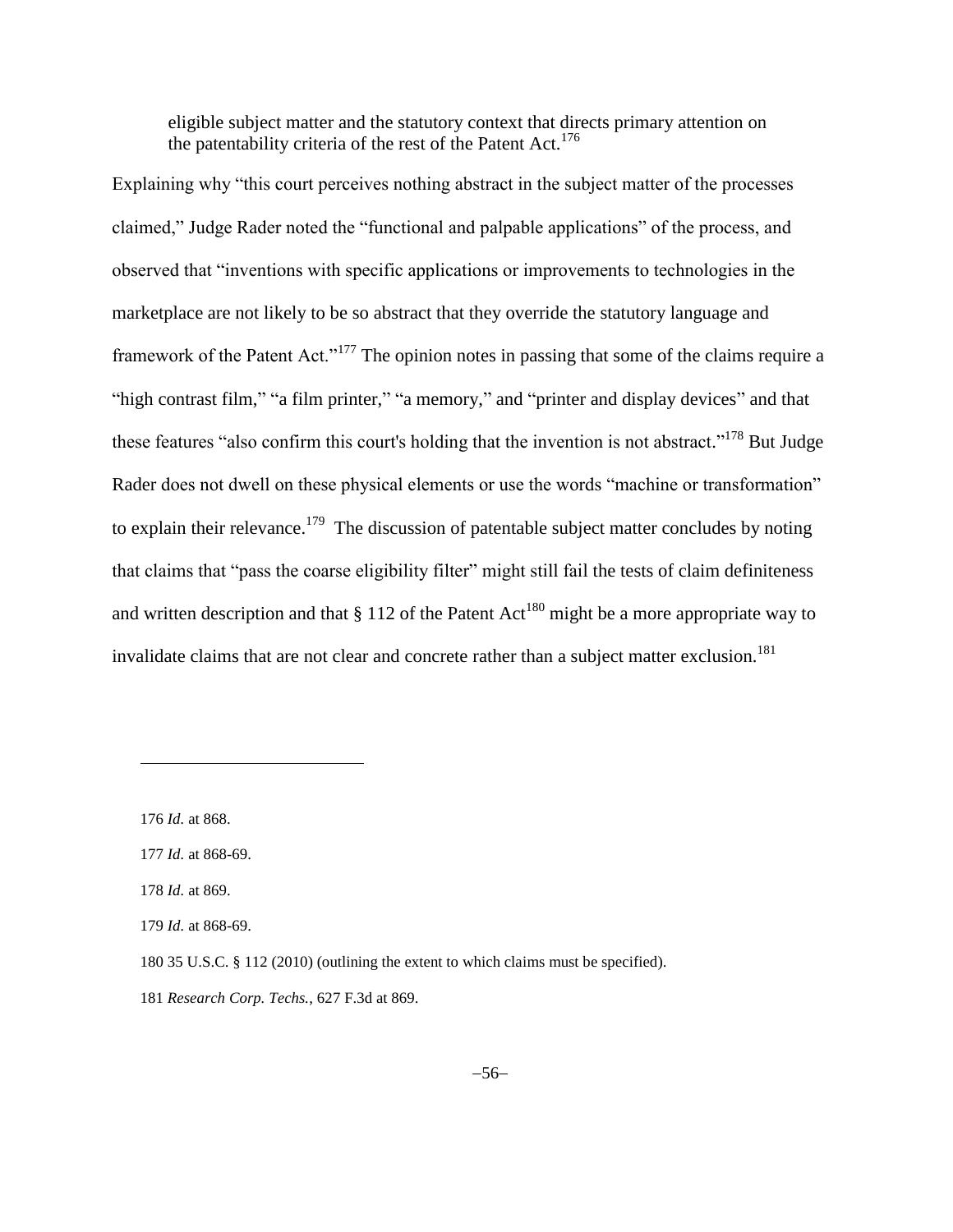eligible subject matter and the statutory context that directs primary attention on the patentability criteria of the rest of the Patent Act.<sup>176</sup>

Explaining why "this court perceives nothing abstract in the subject matter of the processes claimed," Judge Rader noted the "functional and palpable applications" of the process, and observed that "inventions with specific applications or improvements to technologies in the marketplace are not likely to be so abstract that they override the statutory language and framework of the Patent Act."<sup>177</sup> The opinion notes in passing that some of the claims require a "high contrast film," "a film printer," "a memory," and "printer and display devices" and that these features "also confirm this court's holding that the invention is not abstract."<sup>178</sup> But Judge Rader does not dwell on these physical elements or use the words "machine or transformation" to explain their relevance.<sup>179</sup> The discussion of patentable subject matter concludes by noting that claims that "pass the coarse eligibility filter" might still fail the tests of claim definiteness and written description and that  $\S 112$  of the Patent Act<sup>180</sup> might be a more appropriate way to invalidate claims that are not clear and concrete rather than a subject matter exclusion.<sup>181</sup>

176 *Id.* at 868.

l

178 *Id.* at 869.

<sup>177</sup> *Id.* at 868-69.

<sup>179</sup> *Id.* at 868-69.

<sup>180</sup> 35 U.S.C. § 112 (2010) (outlining the extent to which claims must be specified).

<sup>181</sup> *Research Corp. Techs.*, 627 F.3d at 869.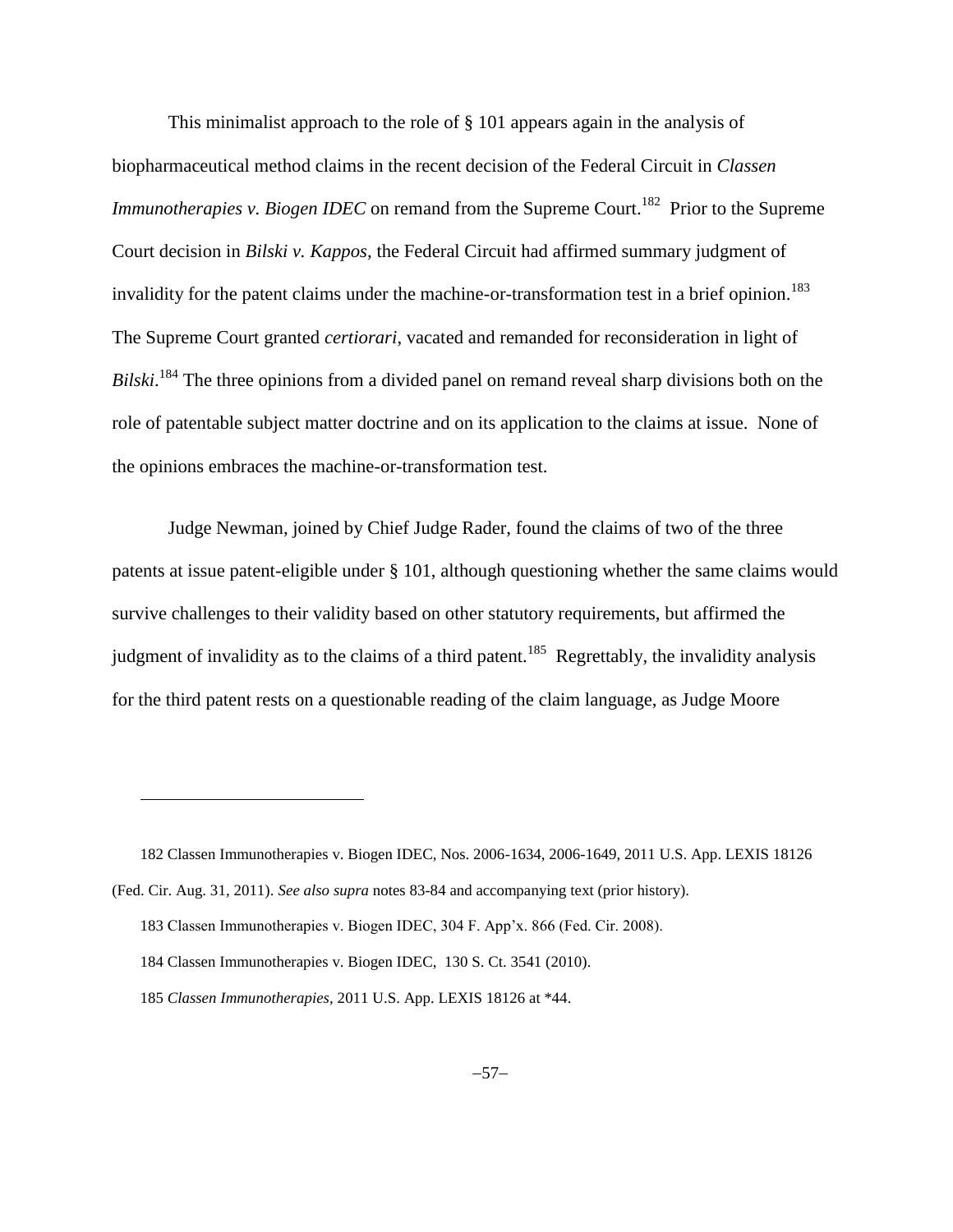This minimalist approach to the role of § 101 appears again in the analysis of biopharmaceutical method claims in the recent decision of the Federal Circuit in *Classen Immunotherapies v. Biogen IDEC* on remand from the Supreme Court.<sup>182</sup> Prior to the Supreme Court decision in *Bilski v. Kappos*, the Federal Circuit had affirmed summary judgment of invalidity for the patent claims under the machine-or-transformation test in a brief opinion.<sup>183</sup> The Supreme Court granted *certiorari*, vacated and remanded for reconsideration in light of *Bilski*. <sup>184</sup> The three opinions from a divided panel on remand reveal sharp divisions both on the role of patentable subject matter doctrine and on its application to the claims at issue. None of the opinions embraces the machine-or-transformation test.

Judge Newman, joined by Chief Judge Rader, found the claims of two of the three patents at issue patent-eligible under § 101, although questioning whether the same claims would survive challenges to their validity based on other statutory requirements, but affirmed the judgment of invalidity as to the claims of a third patent.<sup>185</sup> Regrettably, the invalidity analysis for the third patent rests on a questionable reading of the claim language, as Judge Moore

<sup>182</sup> Classen Immunotherapies v. Biogen IDEC, Nos. 2006-1634, 2006-1649, 2011 U.S. App. LEXIS 18126

<sup>(</sup>Fed. Cir. Aug. 31, 2011). *See also supra* notes [83](#page-24-0)[-84](#page-24-1) and accompanying text (prior history).

<sup>183</sup> Classen Immunotherapies v. Biogen IDEC, 304 F. App'x. 866 (Fed. Cir. 2008).

<sup>184</sup> Classen Immunotherapies v. Biogen IDEC, 130 S. Ct. 3541 (2010).

<sup>185</sup> *Classen Immunotherapies*, 2011 U.S. App. LEXIS 18126 at \*44.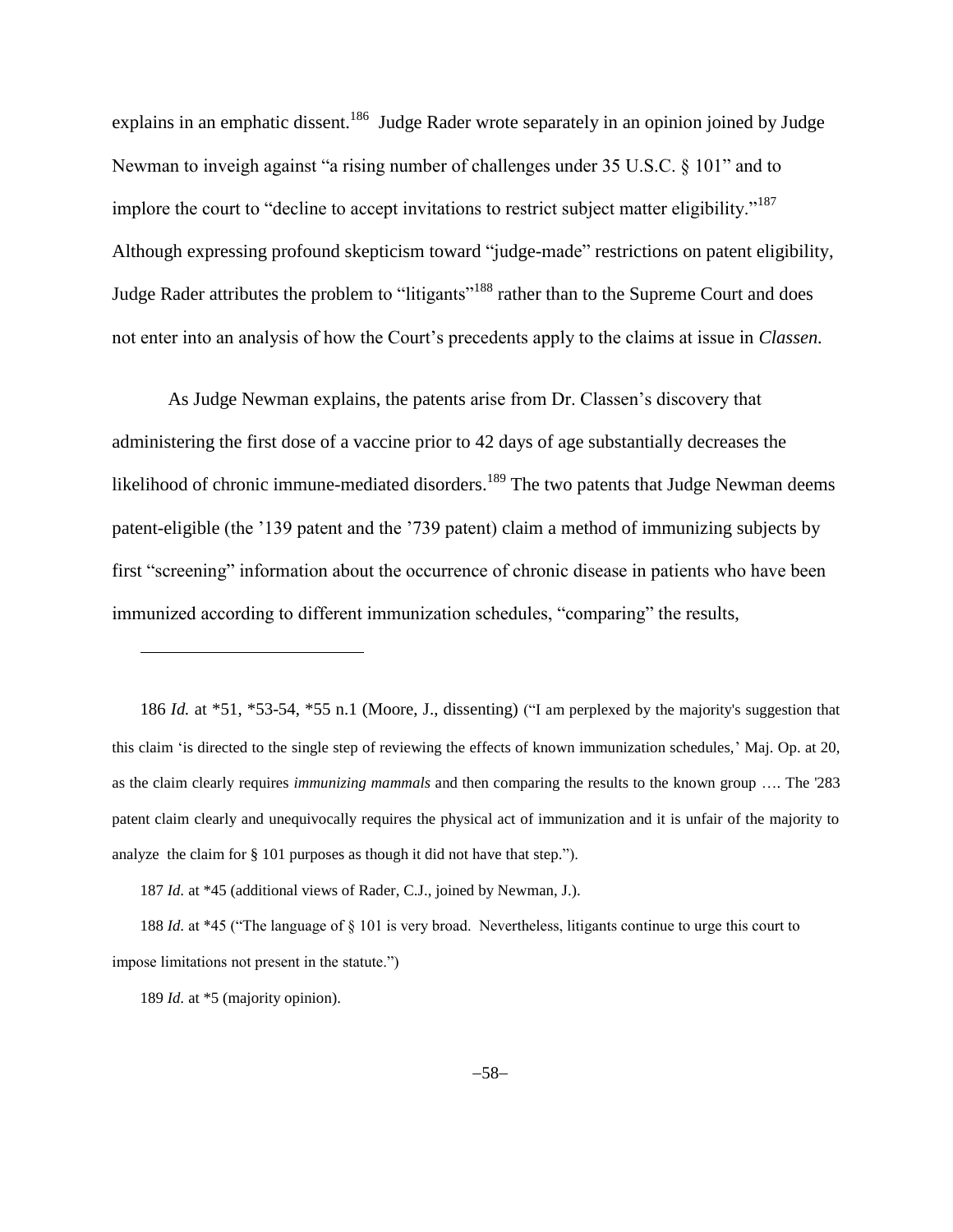explains in an emphatic dissent.<sup>186</sup> Judge Rader wrote separately in an opinion joined by Judge Newman to inveigh against "a rising number of challenges under 35 U.S.C. § 101" and to implore the court to "decline to accept invitations to restrict subject matter eligibility."<sup>187</sup> Although expressing profound skepticism toward "judge-made" restrictions on patent eligibility, Judge Rader attributes the problem to "litigants"<sup>188</sup> rather than to the Supreme Court and does not enter into an analysis of how the Court's precedents apply to the claims at issue in *Classen.*

As Judge Newman explains, the patents arise from Dr. Classen's discovery that administering the first dose of a vaccine prior to 42 days of age substantially decreases the likelihood of chronic immune-mediated disorders.<sup>189</sup> The two patents that Judge Newman deems patent-eligible (the '139 patent and the '739 patent) claim a method of immunizing subjects by first "screening" information about the occurrence of chronic disease in patients who have been immunized according to different immunization schedules, "comparing" the results,

186 *Id.* at \*51, \*53-54, \*55 n.1 (Moore, J., dissenting) ("I am perplexed by the majority's suggestion that this claim 'is directed to the single step of reviewing the effects of known immunization schedules,' Maj. Op. at 20, as the claim clearly requires *immunizing mammals* and then comparing the results to the known group …. The '283 patent claim clearly and unequivocally requires the physical act of immunization and it is unfair of the majority to analyze the claim for § 101 purposes as though it did not have that step.").

187 *Id.* at \*45 (additional views of Rader, C.J., joined by Newman, J.).

188 *Id.* at \*45 ("The language of § 101 is very broad. Nevertheless, litigants continue to urge this court to impose limitations not present in the statute.")

189 *Id.* at \*5 (majority opinion).

 $\overline{a}$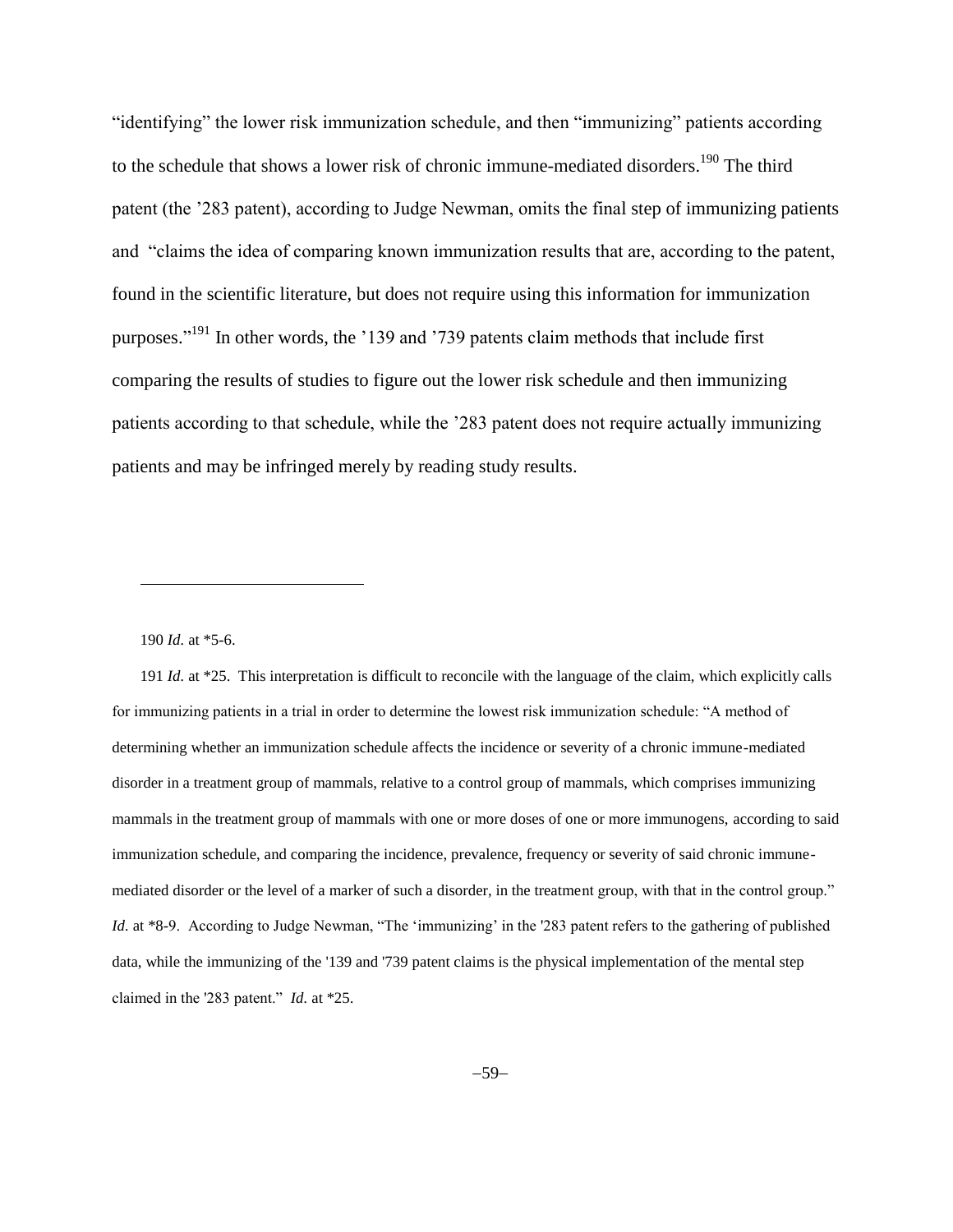"identifying" the lower risk immunization schedule, and then "immunizing" patients according to the schedule that shows a lower risk of chronic immune-mediated disorders.<sup>190</sup> The third patent (the '283 patent), according to Judge Newman, omits the final step of immunizing patients and "claims the idea of comparing known immunization results that are, according to the patent, found in the scientific literature, but does not require using this information for immunization purposes."<sup>191</sup> In other words, the '139 and '739 patents claim methods that include first comparing the results of studies to figure out the lower risk schedule and then immunizing patients according to that schedule, while the '283 patent does not require actually immunizing patients and may be infringed merely by reading study results.

190 *Id.* at \*5-6.

l

191 *Id.* at \*25. This interpretation is difficult to reconcile with the language of the claim, which explicitly calls for immunizing patients in a trial in order to determine the lowest risk immunization schedule: "A method of determining whether an immunization schedule affects the incidence or severity of a chronic immune-mediated disorder in a treatment group of mammals, relative to a control group of mammals, which comprises immunizing mammals in the treatment group of mammals with one or more doses of one or more immunogens, according to said immunization schedule, and comparing the incidence, prevalence, frequency or severity of said chronic immunemediated disorder or the level of a marker of such a disorder, in the treatment group, with that in the control group." *Id.* at \*8-9. According to Judge Newman, "The 'immunizing' in the '283 patent refers to the gathering of published data, while the immunizing of the '139 and '739 patent claims is the physical implementation of the mental step claimed in the '283 patent." *Id.* at \*25.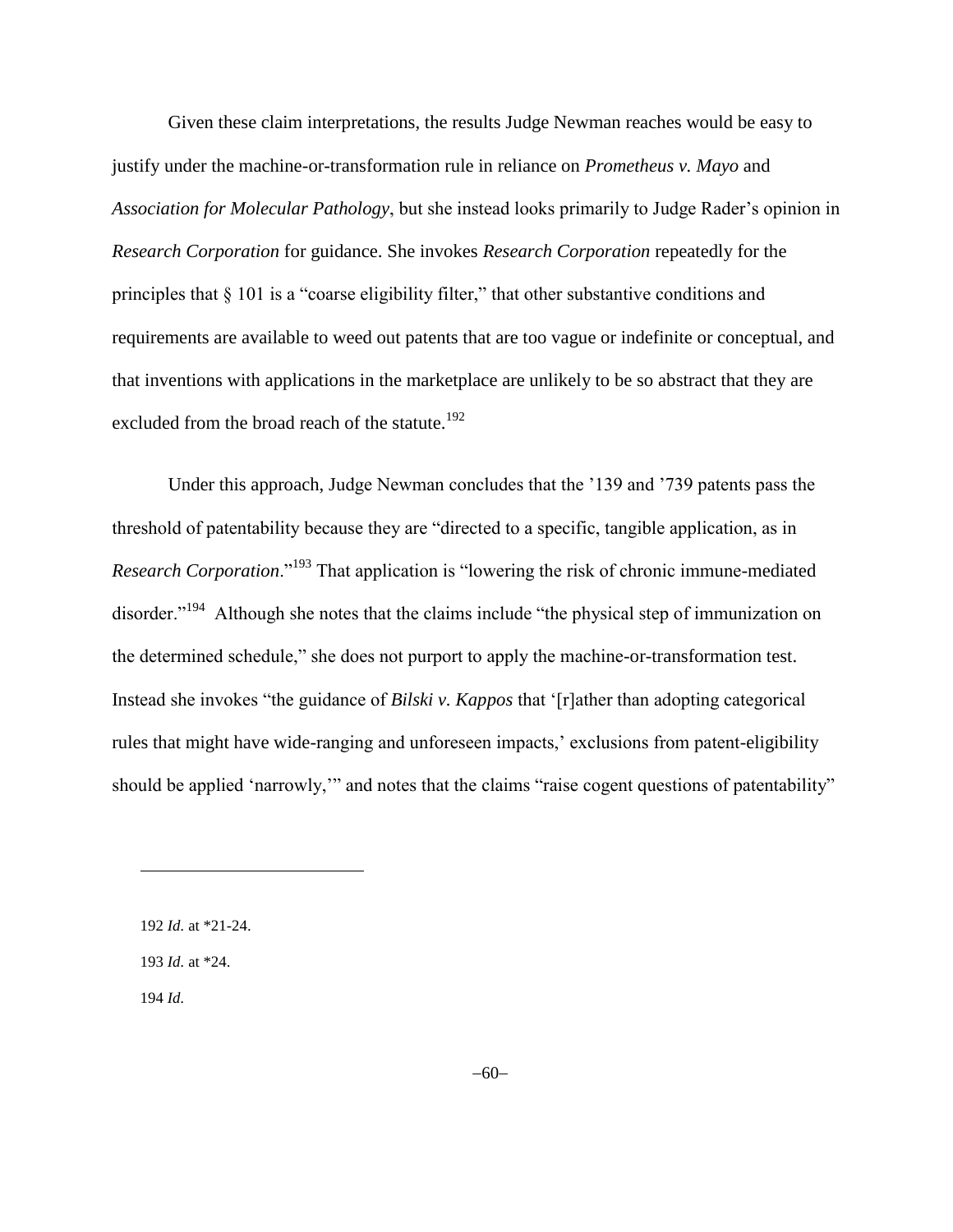Given these claim interpretations, the results Judge Newman reaches would be easy to justify under the machine-or-transformation rule in reliance on *Prometheus v. Mayo* and *Association for Molecular Pathology*, but she instead looks primarily to Judge Rader's opinion in *Research Corporation* for guidance. She invokes *Research Corporation* repeatedly for the principles that § 101 is a "coarse eligibility filter," that other substantive conditions and requirements are available to weed out patents that are too vague or indefinite or conceptual, and that inventions with applications in the marketplace are unlikely to be so abstract that they are excluded from the broad reach of the statute.<sup>192</sup>

Under this approach, Judge Newman concludes that the '139 and '739 patents pass the threshold of patentability because they are "directed to a specific, tangible application, as in *Research Corporation*."<sup>193</sup> That application is "lowering the risk of chronic immune-mediated disorder."<sup>194</sup> Although she notes that the claims include "the physical step of immunization on the determined schedule," she does not purport to apply the machine-or-transformation test. Instead she invokes "the guidance of *Bilski v. Kappos* that '[r]ather than adopting categorical rules that might have wide-ranging and unforeseen impacts,' exclusions from patent-eligibility should be applied 'narrowly,'" and notes that the claims "raise cogent questions of patentability"

194 *Id.*

<sup>192</sup> *Id.* at \*21-24. 193 *Id.* at \*24.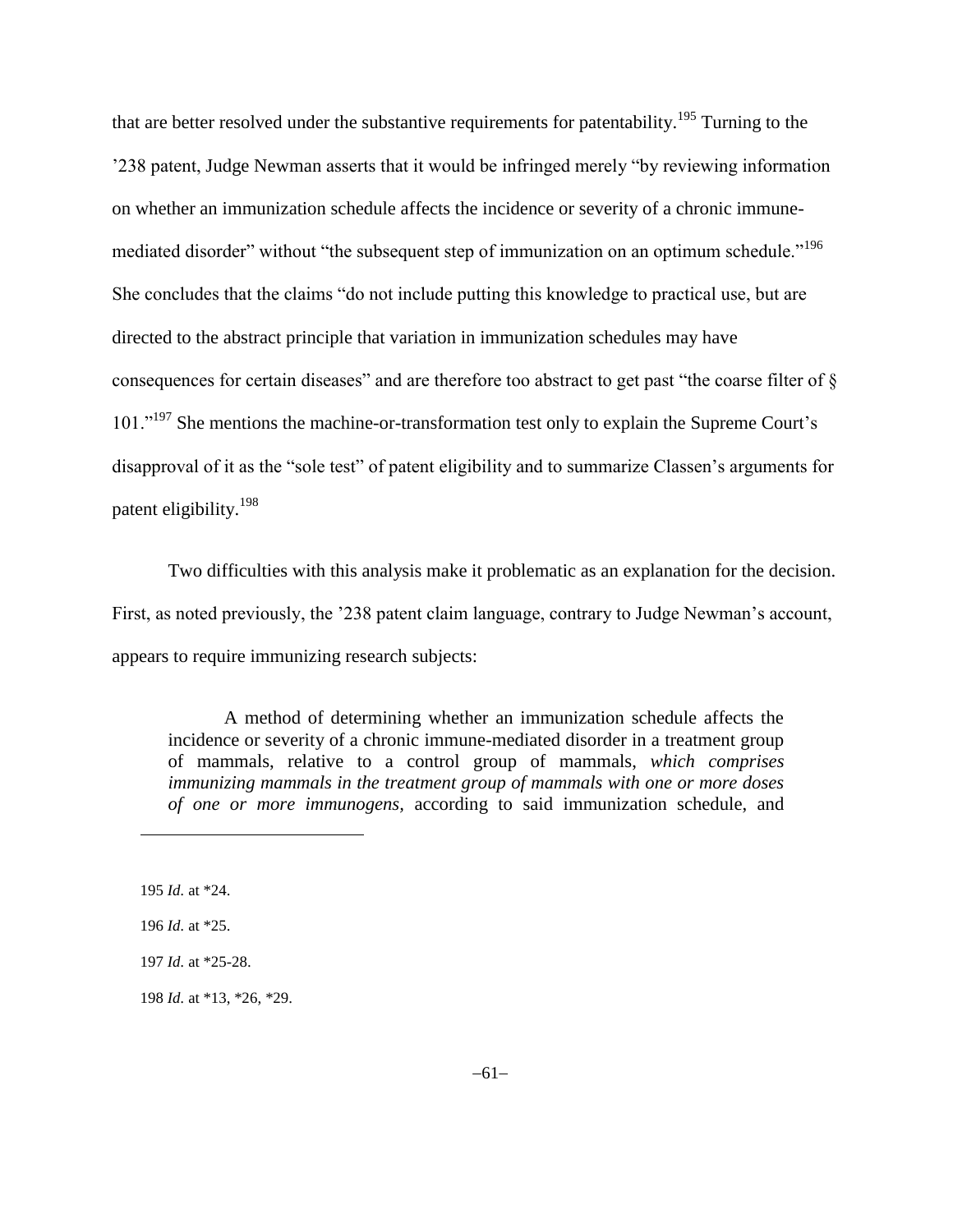that are better resolved under the substantive requirements for patentability.<sup>195</sup> Turning to the '238 patent, Judge Newman asserts that it would be infringed merely "by reviewing information on whether an immunization schedule affects the incidence or severity of a chronic immunemediated disorder" without "the subsequent step of immunization on an optimum schedule."<sup>196</sup> She concludes that the claims "do not include putting this knowledge to practical use, but are directed to the abstract principle that variation in immunization schedules may have consequences for certain diseases" and are therefore too abstract to get past "the coarse filter of § 101."<sup>197</sup> She mentions the machine-or-transformation test only to explain the Supreme Court's disapproval of it as the "sole test" of patent eligibility and to summarize Classen's arguments for patent eligibility.<sup>198</sup>

Two difficulties with this analysis make it problematic as an explanation for the decision. First, as noted previously, the '238 patent claim language, contrary to Judge Newman's account, appears to require immunizing research subjects:

A method of determining whether an immunization schedule affects the incidence or severity of a chronic immune-mediated disorder in a treatment group of mammals, relative to a control group of mammals, *which comprises immunizing mammals in the treatment group of mammals with one or more doses of one or more immunogens,* according to said immunization schedule, and

195 *Id.* at \*24.

 $\overline{a}$ 

196 *Id.* at \*25.

197 *Id.* at \*25-28.

198 *Id.* at \*13, \*26, \*29.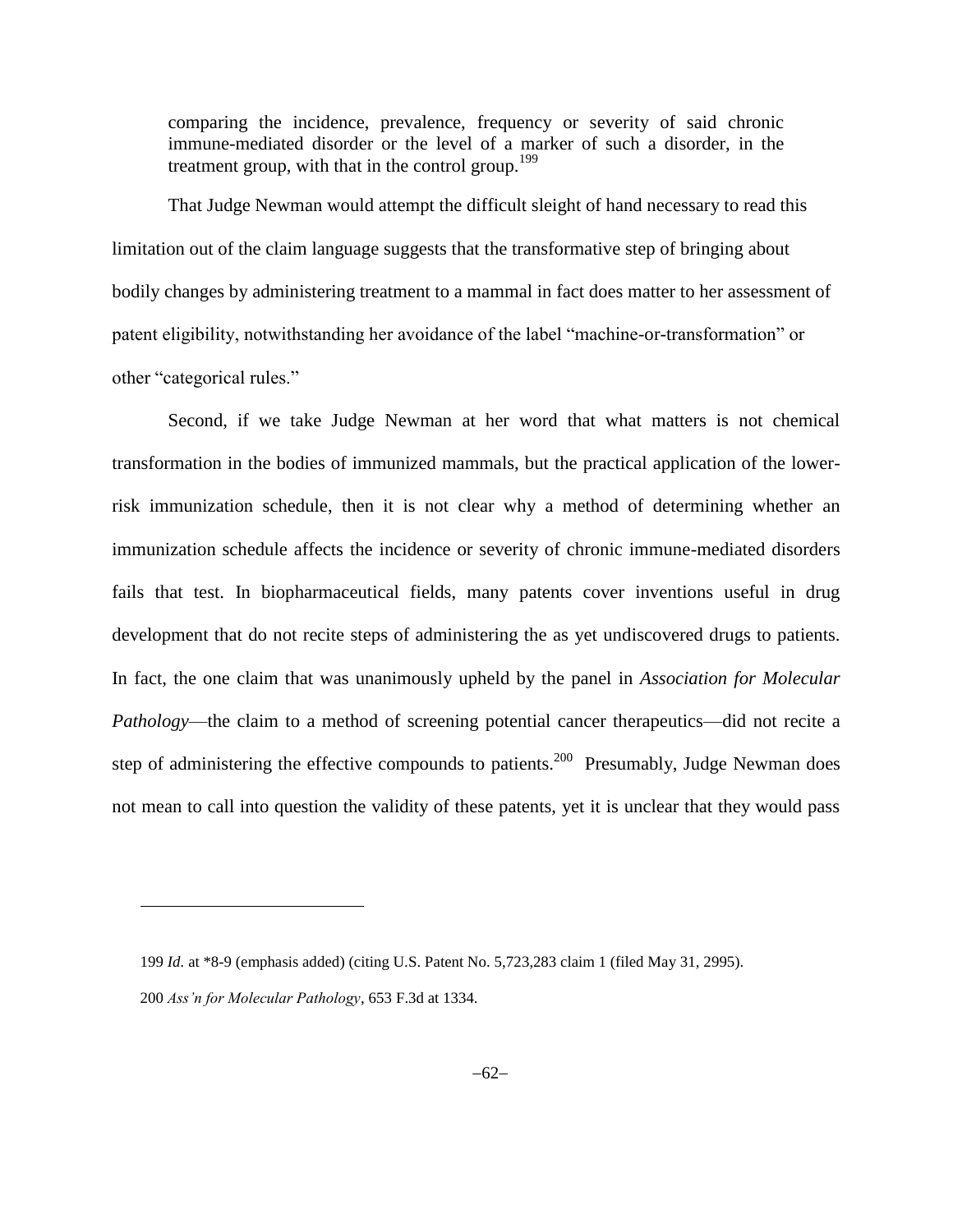comparing the incidence, prevalence, frequency or severity of said chronic immune-mediated disorder or the level of a marker of such a disorder, in the treatment group, with that in the control group.<sup>199</sup>

That Judge Newman would attempt the difficult sleight of hand necessary to read this limitation out of the claim language suggests that the transformative step of bringing about bodily changes by administering treatment to a mammal in fact does matter to her assessment of patent eligibility, notwithstanding her avoidance of the label "machine-or-transformation" or other "categorical rules."

Second, if we take Judge Newman at her word that what matters is not chemical transformation in the bodies of immunized mammals, but the practical application of the lowerrisk immunization schedule, then it is not clear why a method of determining whether an immunization schedule affects the incidence or severity of chronic immune-mediated disorders fails that test. In biopharmaceutical fields, many patents cover inventions useful in drug development that do not recite steps of administering the as yet undiscovered drugs to patients. In fact, the one claim that was unanimously upheld by the panel in *Association for Molecular Pathology*—the claim to a method of screening potential cancer therapeutics—did not recite a step of administering the effective compounds to patients.<sup>200</sup> Presumably, Judge Newman does not mean to call into question the validity of these patents, yet it is unclear that they would pass

<sup>199</sup> *Id.* at \*8-9 (emphasis added) (citing U.S. Patent No. 5,723,283 claim 1 (filed May 31, 2995). 200 *Ass'n for Molecular Pathology*, 653 F.3d at 1334.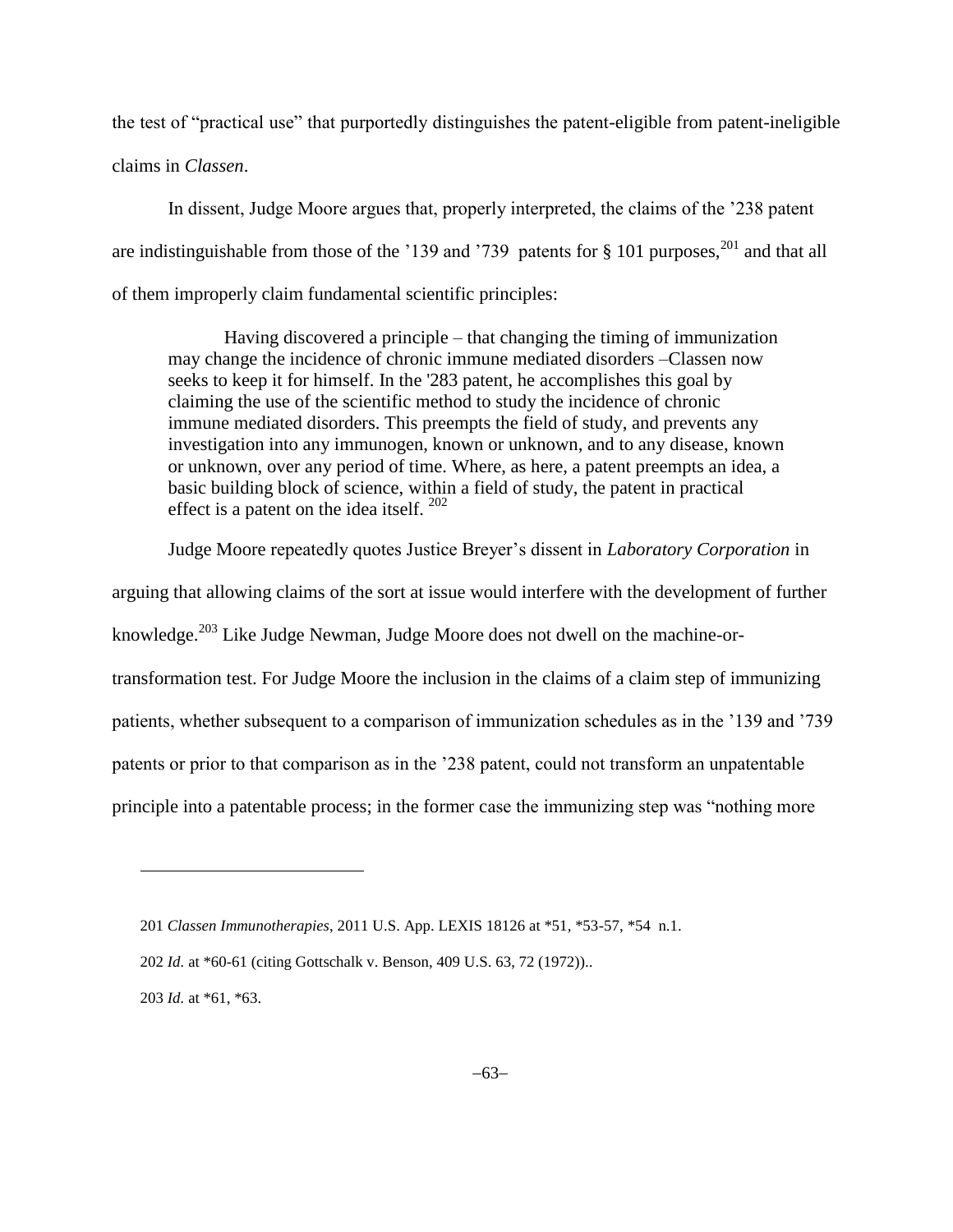the test of "practical use" that purportedly distinguishes the patent-eligible from patent-ineligible claims in *Classen*.

In dissent, Judge Moore argues that, properly interpreted, the claims of the '238 patent are indistinguishable from those of the '139 and '739 patents for  $\S$  101 purposes,<sup>201</sup> and that all of them improperly claim fundamental scientific principles:

Having discovered a principle – that changing the timing of immunization may change the incidence of chronic immune mediated disorders –Classen now seeks to keep it for himself. In the '283 patent, he accomplishes this goal by claiming the use of the scientific method to study the incidence of chronic immune mediated disorders. This preempts the field of study, and prevents any investigation into any immunogen, known or unknown, and to any disease, known or unknown, over any period of time. Where, as here, a patent preempts an idea, a basic building block of science, within a field of study, the patent in practical effect is a patent on the idea itself.  $202$ 

Judge Moore repeatedly quotes Justice Breyer's dissent in *Laboratory Corporation* in

arguing that allowing claims of the sort at issue would interfere with the development of further

knowledge.<sup>203</sup> Like Judge Newman, Judge Moore does not dwell on the machine-or-

transformation test. For Judge Moore the inclusion in the claims of a claim step of immunizing

patients, whether subsequent to a comparison of immunization schedules as in the '139 and '739

patents or prior to that comparison as in the '238 patent, could not transform an unpatentable

principle into a patentable process; in the former case the immunizing step was "nothing more

203 *Id.* at \*61, \*63.

<sup>201</sup> *Classen Immunotherapies*, 2011 U.S. App. LEXIS 18126 at \*51, \*53-57, \*54 n.1.

<sup>202</sup> *Id.* at \*60-61 (citing Gottschalk v. Benson, 409 U.S. 63, 72 (1972))..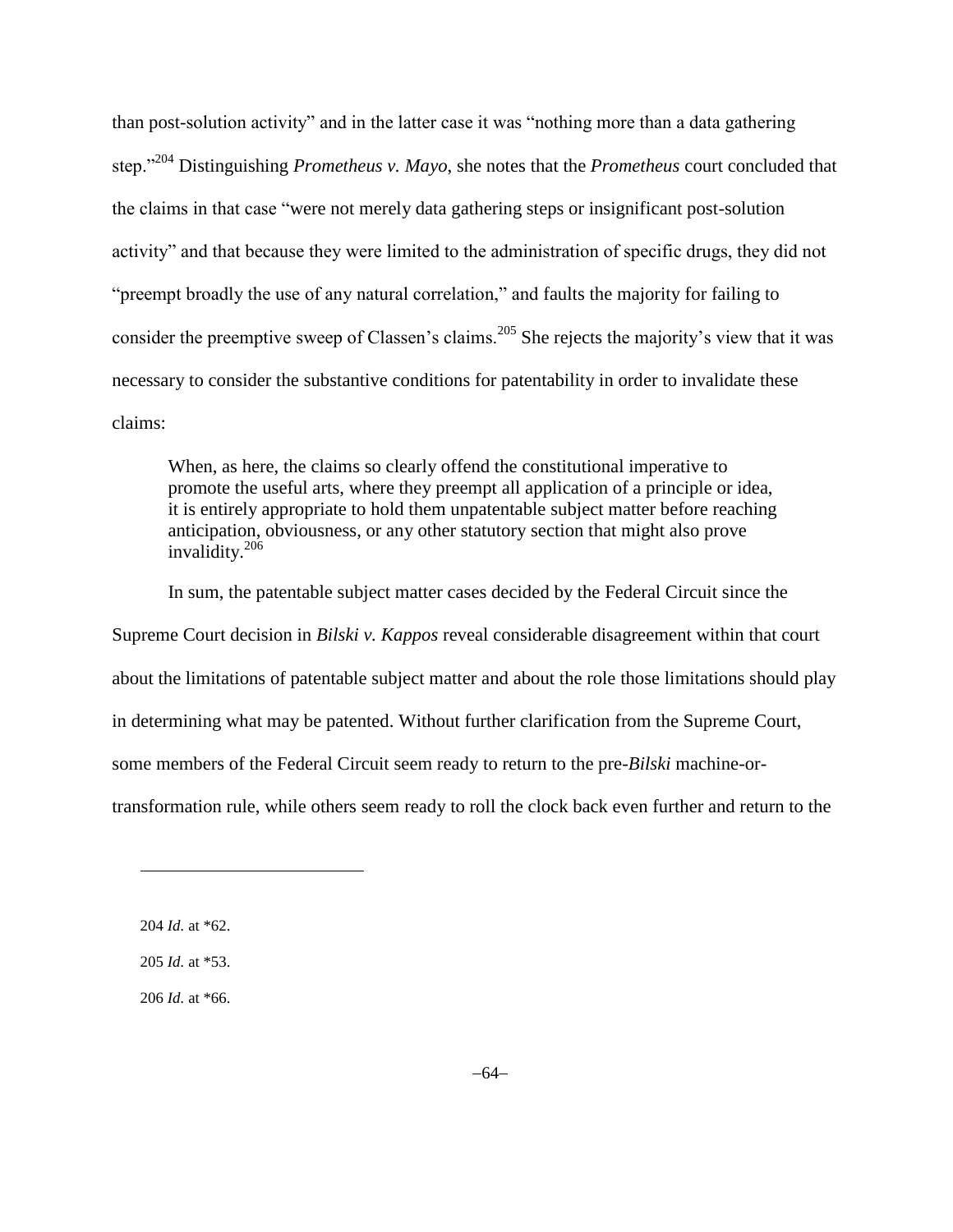than post-solution activity" and in the latter case it was "nothing more than a data gathering step."<sup>204</sup> Distinguishing *Prometheus v. Mayo*, she notes that the *Prometheus* court concluded that the claims in that case "were not merely data gathering steps or insignificant post-solution activity" and that because they were limited to the administration of specific drugs, they did not "preempt broadly the use of any natural correlation," and faults the majority for failing to consider the preemptive sweep of Classen's claims.<sup>205</sup> She rejects the majority's view that it was necessary to consider the substantive conditions for patentability in order to invalidate these claims:

When, as here, the claims so clearly offend the constitutional imperative to promote the useful arts, where they preempt all application of a principle or idea, it is entirely appropriate to hold them unpatentable subject matter before reaching anticipation, obviousness, or any other statutory section that might also prove invalidity.<sup>206</sup>

In sum, the patentable subject matter cases decided by the Federal Circuit since the Supreme Court decision in *Bilski v. Kappos* reveal considerable disagreement within that court about the limitations of patentable subject matter and about the role those limitations should play in determining what may be patented. Without further clarification from the Supreme Court, some members of the Federal Circuit seem ready to return to the pre-*Bilski* machine-ortransformation rule, while others seem ready to roll the clock back even further and return to the

l

206 *Id.* at \*66.

<sup>204</sup> *Id.* at \*62.

<sup>205</sup> *Id.* at \*53.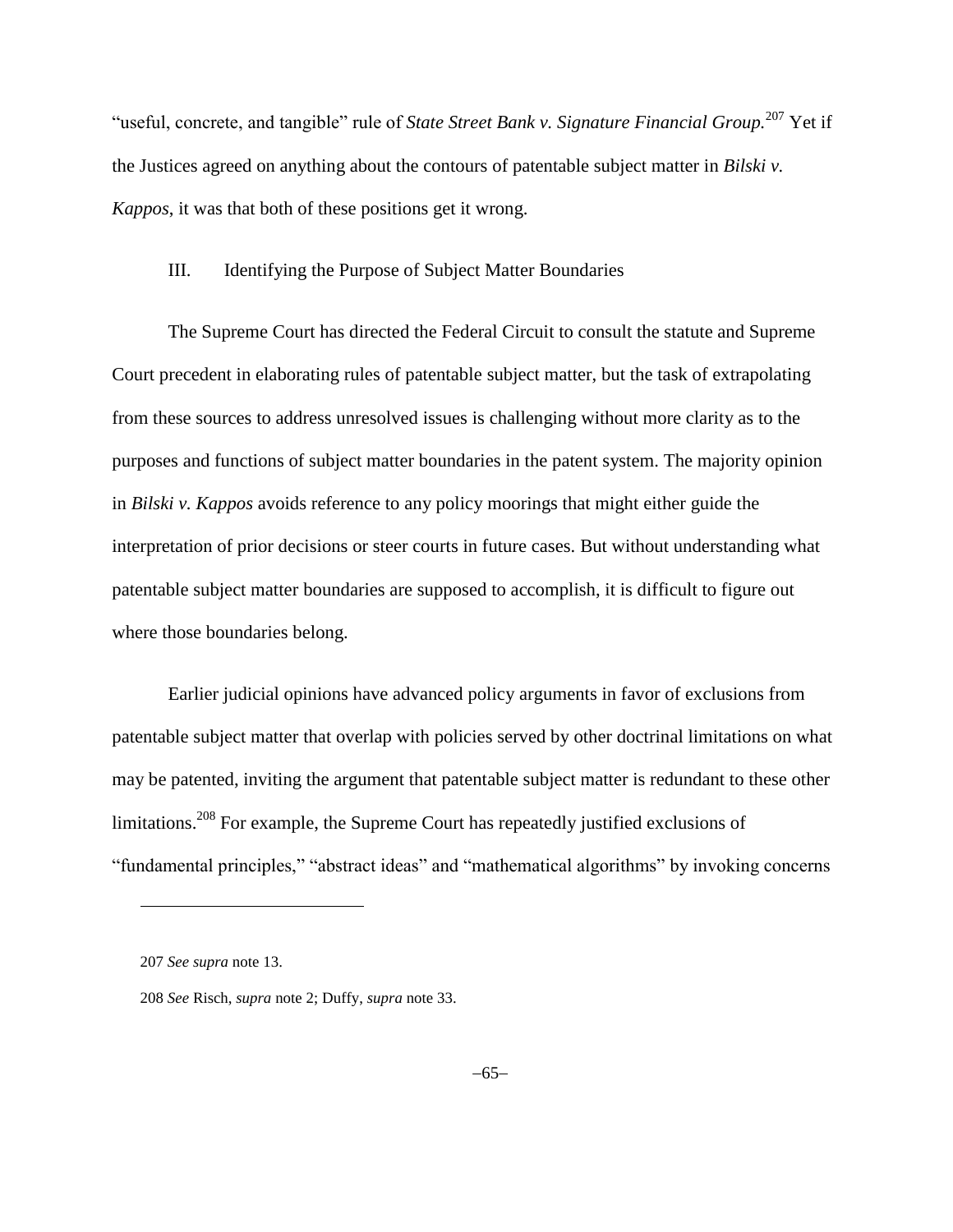"useful, concrete, and tangible" rule of *State Street Bank v. Signature Financial Group.*<sup>207</sup> Yet if the Justices agreed on anything about the contours of patentable subject matter in *Bilski v. Kappos*, it was that both of these positions get it wrong.

## III. Identifying the Purpose of Subject Matter Boundaries

The Supreme Court has directed the Federal Circuit to consult the statute and Supreme Court precedent in elaborating rules of patentable subject matter, but the task of extrapolating from these sources to address unresolved issues is challenging without more clarity as to the purposes and functions of subject matter boundaries in the patent system. The majority opinion in *Bilski v. Kappos* avoids reference to any policy moorings that might either guide the interpretation of prior decisions or steer courts in future cases. But without understanding what patentable subject matter boundaries are supposed to accomplish, it is difficult to figure out where those boundaries belong.

Earlier judicial opinions have advanced policy arguments in favor of exclusions from patentable subject matter that overlap with policies served by other doctrinal limitations on what may be patented, inviting the argument that patentable subject matter is redundant to these other limitations.<sup>208</sup> For example, the Supreme Court has repeatedly justified exclusions of "fundamental principles," "abstract ideas" and "mathematical algorithms" by invoking concerns

<sup>207</sup> *See supra* note [13.](#page-3-0)

<sup>208</sup> *See* Risch, *supra* not[e 2;](#page-1-0) Duffy, *supra* note [33.](#page-11-0)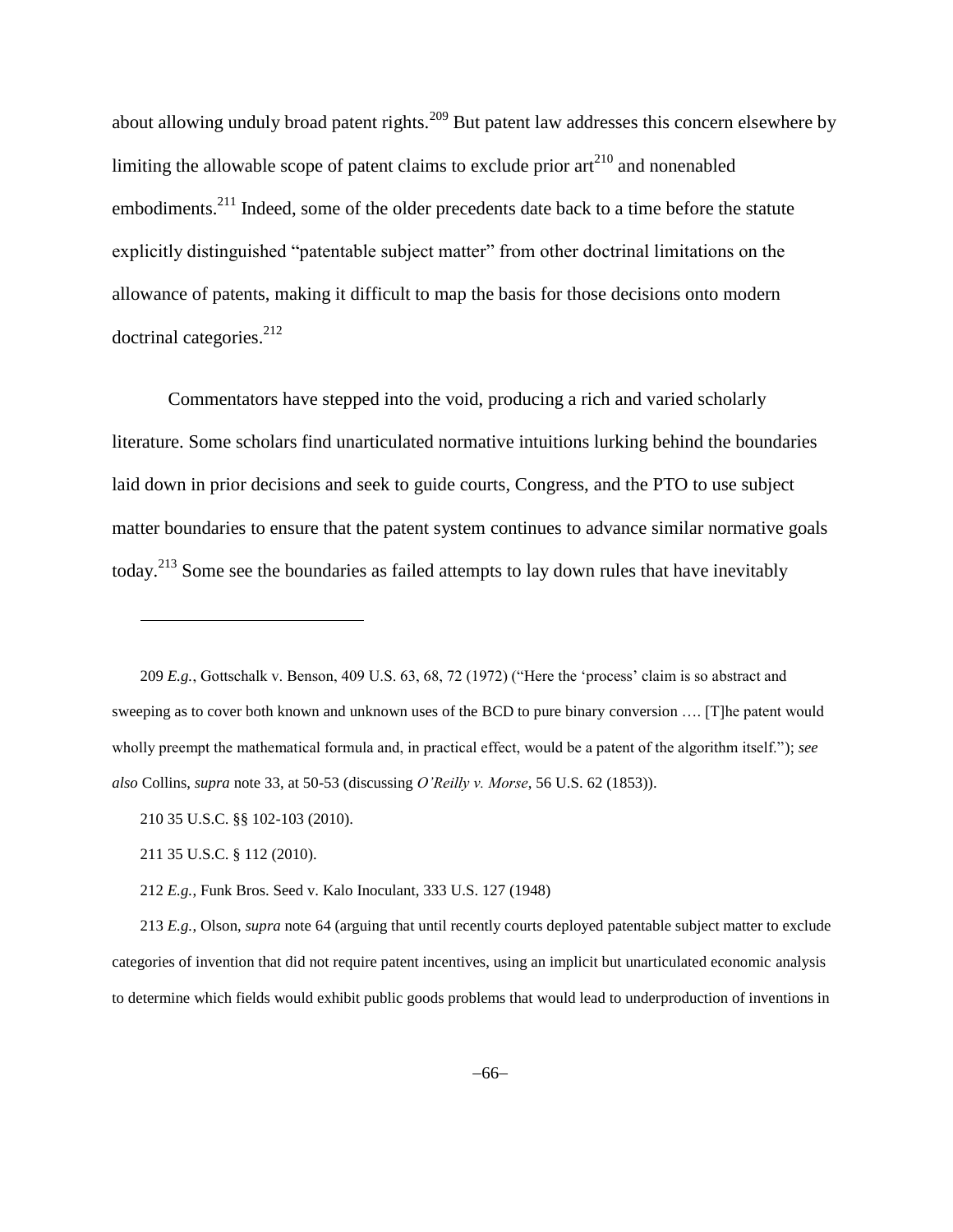about allowing unduly broad patent rights.<sup>209</sup> But patent law addresses this concern elsewhere by limiting the allowable scope of patent claims to exclude prior  $art<sup>210</sup>$  and nonenabled embodiments.<sup>211</sup> Indeed, some of the older precedents date back to a time before the statute explicitly distinguished "patentable subject matter" from other doctrinal limitations on the allowance of patents, making it difficult to map the basis for those decisions onto modern doctrinal categories.<sup>212</sup>

Commentators have stepped into the void, producing a rich and varied scholarly literature. Some scholars find unarticulated normative intuitions lurking behind the boundaries laid down in prior decisions and seek to guide courts, Congress, and the PTO to use subject matter boundaries to ensure that the patent system continues to advance similar normative goals today.<sup>213</sup> Some see the boundaries as failed attempts to lay down rules that have inevitably

209 *E.g.*, Gottschalk v. Benson, 409 U.S. 63, 68, 72 (1972) ("Here the 'process' claim is so abstract and sweeping as to cover both known and unknown uses of the BCD to pure binary conversion …. [T]he patent would wholly preempt the mathematical formula and, in practical effect, would be a patent of the algorithm itself."); *see also* Collins, *supra* note 33, at 50-53 (discussing *O'Reilly v. Morse*, 56 U.S. 62 (1853)).

210 35 U.S.C. §§ 102-103 (2010).

211 35 U.S.C. § 112 (2010).

 $\overline{a}$ 

212 *E.g.*, Funk Bros. Seed v. Kalo Inoculant, 333 U.S. 127 (1948)

213 *E.g.*, Olson, *supra* not[e 64](#page-18-0) (arguing that until recently courts deployed patentable subject matter to exclude categories of invention that did not require patent incentives, using an implicit but unarticulated economic analysis to determine which fields would exhibit public goods problems that would lead to underproduction of inventions in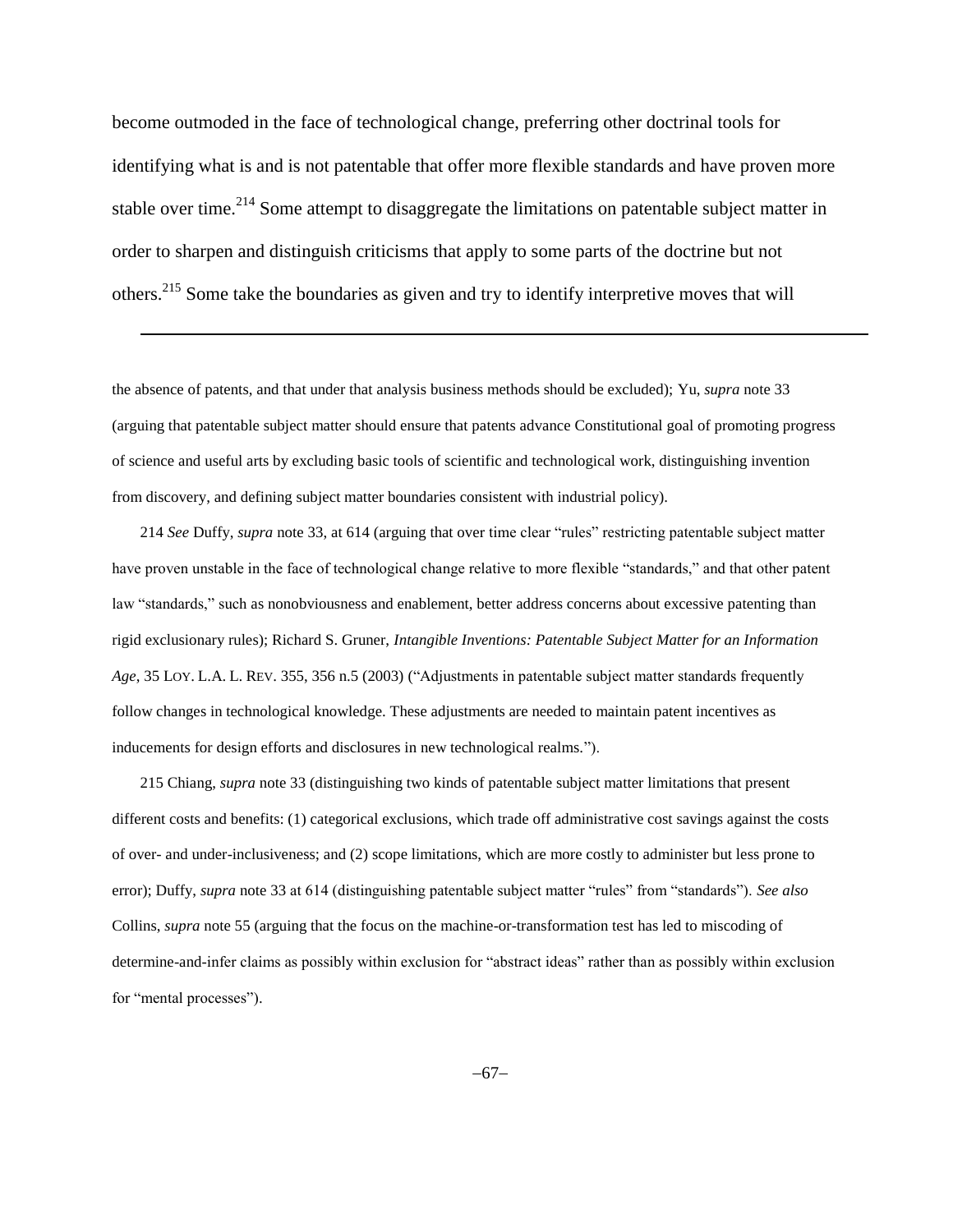become outmoded in the face of technological change, preferring other doctrinal tools for identifying what is and is not patentable that offer more flexible standards and have proven more stable over time.<sup>214</sup> Some attempt to disaggregate the limitations on patentable subject matter in order to sharpen and distinguish criticisms that apply to some parts of the doctrine but not others.<sup>215</sup> Some take the boundaries as given and try to identify interpretive moves that will

the absence of patents, and that under that analysis business methods should be excluded); Yu, *supra* not[e 33](#page-11-0) (arguing that patentable subject matter should ensure that patents advance Constitutional goal of promoting progress of science and useful arts by excluding basic tools of scientific and technological work, distinguishing invention from discovery, and defining subject matter boundaries consistent with industrial policy).

l

214 *See* Duffy, *supra* note [33,](#page-11-0) at 614 (arguing that over time clear "rules" restricting patentable subject matter have proven unstable in the face of technological change relative to more flexible "standards," and that other patent law "standards," such as nonobviousness and enablement, better address concerns about excessive patenting than rigid exclusionary rules); Richard S. Gruner, *Intangible Inventions: Patentable Subject Matter for an Information Age*, 35 LOY. L.A. L. REV. 355, 356 n.5 (2003) ("Adjustments in patentable subject matter standards frequently follow changes in technological knowledge. These adjustments are needed to maintain patent incentives as inducements for design efforts and disclosures in new technological realms.").

215 Chiang, *supra* note [33](#page-11-0) (distinguishing two kinds of patentable subject matter limitations that present different costs and benefits: (1) categorical exclusions, which trade off administrative cost savings against the costs of over- and under-inclusiveness; and (2) scope limitations, which are more costly to administer but less prone to error); Duffy, *supra* note [33](#page-11-0) at 614 (distinguishing patentable subject matter "rules" from "standards"). *See also* Collins, *supra* note [55](#page-16-0) (arguing that the focus on the machine-or-transformation test has led to miscoding of determine-and-infer claims as possibly within exclusion for "abstract ideas" rather than as possibly within exclusion for "mental processes").

 $-67-$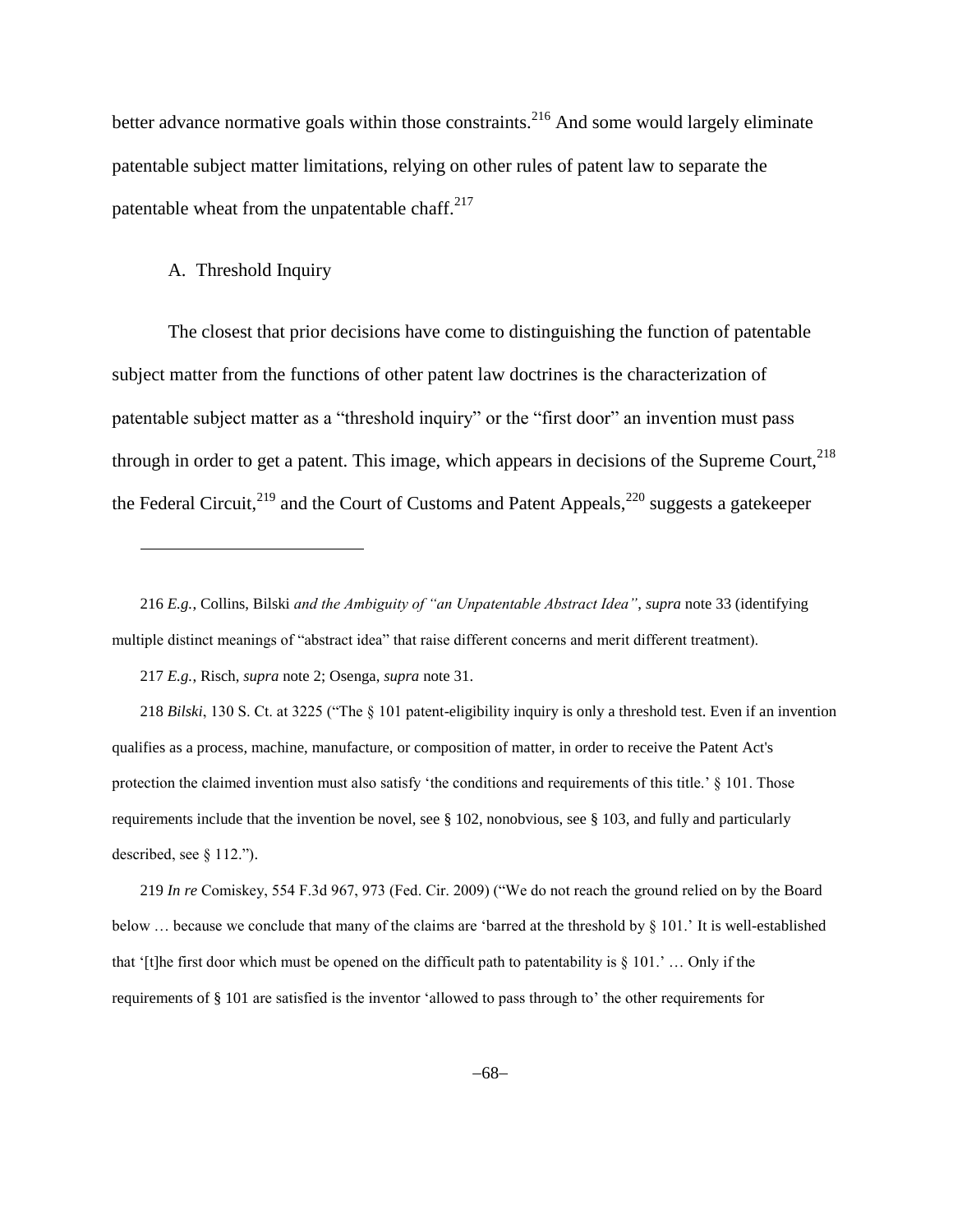better advance normative goals within those constraints.<sup>216</sup> And some would largely eliminate patentable subject matter limitations, relying on other rules of patent law to separate the patentable wheat from the unpatentable chaff. $2^{17}$ 

## A. Threshold Inquiry

l

The closest that prior decisions have come to distinguishing the function of patentable subject matter from the functions of other patent law doctrines is the characterization of patentable subject matter as a "threshold inquiry" or the "first door" an invention must pass through in order to get a patent. This image, which appears in decisions of the Supreme Court, $^{218}$ the Federal Circuit,<sup>219</sup> and the Court of Customs and Patent Appeals,<sup>220</sup> suggests a gatekeeper

217 *E.g.*, Risch, *supra* note [2;](#page-1-0) Osenga, *supra* not[e 31.](#page-10-0)

218 *Bilski*, 130 S. Ct. at 3225 ("The § 101 patent-eligibility inquiry is only a threshold test. Even if an invention qualifies as a process, machine, manufacture, or composition of matter, in order to receive the Patent Act's protection the claimed invention must also satisfy 'the conditions and requirements of this title.' § 101. Those requirements include that the invention be novel, see § 102, nonobvious, see § 103, and fully and particularly described, see § 112.").

219 *In re* Comiskey, 554 F.3d 967, 973 (Fed. Cir. 2009) ("We do not reach the ground relied on by the Board below … because we conclude that many of the claims are 'barred at the threshold by § 101.' It is well-established that '[t]he first door which must be opened on the difficult path to patentability is  $\S 101$ .' ... Only if the requirements of § 101 are satisfied is the inventor 'allowed to pass through to' the other requirements for

<sup>216</sup> *E.g.*, Collins, Bilski *and the Ambiguity of "an Unpatentable Abstract Idea"*, *supra* not[e 33](#page-11-0) (identifying multiple distinct meanings of "abstract idea" that raise different concerns and merit different treatment).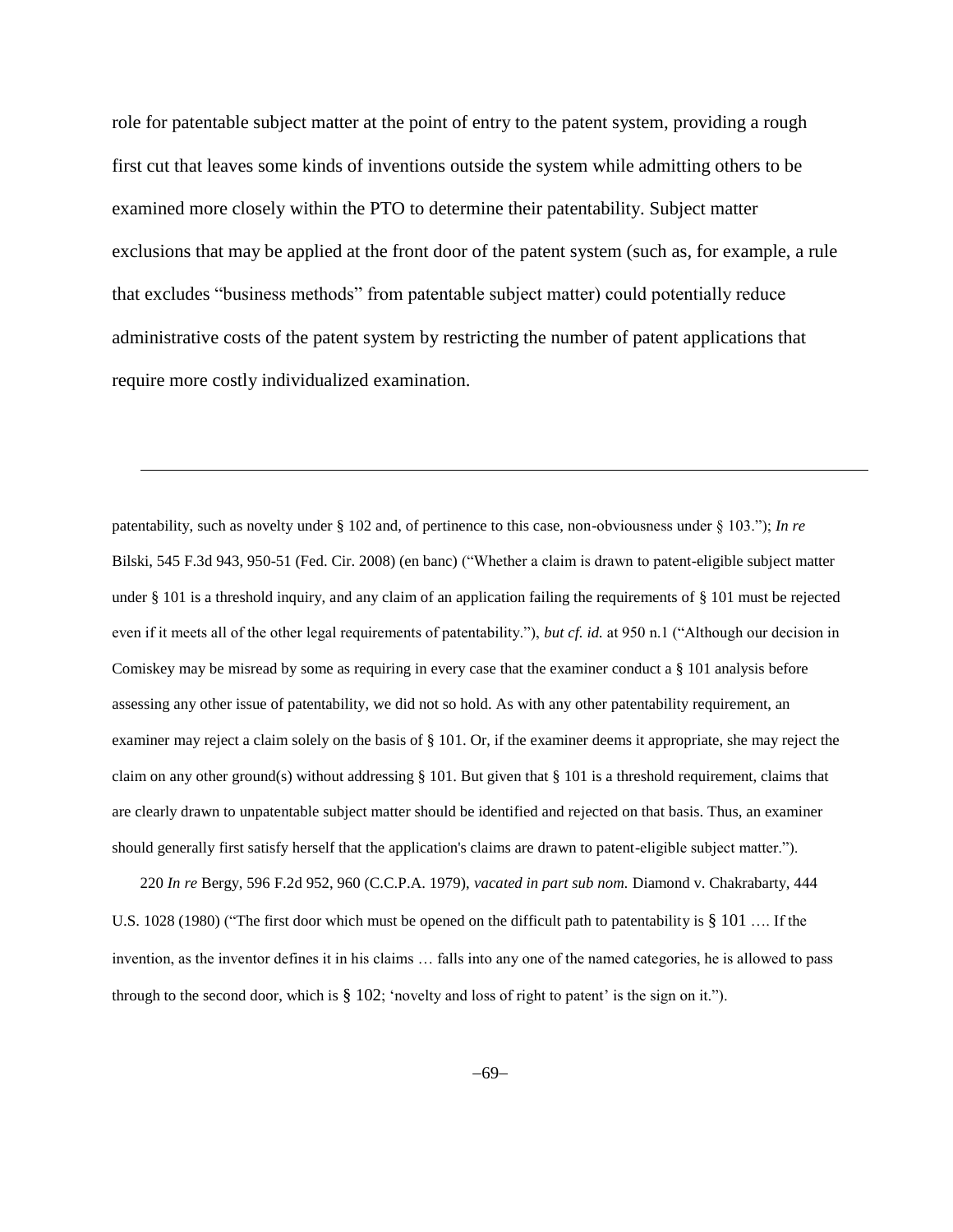role for patentable subject matter at the point of entry to the patent system, providing a rough first cut that leaves some kinds of inventions outside the system while admitting others to be examined more closely within the PTO to determine their patentability. Subject matter exclusions that may be applied at the front door of the patent system (such as, for example, a rule that excludes "business methods" from patentable subject matter) could potentially reduce administrative costs of the patent system by restricting the number of patent applications that require more costly individualized examination.

l

patentability, such as novelty under § 102 and, of pertinence to this case, non-obviousness under § 103."); *In re* Bilski, 545 F.3d 943, 950-51 (Fed. Cir. 2008) (en banc) ("Whether a claim is drawn to patent-eligible subject matter under [§ 101](http://www.lexis.com/research/buttonTFLink?_m=cefa5ca1f8bce378616027051a1e852f&_xfercite=%3ccite%20cc%3d%22USA%22%3e%3c%21%5bCDATA%5b545%20F.3d%20943%5d%5d%3e%3c%2fcite%3e&_butType=4&_butStat=0&_butNum=73&_butInline=1&_butinfo=35%20U.S.C.%20101&_fmtstr=FULL&docnum=3&_startdoc=1&wchp=dGLbVzz-zSkAb&_md5=caa591097d2963049abf42c9afc35d67) is a threshold inquiry, and any claim of an application failing the requirements of [§ 101](http://www.lexis.com/research/buttonTFLink?_m=cefa5ca1f8bce378616027051a1e852f&_xfercite=%3ccite%20cc%3d%22USA%22%3e%3c%21%5bCDATA%5b545%20F.3d%20943%5d%5d%3e%3c%2fcite%3e&_butType=4&_butStat=0&_butNum=74&_butInline=1&_butinfo=35%20U.S.C.%20101&_fmtstr=FULL&docnum=3&_startdoc=1&wchp=dGLbVzz-zSkAb&_md5=ec474cb5ec2512d4d0f48b1c0b6790ea) must be rejected even if it meets all of the other legal requirements of patentability."), *but cf. id.* at 950 n.1 ("Although our decision in Comiskey may be misread by some as requiring in every case that the examiner conduct a § 101 analysis before assessing any other issue of patentability, we did not so hold. As with any other patentability requirement, an examiner may reject a claim solely on the basis of § 101. Or, if the examiner deems it appropriate, she may reject the claim on any other ground(s) without addressing § 101. But given that § 101 is a threshold requirement, claims that are clearly drawn to unpatentable subject matter should be identified and rejected on that basis. Thus, an examiner should generally first satisfy herself that the application's claims are drawn to patent-eligible subject matter.").

220 *In re* Bergy, 596 F.2d 952, 960 (C.C.P.A. 1979), *vacated in part sub nom.* [Diamond v. Chakrabarty, 444](http://www.lexis.com/research/buttonTFLink?_m=cefa5ca1f8bce378616027051a1e852f&_xfercite=%3ccite%20cc%3d%22USA%22%3e%3c%21%5bCDATA%5b545%20F.3d%20943%5d%5d%3e%3c%2fcite%3e&_butType=3&_butStat=2&_butNum=78&_butInline=1&_butinfo=%3ccite%20cc%3d%22USA%22%3e%3c%21%5bCDATA%5b444%20U.S.%201028%5d%5d%3e%3c%2fcite%3e&_fmtstr=FULL&docnum=3&_startdoc=1&wchp=dGLbVzz-zSkAb&_md5=222cd7e07cadca9797181375df7ce5e3)  [U.S. 1028 \(1980\)](http://www.lexis.com/research/buttonTFLink?_m=cefa5ca1f8bce378616027051a1e852f&_xfercite=%3ccite%20cc%3d%22USA%22%3e%3c%21%5bCDATA%5b545%20F.3d%20943%5d%5d%3e%3c%2fcite%3e&_butType=3&_butStat=2&_butNum=78&_butInline=1&_butinfo=%3ccite%20cc%3d%22USA%22%3e%3c%21%5bCDATA%5b444%20U.S.%201028%5d%5d%3e%3c%2fcite%3e&_fmtstr=FULL&docnum=3&_startdoc=1&wchp=dGLbVzz-zSkAb&_md5=222cd7e07cadca9797181375df7ce5e3) ("The first door which must be opened on the difficult path to patentability is § 101 .... If the invention, as the inventor defines it in his claims … falls into any one of the named categories, he is allowed to pass through to the second door, which is § 102; 'novelty and loss of right to patent' is the sign on it.").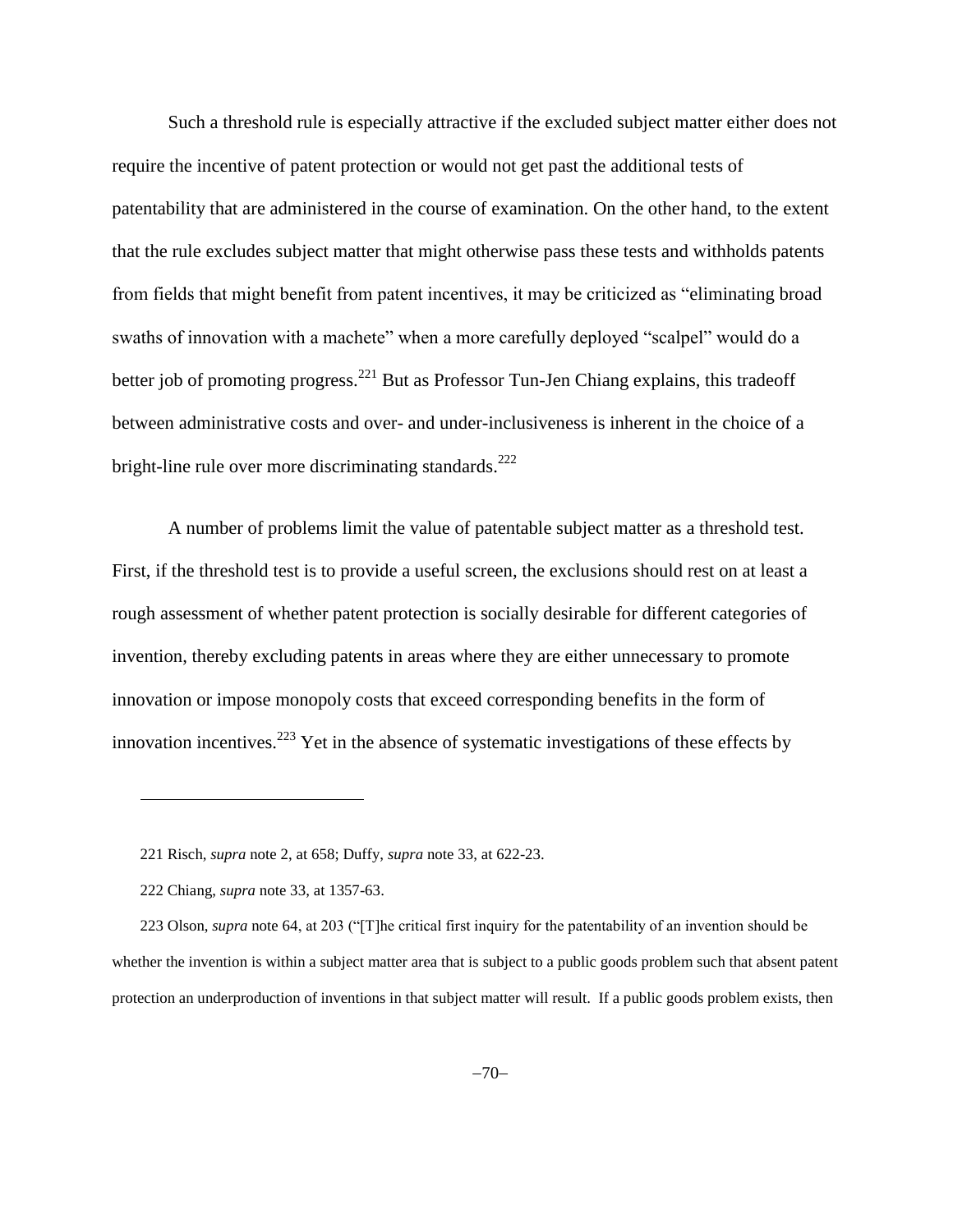Such a threshold rule is especially attractive if the excluded subject matter either does not require the incentive of patent protection or would not get past the additional tests of patentability that are administered in the course of examination. On the other hand, to the extent that the rule excludes subject matter that might otherwise pass these tests and withholds patents from fields that might benefit from patent incentives, it may be criticized as "eliminating broad swaths of innovation with a machete" when a more carefully deployed "scalpel" would do a better job of promoting progress.<sup>221</sup> But as Professor Tun-Jen Chiang explains, this tradeoff between administrative costs and over- and under-inclusiveness is inherent in the choice of a bright-line rule over more discriminating standards.<sup>222</sup>

A number of problems limit the value of patentable subject matter as a threshold test. First, if the threshold test is to provide a useful screen, the exclusions should rest on at least a rough assessment of whether patent protection is socially desirable for different categories of invention, thereby excluding patents in areas where they are either unnecessary to promote innovation or impose monopoly costs that exceed corresponding benefits in the form of innovation incentives.<sup>223</sup> Yet in the absence of systematic investigations of these effects by

<sup>221</sup> Risch, *supra* note [2,](#page-1-0) at 658; Duffy, *supra* note [33,](#page-11-0) at 622-23.

<sup>222</sup> Chiang, *supra* note [33,](#page-11-0) at 1357-63.

<sup>223</sup> Olson, *supra* note [64,](#page-18-0) at 203 ("[T]he critical first inquiry for the patentability of an invention should be whether the invention is within a subject matter area that is subject to a public goods problem such that absent patent protection an underproduction of inventions in that subject matter will result. If a public goods problem exists, then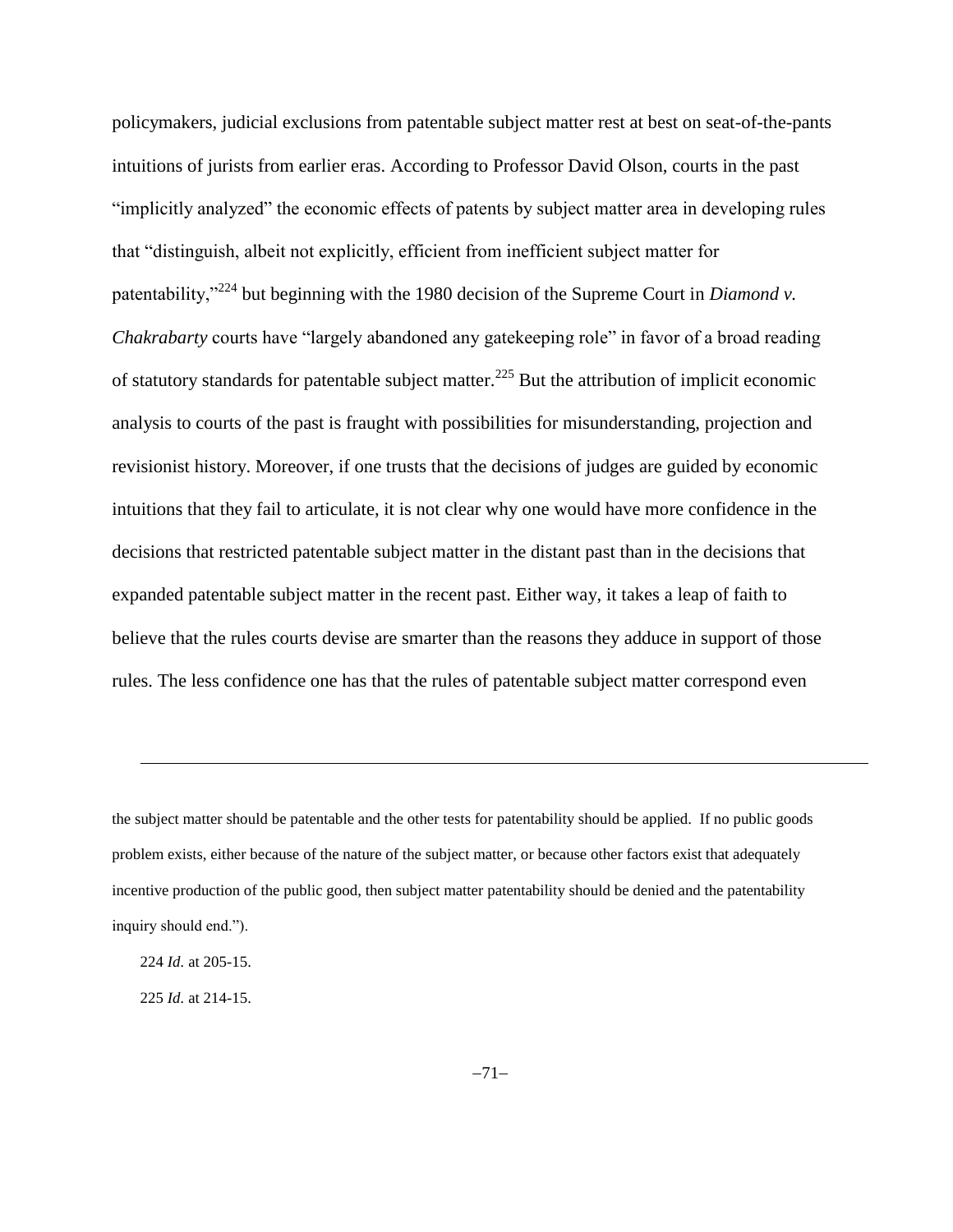policymakers, judicial exclusions from patentable subject matter rest at best on seat-of-the-pants intuitions of jurists from earlier eras. According to Professor David Olson, courts in the past "implicitly analyzed" the economic effects of patents by subject matter area in developing rules that "distinguish, albeit not explicitly, efficient from inefficient subject matter for patentability,"<sup>224</sup> but beginning with the 1980 decision of the Supreme Court in *Diamond v. Chakrabarty* courts have "largely abandoned any gatekeeping role" in favor of a broad reading of statutory standards for patentable subject matter.<sup>225</sup> But the attribution of implicit economic analysis to courts of the past is fraught with possibilities for misunderstanding, projection and revisionist history. Moreover, if one trusts that the decisions of judges are guided by economic intuitions that they fail to articulate, it is not clear why one would have more confidence in the decisions that restricted patentable subject matter in the distant past than in the decisions that expanded patentable subject matter in the recent past. Either way, it takes a leap of faith to believe that the rules courts devise are smarter than the reasons they adduce in support of those rules. The less confidence one has that the rules of patentable subject matter correspond even

the subject matter should be patentable and the other tests for patentability should be applied. If no public goods problem exists, either because of the nature of the subject matter, or because other factors exist that adequately incentive production of the public good, then subject matter patentability should be denied and the patentability inquiry should end.").

<sup>224</sup> *Id.* at 205-15.

<sup>225</sup> *Id.* at 214-15.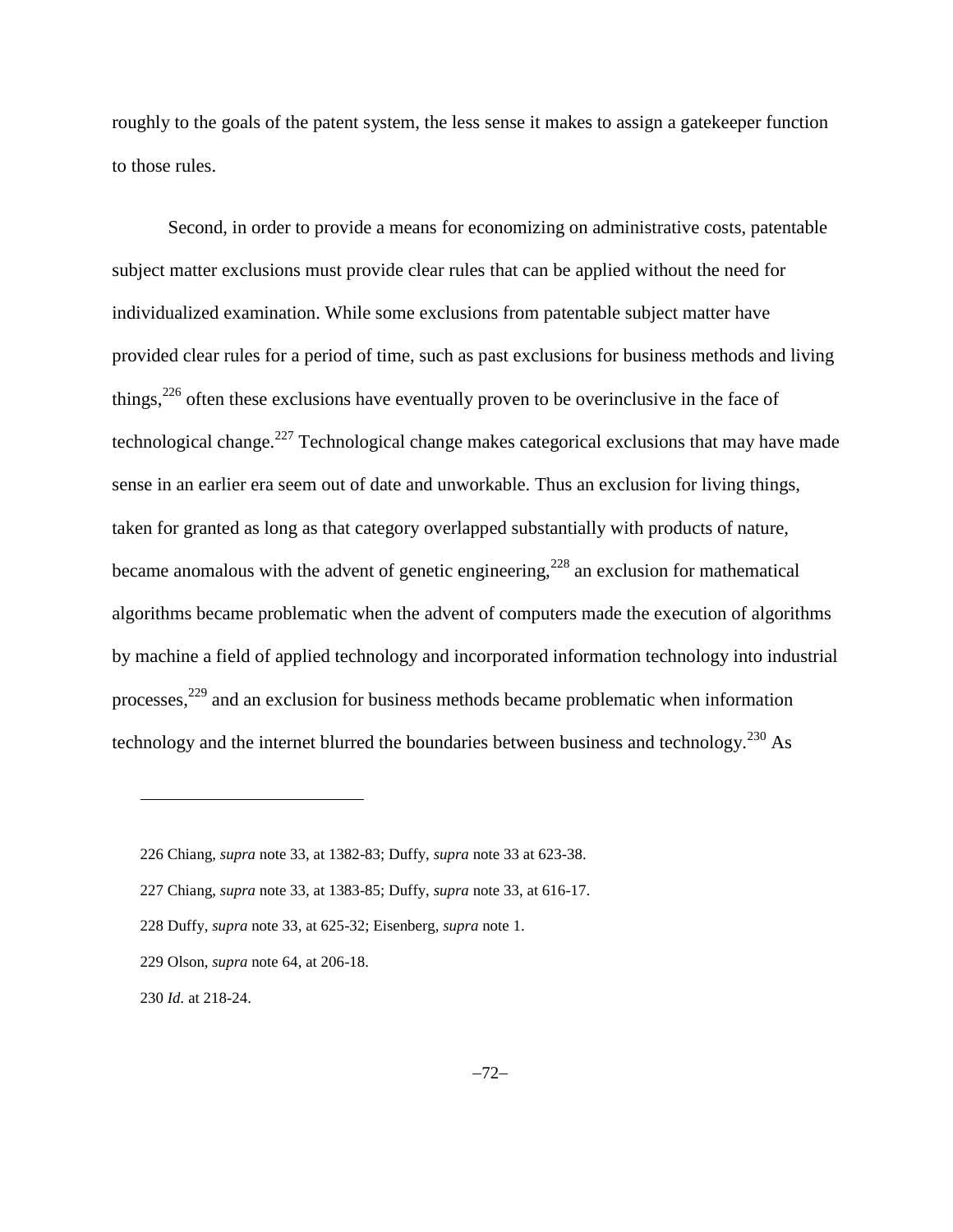roughly to the goals of the patent system, the less sense it makes to assign a gatekeeper function to those rules.

Second, in order to provide a means for economizing on administrative costs, patentable subject matter exclusions must provide clear rules that can be applied without the need for individualized examination. While some exclusions from patentable subject matter have provided clear rules for a period of time, such as past exclusions for business methods and living things,<sup>226</sup> often these exclusions have eventually proven to be overinclusive in the face of technological change.<sup>227</sup> Technological change makes categorical exclusions that may have made sense in an earlier era seem out of date and unworkable. Thus an exclusion for living things, taken for granted as long as that category overlapped substantially with products of nature, became anomalous with the advent of genetic engineering,<sup>228</sup> an exclusion for mathematical algorithms became problematic when the advent of computers made the execution of algorithms by machine a field of applied technology and incorporated information technology into industrial processes,<sup>229</sup> and an exclusion for business methods became problematic when information technology and the internet blurred the boundaries between business and technology. $^{230}$  As

<sup>226</sup> Chiang, *supra* note 33, at 1382-83; Duffy, *supra* not[e 33](#page-11-0) at 623-38.

<sup>227</sup> Chiang, *supra* note 33, at 1383-85; Duffy, *supra* not[e 33,](#page-11-0) at 616-17.

<sup>228</sup> Duffy, *supra* note [33,](#page-11-0) at 625-32; Eisenberg, *supra* not[e 1.](#page-0-0)

<sup>229</sup> Olson, *supra* note [64,](#page-18-0) at 206-18.

<sup>230</sup> *Id.* at 218-24.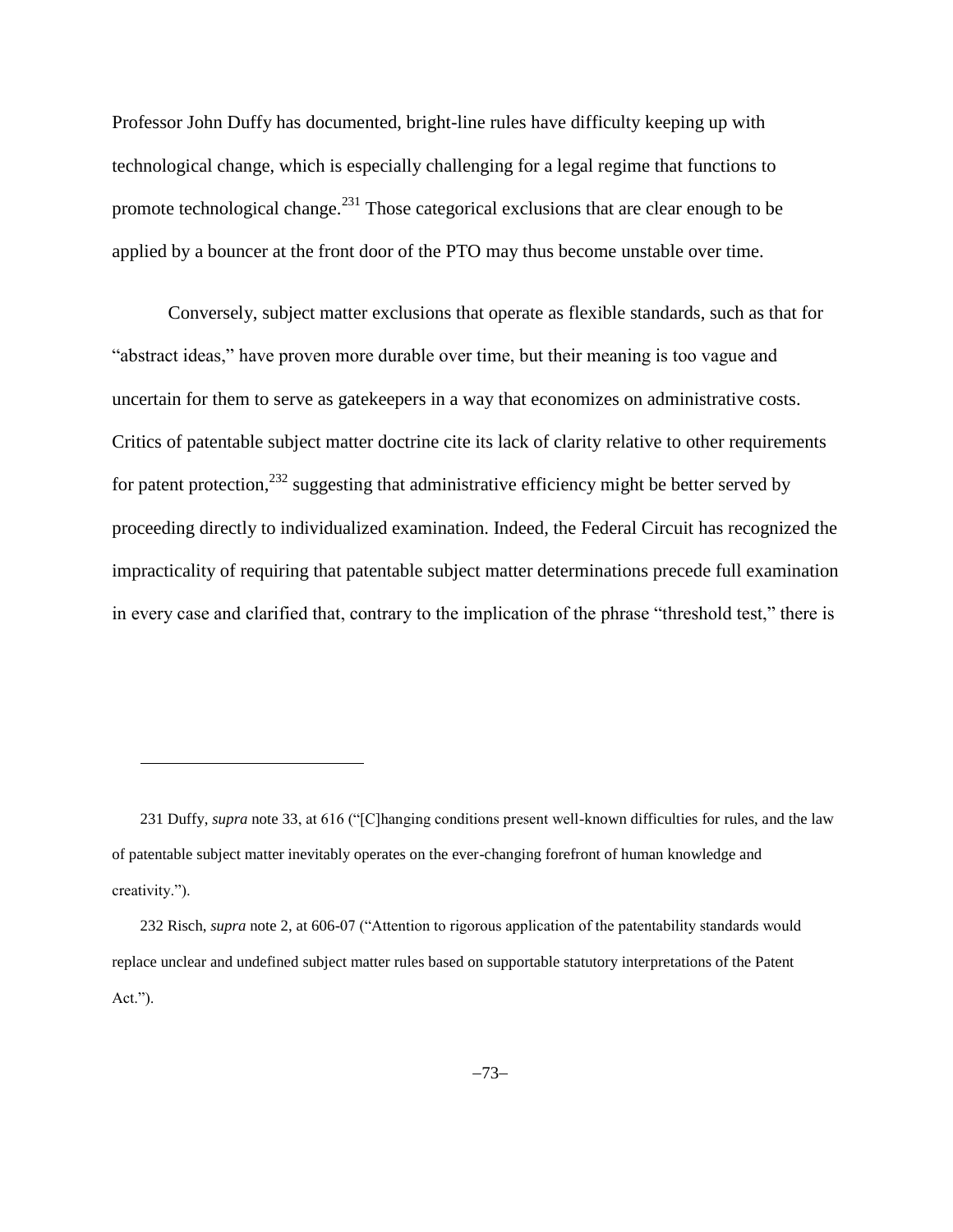Professor John Duffy has documented, bright-line rules have difficulty keeping up with technological change, which is especially challenging for a legal regime that functions to promote technological change.<sup>231</sup> Those categorical exclusions that are clear enough to be applied by a bouncer at the front door of the PTO may thus become unstable over time.

Conversely, subject matter exclusions that operate as flexible standards, such as that for "abstract ideas," have proven more durable over time, but their meaning is too vague and uncertain for them to serve as gatekeepers in a way that economizes on administrative costs. Critics of patentable subject matter doctrine cite its lack of clarity relative to other requirements for patent protection,  $232$  suggesting that administrative efficiency might be better served by proceeding directly to individualized examination. Indeed, the Federal Circuit has recognized the impracticality of requiring that patentable subject matter determinations precede full examination in every case and clarified that, contrary to the implication of the phrase "threshold test," there is

<sup>231</sup> Duffy, *supra* note [33,](#page-11-0) at 616 ("[C]hanging conditions present well-known difficulties for rules, and the law of patentable subject matter inevitably operates on the ever-changing forefront of human knowledge and creativity.").

<sup>232</sup> Risch, *supra* note [2,](#page-1-0) at 606-07 ("Attention to rigorous application of the patentability standards would replace unclear and undefined subject matter rules based on supportable statutory interpretations of the Patent Act.").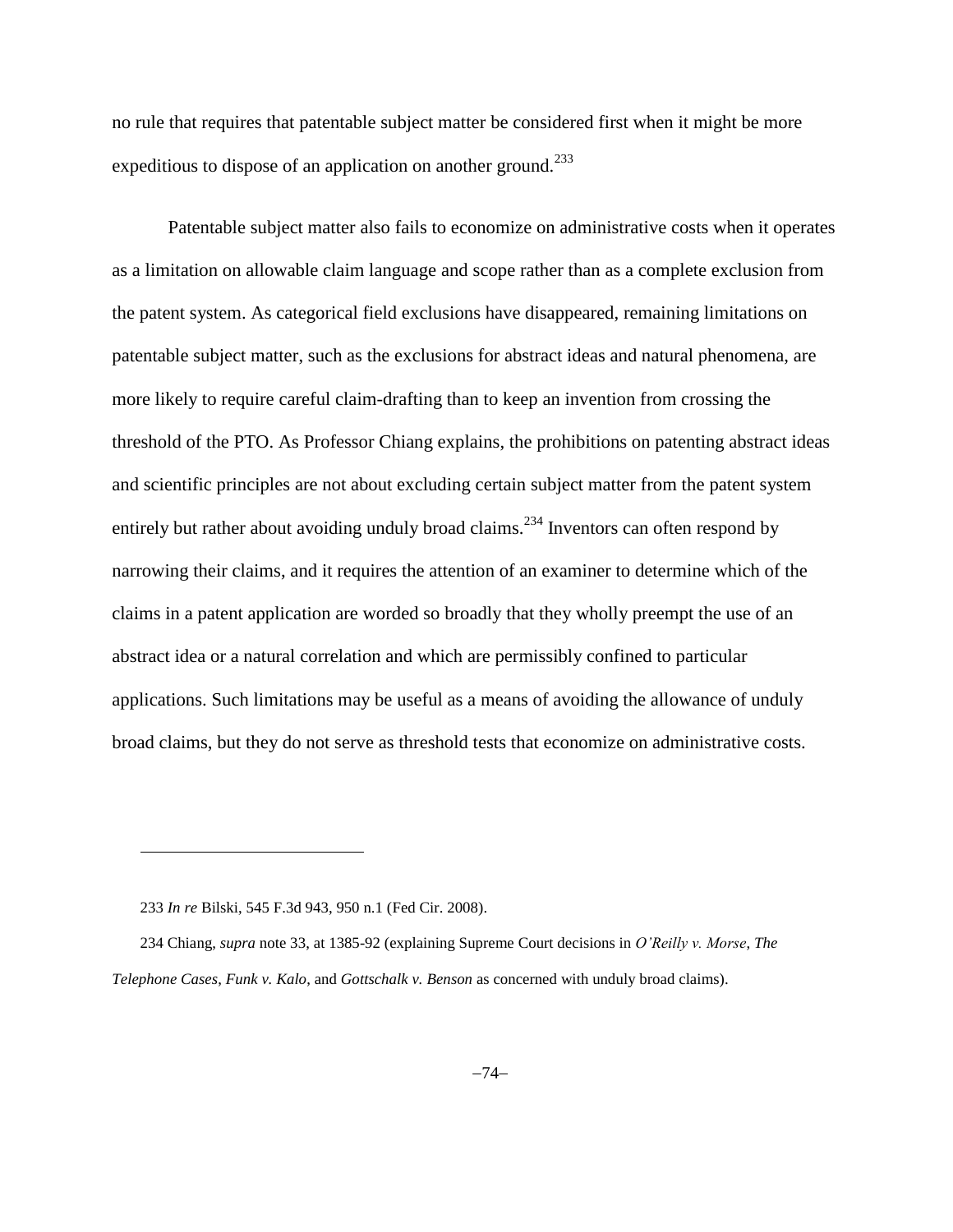no rule that requires that patentable subject matter be considered first when it might be more expeditious to dispose of an application on another ground.<sup>233</sup>

Patentable subject matter also fails to economize on administrative costs when it operates as a limitation on allowable claim language and scope rather than as a complete exclusion from the patent system. As categorical field exclusions have disappeared, remaining limitations on patentable subject matter, such as the exclusions for abstract ideas and natural phenomena, are more likely to require careful claim-drafting than to keep an invention from crossing the threshold of the PTO. As Professor Chiang explains, the prohibitions on patenting abstract ideas and scientific principles are not about excluding certain subject matter from the patent system entirely but rather about avoiding unduly broad claims.<sup>234</sup> Inventors can often respond by narrowing their claims, and it requires the attention of an examiner to determine which of the claims in a patent application are worded so broadly that they wholly preempt the use of an abstract idea or a natural correlation and which are permissibly confined to particular applications. Such limitations may be useful as a means of avoiding the allowance of unduly broad claims, but they do not serve as threshold tests that economize on administrative costs.

233 *In re* Bilski, 545 F.3d 943, 950 n.1 (Fed Cir. 2008).

l

234 Chiang, *supra* note [33,](#page-11-0) at 1385-92 (explaining Supreme Court decisions in *O'Reilly v. Morse*, *The Telephone Cases*, *Funk v. Kalo*, and *Gottschalk v. Benson* as concerned with unduly broad claims).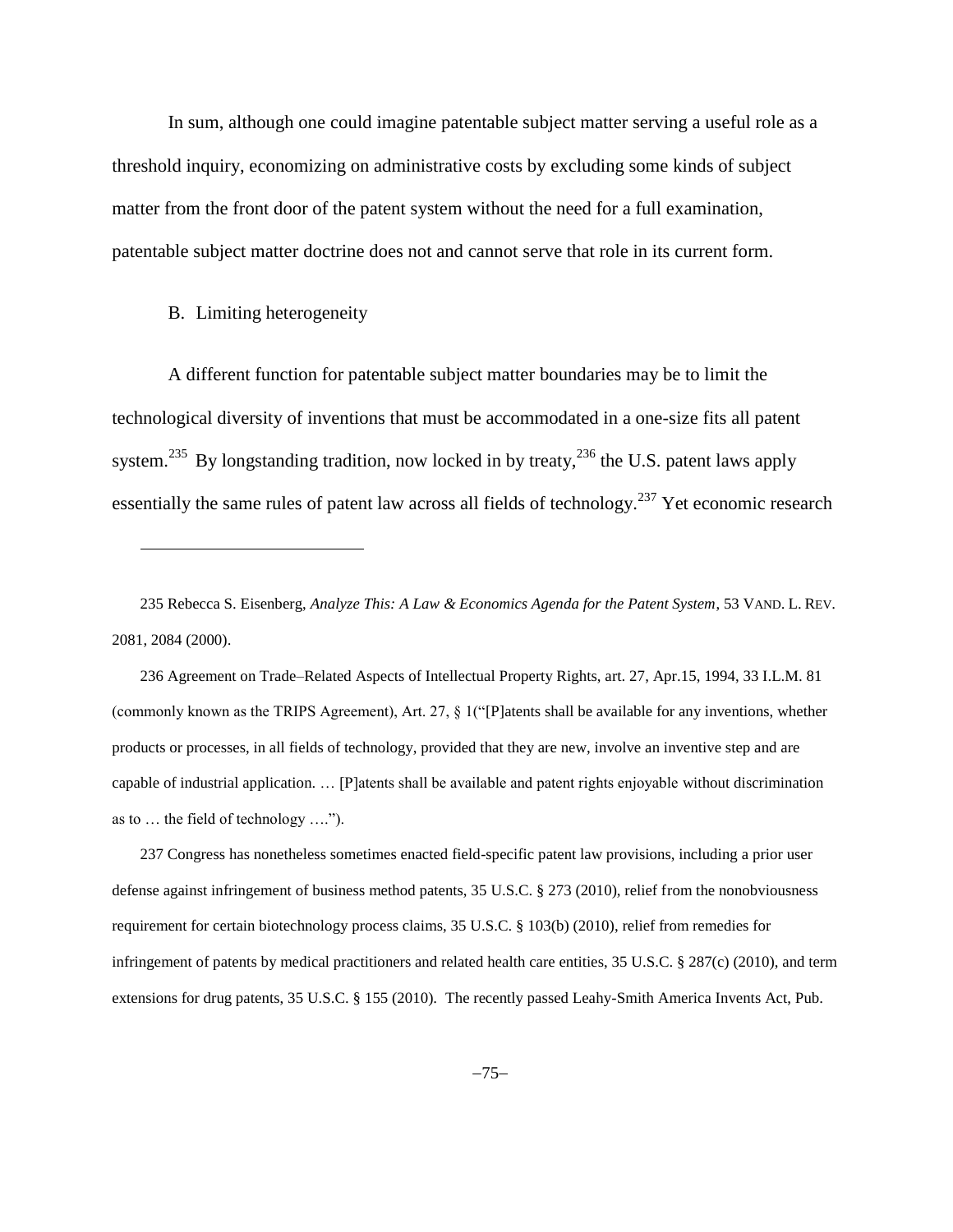In sum, although one could imagine patentable subject matter serving a useful role as a threshold inquiry, economizing on administrative costs by excluding some kinds of subject matter from the front door of the patent system without the need for a full examination, patentable subject matter doctrine does not and cannot serve that role in its current form.

## B. Limiting heterogeneity

l

A different function for patentable subject matter boundaries may be to limit the technological diversity of inventions that must be accommodated in a one-size fits all patent system.<sup>235</sup> By longstanding tradition, now locked in by treaty,<sup>236</sup> the U.S. patent laws apply essentially the same rules of patent law across all fields of technology.<sup>237</sup> Yet economic research

236 Agreement on Trade–Related Aspects of Intellectual Property Rights, art. 27, Apr.15, 1994, 33 I.L.M. 81 (commonly known as the TRIPS Agreement), Art. 27, § 1("[P]atents shall be available for any inventions, whether products or processes, in all fields of technology, provided that they are new, involve an inventive step and are capable of industrial application. … [P]atents shall be available and patent rights enjoyable without discrimination as to … the field of technology ….").

237 Congress has nonetheless sometimes enacted field-specific patent law provisions, including a prior user defense against infringement of business method patents, 35 U.S.C. § 273 (2010), relief from the nonobviousness requirement for certain biotechnology process claims, 35 U.S.C. § 103(b) (2010), relief from remedies for infringement of patents by medical practitioners and related health care entities, 35 U.S.C. § 287(c) (2010), and term extensions for drug patents, 35 U.S.C. § 155 (2010). The recently passed Leahy-Smith America Invents Act, Pub.

<sup>235</sup> Rebecca S. Eisenberg, *Analyze This: A Law & Economics Agenda for the Patent System*, 53 VAND. L. REV. 2081, 2084 (2000).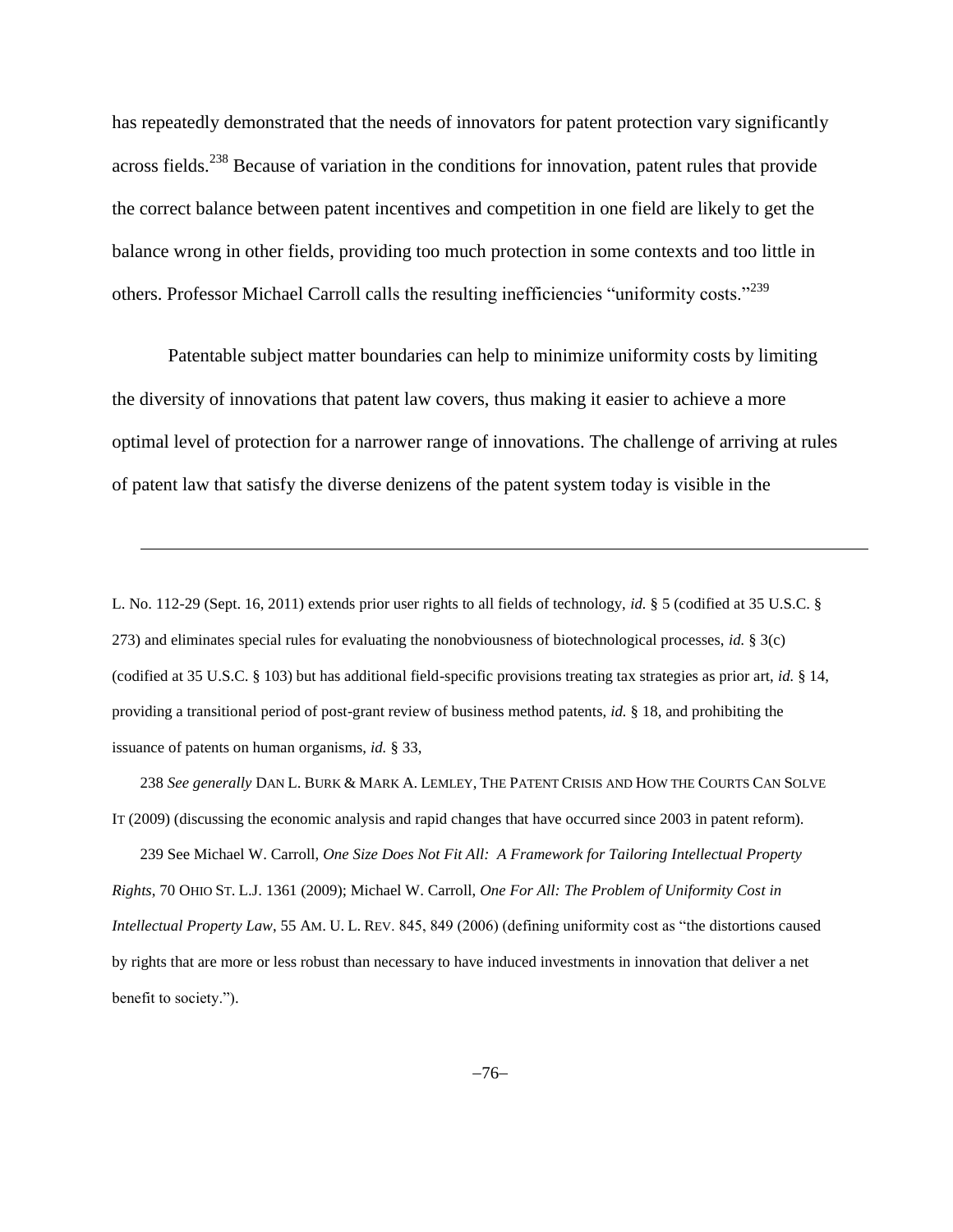has repeatedly demonstrated that the needs of innovators for patent protection vary significantly across fields.<sup>238</sup> Because of variation in the conditions for innovation, patent rules that provide the correct balance between patent incentives and competition in one field are likely to get the balance wrong in other fields, providing too much protection in some contexts and too little in others. Professor Michael Carroll calls the resulting inefficiencies "uniformity costs."<sup>239</sup>

Patentable subject matter boundaries can help to minimize uniformity costs by limiting the diversity of innovations that patent law covers, thus making it easier to achieve a more optimal level of protection for a narrower range of innovations. The challenge of arriving at rules of patent law that satisfy the diverse denizens of the patent system today is visible in the

L. No. 112-29 (Sept. 16, 2011) extends prior user rights to all fields of technology, *id.* § 5 (codified at 35 U.S.C. § 273) and eliminates special rules for evaluating the nonobviousness of biotechnological processes, *id.* § 3(c) (codified at 35 U.S.C. § 103) but has additional field-specific provisions treating tax strategies as prior art, *id.* § 14, providing a transitional period of post-grant review of business method patents, *id.* § 18, and prohibiting the issuance of patents on human organisms, *id.* § 33,

l

238 *See generally* DAN L. BURK & MARK A. LEMLEY, THE PATENT CRISIS AND HOW THE COURTS CAN SOLVE IT (2009) (discussing the economic analysis and rapid changes that have occurred since 2003 in patent reform).

239 See Michael W. Carroll, *One Size Does Not Fit All: A Framework for Tailoring Intellectual Property Rights*, 70 OHIO ST. L.J. 1361 (2009); Michael W. Carroll, *One For All: The Problem of Uniformity Cost in Intellectual Property Law*, 55 AM. U. L. REV. 845, 849 (2006) (defining uniformity cost as "the distortions caused by rights that are more or less robust than necessary to have induced investments in innovation that deliver a net benefit to society.").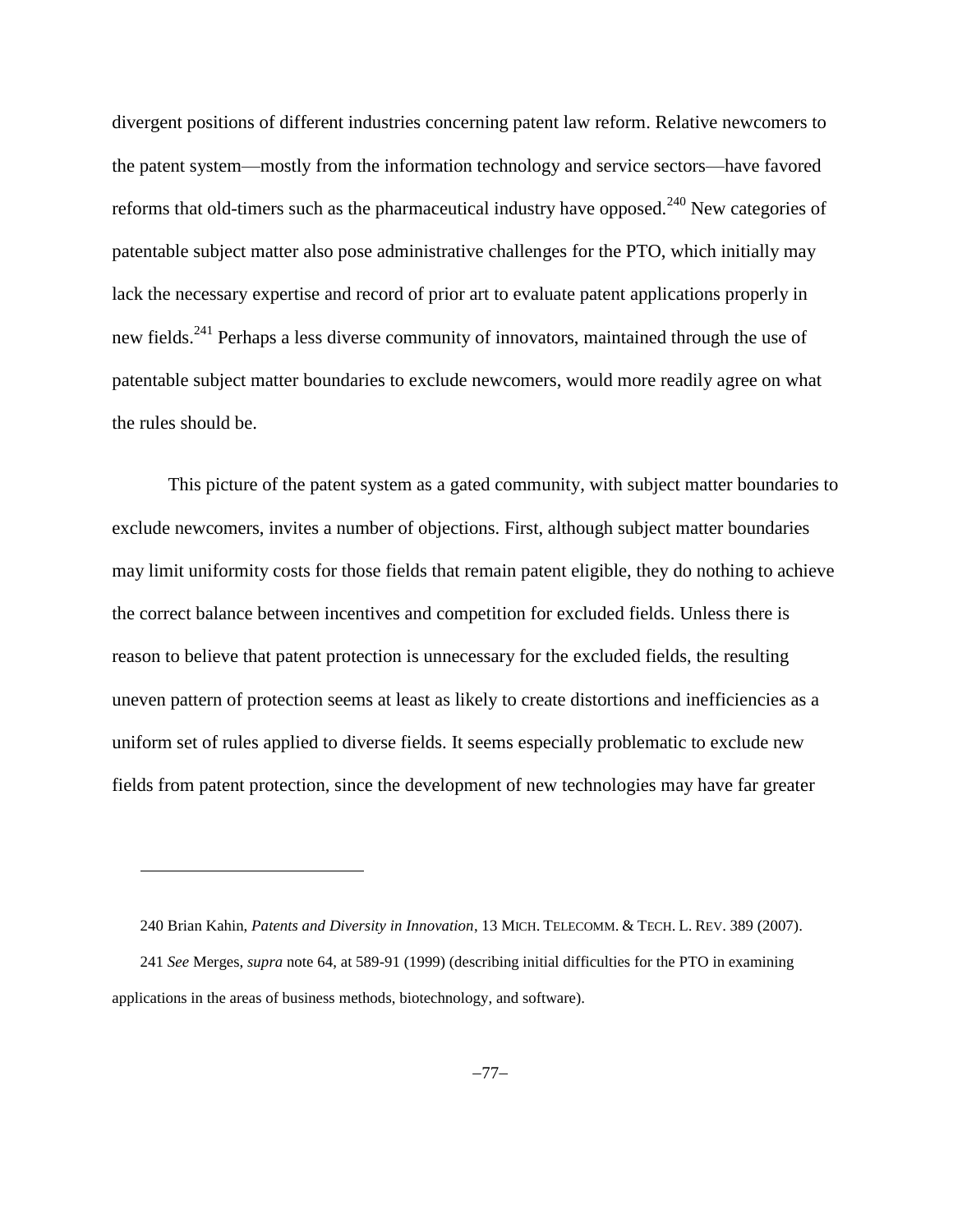divergent positions of different industries concerning patent law reform. Relative newcomers to the patent system—mostly from the information technology and service sectors—have favored reforms that old-timers such as the pharmaceutical industry have opposed.<sup>240</sup> New categories of patentable subject matter also pose administrative challenges for the PTO, which initially may lack the necessary expertise and record of prior art to evaluate patent applications properly in new fields.<sup>241</sup> Perhaps a less diverse community of innovators, maintained through the use of patentable subject matter boundaries to exclude newcomers, would more readily agree on what the rules should be.

This picture of the patent system as a gated community, with subject matter boundaries to exclude newcomers, invites a number of objections. First, although subject matter boundaries may limit uniformity costs for those fields that remain patent eligible, they do nothing to achieve the correct balance between incentives and competition for excluded fields. Unless there is reason to believe that patent protection is unnecessary for the excluded fields, the resulting uneven pattern of protection seems at least as likely to create distortions and inefficiencies as a uniform set of rules applied to diverse fields. It seems especially problematic to exclude new fields from patent protection, since the development of new technologies may have far greater

<sup>240</sup> Brian Kahin, *Patents and Diversity in Innovation*, 13 MICH. TELECOMM. & TECH. L. REV. 389 (2007). 241 *See* Merges, *supra* note 64, at 589-91 (1999) (describing initial difficulties for the PTO in examining applications in the areas of business methods, biotechnology, and software).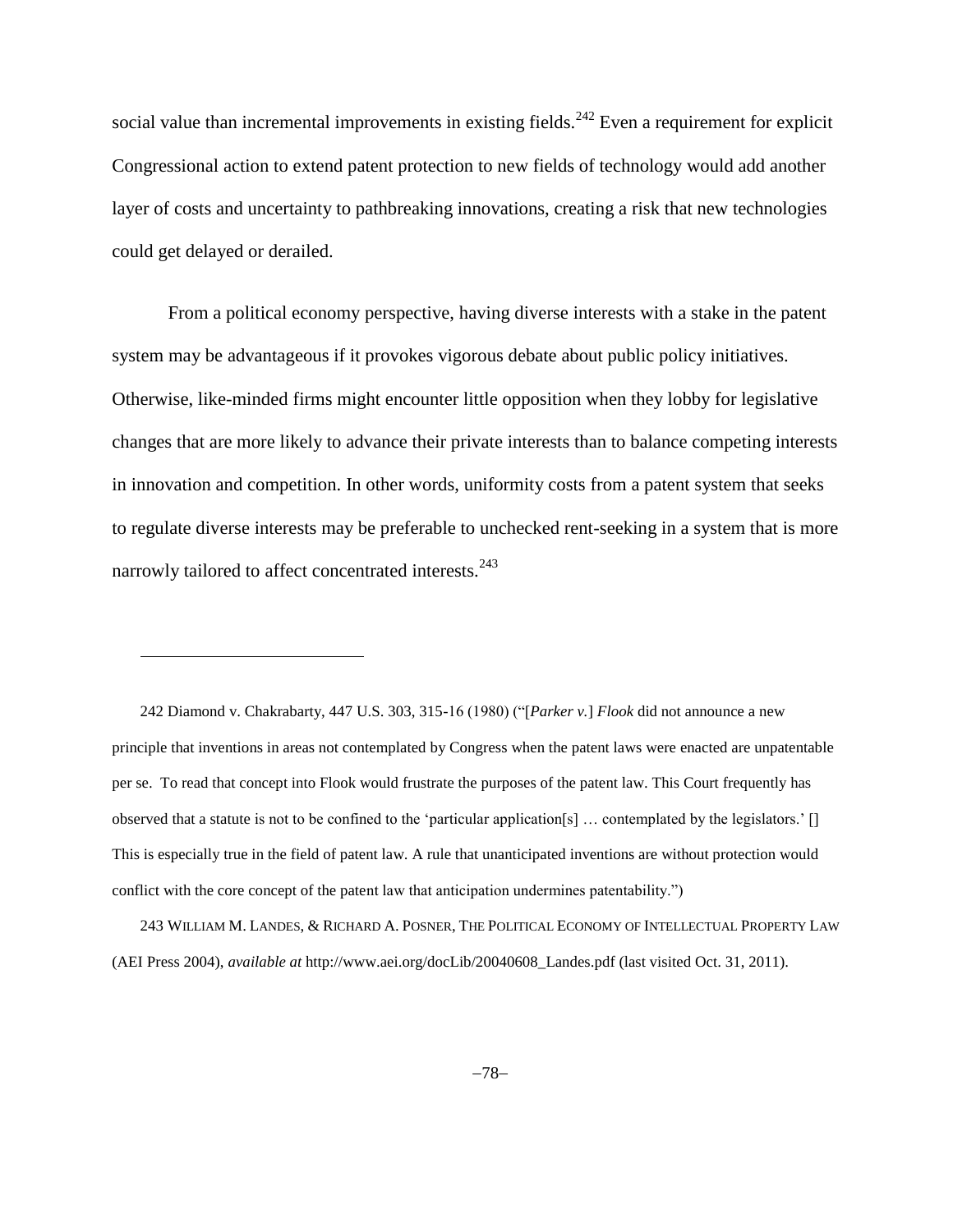social value than incremental improvements in existing fields.<sup>242</sup> Even a requirement for explicit Congressional action to extend patent protection to new fields of technology would add another layer of costs and uncertainty to pathbreaking innovations, creating a risk that new technologies could get delayed or derailed.

From a political economy perspective, having diverse interests with a stake in the patent system may be advantageous if it provokes vigorous debate about public policy initiatives. Otherwise, like-minded firms might encounter little opposition when they lobby for legislative changes that are more likely to advance their private interests than to balance competing interests in innovation and competition. In other words, uniformity costs from a patent system that seeks to regulate diverse interests may be preferable to unchecked rent-seeking in a system that is more narrowly tailored to affect concentrated interests.<sup>243</sup>

242 Diamond v. Chakrabarty, 447 U.S. 303, 315-16 (1980) ("[*Parker v.*] *Flook* did not announce a new principle that inventions in areas not contemplated by Congress when the patent laws were enacted are unpatentable per se. To read that concept into Flook would frustrate the purposes of the patent law. This Court frequently has observed that a statute is not to be confined to the 'particular application[s] … contemplated by the legislators.' [] This is especially true in the field of patent law. A rule that unanticipated inventions are without protection would conflict with the core concept of the patent law that anticipation undermines patentability.")

l

243 WILLIAM M. LANDES, & RICHARD A. POSNER, THE POLITICAL ECONOMY OF INTELLECTUAL PROPERTY LAW (AEI Press 2004), *available at* http://www.aei.org/docLib/20040608\_Landes.pdf (last visited Oct. 31, 2011).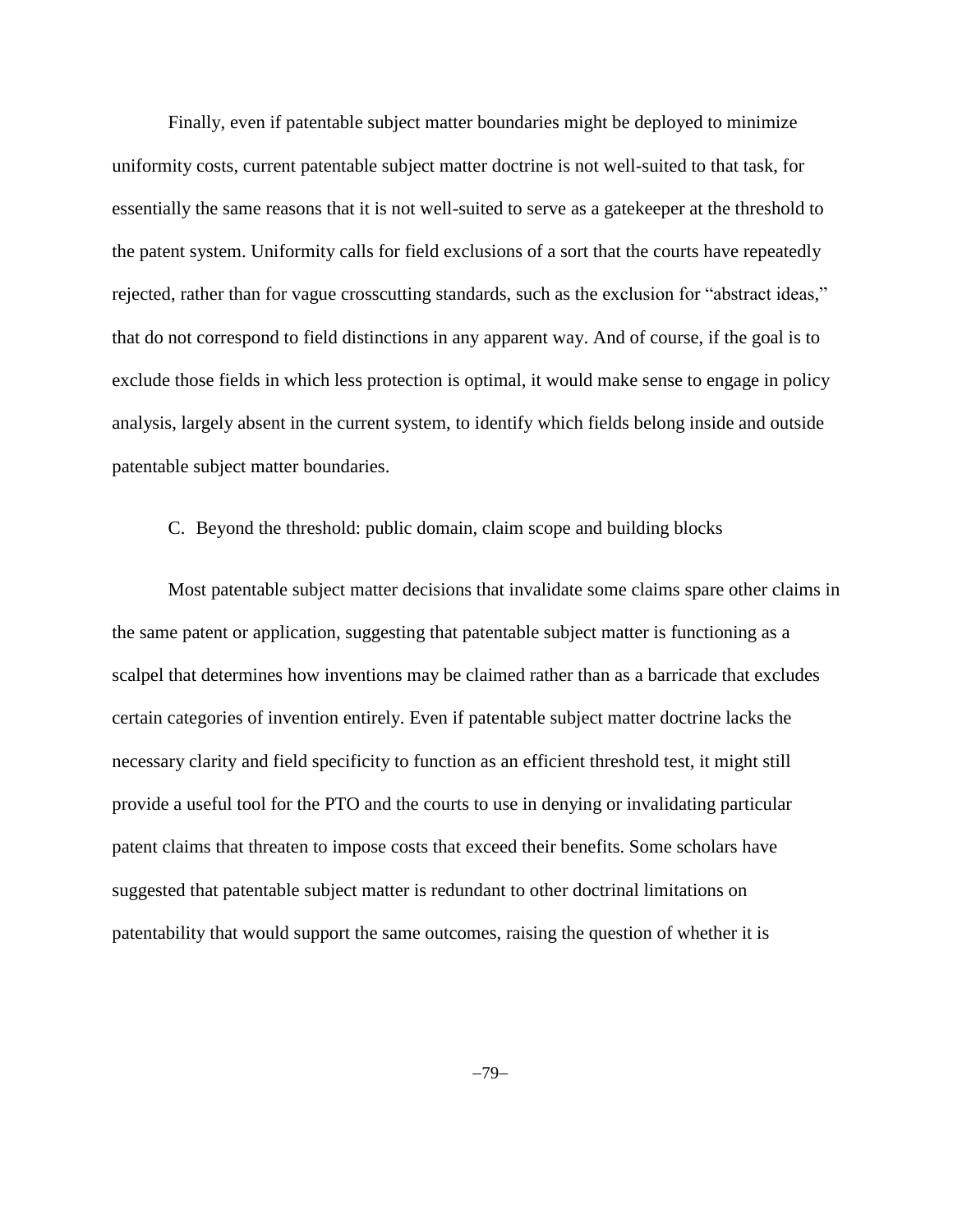Finally, even if patentable subject matter boundaries might be deployed to minimize uniformity costs, current patentable subject matter doctrine is not well-suited to that task, for essentially the same reasons that it is not well-suited to serve as a gatekeeper at the threshold to the patent system. Uniformity calls for field exclusions of a sort that the courts have repeatedly rejected, rather than for vague crosscutting standards, such as the exclusion for "abstract ideas," that do not correspond to field distinctions in any apparent way. And of course, if the goal is to exclude those fields in which less protection is optimal, it would make sense to engage in policy analysis, largely absent in the current system, to identify which fields belong inside and outside patentable subject matter boundaries.

## C. Beyond the threshold: public domain, claim scope and building blocks

Most patentable subject matter decisions that invalidate some claims spare other claims in the same patent or application, suggesting that patentable subject matter is functioning as a scalpel that determines how inventions may be claimed rather than as a barricade that excludes certain categories of invention entirely. Even if patentable subject matter doctrine lacks the necessary clarity and field specificity to function as an efficient threshold test, it might still provide a useful tool for the PTO and the courts to use in denying or invalidating particular patent claims that threaten to impose costs that exceed their benefits. Some scholars have suggested that patentable subject matter is redundant to other doctrinal limitations on patentability that would support the same outcomes, raising the question of whether it is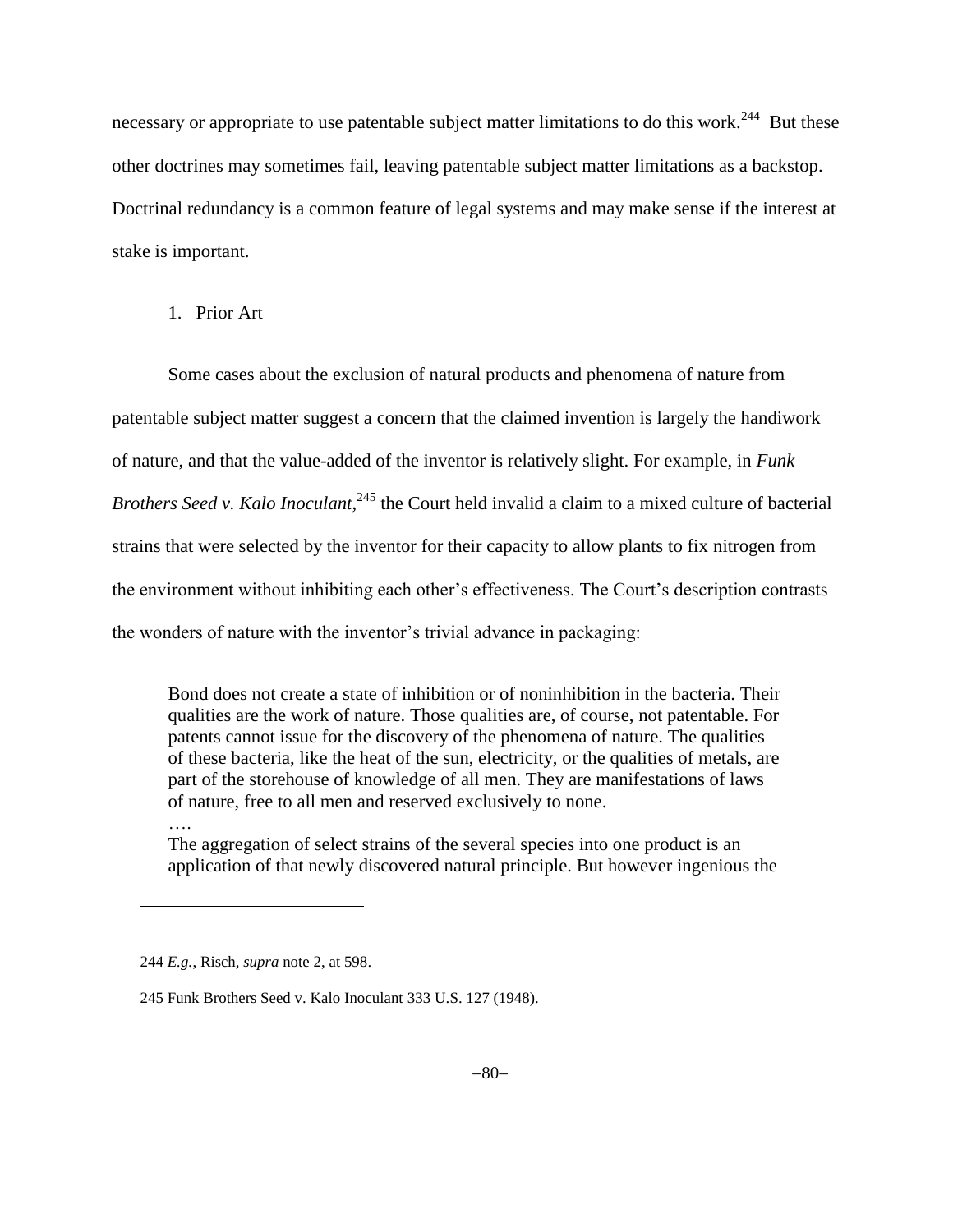necessary or appropriate to use patentable subject matter limitations to do this work.<sup>244</sup> But these other doctrines may sometimes fail, leaving patentable subject matter limitations as a backstop. Doctrinal redundancy is a common feature of legal systems and may make sense if the interest at stake is important.

1. Prior Art

Some cases about the exclusion of natural products and phenomena of nature from patentable subject matter suggest a concern that the claimed invention is largely the handiwork of nature, and that the value-added of the inventor is relatively slight. For example, in *Funk*  Brothers Seed v. Kalo Inoculant,<sup>245</sup> the Court held invalid a claim to a mixed culture of bacterial strains that were selected by the inventor for their capacity to allow plants to fix nitrogen from the environment without inhibiting each other's effectiveness. The Court's description contrasts the wonders of nature with the inventor's trivial advance in packaging:

Bond does not create a state of inhibition or of noninhibition in the bacteria. Their qualities are the work of nature. Those qualities are, of course, not patentable. For patents cannot issue for the discovery of the phenomena of nature. The qualities of these bacteria, like the heat of the sun, electricity, or the qualities of metals, are part of the storehouse of knowledge of all men. They are manifestations of laws of nature, free to all men and reserved exclusively to none.

The aggregation of select strains of the several species into one product is an application of that newly discovered natural principle. But however ingenious the

….

<sup>244</sup> *E.g.*, Risch, *supra* note [2,](#page-1-0) at 598.

<sup>245</sup> Funk Brothers Seed v. Kalo Inoculant 333 U.S. 127 (1948).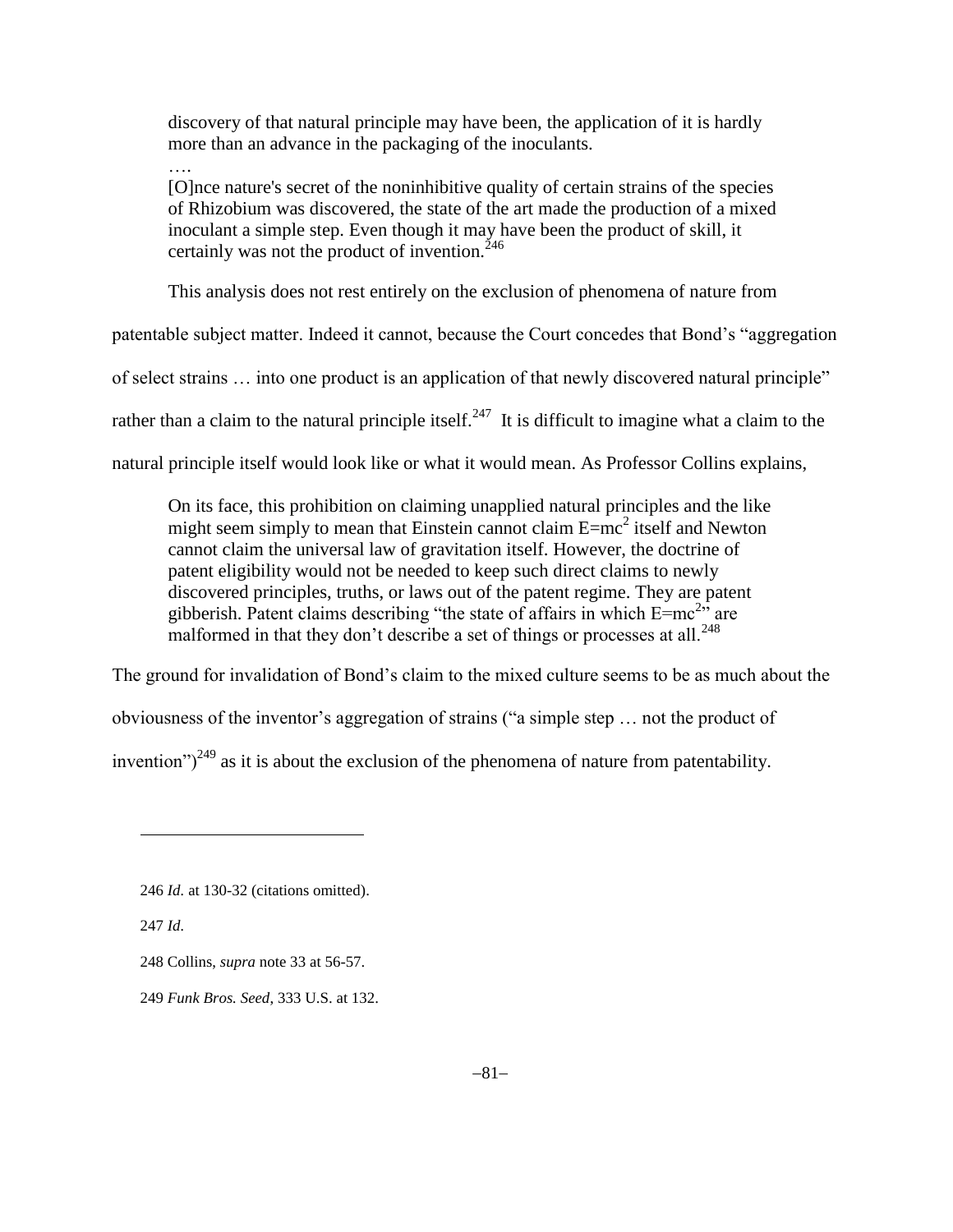discovery of that natural principle may have been, the application of it is hardly more than an advance in the packaging of the inoculants.

….

[O]nce nature's secret of the noninhibitive quality of certain strains of the species of Rhizobium was discovered, the state of the art made the production of a mixed inoculant a simple step. Even though it may have been the product of skill, it certainly was not the product of invention. $^{246}$ 

This analysis does not rest entirely on the exclusion of phenomena of nature from

patentable subject matter. Indeed it cannot, because the Court concedes that Bond's "aggregation

of select strains … into one product is an application of that newly discovered natural principle"

rather than a claim to the natural principle itself.<sup>247</sup> It is difficult to imagine what a claim to the

natural principle itself would look like or what it would mean. As Professor Collins explains,

On its face, this prohibition on claiming unapplied natural principles and the like might seem simply to mean that Einstein cannot claim  $E=mc^2$  itself and Newton cannot claim the universal law of gravitation itself. However, the doctrine of patent eligibility would not be needed to keep such direct claims to newly discovered principles, truths, or laws out of the patent regime. They are patent gibberish. Patent claims describing "the state of affairs in which  $E=mc^{2n}$  are malformed in that they don't describe a set of things or processes at all.<sup>248</sup>

The ground for invalidation of Bond's claim to the mixed culture seems to be as much about the

obviousness of the inventor's aggregation of strains ("a simple step … not the product of

invention")<sup>249</sup> as it is about the exclusion of the phenomena of nature from patentability.

<sup>246</sup> *Id.* at 130-32 (citations omitted).

<sup>247</sup> *Id.*

<sup>248</sup> Collins, *supra* note [33](#page-11-0) at 56-57.

<sup>249</sup> *Funk Bros. Seed*, 333 U.S. at 132.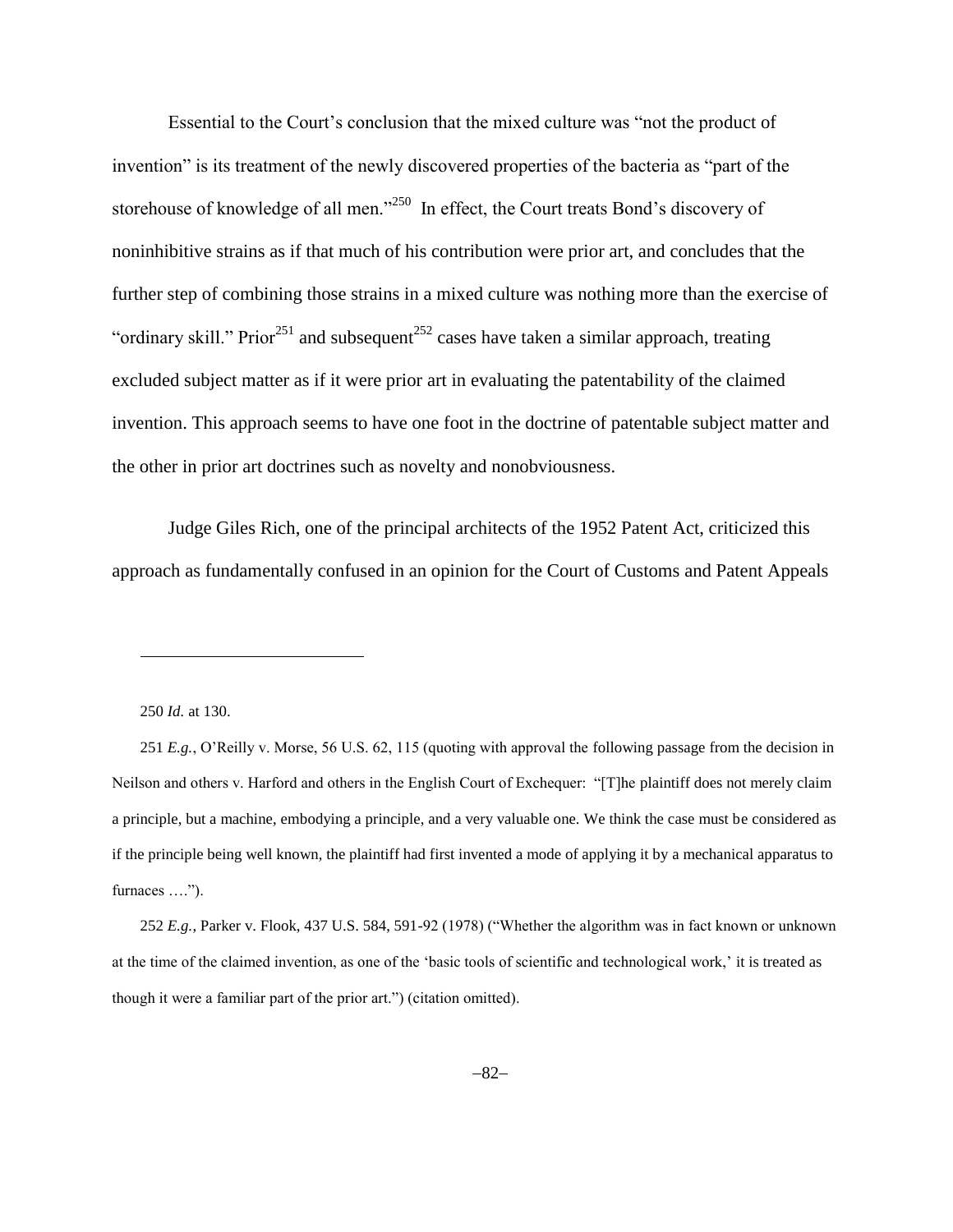Essential to the Court's conclusion that the mixed culture was "not the product of invention" is its treatment of the newly discovered properties of the bacteria as "part of the storehouse of knowledge of all men."<sup>250</sup> In effect, the Court treats Bond's discovery of noninhibitive strains as if that much of his contribution were prior art, and concludes that the further step of combining those strains in a mixed culture was nothing more than the exercise of "ordinary skill." Prior<sup>251</sup> and subsequent<sup>252</sup> cases have taken a similar approach, treating excluded subject matter as if it were prior art in evaluating the patentability of the claimed invention. This approach seems to have one foot in the doctrine of patentable subject matter and the other in prior art doctrines such as novelty and nonobviousness.

Judge Giles Rich, one of the principal architects of the 1952 Patent Act, criticized this approach as fundamentally confused in an opinion for the Court of Customs and Patent Appeals

250 *Id.* at 130.

l

251 *E.g.*, O'Reilly v. Morse, 56 U.S. 62, 115 (quoting with approval the following passage from the decision in Neilson and others v. Harford and others in the English Court of Exchequer: "[T]he plaintiff does not merely claim a principle, but a machine, embodying a principle, and a very valuable one. We think the case must be considered as if the principle being well known, the plaintiff had first invented a mode of applying it by a mechanical apparatus to furnaces ….").

252 *E.g.*, Parker v. Flook, 437 U.S. 584, 591-92 (1978) ("Whether the algorithm was in fact known or unknown at the time of the claimed invention, as one of the 'basic tools of scientific and technological work,' it is treated as though it were a familiar part of the prior art.") (citation omitted).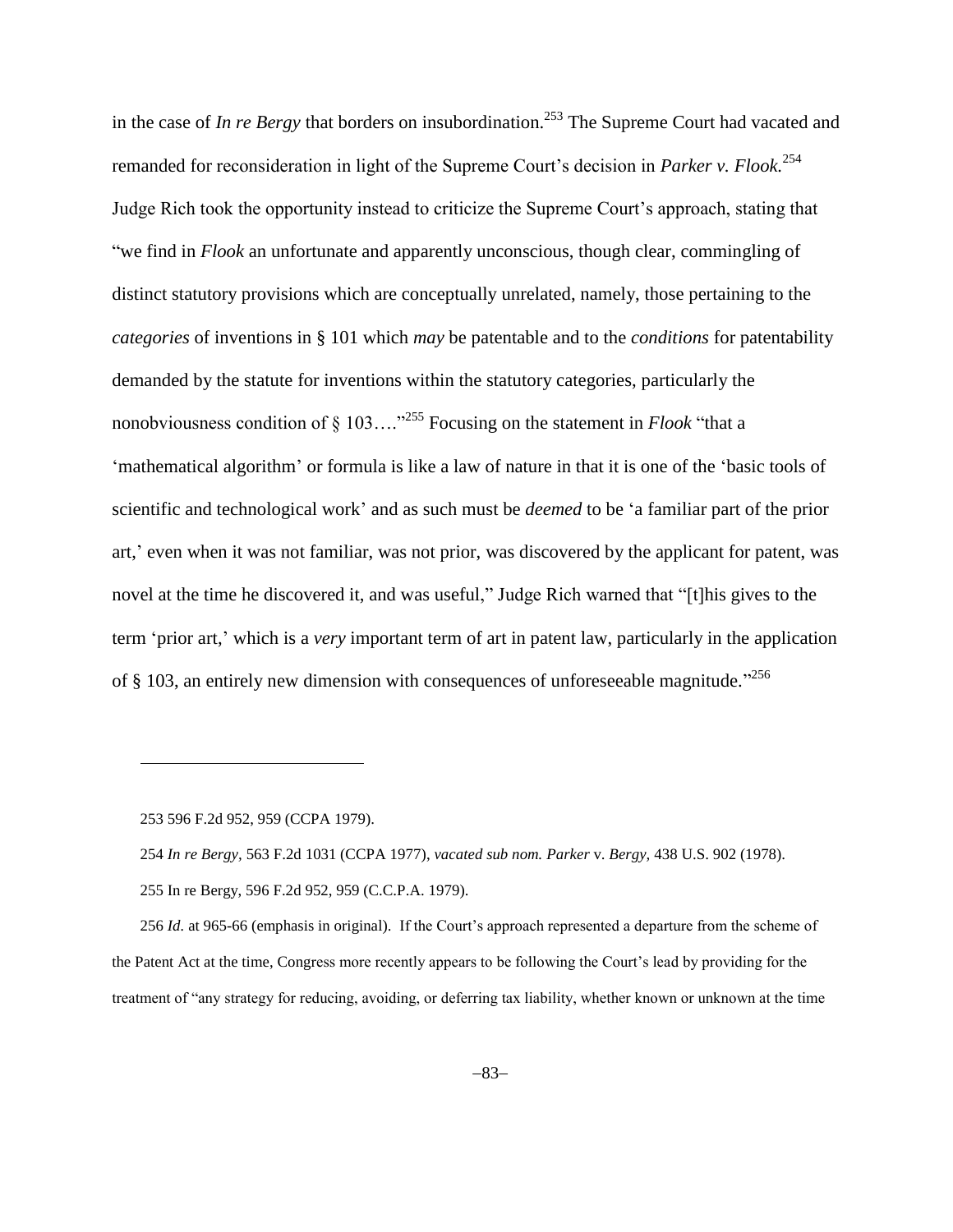in the case of *In re Bergy* that borders on insubordination. <sup>253</sup> The Supreme Court had vacated and remanded for reconsideration in light of the Supreme Court's decision in *Parker v. Flook.*<sup>254</sup> Judge Rich took the opportunity instead to criticize the Supreme Court's approach, stating that "we find in *Flook* an unfortunate and apparently unconscious, though clear, commingling of distinct statutory provisions which are conceptually unrelated, namely, those pertaining to the *categories* of inventions in § 101 which *may* be patentable and to the *conditions* for patentability demanded by the statute for inventions within the statutory categories, particularly the nonobviousness condition of § 103…." <sup>255</sup> Focusing on the statement in *Flook* "that a 'mathematical algorithm' or formula is like a law of nature in that it is one of the 'basic tools of scientific and technological work' and as such must be *deemed* to be 'a familiar part of the prior art,' even when it was not familiar, was not prior, was discovered by the applicant for patent, was novel at the time he discovered it, and was useful," Judge Rich warned that "[t]his gives to the term 'prior art,' which is a *very* important term of art in patent law, particularly in the application of § 103, an entirely new dimension with consequences of unforeseeable magnitude.<sup>3256</sup>

253 596 F.2d 952, 959 (CCPA 1979).

l

256 *Id.* at 965-66 (emphasis in original). If the Court's approach represented a departure from the scheme of the Patent Act at the time, Congress more recently appears to be following the Court's lead by providing for the treatment of "any strategy for reducing, avoiding, or deferring tax liability, whether known or unknown at the time

<sup>254</sup> *In re Bergy,* 563 F.2d 1031 (CCPA 1977), *vacated sub nom. Parker* v. *Bergy,* 438 U.S. 902 (1978). 255 In re Bergy, 596 F.2d 952, 959 (C.C.P.A. 1979).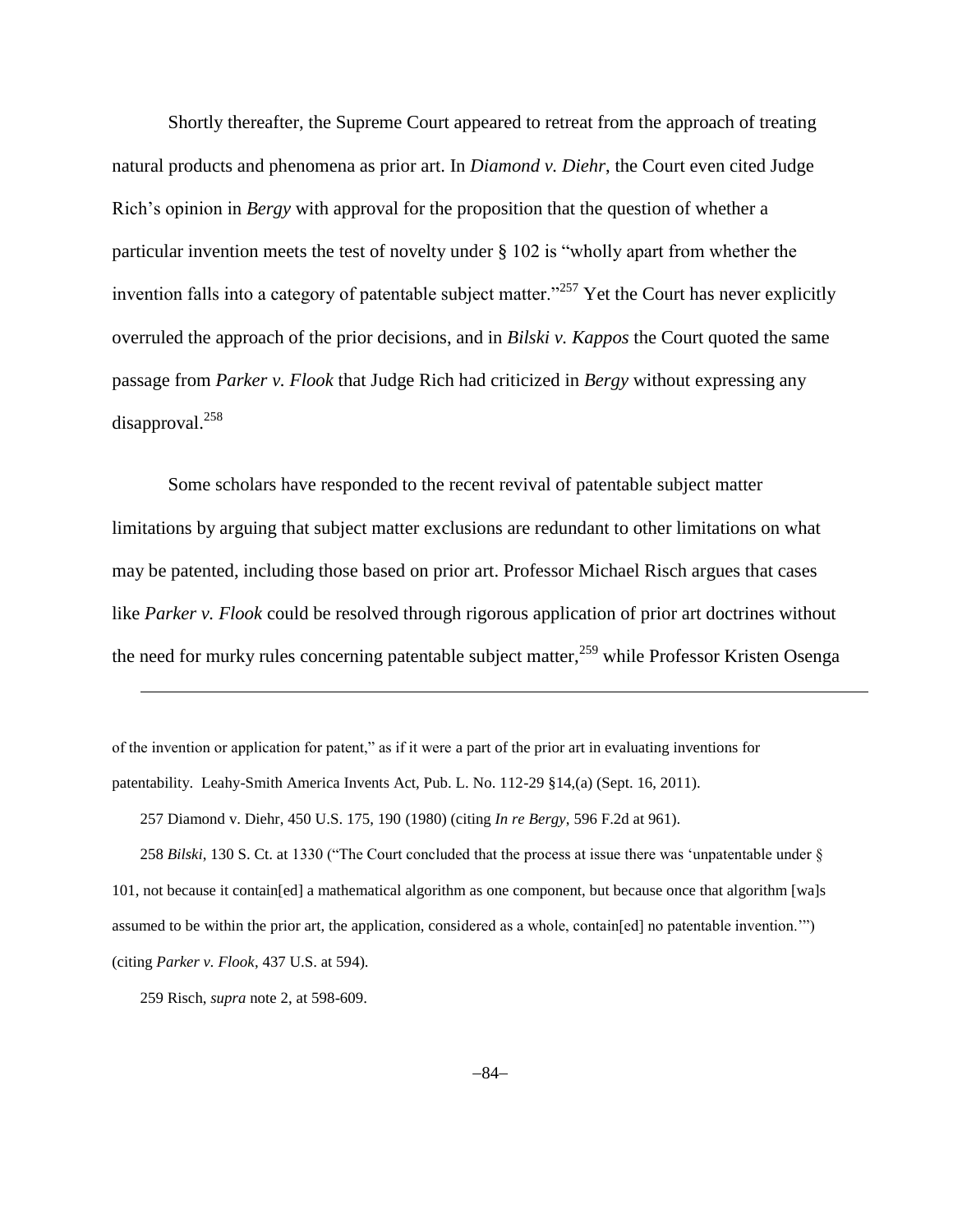Shortly thereafter, the Supreme Court appeared to retreat from the approach of treating natural products and phenomena as prior art. In *Diamond v. Diehr*, the Court even cited Judge Rich's opinion in *Bergy* with approval for the proposition that the question of whether a particular invention meets the test of novelty under § 102 is "wholly apart from whether the invention falls into a category of patentable subject matter.<sup>257</sup> Yet the Court has never explicitly overruled the approach of the prior decisions, and in *Bilski v. Kappos* the Court quoted the same passage from *Parker v. Flook* that Judge Rich had criticized in *Bergy* without expressing any disapproval.<sup>258</sup>

Some scholars have responded to the recent revival of patentable subject matter limitations by arguing that subject matter exclusions are redundant to other limitations on what may be patented, including those based on prior art. Professor Michael Risch argues that cases like *Parker v. Flook* could be resolved through rigorous application of prior art doctrines without the need for murky rules concerning patentable subject matter,<sup>259</sup> while Professor Kristen Osenga

of the invention or application for patent," as if it were a part of the prior art in evaluating inventions for patentability. Leahy-Smith America Invents Act, Pub. L. No. 112-29 §14,(a) (Sept. 16, 2011).

257 Diamond v. Diehr, 450 U.S. 175, 190 (1980) (citing *In re Bergy*, 596 F.2d at 961).

258 *Bilski*, 130 S. Ct. at 1330 ("The Court concluded that the process at issue there was 'unpatentable under § 101, not because it contain[ed] a mathematical algorithm as one component, but because once that algorithm [wa]s assumed to be within the prior art, the application, considered as a whole, contain[ed] no patentable invention.'") (citing *Parker v. Flook*, 437 U.S. at 594).

<sup>259</sup> Risch, *supra* note [2,](#page-1-0) at 598-609.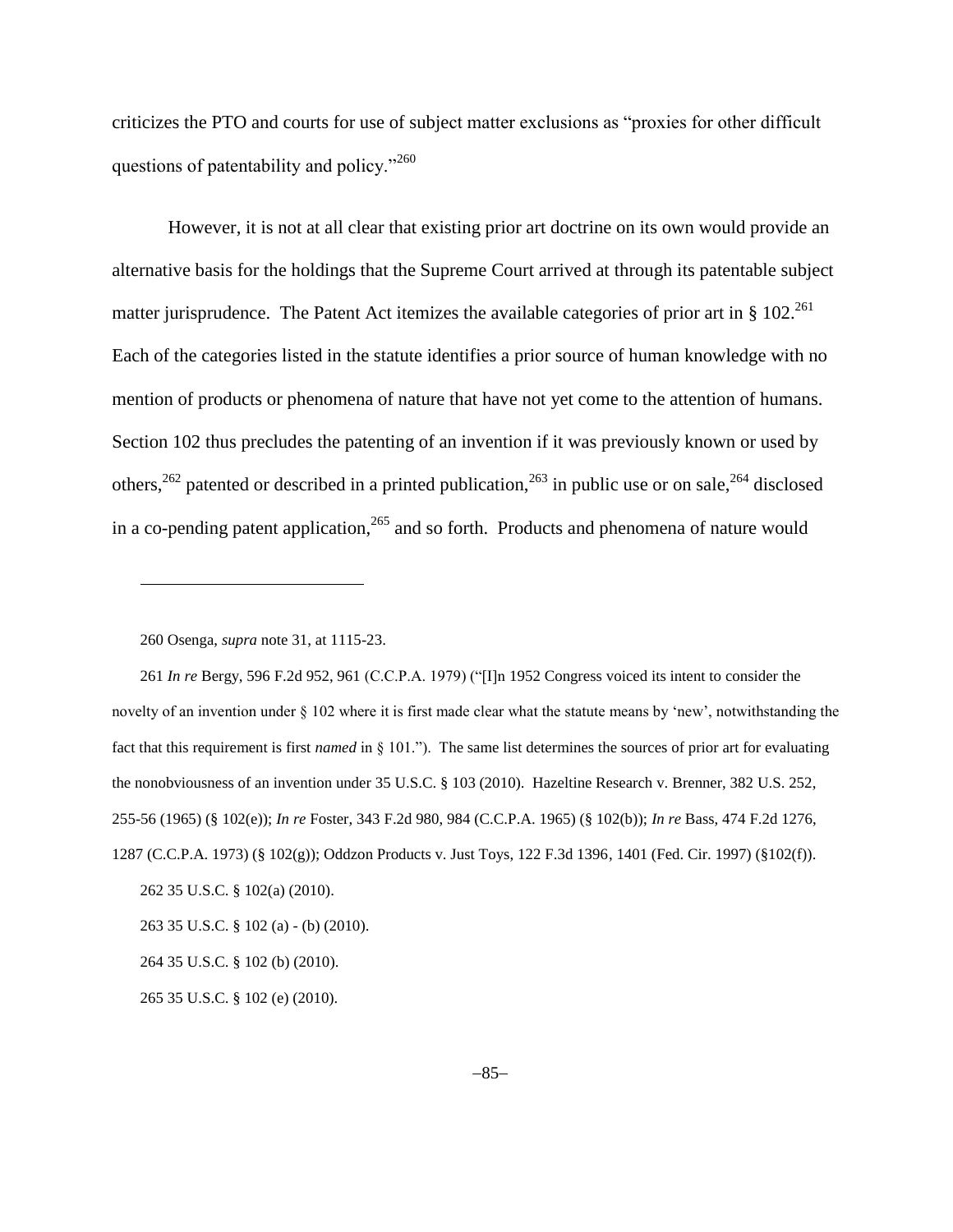criticizes the PTO and courts for use of subject matter exclusions as "proxies for other difficult questions of patentability and policy."<sup>260</sup>

However, it is not at all clear that existing prior art doctrine on its own would provide an alternative basis for the holdings that the Supreme Court arrived at through its patentable subject matter jurisprudence. The Patent Act itemizes the available categories of prior art in  $\S 102$ <sup>261</sup> Each of the categories listed in the statute identifies a prior source of human knowledge with no mention of products or phenomena of nature that have not yet come to the attention of humans. Section 102 thus precludes the patenting of an invention if it was previously known or used by others,<sup>262</sup> patented or described in a printed publication,<sup>263</sup> in public use or on sale,<sup>264</sup> disclosed in a co-pending patent application,  $265$  and so forth. Products and phenomena of nature would

l

261 *In re* Bergy, 596 F.2d 952, 961 (C.C.P.A. 1979) ("[I]n 1952 Congress voiced its intent to consider the novelty of an invention under § 102 where it is first made clear what the statute means by 'new', notwithstanding the fact that this requirement is first *named* in § 101."). The same list determines the sources of prior art for evaluating the nonobviousness of an invention under 35 U.S.C. § 103 (2010). Hazeltine Research v. Brenner, 382 U.S. 252, 255-56 (1965) (§ 102(e)); *In re* Foster, 343 F.2d 980, 984 (C.C.P.A. 1965) (§ 102(b)); *In re* Bass, 474 F.2d 1276, 1287 (C.C.P.A. 1973) (§ 102(g)); Oddzon Products v. Just Toys, 122 F.3d 1396, 1401 (Fed. Cir. 1997) (§102(f)).

262 35 U.S.C. § 102(a) (2010).

263 35 U.S.C. § 102 (a) - (b) (2010).

264 35 U.S.C. § 102 (b) (2010).

265 35 U.S.C. § 102 (e) (2010).

<sup>260</sup> Osenga, *supra* not[e 31,](#page-10-0) at 1115-23.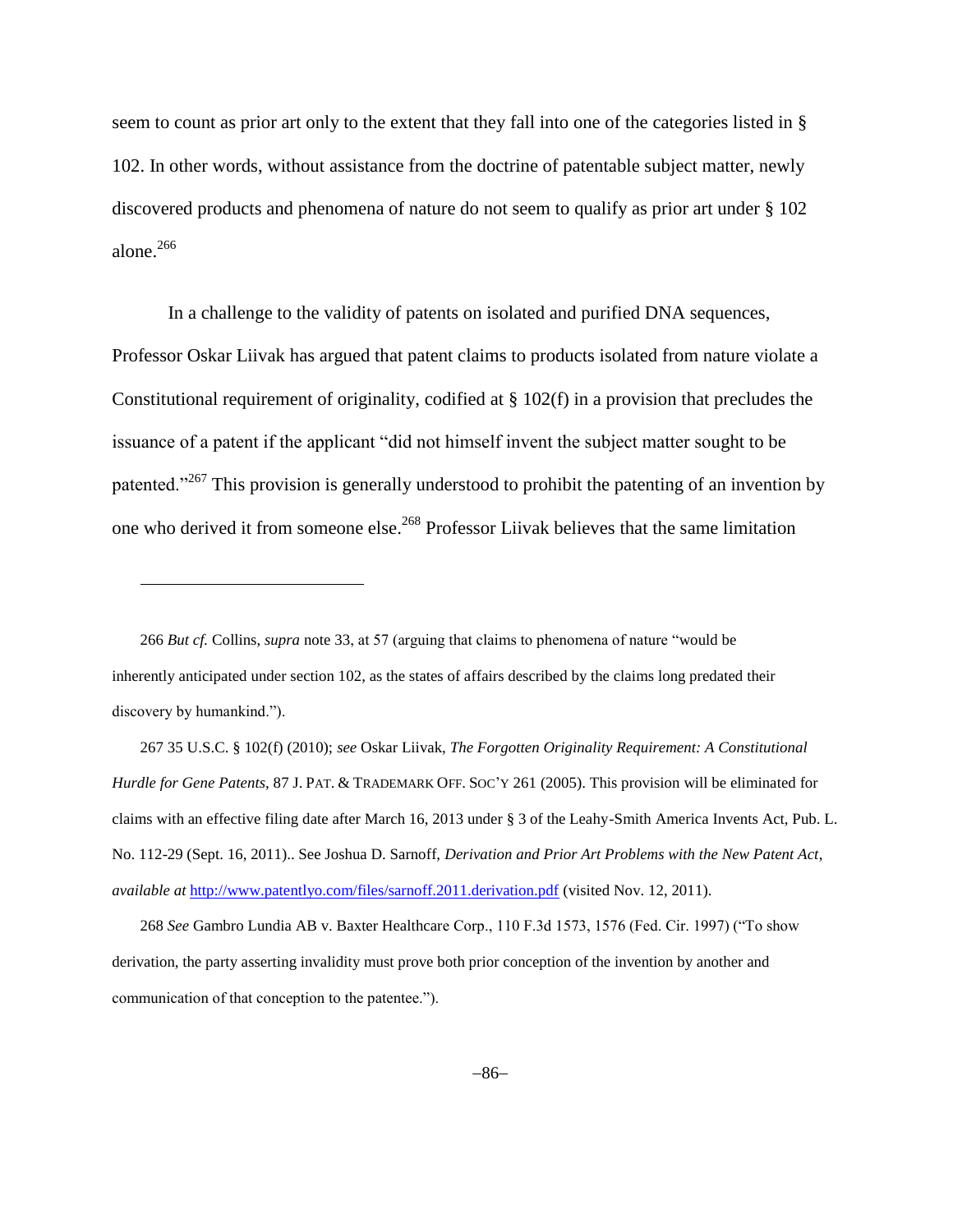seem to count as prior art only to the extent that they fall into one of the categories listed in § 102. In other words, without assistance from the doctrine of patentable subject matter, newly discovered products and phenomena of nature do not seem to qualify as prior art under § 102 alone. $266$ 

In a challenge to the validity of patents on isolated and purified DNA sequences, Professor Oskar Liivak has argued that patent claims to products isolated from nature violate a Constitutional requirement of originality, codified at § 102(f) in a provision that precludes the issuance of a patent if the applicant "did not himself invent the subject matter sought to be patented."<sup>267</sup> This provision is generally understood to prohibit the patenting of an invention by one who derived it from someone else. <sup>268</sup> Professor Liivak believes that the same limitation

<span id="page-85-0"></span>l

267 35 U.S.C. § 102(f) (2010); *see* Oskar Liivak, *The Forgotten Originality Requirement: A Constitutional Hurdle for Gene Patents*, 87 J. PAT. & TRADEMARK OFF. SOC'Y 261 (2005). This provision will be eliminated for claims with an effective filing date after March 16, 2013 under § 3 of the Leahy-Smith America Invents Act, Pub. L. No. 112-29 (Sept. 16, 2011).. See Joshua D. Sarnoff, *Derivation and Prior Art Problems with the New Patent Act*, *available at* <http://www.patentlyo.com/files/sarnoff.2011.derivation.pdf> (visited Nov. 12, 2011).

268 *See* Gambro Lundia AB v. Baxter Healthcare Corp., 110 F.3d 1573, 1576 (Fed. Cir. 1997) ("To show derivation, the party asserting invalidity must prove both prior conception of the invention by another and communication of that conception to the patentee.").

<sup>266</sup> *But cf.* Collins, *supra* note [33,](#page-11-0) at 57 (arguing that claims to phenomena of nature "would be inherently anticipated under section 102, as the states of affairs described by the claims long predated their discovery by humankind.").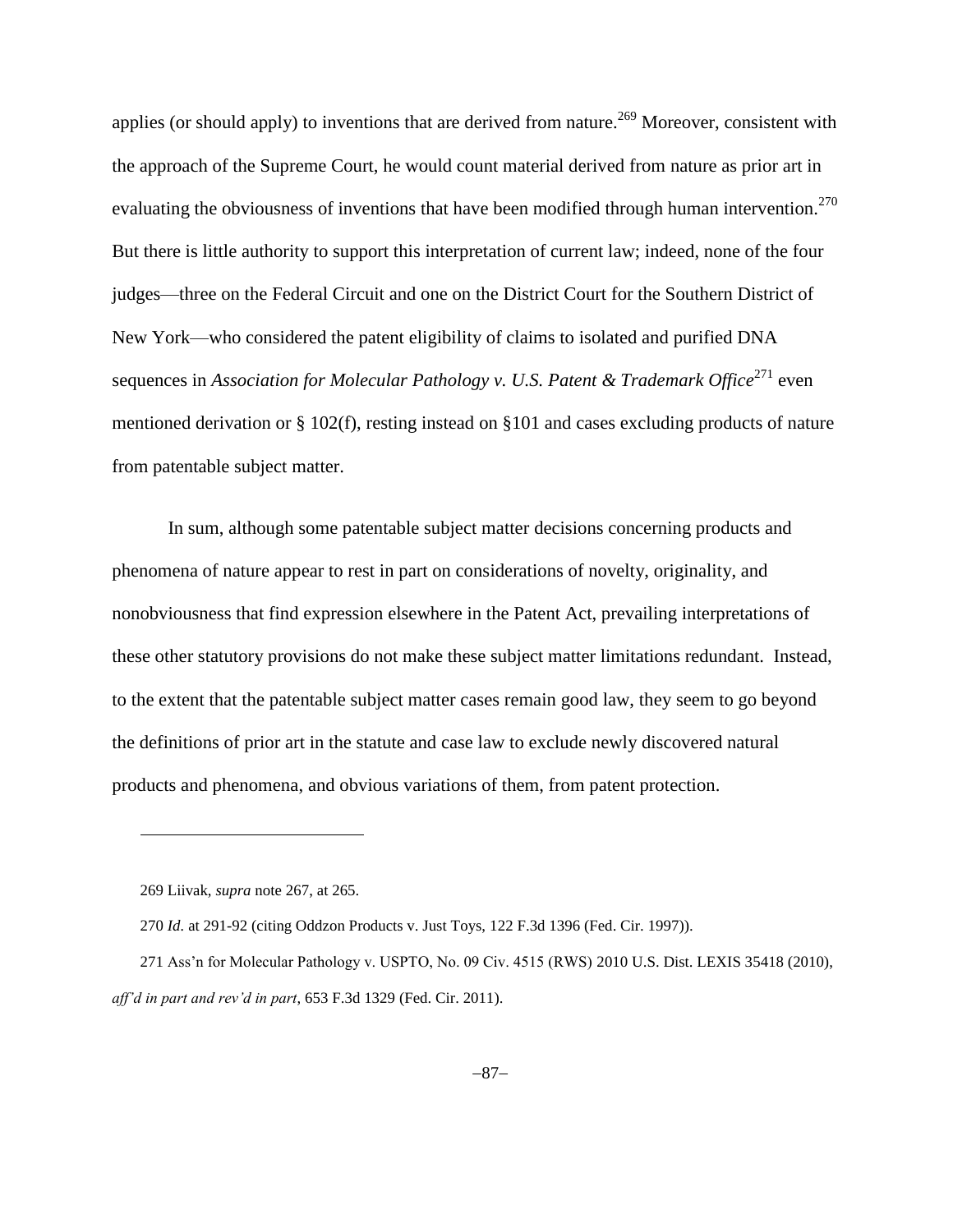applies (or should apply) to inventions that are derived from nature.<sup>269</sup> Moreover, consistent with the approach of the Supreme Court, he would count material derived from nature as prior art in evaluating the obviousness of inventions that have been modified through human intervention.<sup>270</sup> But there is little authority to support this interpretation of current law; indeed, none of the four judges—three on the Federal Circuit and one on the District Court for the Southern District of New York—who considered the patent eligibility of claims to isolated and purified DNA sequences in *Association for Molecular Pathology v. U.S. Patent & Trademark Office*<sup>271</sup> even mentioned derivation or  $\S 102(f)$ , resting instead on  $\S 101$  and cases excluding products of nature from patentable subject matter.

In sum, although some patentable subject matter decisions concerning products and phenomena of nature appear to rest in part on considerations of novelty, originality, and nonobviousness that find expression elsewhere in the Patent Act, prevailing interpretations of these other statutory provisions do not make these subject matter limitations redundant. Instead, to the extent that the patentable subject matter cases remain good law, they seem to go beyond the definitions of prior art in the statute and case law to exclude newly discovered natural products and phenomena, and obvious variations of them, from patent protection.

<sup>269</sup> Liivak, *supra* not[e 267,](#page-85-0) at 265.

<sup>270</sup> *Id.* at 291-92 (citing Oddzon Products v. Just Toys, 122 F.3d 1396 (Fed. Cir. 1997)).

<sup>271</sup> Ass'n for Molecular Pathology v. USPTO, No. 09 Civ. 4515 (RWS) 2010 U.S. Dist. LEXIS 35418 (2010), *aff'd in part and rev'd in part*, 653 F.3d 1329 (Fed. Cir. 2011).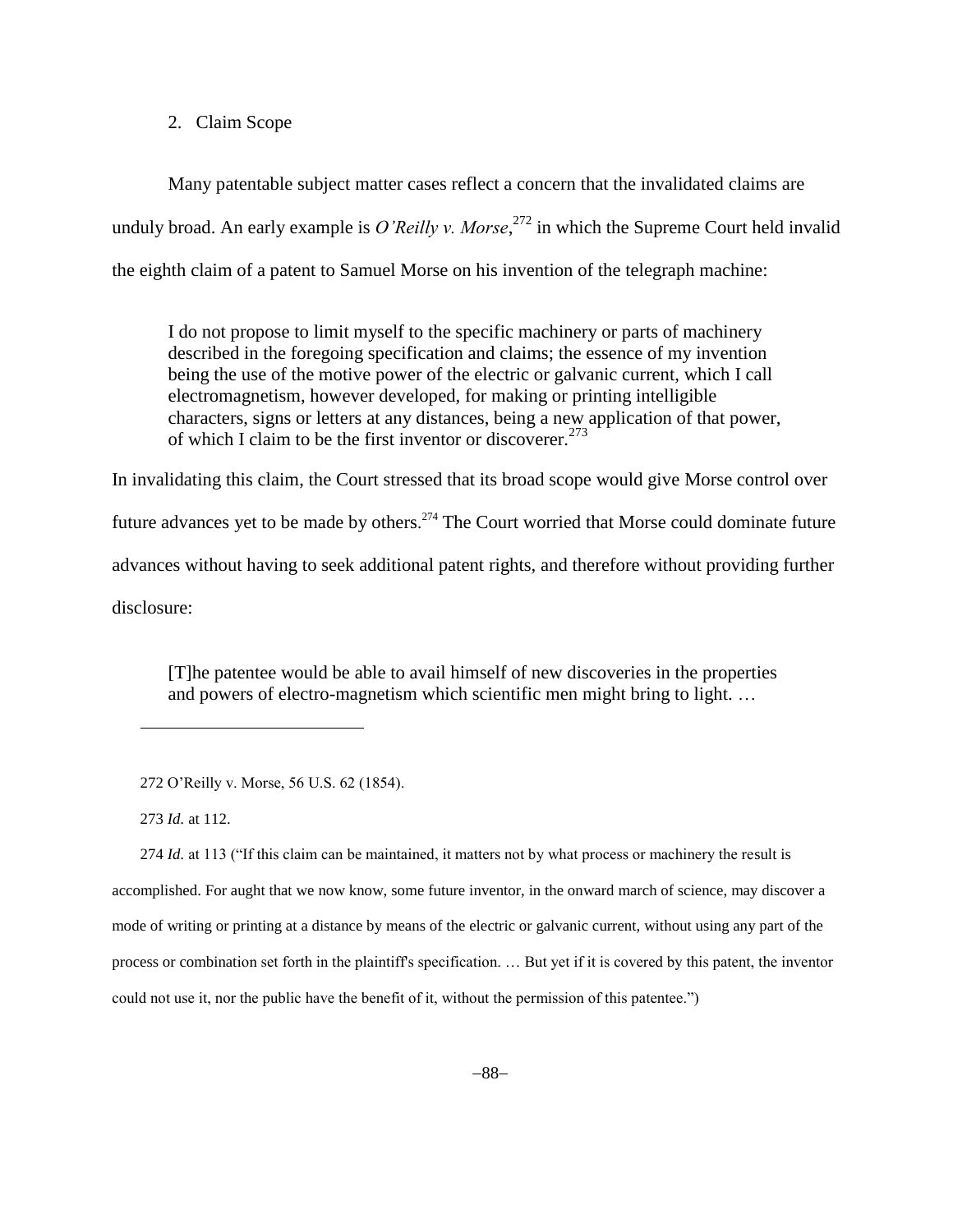2. Claim Scope

Many patentable subject matter cases reflect a concern that the invalidated claims are unduly broad. An early example is *O'Reilly v. Morse*, <sup>272</sup> in which the Supreme Court held invalid the eighth claim of a patent to Samuel Morse on his invention of the telegraph machine:

I do not propose to limit myself to the specific machinery or parts of machinery described in the foregoing specification and claims; the essence of my invention being the use of the motive power of the electric or galvanic current, which I call electromagnetism, however developed, for making or printing intelligible characters, signs or letters at any distances, being a new application of that power, of which I claim to be the first inventor or discoverer.<sup>273</sup>

In invalidating this claim, the Court stressed that its broad scope would give Morse control over future advances yet to be made by others.<sup>274</sup> The Court worried that Morse could dominate future advances without having to seek additional patent rights, and therefore without providing further disclosure:

[T]he patentee would be able to avail himself of new discoveries in the properties and powers of electro-magnetism which scientific men might bring to light. …

273 *Id.* at 112.

l

274 *Id.* at 113 ("If this claim can be maintained, it matters not by what process or machinery the result is accomplished. For aught that we now know, some future inventor, in the onward march of science, may discover a mode of writing or printing at a distance by means of the electric or galvanic current, without using any part of the process or combination set forth in the plaintiff's specification. … But yet if it is covered by this patent, the inventor could not use it, nor the public have the benefit of it, without the permission of this patentee.")

<sup>272</sup> O'Reilly v. Morse, 56 U.S. 62 (1854).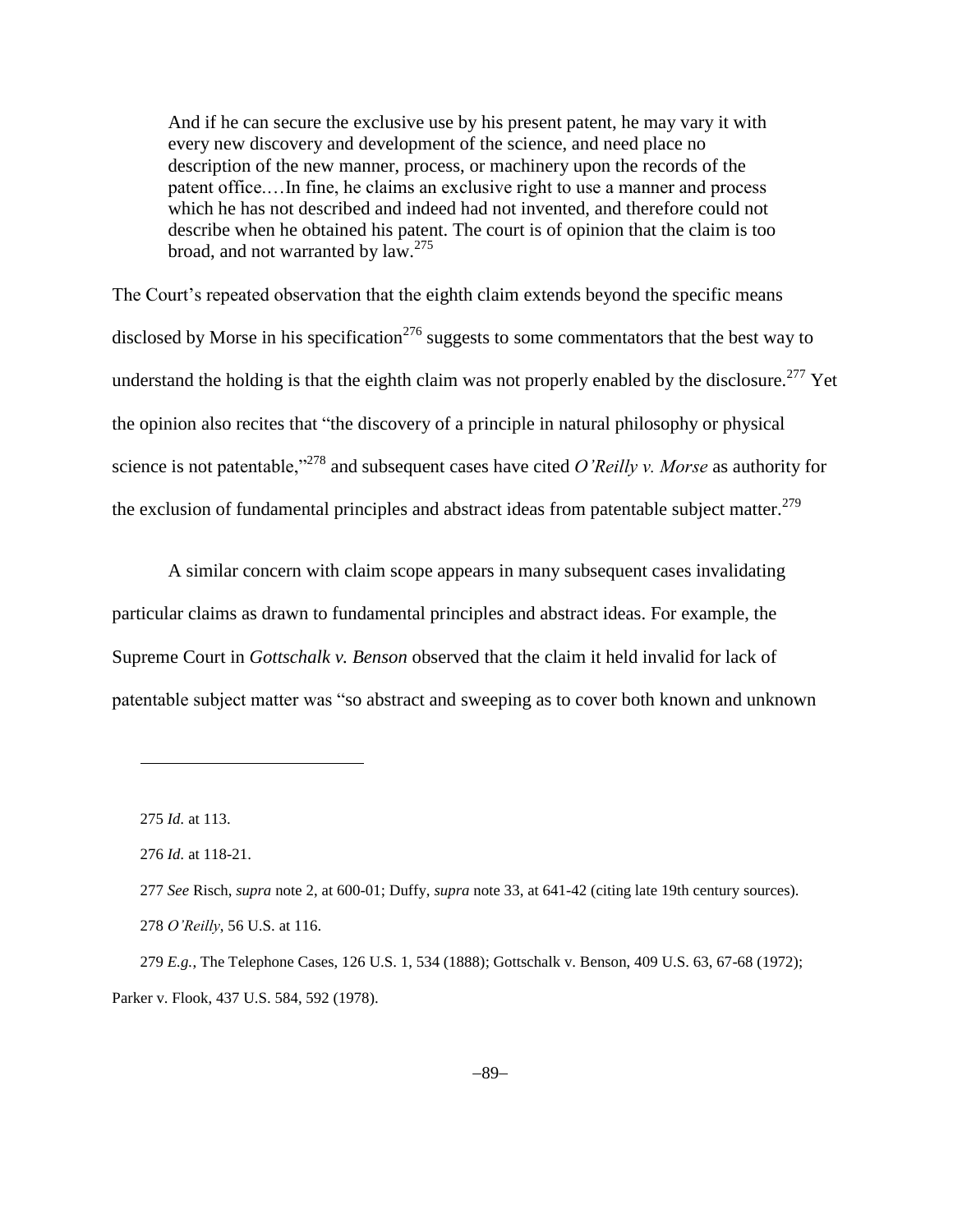And if he can secure the exclusive use by his present patent, he may vary it with every new discovery and development of the science, and need place no description of the new manner, process, or machinery upon the records of the patent office.…In fine, he claims an exclusive right to use a manner and process which he has not described and indeed had not invented, and therefore could not describe when he obtained his patent. The court is of opinion that the claim is too broad, and not warranted by law.<sup>275</sup>

The Court's repeated observation that the eighth claim extends beyond the specific means disclosed by Morse in his specification<sup>276</sup> suggests to some commentators that the best way to understand the holding is that the eighth claim was not properly enabled by the disclosure.<sup>277</sup> Yet the opinion also recites that "the discovery of a principle in natural philosophy or physical science is not patentable,"<sup>278</sup> and subsequent cases have cited *O'Reilly v. Morse* as authority for the exclusion of fundamental principles and abstract ideas from patentable subject matter.<sup>279</sup>

A similar concern with claim scope appears in many subsequent cases invalidating particular claims as drawn to fundamental principles and abstract ideas. For example, the Supreme Court in *Gottschalk v. Benson* observed that the claim it held invalid for lack of patentable subject matter was "so abstract and sweeping as to cover both known and unknown

<sup>275</sup> *Id.* at 113.

<sup>276</sup> *Id.* at 118-21.

<sup>277</sup> *See* Risch, *supra* note 2, at 600-01; Duffy, *supra* note [33,](#page-11-0) at 641-42 (citing late 19th century sources). 278 *O'Reilly*, 56 U.S. at 116.

<sup>279</sup> *E.g.*, The Telephone Cases, 126 U.S. 1, 534 (1888); Gottschalk v. Benson, 409 U.S. 63, 67-68 (1972); Parker v. Flook, 437 U.S. 584, 592 (1978).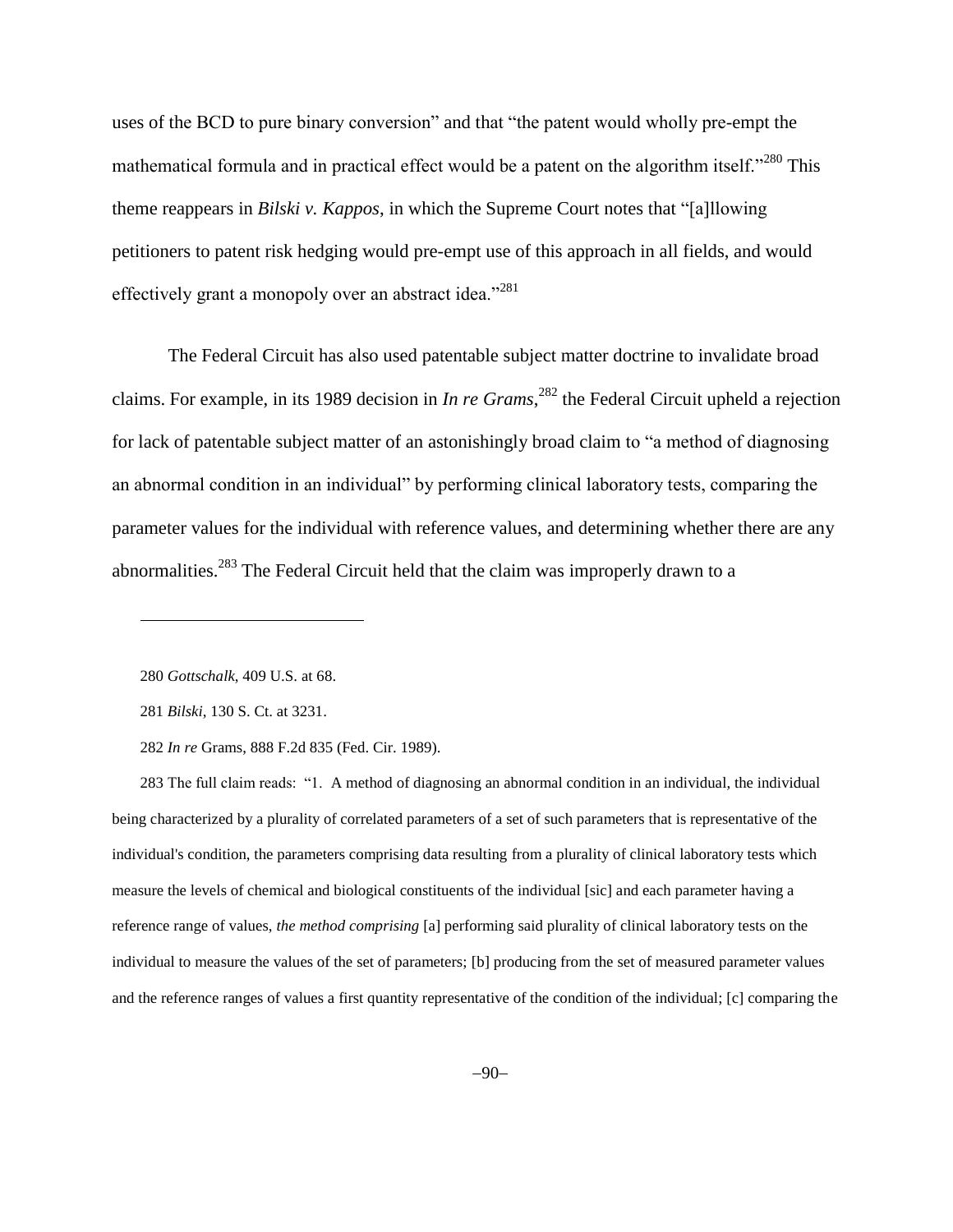uses of the BCD to pure binary conversion" and that "the patent would wholly pre-empt the mathematical formula and in practical effect would be a patent on the algorithm itself."<sup>280</sup> This theme reappears in *Bilski v. Kappos*, in which the Supreme Court notes that "[a]llowing petitioners to patent risk hedging would pre-empt use of this approach in all fields, and would effectively grant a monopoly over an abstract idea."<sup>281</sup>

The Federal Circuit has also used patentable subject matter doctrine to invalidate broad claims. For example, in its 1989 decision in *In re Grams*, <sup>282</sup> the Federal Circuit upheld a rejection for lack of patentable subject matter of an astonishingly broad claim to "a method of diagnosing an abnormal condition in an individual" by performing clinical laboratory tests, comparing the parameter values for the individual with reference values, and determining whether there are any abnormalities.<sup>283</sup> The Federal Circuit held that the claim was improperly drawn to a

l

283 The full claim reads: "1. A method of diagnosing an abnormal condition in an individual, the individual being characterized by a plurality of correlated parameters of a set of such parameters that is representative of the individual's condition, the parameters comprising data resulting from a plurality of clinical laboratory tests which measure the levels of chemical and biological constituents of the individual [sic] and each parameter having a reference range of values, *the method comprising* [a] performing said plurality of clinical laboratory tests on the individual to measure the values of the set of parameters; [b] producing from the set of measured parameter values and the reference ranges of values a first quantity representative of the condition of the individual; [c] comparing the

<sup>280</sup> *Gottschalk*, 409 U.S. at 68.

<sup>281</sup> *Bilski*, 130 S. Ct. at 3231.

<sup>282</sup> *In re* Grams, 888 F.2d 835 (Fed. Cir. 1989).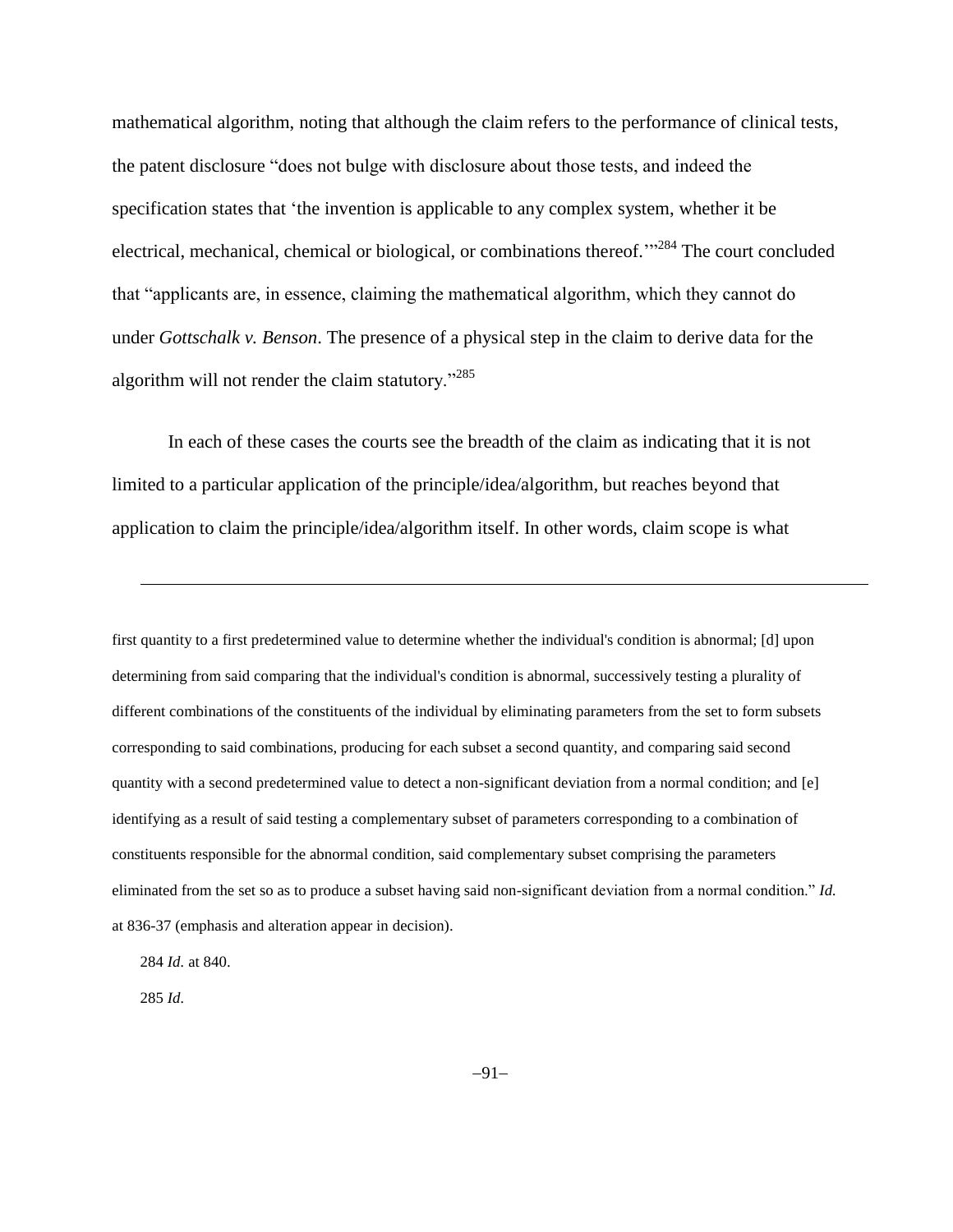mathematical algorithm, noting that although the claim refers to the performance of clinical tests, the patent disclosure "does not bulge with disclosure about those tests, and indeed the specification states that 'the invention is applicable to any complex system, whether it be electrical, mechanical, chemical or biological, or combinations thereof.'"<sup>284</sup> The court concluded that "applicants are, in essence, claiming the mathematical algorithm, which they cannot do under *Gottschalk v. Benson*. The presence of a physical step in the claim to derive data for the algorithm will not render the claim statutory."<sup>285</sup>

In each of these cases the courts see the breadth of the claim as indicating that it is not limited to a particular application of the principle/idea/algorithm, but reaches beyond that application to claim the principle/idea/algorithm itself. In other words, claim scope is what

first quantity to a first predetermined value to determine whether the individual's condition is abnormal; [d] upon determining from said comparing that the individual's condition is abnormal, successively testing a plurality of different combinations of the constituents of the individual by eliminating parameters from the set to form subsets corresponding to said combinations, producing for each subset a second quantity, and comparing said second quantity with a second predetermined value to detect a non-significant deviation from a normal condition; and [e] identifying as a result of said testing a complementary subset of parameters corresponding to a combination of constituents responsible for the abnormal condition, said complementary subset comprising the parameters eliminated from the set so as to produce a subset having said non-significant deviation from a normal condition." *Id.* at 836-37 (emphasis and alteration appear in decision).

284 *Id.* at 840.

285 *Id.*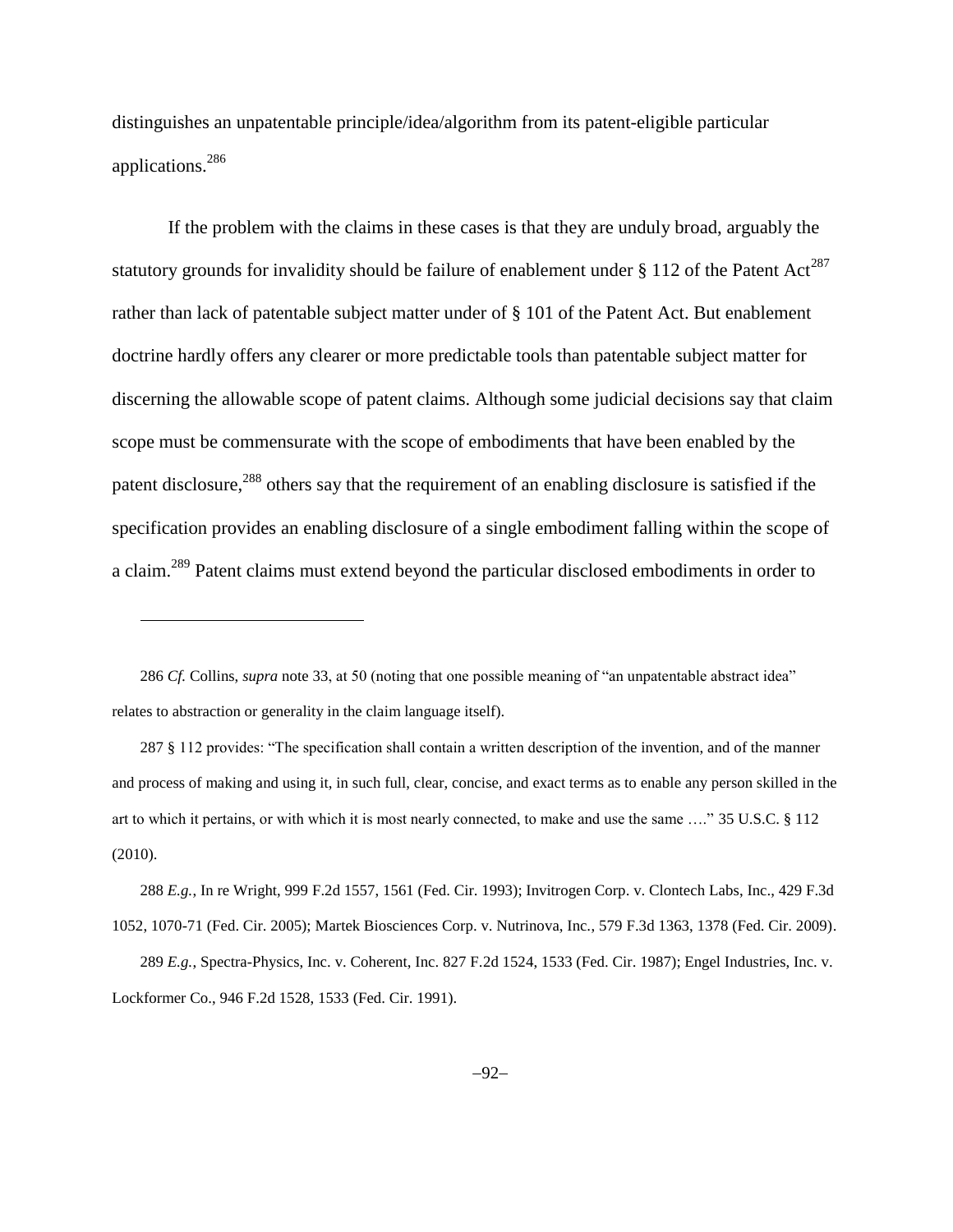distinguishes an unpatentable principle/idea/algorithm from its patent-eligible particular applications.<sup>286</sup>

If the problem with the claims in these cases is that they are unduly broad, arguably the statutory grounds for invalidity should be failure of enablement under § 112 of the Patent Act<sup>287</sup> rather than lack of patentable subject matter under of § 101 of the Patent Act. But enablement doctrine hardly offers any clearer or more predictable tools than patentable subject matter for discerning the allowable scope of patent claims. Although some judicial decisions say that claim scope must be commensurate with the scope of embodiments that have been enabled by the patent disclosure,<sup>288</sup> others say that the requirement of an enabling disclosure is satisfied if the specification provides an enabling disclosure of a single embodiment falling within the scope of a claim.<sup>289</sup> Patent claims must extend beyond the particular disclosed embodiments in order to

286 *Cf.* Collins, *supra* note [33,](#page-11-0) at 50 (noting that one possible meaning of "an unpatentable abstract idea" relates to abstraction or generality in the claim language itself).

 $\overline{a}$ 

287 § 112 provides: "The specification shall contain a written description of the invention, and of the manner and process of making and using it, in such full, clear, concise, and exact terms as to enable any person skilled in the art to which it pertains, or with which it is most nearly connected, to make and use the same …." 35 U.S.C. § 112 (2010).

288 *E.g.*, In re Wright, 999 F.2d 1557, 1561 (Fed. Cir. 1993); Invitrogen Corp. v. Clontech Labs, Inc., 429 F.3d 1052, 1070-71 (Fed. Cir. 2005); Martek Biosciences Corp. v. Nutrinova, Inc., 579 F.3d 1363, 1378 (Fed. Cir. 2009).

<sup>289</sup> *E.g.*, Spectra-Physics, Inc. v. Coherent, Inc. 827 F.2d 1524, 1533 (Fed. Cir. 1987); Engel Industries, Inc. v. Lockformer Co., 946 F.2d 1528, 1533 (Fed. Cir. 1991).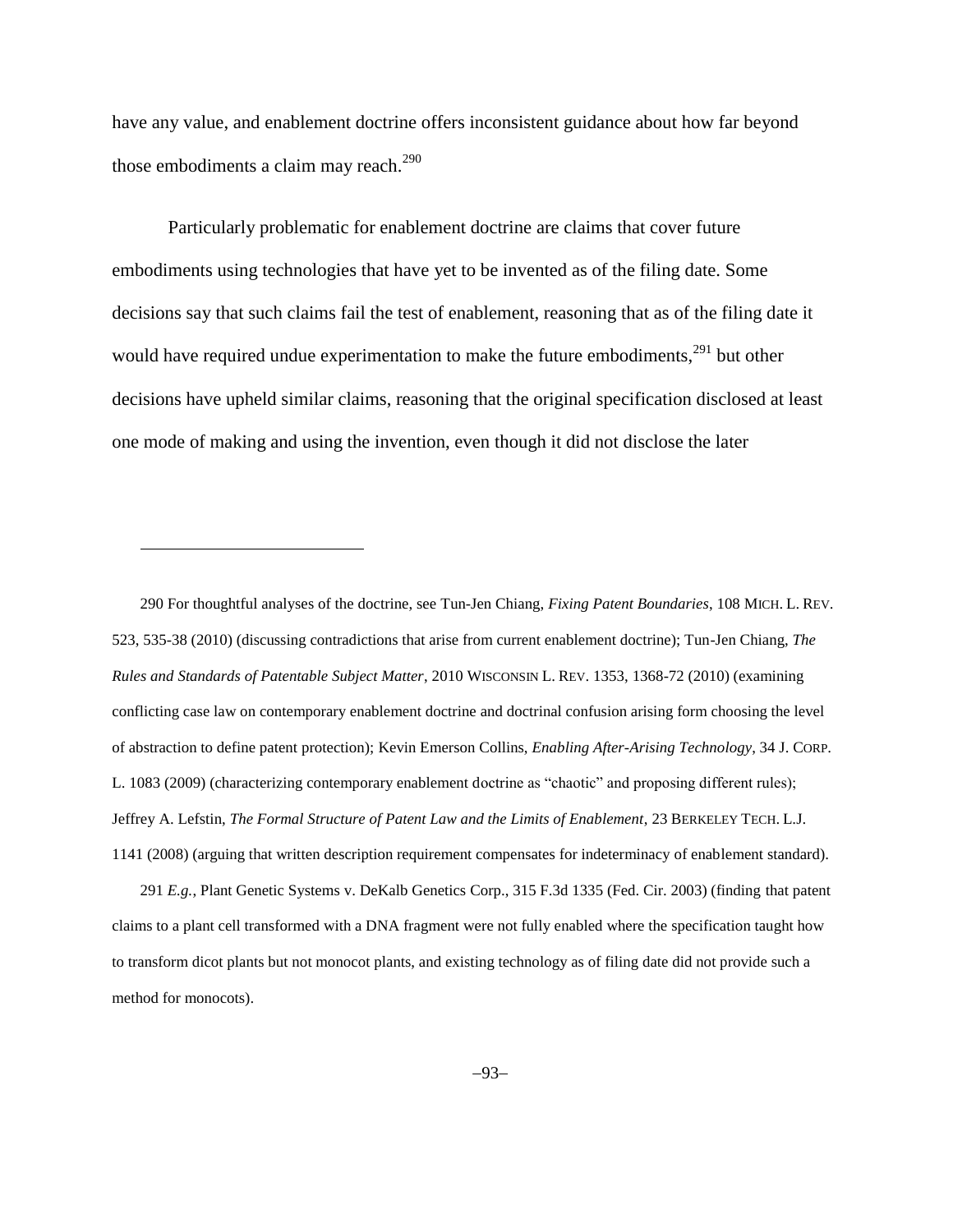<span id="page-92-0"></span>have any value, and enablement doctrine offers inconsistent guidance about how far beyond those embodiments a claim may reach. $^{290}$ 

Particularly problematic for enablement doctrine are claims that cover future embodiments using technologies that have yet to be invented as of the filing date. Some decisions say that such claims fail the test of enablement, reasoning that as of the filing date it would have required undue experimentation to make the future embodiments,  $291$  but other decisions have upheld similar claims, reasoning that the original specification disclosed at least one mode of making and using the invention, even though it did not disclose the later

290 For thoughtful analyses of the doctrine, see Tun-Jen Chiang, *Fixing Patent Boundaries*, 108 MICH. L. REV. 523, 535-38 (2010) (discussing contradictions that arise from current enablement doctrine); Tun-Jen Chiang, *The Rules and Standards of Patentable Subject Matter*, 2010 WISCONSIN L. REV. 1353, 1368-72 (2010) (examining conflicting case law on contemporary enablement doctrine and doctrinal confusion arising form choosing the level of abstraction to define patent protection); Kevin Emerson Collins, *Enabling After-Arising Technology*, 34 J. CORP. L. 1083 (2009) (characterizing contemporary enablement doctrine as "chaotic" and proposing different rules); Jeffrey A. Lefstin, *The Formal Structure of Patent Law and the Limits of Enablement*, 23 BERKELEY TECH. L.J. 1141 (2008) (arguing that written description requirement compensates for indeterminacy of enablement standard).

l

291 *E.g.*, Plant Genetic Systems v. DeKalb Genetics Corp., 315 F.3d 1335 (Fed. Cir. 2003) (finding that patent claims to a plant cell transformed with a DNA fragment were not fully enabled where the specification taught how to transform dicot plants but not monocot plants, and existing technology as of filing date did not provide such a method for monocots).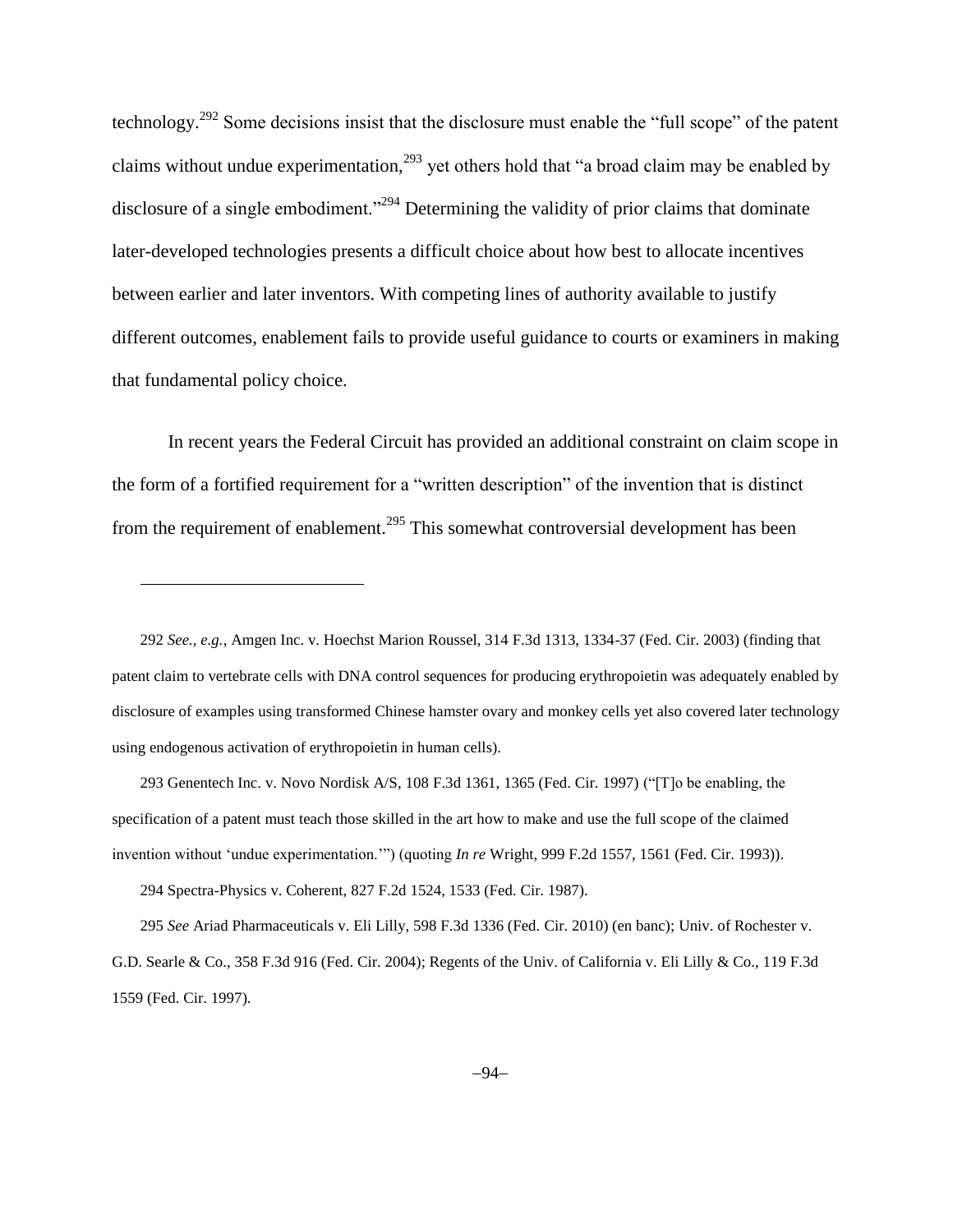technology.<sup>292</sup> Some decisions insist that the disclosure must enable the "full scope" of the patent claims without undue experimentation,<sup>293</sup> yet others hold that "a broad claim may be enabled by disclosure of a single embodiment."<sup>294</sup> Determining the validity of prior claims that dominate later-developed technologies presents a difficult choice about how best to allocate incentives between earlier and later inventors. With competing lines of authority available to justify different outcomes, enablement fails to provide useful guidance to courts or examiners in making that fundamental policy choice.

In recent years the Federal Circuit has provided an additional constraint on claim scope in the form of a fortified requirement for a "written description" of the invention that is distinct from the requirement of enablement.<sup>295</sup> This somewhat controversial development has been

292 *See., e.g.*, Amgen Inc. v. Hoechst Marion Roussel, 314 F.3d 1313, 1334-37 (Fed. Cir. 2003) (finding that patent claim to vertebrate cells with DNA control sequences for producing erythropoietin was adequately enabled by disclosure of examples using transformed Chinese hamster ovary and monkey cells yet also covered later technology using endogenous activation of erythropoietin in human cells).

293 [Genentech Inc. v. Novo Nordisk A/S, 108 F.3d 1361, 1365 \(Fed. Cir. 1997\)](http://www.lexis.com/research/buttonTFLink?_m=2bc76c916e3c689338e9434d35e396f6&_xfercite=%3ccite%20cc%3d%22USA%22%3e%3c%21%5bCDATA%5b603%20F.3d%20935%5d%5d%3e%3c%2fcite%3e&_butType=3&_butStat=2&_butNum=43&_butInline=1&_butinfo=%3ccite%20cc%3d%22USA%22%3e%3c%21%5bCDATA%5b108%20F.3d%201361%2c%201365%5d%5d%3e%3c%2fcite%3e&_fmtstr=FULL&docnum=1&_startdoc=1&wchp=dGLbVlz-zSkAl&_md5=bae53923fbbca0e9c7feae17a270dddf) ("[T]o be enabling, the specification of a patent must teach those skilled in the art how to make and use the full scope of the claimed invention without 'undue experimentation.'") (quoting *In re* Wright, 999 F.2d 1557, 1561 (Fed. Cir. 1993)).

294 Spectra-Physics v. Coherent, 827 F.2d 1524, 1533 (Fed. Cir. 1987).

l

295 *See* Ariad Pharmaceuticals v. Eli Lilly, 598 F.3d 1336 (Fed. Cir. 2010) (en banc); Univ. of Rochester v. G.D. Searle & Co., 358 F.3d 916 (Fed. Cir. 2004); Regents of the Univ. of California v. Eli Lilly & Co., 119 F.3d 1559 (Fed. Cir. 1997).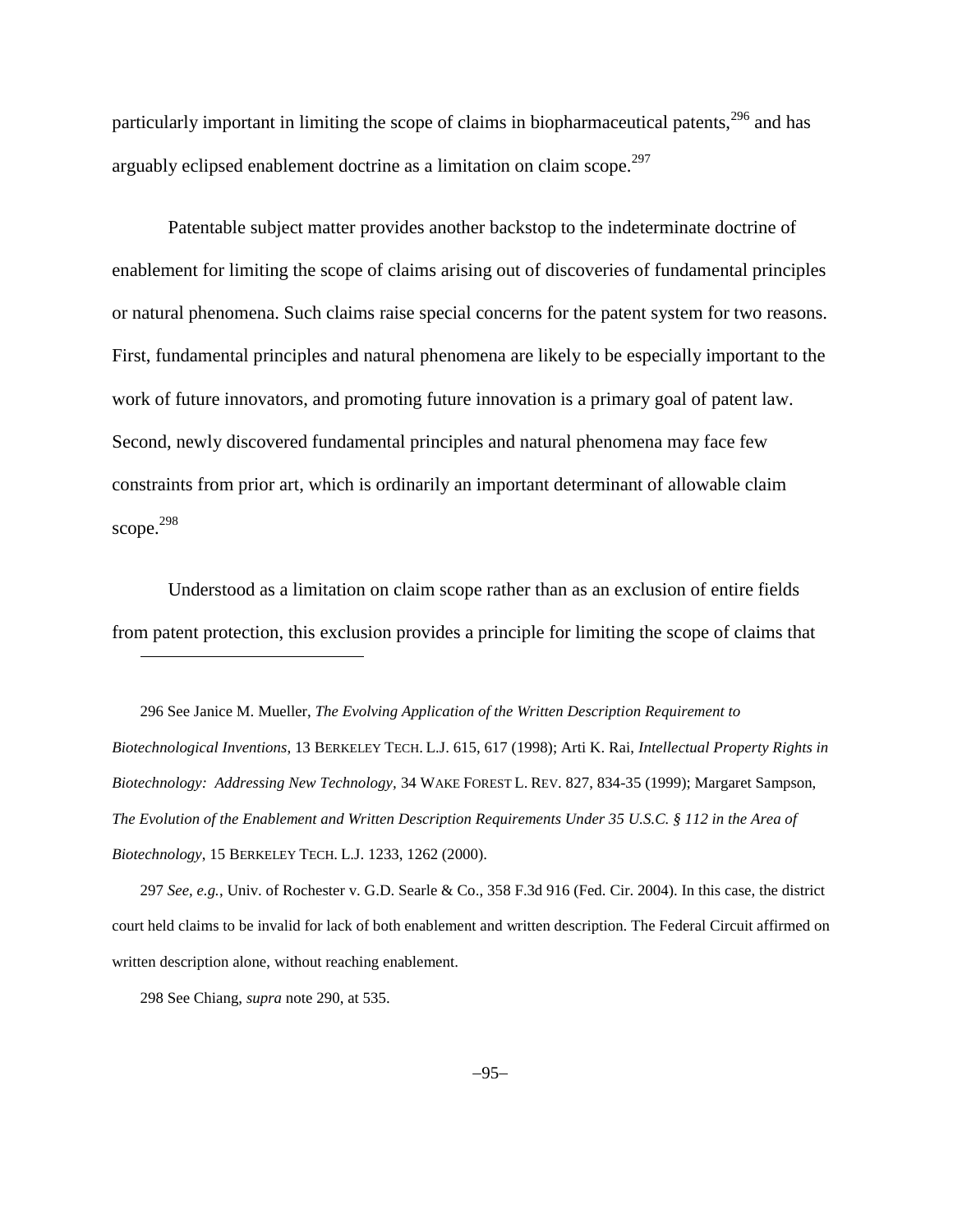particularly important in limiting the scope of claims in biopharmaceutical patents,  $296$  and has arguably eclipsed enablement doctrine as a limitation on claim scope.<sup>297</sup>

Patentable subject matter provides another backstop to the indeterminate doctrine of enablement for limiting the scope of claims arising out of discoveries of fundamental principles or natural phenomena. Such claims raise special concerns for the patent system for two reasons. First, fundamental principles and natural phenomena are likely to be especially important to the work of future innovators, and promoting future innovation is a primary goal of patent law. Second, newly discovered fundamental principles and natural phenomena may face few constraints from prior art, which is ordinarily an important determinant of allowable claim scope. 298

Understood as a limitation on claim scope rather than as an exclusion of entire fields from patent protection, this exclusion provides a principle for limiting the scope of claims that

296 See Janice M. Mueller, *The Evolving Application of the Written Description Requirement to Biotechnological Inventions*, 13 BERKELEY TECH. L.J. 615, 617 (1998); Arti K. Rai, *Intellectual Property Rights in Biotechnology: Addressing New Technology,* 34 WAKE FOREST L. REV. 827, 834-35 (1999); Margaret Sampson, *The Evolution of the Enablement and Written Description Requirements Under 35 U.S.C. § 112 in the Area of Biotechnology*, 15 BERKELEY TECH. L.J. 1233, 1262 (2000).

297 *See, e.g.*, Univ. of Rochester v. G.D. Searle & Co., 358 F.3d 916 (Fed. Cir. 2004). In this case, the district court held claims to be invalid for lack of both enablement and written description. The Federal Circuit affirmed on written description alone, without reaching enablement.

298 See Chiang, *supra* note [290,](#page-92-0) at 535.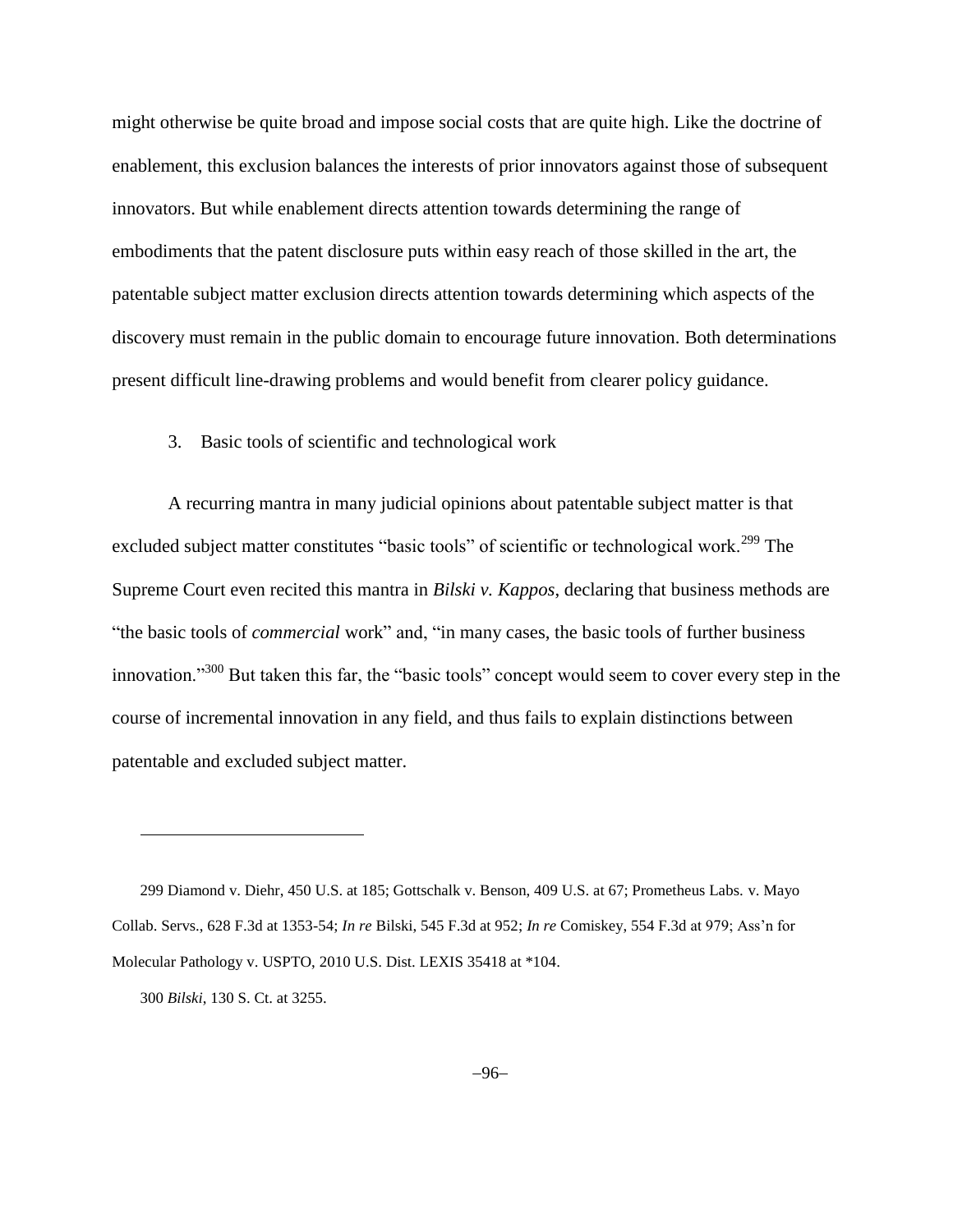might otherwise be quite broad and impose social costs that are quite high. Like the doctrine of enablement, this exclusion balances the interests of prior innovators against those of subsequent innovators. But while enablement directs attention towards determining the range of embodiments that the patent disclosure puts within easy reach of those skilled in the art, the patentable subject matter exclusion directs attention towards determining which aspects of the discovery must remain in the public domain to encourage future innovation. Both determinations present difficult line-drawing problems and would benefit from clearer policy guidance.

## 3. Basic tools of scientific and technological work

A recurring mantra in many judicial opinions about patentable subject matter is that excluded subject matter constitutes "basic tools" of scientific or technological work.<sup>299</sup> The Supreme Court even recited this mantra in *Bilski v. Kappos*, declaring that business methods are "the basic tools of *commercial* work" and, "in many cases, the basic tools of further business innovation."<sup>300</sup> But taken this far, the "basic tools" concept would seem to cover every step in the course of incremental innovation in any field, and thus fails to explain distinctions between patentable and excluded subject matter.

 $\overline{a}$ 

<sup>299</sup> Diamond v. Diehr, 450 U.S. at 185; Gottschalk v. Benson, 409 U.S. at 67; Prometheus Labs. v. Mayo Collab. Servs., 628 F.3d at 1353-54; *In re* Bilski, 545 F.3d at 952; *In re* Comiskey, 554 F.3d at 979; Ass'n for Molecular Pathology v. USPTO, 2010 U.S. Dist. LEXIS 35418 at \*104.

<sup>300</sup> *Bilski*, 130 S. Ct. at 3255.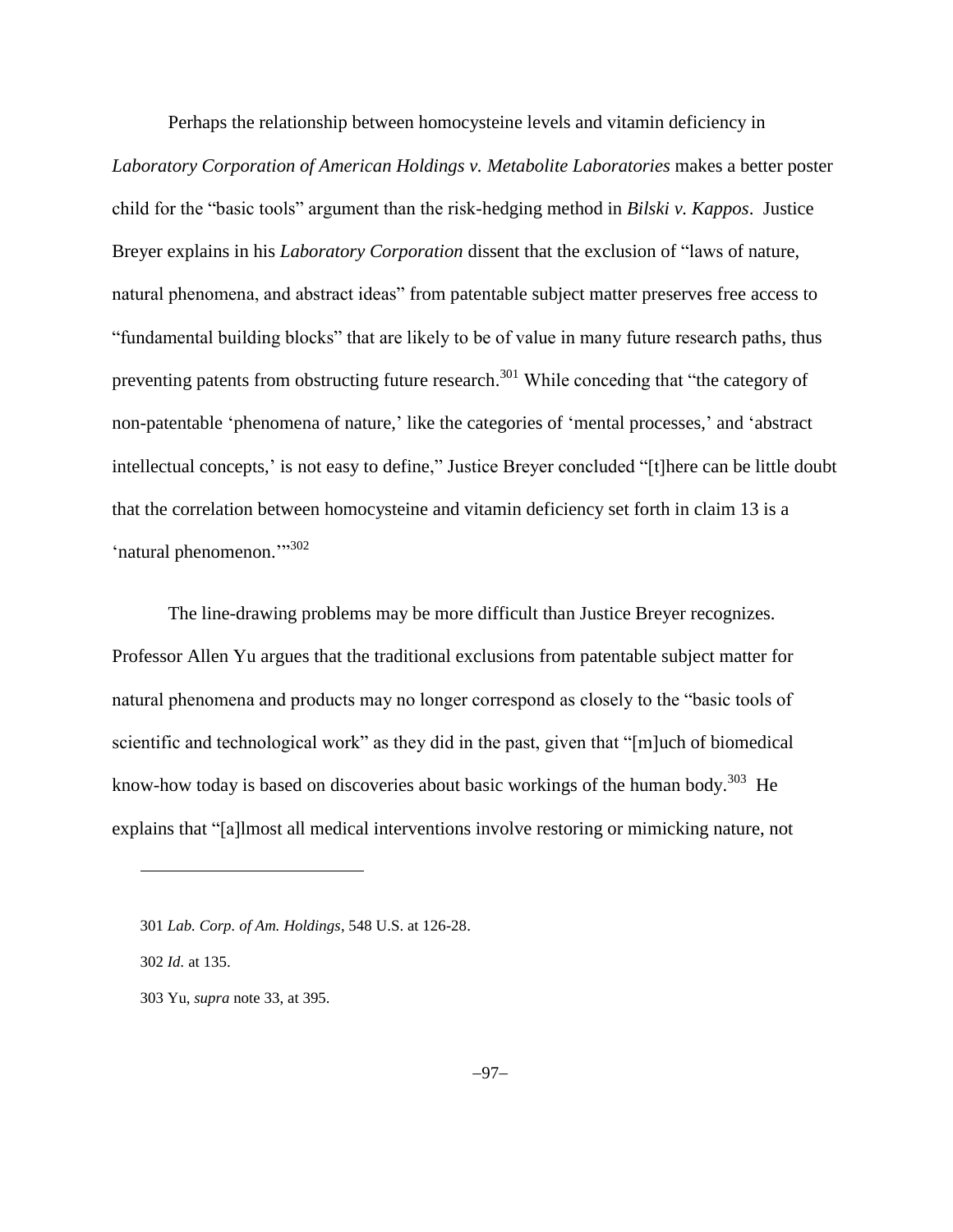Perhaps the relationship between homocysteine levels and vitamin deficiency in *Laboratory Corporation of American Holdings v. Metabolite Laboratories* makes a better poster child for the "basic tools" argument than the risk-hedging method in *Bilski v. Kappos*. Justice Breyer explains in his *Laboratory Corporation* dissent that the exclusion of "laws of nature, natural phenomena, and abstract ideas" from patentable subject matter preserves free access to "fundamental building blocks" that are likely to be of value in many future research paths, thus preventing patents from obstructing future research.<sup>301</sup> While conceding that "the category of non-patentable 'phenomena of nature,' like the categories of 'mental processes,' and 'abstract intellectual concepts,' is not easy to define," Justice Breyer concluded "[t]here can be little doubt that the correlation between homocysteine and vitamin deficiency set forth in claim 13 is a 'natural phenomenon."<sup>302</sup>

The line-drawing problems may be more difficult than Justice Breyer recognizes. Professor Allen Yu argues that the traditional exclusions from patentable subject matter for natural phenomena and products may no longer correspond as closely to the "basic tools of scientific and technological work" as they did in the past, given that "[m]uch of biomedical know-how today is based on discoveries about basic workings of the human body.<sup>303</sup> He explains that "[a]lmost all medical interventions involve restoring or mimicking nature, not

302 *Id.* at 135.

<sup>301</sup> *Lab. Corp. of Am. Holdings*, 548 U.S. at 126-28.

<sup>303</sup> Yu, *supra* not[e 33,](#page-11-0) at 395.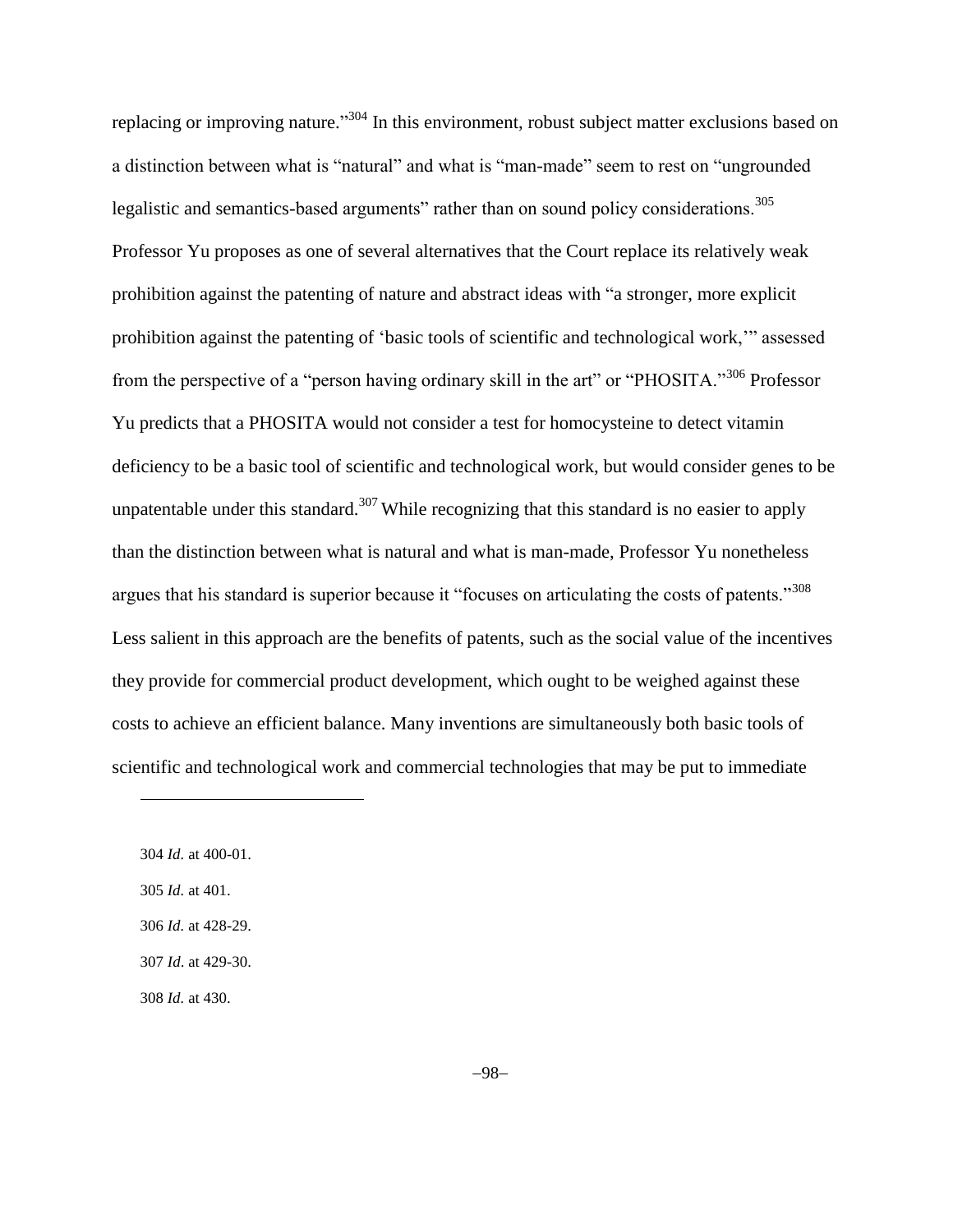replacing or improving nature."<sup>304</sup> In this environment, robust subject matter exclusions based on a distinction between what is "natural" and what is "man-made" seem to rest on "ungrounded legalistic and semantics-based arguments" rather than on sound policy considerations.<sup>305</sup> Professor Yu proposes as one of several alternatives that the Court replace its relatively weak prohibition against the patenting of nature and abstract ideas with "a stronger, more explicit prohibition against the patenting of 'basic tools of scientific and technological work,'" assessed from the perspective of a "person having ordinary skill in the art" or "PHOSITA."<sup>306</sup> Professor Yu predicts that a PHOSITA would not consider a test for homocysteine to detect vitamin deficiency to be a basic tool of scientific and technological work, but would consider genes to be unpatentable under this standard.<sup>307</sup> While recognizing that this standard is no easier to apply than the distinction between what is natural and what is man-made, Professor Yu nonetheless argues that his standard is superior because it "focuses on articulating the costs of patents."<sup>308</sup> Less salient in this approach are the benefits of patents, such as the social value of the incentives they provide for commercial product development, which ought to be weighed against these costs to achieve an efficient balance. Many inventions are simultaneously both basic tools of scientific and technological work and commercial technologies that may be put to immediate

 *Id.* at 400-01. *Id.* at 401. *Id.* at 428-29. *Id*. at 429-30.

l

308 *Id.* at 430.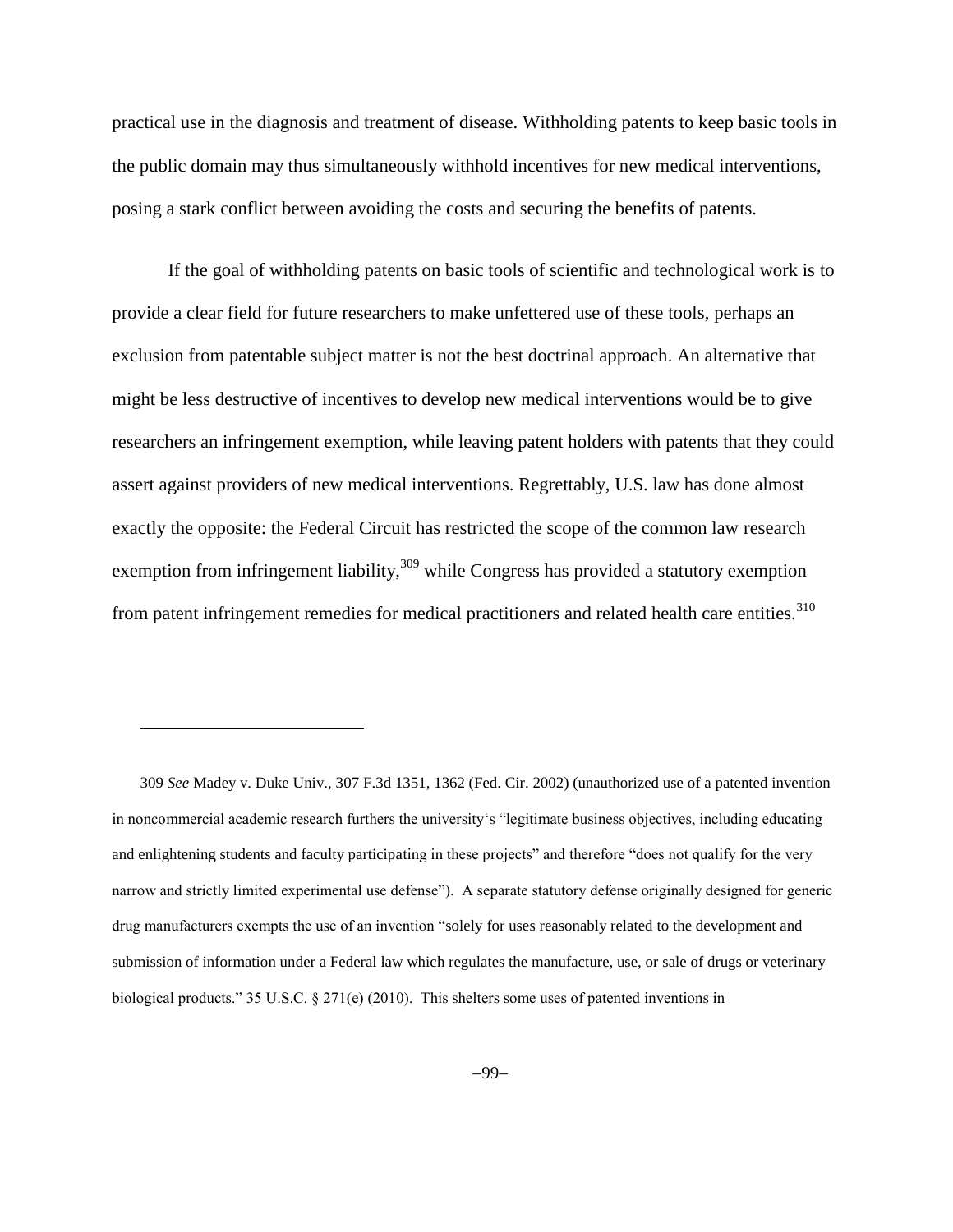practical use in the diagnosis and treatment of disease. Withholding patents to keep basic tools in the public domain may thus simultaneously withhold incentives for new medical interventions, posing a stark conflict between avoiding the costs and securing the benefits of patents.

If the goal of withholding patents on basic tools of scientific and technological work is to provide a clear field for future researchers to make unfettered use of these tools, perhaps an exclusion from patentable subject matter is not the best doctrinal approach. An alternative that might be less destructive of incentives to develop new medical interventions would be to give researchers an infringement exemption, while leaving patent holders with patents that they could assert against providers of new medical interventions. Regrettably, U.S. law has done almost exactly the opposite: the Federal Circuit has restricted the scope of the common law research exemption from infringement liability,<sup>309</sup> while Congress has provided a statutory exemption from patent infringement remedies for medical practitioners and related health care entities.<sup>310</sup>

 $\overline{a}$ 

<sup>309</sup> *See* Madey v. Duke Univ., 307 F.3d 1351, 1362 (Fed. Cir. 2002) (unauthorized use of a patented invention in noncommercial academic research furthers the university's "legitimate business objectives, including educating and enlightening students and faculty participating in these projects" and therefore "does not qualify for the very narrow and strictly limited experimental use defense"). A separate statutory defense originally designed for generic drug manufacturers exempts the use of an invention "solely for uses reasonably related to the development and submission of information under a Federal law which regulates the manufacture, use, or sale of drugs or veterinary biological products." 35 U.S.C. § 271(e) (2010). This shelters some uses of patented inventions in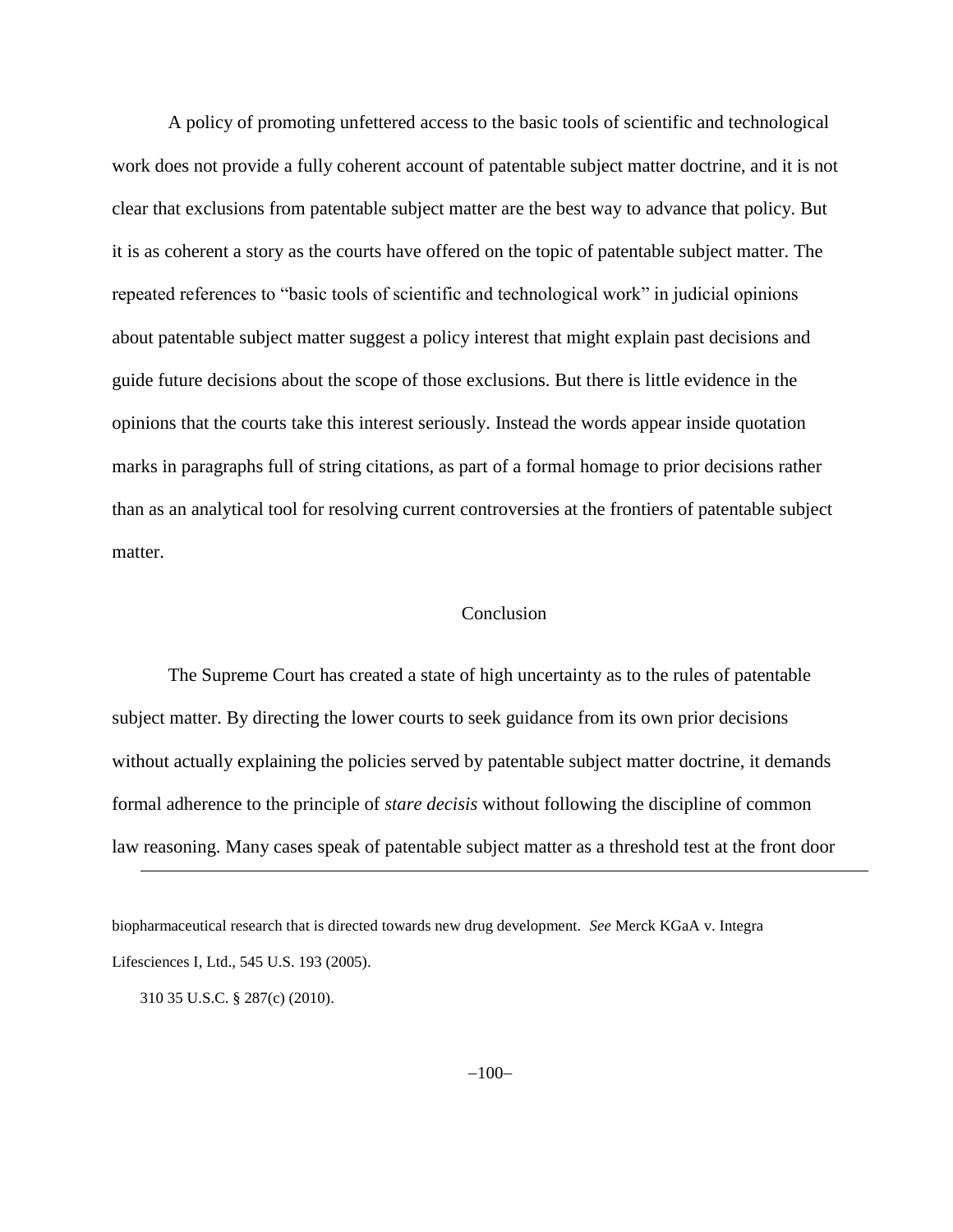A policy of promoting unfettered access to the basic tools of scientific and technological work does not provide a fully coherent account of patentable subject matter doctrine, and it is not clear that exclusions from patentable subject matter are the best way to advance that policy. But it is as coherent a story as the courts have offered on the topic of patentable subject matter. The repeated references to "basic tools of scientific and technological work" in judicial opinions about patentable subject matter suggest a policy interest that might explain past decisions and guide future decisions about the scope of those exclusions. But there is little evidence in the opinions that the courts take this interest seriously. Instead the words appear inside quotation marks in paragraphs full of string citations, as part of a formal homage to prior decisions rather than as an analytical tool for resolving current controversies at the frontiers of patentable subject matter.

## Conclusion

The Supreme Court has created a state of high uncertainty as to the rules of patentable subject matter. By directing the lower courts to seek guidance from its own prior decisions without actually explaining the policies served by patentable subject matter doctrine, it demands formal adherence to the principle of *stare decisis* without following the discipline of common law reasoning. Many cases speak of patentable subject matter as a threshold test at the front door

310 35 U.S.C. § 287(c) (2010).

biopharmaceutical research that is directed towards new drug development. *See* Merck KGaA v. Integra Lifesciences I, Ltd., 545 U.S. 193 (2005).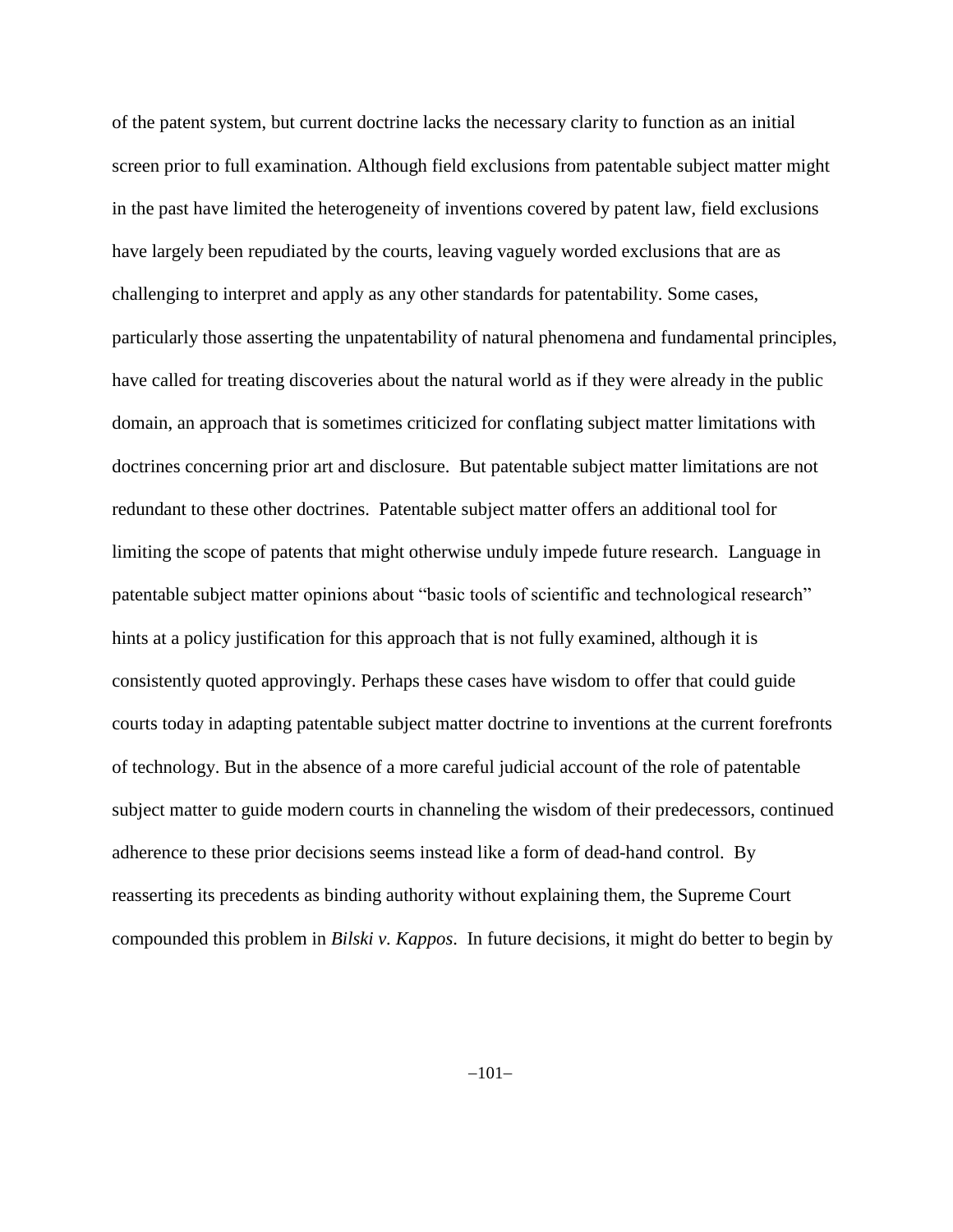of the patent system, but current doctrine lacks the necessary clarity to function as an initial screen prior to full examination. Although field exclusions from patentable subject matter might in the past have limited the heterogeneity of inventions covered by patent law, field exclusions have largely been repudiated by the courts, leaving vaguely worded exclusions that are as challenging to interpret and apply as any other standards for patentability. Some cases, particularly those asserting the unpatentability of natural phenomena and fundamental principles, have called for treating discoveries about the natural world as if they were already in the public domain, an approach that is sometimes criticized for conflating subject matter limitations with doctrines concerning prior art and disclosure. But patentable subject matter limitations are not redundant to these other doctrines. Patentable subject matter offers an additional tool for limiting the scope of patents that might otherwise unduly impede future research. Language in patentable subject matter opinions about "basic tools of scientific and technological research" hints at a policy justification for this approach that is not fully examined, although it is consistently quoted approvingly. Perhaps these cases have wisdom to offer that could guide courts today in adapting patentable subject matter doctrine to inventions at the current forefronts of technology. But in the absence of a more careful judicial account of the role of patentable subject matter to guide modern courts in channeling the wisdom of their predecessors, continued adherence to these prior decisions seems instead like a form of dead-hand control. By reasserting its precedents as binding authority without explaining them, the Supreme Court compounded this problem in *Bilski v. Kappos*. In future decisions, it might do better to begin by